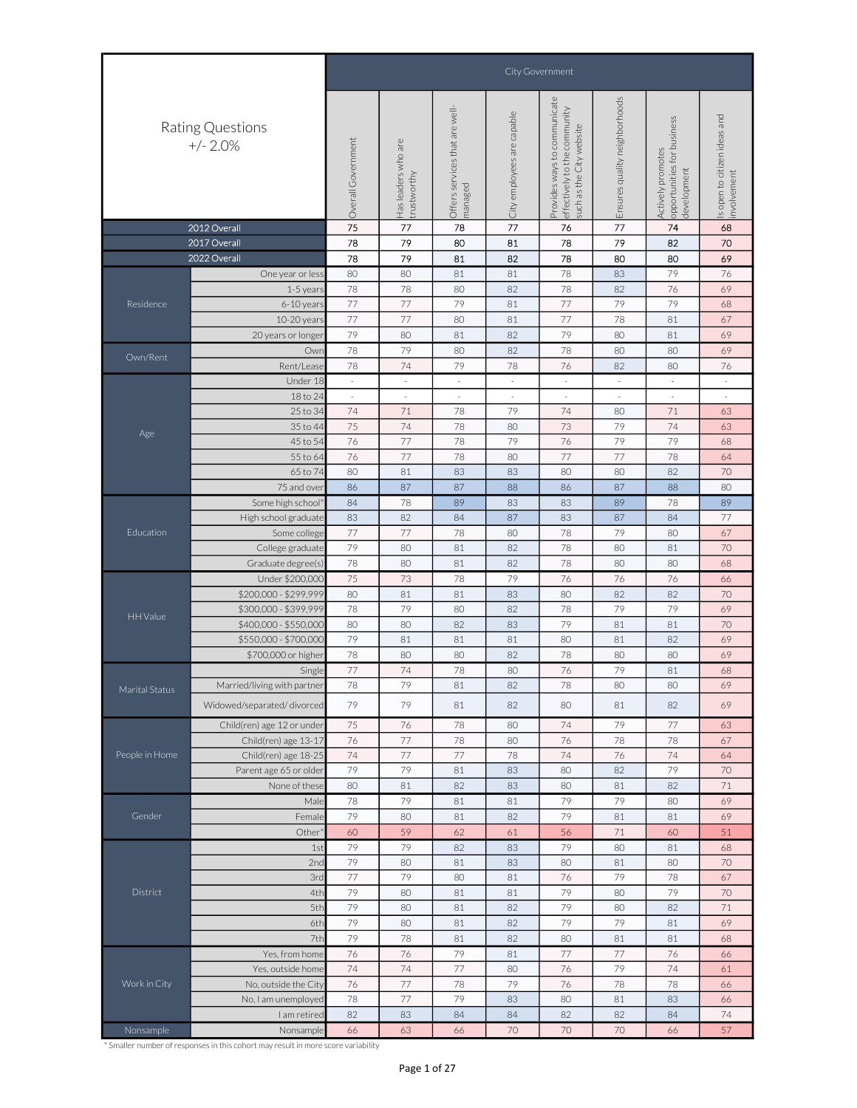|                |                                |                                                                                                                                                                                                                                                                                                                                                                                                                                                                                                                                                                                                                                                                                                                                                                                                                                                                                                                                                                                                                                                                                                                                                                                                                                                                                                                                                                                                                                                                                                                                                                                                                                                                                                                                                                                                                                                                                                                                                                                                                                                                                                                                                                                                                                                                                                                                                                                                                                                                                                               |                          |                          |                          | City Government          |                          |             |                                            |
|----------------|--------------------------------|---------------------------------------------------------------------------------------------------------------------------------------------------------------------------------------------------------------------------------------------------------------------------------------------------------------------------------------------------------------------------------------------------------------------------------------------------------------------------------------------------------------------------------------------------------------------------------------------------------------------------------------------------------------------------------------------------------------------------------------------------------------------------------------------------------------------------------------------------------------------------------------------------------------------------------------------------------------------------------------------------------------------------------------------------------------------------------------------------------------------------------------------------------------------------------------------------------------------------------------------------------------------------------------------------------------------------------------------------------------------------------------------------------------------------------------------------------------------------------------------------------------------------------------------------------------------------------------------------------------------------------------------------------------------------------------------------------------------------------------------------------------------------------------------------------------------------------------------------------------------------------------------------------------------------------------------------------------------------------------------------------------------------------------------------------------------------------------------------------------------------------------------------------------------------------------------------------------------------------------------------------------------------------------------------------------------------------------------------------------------------------------------------------------------------------------------------------------------------------------------------------------|--------------------------|--------------------------|--------------------------|--------------------------|--------------------------|-------------|--------------------------------------------|
|                | Rating Questions<br>$+/- 2.0%$ |                                                                                                                                                                                                                                                                                                                                                                                                                                                                                                                                                                                                                                                                                                                                                                                                                                                                                                                                                                                                                                                                                                                                                                                                                                                                                                                                                                                                                                                                                                                                                                                                                                                                                                                                                                                                                                                                                                                                                                                                                                                                                                                                                                                                                                                                                                                                                                                                                                                                                                               |                          |                          |                          |                          |                          | development | s open to citizen ideas and<br>involvement |
|                |                                |                                                                                                                                                                                                                                                                                                                                                                                                                                                                                                                                                                                                                                                                                                                                                                                                                                                                                                                                                                                                                                                                                                                                                                                                                                                                                                                                                                                                                                                                                                                                                                                                                                                                                                                                                                                                                                                                                                                                                                                                                                                                                                                                                                                                                                                                                                                                                                                                                                                                                                               |                          |                          |                          |                          |                          |             |                                            |
|                | 2012 Overall                   | 75                                                                                                                                                                                                                                                                                                                                                                                                                                                                                                                                                                                                                                                                                                                                                                                                                                                                                                                                                                                                                                                                                                                                                                                                                                                                                                                                                                                                                                                                                                                                                                                                                                                                                                                                                                                                                                                                                                                                                                                                                                                                                                                                                                                                                                                                                                                                                                                                                                                                                                            | 77                       | 78                       | 77                       | 76                       | 77                       | 74          | 68                                         |
|                | 2017 Overall                   | 78                                                                                                                                                                                                                                                                                                                                                                                                                                                                                                                                                                                                                                                                                                                                                                                                                                                                                                                                                                                                                                                                                                                                                                                                                                                                                                                                                                                                                                                                                                                                                                                                                                                                                                                                                                                                                                                                                                                                                                                                                                                                                                                                                                                                                                                                                                                                                                                                                                                                                                            | 79                       | 80                       | 81                       | 78                       | 79                       | 82          | 70                                         |
|                | 2022 Overall                   | 78                                                                                                                                                                                                                                                                                                                                                                                                                                                                                                                                                                                                                                                                                                                                                                                                                                                                                                                                                                                                                                                                                                                                                                                                                                                                                                                                                                                                                                                                                                                                                                                                                                                                                                                                                                                                                                                                                                                                                                                                                                                                                                                                                                                                                                                                                                                                                                                                                                                                                                            |                          | 81                       | 82                       | 78                       | 80                       | 80          | 69                                         |
|                | One year or less               | 80                                                                                                                                                                                                                                                                                                                                                                                                                                                                                                                                                                                                                                                                                                                                                                                                                                                                                                                                                                                                                                                                                                                                                                                                                                                                                                                                                                                                                                                                                                                                                                                                                                                                                                                                                                                                                                                                                                                                                                                                                                                                                                                                                                                                                                                                                                                                                                                                                                                                                                            | 80                       | 81                       | 81                       | 78                       | 83                       | 79          | 76                                         |
|                | 1-5 years                      |                                                                                                                                                                                                                                                                                                                                                                                                                                                                                                                                                                                                                                                                                                                                                                                                                                                                                                                                                                                                                                                                                                                                                                                                                                                                                                                                                                                                                                                                                                                                                                                                                                                                                                                                                                                                                                                                                                                                                                                                                                                                                                                                                                                                                                                                                                                                                                                                                                                                                                               | 78                       | 80                       | 82                       | 78                       | 82                       | 76          | 69                                         |
| Residence      | 6-10 years                     |                                                                                                                                                                                                                                                                                                                                                                                                                                                                                                                                                                                                                                                                                                                                                                                                                                                                                                                                                                                                                                                                                                                                                                                                                                                                                                                                                                                                                                                                                                                                                                                                                                                                                                                                                                                                                                                                                                                                                                                                                                                                                                                                                                                                                                                                                                                                                                                                                                                                                                               |                          |                          | 81                       |                          |                          |             | 68                                         |
|                | 10-20 years                    | 77                                                                                                                                                                                                                                                                                                                                                                                                                                                                                                                                                                                                                                                                                                                                                                                                                                                                                                                                                                                                                                                                                                                                                                                                                                                                                                                                                                                                                                                                                                                                                                                                                                                                                                                                                                                                                                                                                                                                                                                                                                                                                                                                                                                                                                                                                                                                                                                                                                                                                                            | 77                       | 80                       | 81                       | 77                       | 78                       | 81          | 67                                         |
|                | 20 years or longer             | 79                                                                                                                                                                                                                                                                                                                                                                                                                                                                                                                                                                                                                                                                                                                                                                                                                                                                                                                                                                                                                                                                                                                                                                                                                                                                                                                                                                                                                                                                                                                                                                                                                                                                                                                                                                                                                                                                                                                                                                                                                                                                                                                                                                                                                                                                                                                                                                                                                                                                                                            | 80                       | 81                       | 82                       | 79                       | 80                       | 81          | 69                                         |
| Own/Rent       | Owr                            | 78                                                                                                                                                                                                                                                                                                                                                                                                                                                                                                                                                                                                                                                                                                                                                                                                                                                                                                                                                                                                                                                                                                                                                                                                                                                                                                                                                                                                                                                                                                                                                                                                                                                                                                                                                                                                                                                                                                                                                                                                                                                                                                                                                                                                                                                                                                                                                                                                                                                                                                            | 79                       | 80                       | 82                       | 78                       | 80                       | 80          | 69                                         |
|                | Rent/Lease                     | 78                                                                                                                                                                                                                                                                                                                                                                                                                                                                                                                                                                                                                                                                                                                                                                                                                                                                                                                                                                                                                                                                                                                                                                                                                                                                                                                                                                                                                                                                                                                                                                                                                                                                                                                                                                                                                                                                                                                                                                                                                                                                                                                                                                                                                                                                                                                                                                                                                                                                                                            | 74                       | 79                       | 78                       | 76                       | 82                       | 80          | 76                                         |
|                | Under 18                       | $\sim$                                                                                                                                                                                                                                                                                                                                                                                                                                                                                                                                                                                                                                                                                                                                                                                                                                                                                                                                                                                                                                                                                                                                                                                                                                                                                                                                                                                                                                                                                                                                                                                                                                                                                                                                                                                                                                                                                                                                                                                                                                                                                                                                                                                                                                                                                                                                                                                                                                                                                                        | $\overline{\phantom{a}}$ | $\sim$                   | ×.                       | ÷.                       | $\sim$                   |             | $\sim$                                     |
|                | 18 to 24                       | $\overline{\phantom{a}}$                                                                                                                                                                                                                                                                                                                                                                                                                                                                                                                                                                                                                                                                                                                                                                                                                                                                                                                                                                                                                                                                                                                                                                                                                                                                                                                                                                                                                                                                                                                                                                                                                                                                                                                                                                                                                                                                                                                                                                                                                                                                                                                                                                                                                                                                                                                                                                                                                                                                                      | $\overline{\phantom{a}}$ | $\overline{\phantom{a}}$ | $\overline{\phantom{a}}$ | $\overline{\phantom{a}}$ | $\overline{\phantom{a}}$ |             | $\overline{\phantom{a}}$                   |
|                | 25 to 34                       | 74                                                                                                                                                                                                                                                                                                                                                                                                                                                                                                                                                                                                                                                                                                                                                                                                                                                                                                                                                                                                                                                                                                                                                                                                                                                                                                                                                                                                                                                                                                                                                                                                                                                                                                                                                                                                                                                                                                                                                                                                                                                                                                                                                                                                                                                                                                                                                                                                                                                                                                            | 71                       | 78                       | 79                       | 74                       | 80                       | 71          | 63                                         |
| Age            | 35 to 44                       | 75                                                                                                                                                                                                                                                                                                                                                                                                                                                                                                                                                                                                                                                                                                                                                                                                                                                                                                                                                                                                                                                                                                                                                                                                                                                                                                                                                                                                                                                                                                                                                                                                                                                                                                                                                                                                                                                                                                                                                                                                                                                                                                                                                                                                                                                                                                                                                                                                                                                                                                            | 74                       | 78                       | 80                       | 73                       | 79                       | 74          | 63                                         |
|                | 45 to 54                       | 76                                                                                                                                                                                                                                                                                                                                                                                                                                                                                                                                                                                                                                                                                                                                                                                                                                                                                                                                                                                                                                                                                                                                                                                                                                                                                                                                                                                                                                                                                                                                                                                                                                                                                                                                                                                                                                                                                                                                                                                                                                                                                                                                                                                                                                                                                                                                                                                                                                                                                                            |                          | 78                       |                          |                          |                          |             | 68                                         |
|                | 55 to 64                       |                                                                                                                                                                                                                                                                                                                                                                                                                                                                                                                                                                                                                                                                                                                                                                                                                                                                                                                                                                                                                                                                                                                                                                                                                                                                                                                                                                                                                                                                                                                                                                                                                                                                                                                                                                                                                                                                                                                                                                                                                                                                                                                                                                                                                                                                                                                                                                                                                                                                                                               |                          |                          |                          |                          |                          |             | 64                                         |
|                |                                | Ensures quality neighborhoods<br>Provides ways to communicate<br>Offers services that are well-<br>effectively to the community<br>City employees are capable<br>opportunities for business<br>such as the City website<br>Overall Government<br>Has leaders who are<br>Actively promotes<br>trustworthy<br>managed<br>79<br>78<br>77<br>77<br>77<br>79<br>79<br>79<br>77<br>79<br>76<br>79<br>79<br>77<br>76<br>78<br>80<br>77<br>77<br>78<br>65 to 74<br>80<br>81<br>83<br>83<br>80<br>80<br>82<br>75 and over<br>86<br>87<br>87<br>88<br>86<br>87<br>88<br>Some high school<br>84<br>78<br>89<br>83<br>83<br>89<br>78<br>82<br>83<br>84<br>87<br>83<br>87<br>84<br>77<br>77<br>78<br>79<br>78<br>80<br>80<br>Some college<br>79<br>82<br>78<br>College graduate<br>80<br>81<br>80<br>81<br>80<br>81<br>82<br>78<br>80<br>80<br>Graduate degree(s<br>78<br>Under \$200,000<br>75<br>73<br>78<br>79<br>76<br>76<br>76<br>80<br>81<br>81<br>83<br>80<br>82<br>82<br>79<br>79<br>79<br>78<br>80<br>82<br>78<br>79<br>80<br>80<br>82<br>83<br>81<br>81<br>79<br>81<br>81<br>81<br>80<br>81<br>82<br>80<br>78<br>78<br>80<br>82<br>80<br>80<br>74<br>77<br>78<br>80<br>76<br>79<br>81<br>Single<br>78<br>79<br>81<br>82<br>78<br>80<br>80<br>79<br>79<br>80<br>81<br>82<br>81<br>82<br>75<br>76<br>78<br>80<br>74<br>79<br>77<br>Child(ren) age 13-17<br>76<br>77<br>78<br>80<br>76<br>78<br>78<br>77<br>77<br>74<br>76<br>74<br>Child(ren) age 18-25<br>74<br>78<br>Parent age 65 or older<br>79<br>79<br>83<br>80<br>82<br>79<br>81<br>80<br>81<br>82<br>83<br>80<br>82<br>None of these<br>81<br>79<br>79<br>79<br>78<br>80<br>Male<br>81<br>81<br>79<br>80<br>79<br>81<br>82<br>81<br>81<br>Female<br>59<br>62<br>56<br>$71\,$<br>60<br>Other <sup>®</sup><br>60<br>61<br>79<br>79<br>79<br>82<br>83<br>80<br>81<br>1st<br>79<br>80<br>80<br>2nd<br>81<br>83<br>81<br>80<br>3rd<br>79<br>80<br>76<br>79<br>78<br>77<br>81<br>4th<br>79<br>79<br>79<br>80<br>81<br>81<br>80<br>5th<br>79<br>80<br>82<br>79<br>80<br>82<br>81<br>79<br>79<br>6th<br>80<br>81<br>82<br>79<br>81<br>7th<br>79<br>78<br>81<br>82<br>80<br>81<br>81<br>79<br>77<br>Yes, from home<br>76<br>76<br>81<br>77<br>76<br>79<br>74<br>74<br>77<br>76<br>74<br>80<br>Yes, outside home<br>76<br>77<br>79<br>76<br>78<br>78<br>78<br>No, outside the City<br>77<br>79<br>80<br>81<br>No, I am unemployed<br>78<br>83<br>83<br>83<br>84<br>82<br>82<br>I am retired<br>82<br>84<br>84<br>70<br>66<br>63<br>66<br>70<br>70<br>66<br>Nonsample |                          | 70                       |                          |                          |                          |             |                                            |
|                |                                |                                                                                                                                                                                                                                                                                                                                                                                                                                                                                                                                                                                                                                                                                                                                                                                                                                                                                                                                                                                                                                                                                                                                                                                                                                                                                                                                                                                                                                                                                                                                                                                                                                                                                                                                                                                                                                                                                                                                                                                                                                                                                                                                                                                                                                                                                                                                                                                                                                                                                                               |                          |                          |                          |                          |                          |             | 80                                         |
|                |                                |                                                                                                                                                                                                                                                                                                                                                                                                                                                                                                                                                                                                                                                                                                                                                                                                                                                                                                                                                                                                                                                                                                                                                                                                                                                                                                                                                                                                                                                                                                                                                                                                                                                                                                                                                                                                                                                                                                                                                                                                                                                                                                                                                                                                                                                                                                                                                                                                                                                                                                               |                          |                          |                          |                          |                          |             | 89                                         |
|                | High school graduate           |                                                                                                                                                                                                                                                                                                                                                                                                                                                                                                                                                                                                                                                                                                                                                                                                                                                                                                                                                                                                                                                                                                                                                                                                                                                                                                                                                                                                                                                                                                                                                                                                                                                                                                                                                                                                                                                                                                                                                                                                                                                                                                                                                                                                                                                                                                                                                                                                                                                                                                               |                          |                          |                          |                          |                          |             | 77                                         |
| Education      |                                |                                                                                                                                                                                                                                                                                                                                                                                                                                                                                                                                                                                                                                                                                                                                                                                                                                                                                                                                                                                                                                                                                                                                                                                                                                                                                                                                                                                                                                                                                                                                                                                                                                                                                                                                                                                                                                                                                                                                                                                                                                                                                                                                                                                                                                                                                                                                                                                                                                                                                                               |                          |                          |                          |                          |                          |             | 67                                         |
|                |                                |                                                                                                                                                                                                                                                                                                                                                                                                                                                                                                                                                                                                                                                                                                                                                                                                                                                                                                                                                                                                                                                                                                                                                                                                                                                                                                                                                                                                                                                                                                                                                                                                                                                                                                                                                                                                                                                                                                                                                                                                                                                                                                                                                                                                                                                                                                                                                                                                                                                                                                               |                          |                          |                          |                          |                          |             | 70                                         |
|                |                                |                                                                                                                                                                                                                                                                                                                                                                                                                                                                                                                                                                                                                                                                                                                                                                                                                                                                                                                                                                                                                                                                                                                                                                                                                                                                                                                                                                                                                                                                                                                                                                                                                                                                                                                                                                                                                                                                                                                                                                                                                                                                                                                                                                                                                                                                                                                                                                                                                                                                                                               |                          |                          |                          |                          |                          |             | 68                                         |
|                |                                |                                                                                                                                                                                                                                                                                                                                                                                                                                                                                                                                                                                                                                                                                                                                                                                                                                                                                                                                                                                                                                                                                                                                                                                                                                                                                                                                                                                                                                                                                                                                                                                                                                                                                                                                                                                                                                                                                                                                                                                                                                                                                                                                                                                                                                                                                                                                                                                                                                                                                                               |                          |                          |                          |                          |                          |             | 66                                         |
|                | \$200,000 - \$299,999          |                                                                                                                                                                                                                                                                                                                                                                                                                                                                                                                                                                                                                                                                                                                                                                                                                                                                                                                                                                                                                                                                                                                                                                                                                                                                                                                                                                                                                                                                                                                                                                                                                                                                                                                                                                                                                                                                                                                                                                                                                                                                                                                                                                                                                                                                                                                                                                                                                                                                                                               |                          |                          |                          |                          |                          |             | 70                                         |
| HH Value       | \$300,000 - \$399,999          |                                                                                                                                                                                                                                                                                                                                                                                                                                                                                                                                                                                                                                                                                                                                                                                                                                                                                                                                                                                                                                                                                                                                                                                                                                                                                                                                                                                                                                                                                                                                                                                                                                                                                                                                                                                                                                                                                                                                                                                                                                                                                                                                                                                                                                                                                                                                                                                                                                                                                                               |                          |                          |                          |                          |                          |             | 69                                         |
|                | \$400,000 - \$550,000          |                                                                                                                                                                                                                                                                                                                                                                                                                                                                                                                                                                                                                                                                                                                                                                                                                                                                                                                                                                                                                                                                                                                                                                                                                                                                                                                                                                                                                                                                                                                                                                                                                                                                                                                                                                                                                                                                                                                                                                                                                                                                                                                                                                                                                                                                                                                                                                                                                                                                                                               |                          |                          |                          |                          |                          |             | 70                                         |
|                | \$550,000 - \$700,000          |                                                                                                                                                                                                                                                                                                                                                                                                                                                                                                                                                                                                                                                                                                                                                                                                                                                                                                                                                                                                                                                                                                                                                                                                                                                                                                                                                                                                                                                                                                                                                                                                                                                                                                                                                                                                                                                                                                                                                                                                                                                                                                                                                                                                                                                                                                                                                                                                                                                                                                               |                          |                          |                          |                          |                          |             | 69                                         |
|                | \$700,000 or higher            |                                                                                                                                                                                                                                                                                                                                                                                                                                                                                                                                                                                                                                                                                                                                                                                                                                                                                                                                                                                                                                                                                                                                                                                                                                                                                                                                                                                                                                                                                                                                                                                                                                                                                                                                                                                                                                                                                                                                                                                                                                                                                                                                                                                                                                                                                                                                                                                                                                                                                                               |                          |                          |                          |                          |                          |             | 69                                         |
|                |                                |                                                                                                                                                                                                                                                                                                                                                                                                                                                                                                                                                                                                                                                                                                                                                                                                                                                                                                                                                                                                                                                                                                                                                                                                                                                                                                                                                                                                                                                                                                                                                                                                                                                                                                                                                                                                                                                                                                                                                                                                                                                                                                                                                                                                                                                                                                                                                                                                                                                                                                               |                          |                          |                          |                          |                          |             | 68                                         |
| Marital Status | Married/living with partner    |                                                                                                                                                                                                                                                                                                                                                                                                                                                                                                                                                                                                                                                                                                                                                                                                                                                                                                                                                                                                                                                                                                                                                                                                                                                                                                                                                                                                                                                                                                                                                                                                                                                                                                                                                                                                                                                                                                                                                                                                                                                                                                                                                                                                                                                                                                                                                                                                                                                                                                               |                          |                          |                          |                          |                          |             | 69                                         |
|                | Widowed/separated/divorced     |                                                                                                                                                                                                                                                                                                                                                                                                                                                                                                                                                                                                                                                                                                                                                                                                                                                                                                                                                                                                                                                                                                                                                                                                                                                                                                                                                                                                                                                                                                                                                                                                                                                                                                                                                                                                                                                                                                                                                                                                                                                                                                                                                                                                                                                                                                                                                                                                                                                                                                               |                          |                          |                          |                          |                          |             | 69                                         |
|                | Child(ren) age 12 or under     |                                                                                                                                                                                                                                                                                                                                                                                                                                                                                                                                                                                                                                                                                                                                                                                                                                                                                                                                                                                                                                                                                                                                                                                                                                                                                                                                                                                                                                                                                                                                                                                                                                                                                                                                                                                                                                                                                                                                                                                                                                                                                                                                                                                                                                                                                                                                                                                                                                                                                                               |                          |                          |                          |                          |                          |             | 63                                         |
|                |                                |                                                                                                                                                                                                                                                                                                                                                                                                                                                                                                                                                                                                                                                                                                                                                                                                                                                                                                                                                                                                                                                                                                                                                                                                                                                                                                                                                                                                                                                                                                                                                                                                                                                                                                                                                                                                                                                                                                                                                                                                                                                                                                                                                                                                                                                                                                                                                                                                                                                                                                               |                          |                          |                          |                          |                          |             | 67                                         |
| People in Home |                                |                                                                                                                                                                                                                                                                                                                                                                                                                                                                                                                                                                                                                                                                                                                                                                                                                                                                                                                                                                                                                                                                                                                                                                                                                                                                                                                                                                                                                                                                                                                                                                                                                                                                                                                                                                                                                                                                                                                                                                                                                                                                                                                                                                                                                                                                                                                                                                                                                                                                                                               |                          |                          |                          |                          |                          |             | 64                                         |
|                |                                |                                                                                                                                                                                                                                                                                                                                                                                                                                                                                                                                                                                                                                                                                                                                                                                                                                                                                                                                                                                                                                                                                                                                                                                                                                                                                                                                                                                                                                                                                                                                                                                                                                                                                                                                                                                                                                                                                                                                                                                                                                                                                                                                                                                                                                                                                                                                                                                                                                                                                                               |                          |                          |                          |                          |                          |             | 70                                         |
|                |                                |                                                                                                                                                                                                                                                                                                                                                                                                                                                                                                                                                                                                                                                                                                                                                                                                                                                                                                                                                                                                                                                                                                                                                                                                                                                                                                                                                                                                                                                                                                                                                                                                                                                                                                                                                                                                                                                                                                                                                                                                                                                                                                                                                                                                                                                                                                                                                                                                                                                                                                               |                          |                          |                          |                          |                          |             | 71                                         |
|                |                                |                                                                                                                                                                                                                                                                                                                                                                                                                                                                                                                                                                                                                                                                                                                                                                                                                                                                                                                                                                                                                                                                                                                                                                                                                                                                                                                                                                                                                                                                                                                                                                                                                                                                                                                                                                                                                                                                                                                                                                                                                                                                                                                                                                                                                                                                                                                                                                                                                                                                                                               |                          |                          |                          |                          |                          |             | 69                                         |
| Gender         |                                |                                                                                                                                                                                                                                                                                                                                                                                                                                                                                                                                                                                                                                                                                                                                                                                                                                                                                                                                                                                                                                                                                                                                                                                                                                                                                                                                                                                                                                                                                                                                                                                                                                                                                                                                                                                                                                                                                                                                                                                                                                                                                                                                                                                                                                                                                                                                                                                                                                                                                                               |                          |                          |                          |                          |                          |             | 69                                         |
|                |                                |                                                                                                                                                                                                                                                                                                                                                                                                                                                                                                                                                                                                                                                                                                                                                                                                                                                                                                                                                                                                                                                                                                                                                                                                                                                                                                                                                                                                                                                                                                                                                                                                                                                                                                                                                                                                                                                                                                                                                                                                                                                                                                                                                                                                                                                                                                                                                                                                                                                                                                               |                          |                          |                          |                          |                          |             | 51                                         |
|                |                                |                                                                                                                                                                                                                                                                                                                                                                                                                                                                                                                                                                                                                                                                                                                                                                                                                                                                                                                                                                                                                                                                                                                                                                                                                                                                                                                                                                                                                                                                                                                                                                                                                                                                                                                                                                                                                                                                                                                                                                                                                                                                                                                                                                                                                                                                                                                                                                                                                                                                                                               |                          |                          |                          |                          |                          |             | 68                                         |
|                |                                |                                                                                                                                                                                                                                                                                                                                                                                                                                                                                                                                                                                                                                                                                                                                                                                                                                                                                                                                                                                                                                                                                                                                                                                                                                                                                                                                                                                                                                                                                                                                                                                                                                                                                                                                                                                                                                                                                                                                                                                                                                                                                                                                                                                                                                                                                                                                                                                                                                                                                                               |                          |                          |                          |                          |                          |             | 70                                         |
|                |                                |                                                                                                                                                                                                                                                                                                                                                                                                                                                                                                                                                                                                                                                                                                                                                                                                                                                                                                                                                                                                                                                                                                                                                                                                                                                                                                                                                                                                                                                                                                                                                                                                                                                                                                                                                                                                                                                                                                                                                                                                                                                                                                                                                                                                                                                                                                                                                                                                                                                                                                               |                          |                          |                          |                          |                          |             | 67                                         |
| District       |                                |                                                                                                                                                                                                                                                                                                                                                                                                                                                                                                                                                                                                                                                                                                                                                                                                                                                                                                                                                                                                                                                                                                                                                                                                                                                                                                                                                                                                                                                                                                                                                                                                                                                                                                                                                                                                                                                                                                                                                                                                                                                                                                                                                                                                                                                                                                                                                                                                                                                                                                               |                          |                          |                          |                          |                          |             | 70                                         |
|                |                                |                                                                                                                                                                                                                                                                                                                                                                                                                                                                                                                                                                                                                                                                                                                                                                                                                                                                                                                                                                                                                                                                                                                                                                                                                                                                                                                                                                                                                                                                                                                                                                                                                                                                                                                                                                                                                                                                                                                                                                                                                                                                                                                                                                                                                                                                                                                                                                                                                                                                                                               |                          |                          |                          |                          |                          |             | 71                                         |
|                |                                |                                                                                                                                                                                                                                                                                                                                                                                                                                                                                                                                                                                                                                                                                                                                                                                                                                                                                                                                                                                                                                                                                                                                                                                                                                                                                                                                                                                                                                                                                                                                                                                                                                                                                                                                                                                                                                                                                                                                                                                                                                                                                                                                                                                                                                                                                                                                                                                                                                                                                                               |                          |                          |                          |                          |                          |             | 69                                         |
|                |                                |                                                                                                                                                                                                                                                                                                                                                                                                                                                                                                                                                                                                                                                                                                                                                                                                                                                                                                                                                                                                                                                                                                                                                                                                                                                                                                                                                                                                                                                                                                                                                                                                                                                                                                                                                                                                                                                                                                                                                                                                                                                                                                                                                                                                                                                                                                                                                                                                                                                                                                               |                          |                          |                          |                          |                          |             | 68                                         |
|                |                                |                                                                                                                                                                                                                                                                                                                                                                                                                                                                                                                                                                                                                                                                                                                                                                                                                                                                                                                                                                                                                                                                                                                                                                                                                                                                                                                                                                                                                                                                                                                                                                                                                                                                                                                                                                                                                                                                                                                                                                                                                                                                                                                                                                                                                                                                                                                                                                                                                                                                                                               |                          |                          |                          |                          |                          |             |                                            |
|                |                                |                                                                                                                                                                                                                                                                                                                                                                                                                                                                                                                                                                                                                                                                                                                                                                                                                                                                                                                                                                                                                                                                                                                                                                                                                                                                                                                                                                                                                                                                                                                                                                                                                                                                                                                                                                                                                                                                                                                                                                                                                                                                                                                                                                                                                                                                                                                                                                                                                                                                                                               |                          |                          |                          |                          |                          |             | 66                                         |
|                |                                |                                                                                                                                                                                                                                                                                                                                                                                                                                                                                                                                                                                                                                                                                                                                                                                                                                                                                                                                                                                                                                                                                                                                                                                                                                                                                                                                                                                                                                                                                                                                                                                                                                                                                                                                                                                                                                                                                                                                                                                                                                                                                                                                                                                                                                                                                                                                                                                                                                                                                                               |                          |                          |                          |                          |                          |             | 61                                         |
| Work in City   |                                |                                                                                                                                                                                                                                                                                                                                                                                                                                                                                                                                                                                                                                                                                                                                                                                                                                                                                                                                                                                                                                                                                                                                                                                                                                                                                                                                                                                                                                                                                                                                                                                                                                                                                                                                                                                                                                                                                                                                                                                                                                                                                                                                                                                                                                                                                                                                                                                                                                                                                                               |                          |                          |                          |                          |                          |             | 66<br>66                                   |
|                |                                |                                                                                                                                                                                                                                                                                                                                                                                                                                                                                                                                                                                                                                                                                                                                                                                                                                                                                                                                                                                                                                                                                                                                                                                                                                                                                                                                                                                                                                                                                                                                                                                                                                                                                                                                                                                                                                                                                                                                                                                                                                                                                                                                                                                                                                                                                                                                                                                                                                                                                                               |                          |                          |                          |                          |                          |             |                                            |
|                |                                |                                                                                                                                                                                                                                                                                                                                                                                                                                                                                                                                                                                                                                                                                                                                                                                                                                                                                                                                                                                                                                                                                                                                                                                                                                                                                                                                                                                                                                                                                                                                                                                                                                                                                                                                                                                                                                                                                                                                                                                                                                                                                                                                                                                                                                                                                                                                                                                                                                                                                                               |                          |                          |                          |                          |                          |             | 74                                         |
| Nonsample      |                                |                                                                                                                                                                                                                                                                                                                                                                                                                                                                                                                                                                                                                                                                                                                                                                                                                                                                                                                                                                                                                                                                                                                                                                                                                                                                                                                                                                                                                                                                                                                                                                                                                                                                                                                                                                                                                                                                                                                                                                                                                                                                                                                                                                                                                                                                                                                                                                                                                                                                                                               |                          |                          |                          |                          |                          |             | 57                                         |

\* Smaller number of responses in this cohort may result in more score variability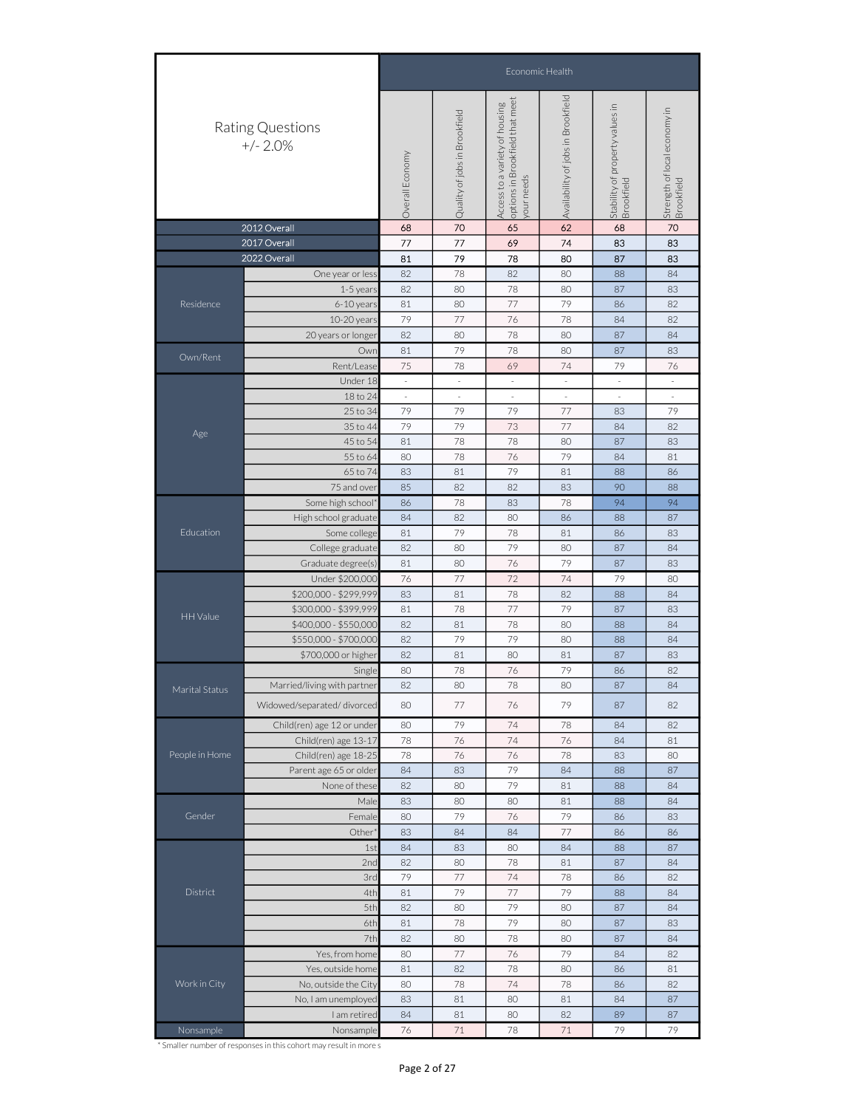|                |                                | Economic Health                                                                                                                                                                                                                                                                                                                                                                                                                                                                                                                                                                                                                                                                                                                                                                                                                                                                                                                                                                                                                                                                                                                                                                                                                                                                                                                                                                                                                                                                                                               |                                                                                                                                                                                                                                                                                                                                                                                                                                                                                                                                                                                                                                        |                            |    |    |    |  |  |  |  |
|----------------|--------------------------------|-------------------------------------------------------------------------------------------------------------------------------------------------------------------------------------------------------------------------------------------------------------------------------------------------------------------------------------------------------------------------------------------------------------------------------------------------------------------------------------------------------------------------------------------------------------------------------------------------------------------------------------------------------------------------------------------------------------------------------------------------------------------------------------------------------------------------------------------------------------------------------------------------------------------------------------------------------------------------------------------------------------------------------------------------------------------------------------------------------------------------------------------------------------------------------------------------------------------------------------------------------------------------------------------------------------------------------------------------------------------------------------------------------------------------------------------------------------------------------------------------------------------------------|----------------------------------------------------------------------------------------------------------------------------------------------------------------------------------------------------------------------------------------------------------------------------------------------------------------------------------------------------------------------------------------------------------------------------------------------------------------------------------------------------------------------------------------------------------------------------------------------------------------------------------------|----------------------------|----|----|----|--|--|--|--|
|                | Rating Questions<br>$+/- 2.0%$ |                                                                                                                                                                                                                                                                                                                                                                                                                                                                                                                                                                                                                                                                                                                                                                                                                                                                                                                                                                                                                                                                                                                                                                                                                                                                                                                                                                                                                                                                                                                               |                                                                                                                                                                                                                                                                                                                                                                                                                                                                                                                                                                                                                                        |                            |    |    |    |  |  |  |  |
| 2012 Overall   |                                |                                                                                                                                                                                                                                                                                                                                                                                                                                                                                                                                                                                                                                                                                                                                                                                                                                                                                                                                                                                                                                                                                                                                                                                                                                                                                                                                                                                                                                                                                                                               |                                                                                                                                                                                                                                                                                                                                                                                                                                                                                                                                                                                                                                        |                            |    |    |    |  |  |  |  |
|                | 2017 Overall                   |                                                                                                                                                                                                                                                                                                                                                                                                                                                                                                                                                                                                                                                                                                                                                                                                                                                                                                                                                                                                                                                                                                                                                                                                                                                                                                                                                                                                                                                                                                                               |                                                                                                                                                                                                                                                                                                                                                                                                                                                                                                                                                                                                                                        |                            |    |    |    |  |  |  |  |
|                | 2022 Overall                   |                                                                                                                                                                                                                                                                                                                                                                                                                                                                                                                                                                                                                                                                                                                                                                                                                                                                                                                                                                                                                                                                                                                                                                                                                                                                                                                                                                                                                                                                                                                               |                                                                                                                                                                                                                                                                                                                                                                                                                                                                                                                                                                                                                                        |                            | 80 | 87 | 83 |  |  |  |  |
|                | One year or less               | 82                                                                                                                                                                                                                                                                                                                                                                                                                                                                                                                                                                                                                                                                                                                                                                                                                                                                                                                                                                                                                                                                                                                                                                                                                                                                                                                                                                                                                                                                                                                            | 78                                                                                                                                                                                                                                                                                                                                                                                                                                                                                                                                                                                                                                     | 82                         | 80 | 88 | 84 |  |  |  |  |
|                | 1-5 year:                      | 82                                                                                                                                                                                                                                                                                                                                                                                                                                                                                                                                                                                                                                                                                                                                                                                                                                                                                                                                                                                                                                                                                                                                                                                                                                                                                                                                                                                                                                                                                                                            | 80                                                                                                                                                                                                                                                                                                                                                                                                                                                                                                                                                                                                                                     | 78                         | 80 | 87 | 83 |  |  |  |  |
| Residence      | 6-10 years                     | 81                                                                                                                                                                                                                                                                                                                                                                                                                                                                                                                                                                                                                                                                                                                                                                                                                                                                                                                                                                                                                                                                                                                                                                                                                                                                                                                                                                                                                                                                                                                            | 80                                                                                                                                                                                                                                                                                                                                                                                                                                                                                                                                                                                                                                     | 77                         | 79 | 86 | 82 |  |  |  |  |
|                | 10-20 years                    | 79                                                                                                                                                                                                                                                                                                                                                                                                                                                                                                                                                                                                                                                                                                                                                                                                                                                                                                                                                                                                                                                                                                                                                                                                                                                                                                                                                                                                                                                                                                                            | 77                                                                                                                                                                                                                                                                                                                                                                                                                                                                                                                                                                                                                                     | 76                         | 78 | 84 | 82 |  |  |  |  |
|                | 20 years or longer             | Strength of local economy in<br>Brookfield<br>Quality of jobs in Brookfield<br>Overall Economy<br>your needs<br>68<br>62<br>70<br>70<br>65<br>68<br>77<br>77<br>69<br>74<br>83<br>83<br>81<br>79<br>78<br>82<br>80<br>78<br>80<br>87<br>84<br>79<br>78<br>81<br>80<br>87<br>83<br>Owr<br>75<br>78<br>69<br>74<br>79<br>76<br>Under 18<br>$\overline{\phantom{a}}$<br>$\overline{\phantom{a}}$<br>$\sim$<br>$\sim$<br>$\overline{\phantom{a}}$<br>$\sim$<br>18 to 24<br>$\overline{\phantom{a}}$<br>$\sim$<br>$\sim$<br>79<br>79<br>79<br>77<br>79<br>25 to 34<br>83<br>79<br>73<br>77<br>35 to 44<br>79<br>82<br>84<br>45 to 54<br>81<br>78<br>78<br>80<br>87<br>83<br>76<br>79<br>78<br>80<br>84<br>81<br>55 to 64<br>79<br>65 to 74<br>83<br>81<br>81<br>88<br>86<br>85<br>82<br>82<br>83<br>90<br>88<br>94<br>78<br>83<br>78<br>94<br>86<br>84<br>82<br>80<br>86<br>87<br>88<br>79<br>78<br>81<br>81<br>83<br>86<br>82<br>79<br>80<br>80<br>87<br>84<br>76<br>79<br>81<br>80<br>87<br>83<br>76<br>77<br>72<br>74<br>79<br>80<br>83<br>81<br>78<br>82<br>88<br>84<br>77<br>78<br>79<br>81<br>87<br>83<br>78<br>82<br>81<br>80<br>88<br>84<br>82<br>79<br>79<br>80<br>88<br>84<br>80<br>82<br>81<br>81<br>87<br>83<br>78<br>76<br>79<br>80<br>86<br>82<br>Single<br>82<br>80<br>78<br>80<br>87<br>84<br>77<br>76<br>79<br>87<br>82<br>80<br>80<br>79<br>74<br>78<br>82<br>84<br>78<br>76<br>74<br>76<br>84<br>81<br>78<br>76<br>76<br>78<br>80<br>83<br>79<br>84<br>84<br>83<br>88<br>87<br>79<br>82<br>80<br>81<br>88<br>84 |                                                                                                                                                                                                                                                                                                                                                                                                                                                                                                                                                                                                                                        |                            |    |    |    |  |  |  |  |
| Own/Rent       |                                |                                                                                                                                                                                                                                                                                                                                                                                                                                                                                                                                                                                                                                                                                                                                                                                                                                                                                                                                                                                                                                                                                                                                                                                                                                                                                                                                                                                                                                                                                                                               |                                                                                                                                                                                                                                                                                                                                                                                                                                                                                                                                                                                                                                        |                            |    |    |    |  |  |  |  |
|                | Rent/Lease                     |                                                                                                                                                                                                                                                                                                                                                                                                                                                                                                                                                                                                                                                                                                                                                                                                                                                                                                                                                                                                                                                                                                                                                                                                                                                                                                                                                                                                                                                                                                                               |                                                                                                                                                                                                                                                                                                                                                                                                                                                                                                                                                                                                                                        |                            |    |    |    |  |  |  |  |
|                |                                |                                                                                                                                                                                                                                                                                                                                                                                                                                                                                                                                                                                                                                                                                                                                                                                                                                                                                                                                                                                                                                                                                                                                                                                                                                                                                                                                                                                                                                                                                                                               |                                                                                                                                                                                                                                                                                                                                                                                                                                                                                                                                                                                                                                        |                            |    |    |    |  |  |  |  |
|                |                                |                                                                                                                                                                                                                                                                                                                                                                                                                                                                                                                                                                                                                                                                                                                                                                                                                                                                                                                                                                                                                                                                                                                                                                                                                                                                                                                                                                                                                                                                                                                               | Availability of jobs in Brookfield<br>options in Brookfield that meet<br>Access to a variety of housing<br>Stability of property values in<br>Brookfield<br>80<br>80<br>81<br>88<br>84<br>79<br>79<br>76<br>86<br>84<br>84<br>77<br>86<br>83<br>80<br>84<br>88<br>87<br>80<br>78<br>81<br>87<br>84<br>$77\,$<br>74<br>78<br>86<br>82<br>79<br>77<br>79<br>84<br>88<br>79<br>80<br>80<br>84<br>87<br>78<br>79<br>80<br>87<br>80<br>78<br>80<br>87<br>84<br>79<br>77<br>76<br>84<br>82<br>78<br>80<br>86<br>81<br>78<br>74<br>78<br>82<br>86<br>81<br>80<br>81<br>87<br>84<br>81<br>80<br>82<br>89<br>87<br>79<br>$71\,$<br>78<br>$71\,$ |                            |    |    |    |  |  |  |  |
|                |                                |                                                                                                                                                                                                                                                                                                                                                                                                                                                                                                                                                                                                                                                                                                                                                                                                                                                                                                                                                                                                                                                                                                                                                                                                                                                                                                                                                                                                                                                                                                                               |                                                                                                                                                                                                                                                                                                                                                                                                                                                                                                                                                                                                                                        |                            |    |    |    |  |  |  |  |
| Age            |                                |                                                                                                                                                                                                                                                                                                                                                                                                                                                                                                                                                                                                                                                                                                                                                                                                                                                                                                                                                                                                                                                                                                                                                                                                                                                                                                                                                                                                                                                                                                                               |                                                                                                                                                                                                                                                                                                                                                                                                                                                                                                                                                                                                                                        |                            |    |    |    |  |  |  |  |
|                |                                |                                                                                                                                                                                                                                                                                                                                                                                                                                                                                                                                                                                                                                                                                                                                                                                                                                                                                                                                                                                                                                                                                                                                                                                                                                                                                                                                                                                                                                                                                                                               |                                                                                                                                                                                                                                                                                                                                                                                                                                                                                                                                                                                                                                        |                            |    |    |    |  |  |  |  |
|                |                                |                                                                                                                                                                                                                                                                                                                                                                                                                                                                                                                                                                                                                                                                                                                                                                                                                                                                                                                                                                                                                                                                                                                                                                                                                                                                                                                                                                                                                                                                                                                               |                                                                                                                                                                                                                                                                                                                                                                                                                                                                                                                                                                                                                                        |                            |    |    |    |  |  |  |  |
|                |                                |                                                                                                                                                                                                                                                                                                                                                                                                                                                                                                                                                                                                                                                                                                                                                                                                                                                                                                                                                                                                                                                                                                                                                                                                                                                                                                                                                                                                                                                                                                                               |                                                                                                                                                                                                                                                                                                                                                                                                                                                                                                                                                                                                                                        | 83<br>86<br>83<br>82<br>79 |    |    |    |  |  |  |  |
|                |                                |                                                                                                                                                                                                                                                                                                                                                                                                                                                                                                                                                                                                                                                                                                                                                                                                                                                                                                                                                                                                                                                                                                                                                                                                                                                                                                                                                                                                                                                                                                                               |                                                                                                                                                                                                                                                                                                                                                                                                                                                                                                                                                                                                                                        |                            |    |    |    |  |  |  |  |
|                |                                |                                                                                                                                                                                                                                                                                                                                                                                                                                                                                                                                                                                                                                                                                                                                                                                                                                                                                                                                                                                                                                                                                                                                                                                                                                                                                                                                                                                                                                                                                                                               |                                                                                                                                                                                                                                                                                                                                                                                                                                                                                                                                                                                                                                        |                            |    |    |    |  |  |  |  |
|                |                                |                                                                                                                                                                                                                                                                                                                                                                                                                                                                                                                                                                                                                                                                                                                                                                                                                                                                                                                                                                                                                                                                                                                                                                                                                                                                                                                                                                                                                                                                                                                               |                                                                                                                                                                                                                                                                                                                                                                                                                                                                                                                                                                                                                                        |                            |    |    |    |  |  |  |  |
|                |                                |                                                                                                                                                                                                                                                                                                                                                                                                                                                                                                                                                                                                                                                                                                                                                                                                                                                                                                                                                                                                                                                                                                                                                                                                                                                                                                                                                                                                                                                                                                                               |                                                                                                                                                                                                                                                                                                                                                                                                                                                                                                                                                                                                                                        |                            |    |    |    |  |  |  |  |
| Education      |                                |                                                                                                                                                                                                                                                                                                                                                                                                                                                                                                                                                                                                                                                                                                                                                                                                                                                                                                                                                                                                                                                                                                                                                                                                                                                                                                                                                                                                                                                                                                                               |                                                                                                                                                                                                                                                                                                                                                                                                                                                                                                                                                                                                                                        |                            |    |    |    |  |  |  |  |
|                |                                |                                                                                                                                                                                                                                                                                                                                                                                                                                                                                                                                                                                                                                                                                                                                                                                                                                                                                                                                                                                                                                                                                                                                                                                                                                                                                                                                                                                                                                                                                                                               |                                                                                                                                                                                                                                                                                                                                                                                                                                                                                                                                                                                                                                        |                            |    |    |    |  |  |  |  |
|                |                                |                                                                                                                                                                                                                                                                                                                                                                                                                                                                                                                                                                                                                                                                                                                                                                                                                                                                                                                                                                                                                                                                                                                                                                                                                                                                                                                                                                                                                                                                                                                               |                                                                                                                                                                                                                                                                                                                                                                                                                                                                                                                                                                                                                                        |                            |    |    |    |  |  |  |  |
|                |                                |                                                                                                                                                                                                                                                                                                                                                                                                                                                                                                                                                                                                                                                                                                                                                                                                                                                                                                                                                                                                                                                                                                                                                                                                                                                                                                                                                                                                                                                                                                                               | 83<br>80<br>83<br>84<br>82<br>79<br>81<br>82<br>81<br>82<br>80<br>81                                                                                                                                                                                                                                                                                                                                                                                                                                                                                                                                                                   |                            |    |    |    |  |  |  |  |
| HH Value       | \$400,000 - \$550,000          |                                                                                                                                                                                                                                                                                                                                                                                                                                                                                                                                                                                                                                                                                                                                                                                                                                                                                                                                                                                                                                                                                                                                                                                                                                                                                                                                                                                                                                                                                                                               |                                                                                                                                                                                                                                                                                                                                                                                                                                                                                                                                                                                                                                        |                            |    |    |    |  |  |  |  |
|                | \$550,000 - \$700,000          |                                                                                                                                                                                                                                                                                                                                                                                                                                                                                                                                                                                                                                                                                                                                                                                                                                                                                                                                                                                                                                                                                                                                                                                                                                                                                                                                                                                                                                                                                                                               |                                                                                                                                                                                                                                                                                                                                                                                                                                                                                                                                                                                                                                        |                            |    |    |    |  |  |  |  |
|                |                                |                                                                                                                                                                                                                                                                                                                                                                                                                                                                                                                                                                                                                                                                                                                                                                                                                                                                                                                                                                                                                                                                                                                                                                                                                                                                                                                                                                                                                                                                                                                               |                                                                                                                                                                                                                                                                                                                                                                                                                                                                                                                                                                                                                                        |                            |    |    |    |  |  |  |  |
|                |                                |                                                                                                                                                                                                                                                                                                                                                                                                                                                                                                                                                                                                                                                                                                                                                                                                                                                                                                                                                                                                                                                                                                                                                                                                                                                                                                                                                                                                                                                                                                                               |                                                                                                                                                                                                                                                                                                                                                                                                                                                                                                                                                                                                                                        |                            |    |    |    |  |  |  |  |
|                | Married/living with partner    |                                                                                                                                                                                                                                                                                                                                                                                                                                                                                                                                                                                                                                                                                                                                                                                                                                                                                                                                                                                                                                                                                                                                                                                                                                                                                                                                                                                                                                                                                                                               |                                                                                                                                                                                                                                                                                                                                                                                                                                                                                                                                                                                                                                        |                            |    |    |    |  |  |  |  |
| Marital Status | Widowed/separated/divorced     | Male<br>1st<br>2nd<br>3rd<br>4th<br>5th<br>6th<br>7th<br>80<br>83<br>84<br>76                                                                                                                                                                                                                                                                                                                                                                                                                                                                                                                                                                                                                                                                                                                                                                                                                                                                                                                                                                                                                                                                                                                                                                                                                                                                                                                                                                                                                                                 |                                                                                                                                                                                                                                                                                                                                                                                                                                                                                                                                                                                                                                        |                            |    |    |    |  |  |  |  |
|                | Child(ren) age 12 or under     |                                                                                                                                                                                                                                                                                                                                                                                                                                                                                                                                                                                                                                                                                                                                                                                                                                                                                                                                                                                                                                                                                                                                                                                                                                                                                                                                                                                                                                                                                                                               |                                                                                                                                                                                                                                                                                                                                                                                                                                                                                                                                                                                                                                        |                            |    |    |    |  |  |  |  |
|                | Child(ren) age 13-17           |                                                                                                                                                                                                                                                                                                                                                                                                                                                                                                                                                                                                                                                                                                                                                                                                                                                                                                                                                                                                                                                                                                                                                                                                                                                                                                                                                                                                                                                                                                                               |                                                                                                                                                                                                                                                                                                                                                                                                                                                                                                                                                                                                                                        |                            |    |    |    |  |  |  |  |
| People in Home | Child(ren) age 18-25           |                                                                                                                                                                                                                                                                                                                                                                                                                                                                                                                                                                                                                                                                                                                                                                                                                                                                                                                                                                                                                                                                                                                                                                                                                                                                                                                                                                                                                                                                                                                               |                                                                                                                                                                                                                                                                                                                                                                                                                                                                                                                                                                                                                                        |                            |    |    |    |  |  |  |  |
|                | Parent age 65 or older         |                                                                                                                                                                                                                                                                                                                                                                                                                                                                                                                                                                                                                                                                                                                                                                                                                                                                                                                                                                                                                                                                                                                                                                                                                                                                                                                                                                                                                                                                                                                               |                                                                                                                                                                                                                                                                                                                                                                                                                                                                                                                                                                                                                                        |                            |    |    |    |  |  |  |  |
|                | None of these                  |                                                                                                                                                                                                                                                                                                                                                                                                                                                                                                                                                                                                                                                                                                                                                                                                                                                                                                                                                                                                                                                                                                                                                                                                                                                                                                                                                                                                                                                                                                                               |                                                                                                                                                                                                                                                                                                                                                                                                                                                                                                                                                                                                                                        |                            |    |    |    |  |  |  |  |
|                |                                |                                                                                                                                                                                                                                                                                                                                                                                                                                                                                                                                                                                                                                                                                                                                                                                                                                                                                                                                                                                                                                                                                                                                                                                                                                                                                                                                                                                                                                                                                                                               |                                                                                                                                                                                                                                                                                                                                                                                                                                                                                                                                                                                                                                        |                            |    |    |    |  |  |  |  |
| Gender         | Female                         |                                                                                                                                                                                                                                                                                                                                                                                                                                                                                                                                                                                                                                                                                                                                                                                                                                                                                                                                                                                                                                                                                                                                                                                                                                                                                                                                                                                                                                                                                                                               |                                                                                                                                                                                                                                                                                                                                                                                                                                                                                                                                                                                                                                        |                            |    |    |    |  |  |  |  |
|                | Other'                         |                                                                                                                                                                                                                                                                                                                                                                                                                                                                                                                                                                                                                                                                                                                                                                                                                                                                                                                                                                                                                                                                                                                                                                                                                                                                                                                                                                                                                                                                                                                               |                                                                                                                                                                                                                                                                                                                                                                                                                                                                                                                                                                                                                                        |                            |    |    |    |  |  |  |  |
|                |                                |                                                                                                                                                                                                                                                                                                                                                                                                                                                                                                                                                                                                                                                                                                                                                                                                                                                                                                                                                                                                                                                                                                                                                                                                                                                                                                                                                                                                                                                                                                                               |                                                                                                                                                                                                                                                                                                                                                                                                                                                                                                                                                                                                                                        |                            |    |    |    |  |  |  |  |
|                |                                |                                                                                                                                                                                                                                                                                                                                                                                                                                                                                                                                                                                                                                                                                                                                                                                                                                                                                                                                                                                                                                                                                                                                                                                                                                                                                                                                                                                                                                                                                                                               |                                                                                                                                                                                                                                                                                                                                                                                                                                                                                                                                                                                                                                        |                            |    |    |    |  |  |  |  |
|                |                                |                                                                                                                                                                                                                                                                                                                                                                                                                                                                                                                                                                                                                                                                                                                                                                                                                                                                                                                                                                                                                                                                                                                                                                                                                                                                                                                                                                                                                                                                                                                               |                                                                                                                                                                                                                                                                                                                                                                                                                                                                                                                                                                                                                                        |                            |    |    |    |  |  |  |  |
| District       |                                |                                                                                                                                                                                                                                                                                                                                                                                                                                                                                                                                                                                                                                                                                                                                                                                                                                                                                                                                                                                                                                                                                                                                                                                                                                                                                                                                                                                                                                                                                                                               |                                                                                                                                                                                                                                                                                                                                                                                                                                                                                                                                                                                                                                        |                            |    |    |    |  |  |  |  |
|                |                                | 75 and over<br>Some high school*<br>High school graduate<br>Some college<br>College graduate<br>Graduate degree(s)<br>Under \$200,000<br>\$200,000 - \$299,999<br>\$300,000 - \$399,999<br>\$700,000 or higher<br>Yes, from home<br>I am retired<br>Nonsample                                                                                                                                                                                                                                                                                                                                                                                                                                                                                                                                                                                                                                                                                                                                                                                                                                                                                                                                                                                                                                                                                                                                                                                                                                                                 |                                                                                                                                                                                                                                                                                                                                                                                                                                                                                                                                                                                                                                        |                            |    |    |    |  |  |  |  |
|                |                                |                                                                                                                                                                                                                                                                                                                                                                                                                                                                                                                                                                                                                                                                                                                                                                                                                                                                                                                                                                                                                                                                                                                                                                                                                                                                                                                                                                                                                                                                                                                               |                                                                                                                                                                                                                                                                                                                                                                                                                                                                                                                                                                                                                                        |                            |    |    |    |  |  |  |  |
|                |                                |                                                                                                                                                                                                                                                                                                                                                                                                                                                                                                                                                                                                                                                                                                                                                                                                                                                                                                                                                                                                                                                                                                                                                                                                                                                                                                                                                                                                                                                                                                                               |                                                                                                                                                                                                                                                                                                                                                                                                                                                                                                                                                                                                                                        |                            |    |    |    |  |  |  |  |
|                |                                |                                                                                                                                                                                                                                                                                                                                                                                                                                                                                                                                                                                                                                                                                                                                                                                                                                                                                                                                                                                                                                                                                                                                                                                                                                                                                                                                                                                                                                                                                                                               |                                                                                                                                                                                                                                                                                                                                                                                                                                                                                                                                                                                                                                        |                            |    |    |    |  |  |  |  |
|                | Yes, outside home              |                                                                                                                                                                                                                                                                                                                                                                                                                                                                                                                                                                                                                                                                                                                                                                                                                                                                                                                                                                                                                                                                                                                                                                                                                                                                                                                                                                                                                                                                                                                               |                                                                                                                                                                                                                                                                                                                                                                                                                                                                                                                                                                                                                                        |                            |    |    |    |  |  |  |  |
| Work in City   | No, outside the City           |                                                                                                                                                                                                                                                                                                                                                                                                                                                                                                                                                                                                                                                                                                                                                                                                                                                                                                                                                                                                                                                                                                                                                                                                                                                                                                                                                                                                                                                                                                                               |                                                                                                                                                                                                                                                                                                                                                                                                                                                                                                                                                                                                                                        |                            |    |    |    |  |  |  |  |
|                | No, I am unemployed            |                                                                                                                                                                                                                                                                                                                                                                                                                                                                                                                                                                                                                                                                                                                                                                                                                                                                                                                                                                                                                                                                                                                                                                                                                                                                                                                                                                                                                                                                                                                               |                                                                                                                                                                                                                                                                                                                                                                                                                                                                                                                                                                                                                                        |                            |    |    |    |  |  |  |  |
|                |                                |                                                                                                                                                                                                                                                                                                                                                                                                                                                                                                                                                                                                                                                                                                                                                                                                                                                                                                                                                                                                                                                                                                                                                                                                                                                                                                                                                                                                                                                                                                                               |                                                                                                                                                                                                                                                                                                                                                                                                                                                                                                                                                                                                                                        |                            |    |    |    |  |  |  |  |
| Nonsample      |                                |                                                                                                                                                                                                                                                                                                                                                                                                                                                                                                                                                                                                                                                                                                                                                                                                                                                                                                                                                                                                                                                                                                                                                                                                                                                                                                                                                                                                                                                                                                                               |                                                                                                                                                                                                                                                                                                                                                                                                                                                                                                                                                                                                                                        |                            |    |    |    |  |  |  |  |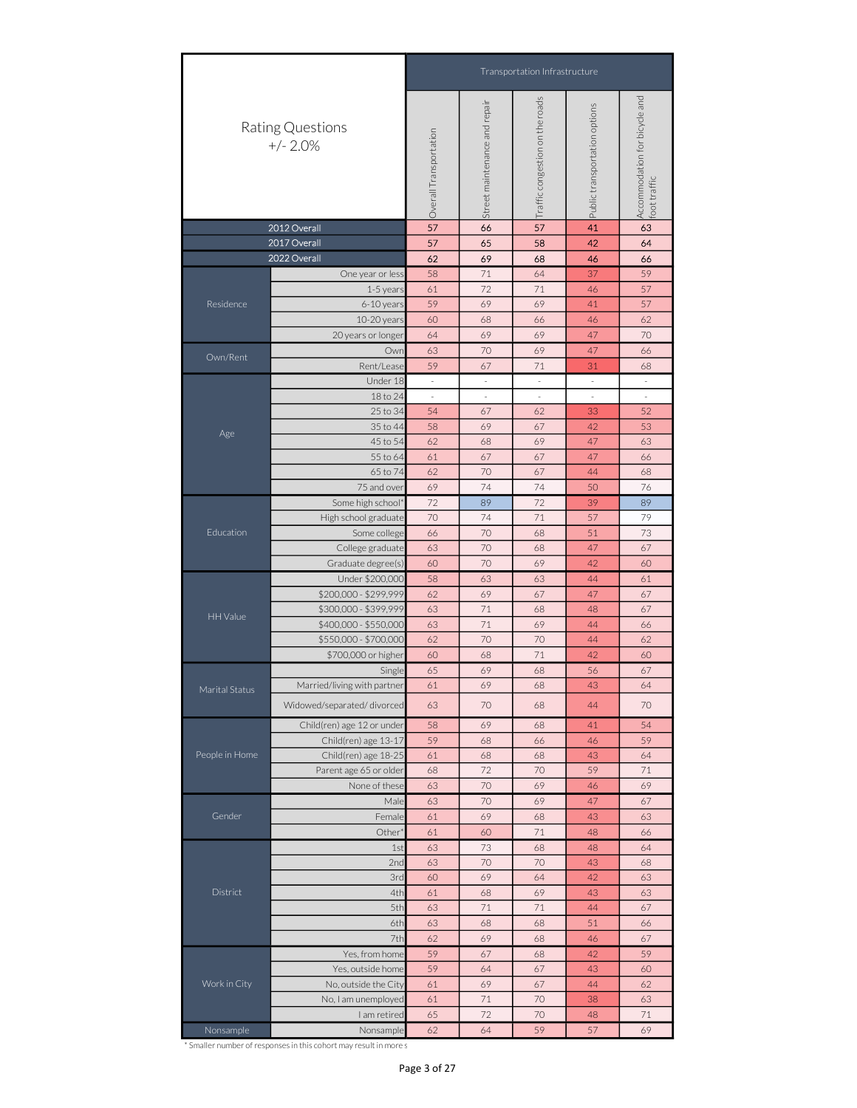|                 |                                                                                                                                                                                                                                     | Transportation Infrastructure                                                                                                                                                                                                                                                                                                                                                                                                                                                                                                                                                                                                                                                                                                                                 |                                                                                                                                                                                                                                                                                                                                                                                                                                                                                                                                                                                                                                                                                  |                                 |                               |                                               |  |  |  |  |  |
|-----------------|-------------------------------------------------------------------------------------------------------------------------------------------------------------------------------------------------------------------------------------|---------------------------------------------------------------------------------------------------------------------------------------------------------------------------------------------------------------------------------------------------------------------------------------------------------------------------------------------------------------------------------------------------------------------------------------------------------------------------------------------------------------------------------------------------------------------------------------------------------------------------------------------------------------------------------------------------------------------------------------------------------------|----------------------------------------------------------------------------------------------------------------------------------------------------------------------------------------------------------------------------------------------------------------------------------------------------------------------------------------------------------------------------------------------------------------------------------------------------------------------------------------------------------------------------------------------------------------------------------------------------------------------------------------------------------------------------------|---------------------------------|-------------------------------|-----------------------------------------------|--|--|--|--|--|
|                 | Rating Questions<br>$+/- 2.0%$                                                                                                                                                                                                      | Overall Transportation                                                                                                                                                                                                                                                                                                                                                                                                                                                                                                                                                                                                                                                                                                                                        | Street maintenance and repair                                                                                                                                                                                                                                                                                                                                                                                                                                                                                                                                                                                                                                                    | Traffic congestion on the roads | Public transportation options | Accommodation for bicycle and<br>foot traffic |  |  |  |  |  |
|                 | 2012 Overall                                                                                                                                                                                                                        | 57                                                                                                                                                                                                                                                                                                                                                                                                                                                                                                                                                                                                                                                                                                                                                            | 66                                                                                                                                                                                                                                                                                                                                                                                                                                                                                                                                                                                                                                                                               | 57                              | 41                            | 63                                            |  |  |  |  |  |
|                 | 2017 Overall                                                                                                                                                                                                                        | 57                                                                                                                                                                                                                                                                                                                                                                                                                                                                                                                                                                                                                                                                                                                                                            | 65                                                                                                                                                                                                                                                                                                                                                                                                                                                                                                                                                                                                                                                                               | 58                              | 42                            | 64                                            |  |  |  |  |  |
|                 | 2022 Overall                                                                                                                                                                                                                        | 62                                                                                                                                                                                                                                                                                                                                                                                                                                                                                                                                                                                                                                                                                                                                                            | 69                                                                                                                                                                                                                                                                                                                                                                                                                                                                                                                                                                                                                                                                               | 68                              | 46                            | 66                                            |  |  |  |  |  |
|                 | One year or less                                                                                                                                                                                                                    |                                                                                                                                                                                                                                                                                                                                                                                                                                                                                                                                                                                                                                                                                                                                                               |                                                                                                                                                                                                                                                                                                                                                                                                                                                                                                                                                                                                                                                                                  |                                 |                               | 59                                            |  |  |  |  |  |
| Residence       |                                                                                                                                                                                                                                     |                                                                                                                                                                                                                                                                                                                                                                                                                                                                                                                                                                                                                                                                                                                                                               |                                                                                                                                                                                                                                                                                                                                                                                                                                                                                                                                                                                                                                                                                  |                                 |                               | 57                                            |  |  |  |  |  |
|                 |                                                                                                                                                                                                                                     |                                                                                                                                                                                                                                                                                                                                                                                                                                                                                                                                                                                                                                                                                                                                                               |                                                                                                                                                                                                                                                                                                                                                                                                                                                                                                                                                                                                                                                                                  |                                 |                               | 62                                            |  |  |  |  |  |
|                 |                                                                                                                                                                                                                                     |                                                                                                                                                                                                                                                                                                                                                                                                                                                                                                                                                                                                                                                                                                                                                               | 69                                                                                                                                                                                                                                                                                                                                                                                                                                                                                                                                                                                                                                                                               | 69                              | 47                            | 70                                            |  |  |  |  |  |
|                 | Owr                                                                                                                                                                                                                                 | 63                                                                                                                                                                                                                                                                                                                                                                                                                                                                                                                                                                                                                                                                                                                                                            | 71<br>64<br>72<br>71<br>69<br>69<br>68<br>66<br>70<br>69<br>67<br>71<br>$\overline{\phantom{a}}$<br>$\overline{\phantom{a}}$<br>$\overline{\phantom{a}}$<br>×,<br>×,<br>67<br>62<br>69<br>67<br>68<br>69<br>67<br>67<br>70<br>67<br>74<br>74<br>89<br>72<br>74<br>71<br>70<br>68<br>70<br>68<br>70<br>69<br>63<br>63<br>69<br>67<br>71<br>68<br>71<br>69<br>70<br>70<br>71<br>68<br>69<br>68<br>69<br>68<br>70<br>68<br>69<br>68<br>68<br>66<br>68<br>68<br>72<br>70<br>$70\,$<br>69<br>70<br>69<br>69<br>68<br>71<br>60<br>73<br>68<br>70<br>70<br>69<br>64<br>68<br>69<br>$71\,$<br>71<br>68<br>68<br>69<br>68<br>67<br>68<br>64<br>67<br>69<br>67<br>71<br>70<br>$72\,$<br>70 | 47                              | 66                            |                                               |  |  |  |  |  |
| Own/Rent        | Rent/Lease                                                                                                                                                                                                                          | 59                                                                                                                                                                                                                                                                                                                                                                                                                                                                                                                                                                                                                                                                                                                                                            |                                                                                                                                                                                                                                                                                                                                                                                                                                                                                                                                                                                                                                                                                  |                                 | 31                            | 68                                            |  |  |  |  |  |
|                 | Under 18                                                                                                                                                                                                                            | 58<br>37<br>1-5 years<br>61<br>46<br>59<br>6-10 years<br>41<br>10-20 years<br>60<br>46<br>64<br>$\overline{\phantom{a}}$<br>18 to 24<br>25 to 34<br>54<br>33<br>35 to 44<br>42<br>58<br>45 to 54<br>62<br>47<br>47<br>55 to 64<br>61<br>62<br>65 to 74<br>44<br>75 and over<br>69<br>50<br>72<br>39<br>70<br>57<br>Some college<br>66<br>51<br>47<br>63<br>60<br>42<br>58<br>44<br>62<br>47<br>63<br>48<br>63<br>44<br>62<br>44<br>\$700,000 or higher<br>60<br>42<br>65<br>56<br>Single<br>43<br>61<br>63<br>44<br>58<br>41<br>59<br>46<br>61<br>43<br>68<br>59<br>63<br>46<br>63<br>47<br>Male<br>61<br>43<br>Female<br>Other<br>61<br>48<br>63<br>1st<br>48<br>63<br>2nd<br>43<br>3rd<br>60<br>42<br>4th<br>43<br>61<br>5th<br>63<br>44<br>6th<br>63<br>51 | $\overline{\phantom{a}}$                                                                                                                                                                                                                                                                                                                                                                                                                                                                                                                                                                                                                                                         |                                 |                               |                                               |  |  |  |  |  |
|                 |                                                                                                                                                                                                                                     |                                                                                                                                                                                                                                                                                                                                                                                                                                                                                                                                                                                                                                                                                                                                                               |                                                                                                                                                                                                                                                                                                                                                                                                                                                                                                                                                                                                                                                                                  |                                 |                               |                                               |  |  |  |  |  |
|                 | 20 years or longer<br>52<br>53<br>63<br>66<br>68<br>76<br>89<br>Some high school*<br>79<br>High school graduate<br>73<br>College graduate<br>67<br>Graduate degree(s)<br>60<br>Under \$200,000<br>61<br>\$200,000 - \$299,999<br>67 |                                                                                                                                                                                                                                                                                                                                                                                                                                                                                                                                                                                                                                                                                                                                                               |                                                                                                                                                                                                                                                                                                                                                                                                                                                                                                                                                                                                                                                                                  |                                 |                               |                                               |  |  |  |  |  |
| Age             |                                                                                                                                                                                                                                     |                                                                                                                                                                                                                                                                                                                                                                                                                                                                                                                                                                                                                                                                                                                                                               |                                                                                                                                                                                                                                                                                                                                                                                                                                                                                                                                                                                                                                                                                  |                                 |                               |                                               |  |  |  |  |  |
|                 |                                                                                                                                                                                                                                     |                                                                                                                                                                                                                                                                                                                                                                                                                                                                                                                                                                                                                                                                                                                                                               |                                                                                                                                                                                                                                                                                                                                                                                                                                                                                                                                                                                                                                                                                  |                                 |                               |                                               |  |  |  |  |  |
|                 |                                                                                                                                                                                                                                     |                                                                                                                                                                                                                                                                                                                                                                                                                                                                                                                                                                                                                                                                                                                                                               |                                                                                                                                                                                                                                                                                                                                                                                                                                                                                                                                                                                                                                                                                  |                                 |                               |                                               |  |  |  |  |  |
|                 |                                                                                                                                                                                                                                     |                                                                                                                                                                                                                                                                                                                                                                                                                                                                                                                                                                                                                                                                                                                                                               |                                                                                                                                                                                                                                                                                                                                                                                                                                                                                                                                                                                                                                                                                  |                                 |                               |                                               |  |  |  |  |  |
|                 |                                                                                                                                                                                                                                     |                                                                                                                                                                                                                                                                                                                                                                                                                                                                                                                                                                                                                                                                                                                                                               |                                                                                                                                                                                                                                                                                                                                                                                                                                                                                                                                                                                                                                                                                  |                                 |                               |                                               |  |  |  |  |  |
|                 |                                                                                                                                                                                                                                     |                                                                                                                                                                                                                                                                                                                                                                                                                                                                                                                                                                                                                                                                                                                                                               |                                                                                                                                                                                                                                                                                                                                                                                                                                                                                                                                                                                                                                                                                  |                                 |                               |                                               |  |  |  |  |  |
| Education       |                                                                                                                                                                                                                                     |                                                                                                                                                                                                                                                                                                                                                                                                                                                                                                                                                                                                                                                                                                                                                               |                                                                                                                                                                                                                                                                                                                                                                                                                                                                                                                                                                                                                                                                                  |                                 |                               |                                               |  |  |  |  |  |
|                 |                                                                                                                                                                                                                                     |                                                                                                                                                                                                                                                                                                                                                                                                                                                                                                                                                                                                                                                                                                                                                               |                                                                                                                                                                                                                                                                                                                                                                                                                                                                                                                                                                                                                                                                                  |                                 |                               |                                               |  |  |  |  |  |
|                 |                                                                                                                                                                                                                                     |                                                                                                                                                                                                                                                                                                                                                                                                                                                                                                                                                                                                                                                                                                                                                               |                                                                                                                                                                                                                                                                                                                                                                                                                                                                                                                                                                                                                                                                                  |                                 |                               |                                               |  |  |  |  |  |
|                 |                                                                                                                                                                                                                                     |                                                                                                                                                                                                                                                                                                                                                                                                                                                                                                                                                                                                                                                                                                                                                               |                                                                                                                                                                                                                                                                                                                                                                                                                                                                                                                                                                                                                                                                                  |                                 |                               |                                               |  |  |  |  |  |
|                 |                                                                                                                                                                                                                                     |                                                                                                                                                                                                                                                                                                                                                                                                                                                                                                                                                                                                                                                                                                                                                               |                                                                                                                                                                                                                                                                                                                                                                                                                                                                                                                                                                                                                                                                                  |                                 |                               |                                               |  |  |  |  |  |
| <b>HH Value</b> | \$300,000 - \$399,999                                                                                                                                                                                                               |                                                                                                                                                                                                                                                                                                                                                                                                                                                                                                                                                                                                                                                                                                                                                               |                                                                                                                                                                                                                                                                                                                                                                                                                                                                                                                                                                                                                                                                                  |                                 |                               | 67                                            |  |  |  |  |  |
|                 | \$400,000 - \$550,000                                                                                                                                                                                                               |                                                                                                                                                                                                                                                                                                                                                                                                                                                                                                                                                                                                                                                                                                                                                               |                                                                                                                                                                                                                                                                                                                                                                                                                                                                                                                                                                                                                                                                                  |                                 |                               | 66                                            |  |  |  |  |  |
|                 | \$550,000 - \$700,000                                                                                                                                                                                                               |                                                                                                                                                                                                                                                                                                                                                                                                                                                                                                                                                                                                                                                                                                                                                               |                                                                                                                                                                                                                                                                                                                                                                                                                                                                                                                                                                                                                                                                                  |                                 |                               |                                               |  |  |  |  |  |
|                 |                                                                                                                                                                                                                                     |                                                                                                                                                                                                                                                                                                                                                                                                                                                                                                                                                                                                                                                                                                                                                               |                                                                                                                                                                                                                                                                                                                                                                                                                                                                                                                                                                                                                                                                                  |                                 |                               | 67                                            |  |  |  |  |  |
|                 | Married/living with partner                                                                                                                                                                                                         |                                                                                                                                                                                                                                                                                                                                                                                                                                                                                                                                                                                                                                                                                                                                                               |                                                                                                                                                                                                                                                                                                                                                                                                                                                                                                                                                                                                                                                                                  |                                 |                               | 64                                            |  |  |  |  |  |
| Marital Status  | Widowed/separated/divorced                                                                                                                                                                                                          |                                                                                                                                                                                                                                                                                                                                                                                                                                                                                                                                                                                                                                                                                                                                                               |                                                                                                                                                                                                                                                                                                                                                                                                                                                                                                                                                                                                                                                                                  |                                 |                               | 70                                            |  |  |  |  |  |
|                 | Child(ren) age 12 or under                                                                                                                                                                                                          |                                                                                                                                                                                                                                                                                                                                                                                                                                                                                                                                                                                                                                                                                                                                                               |                                                                                                                                                                                                                                                                                                                                                                                                                                                                                                                                                                                                                                                                                  |                                 |                               | 54                                            |  |  |  |  |  |
|                 | Child(ren) age 13-17                                                                                                                                                                                                                |                                                                                                                                                                                                                                                                                                                                                                                                                                                                                                                                                                                                                                                                                                                                                               | 46<br>42<br>43<br>44<br>38<br>48<br>59<br>57<br>64                                                                                                                                                                                                                                                                                                                                                                                                                                                                                                                                                                                                                               |                                 | 59                            |                                               |  |  |  |  |  |
| People in Home  | Child(ren) age 18-25                                                                                                                                                                                                                | 57<br>62<br>60<br>64<br>62<br>59<br>59<br>61<br>61<br>65<br>62                                                                                                                                                                                                                                                                                                                                                                                                                                                                                                                                                                                                                                                                                                | 64                                                                                                                                                                                                                                                                                                                                                                                                                                                                                                                                                                                                                                                                               |                                 |                               |                                               |  |  |  |  |  |
|                 | Parent age 65 or older                                                                                                                                                                                                              |                                                                                                                                                                                                                                                                                                                                                                                                                                                                                                                                                                                                                                                                                                                                                               |                                                                                                                                                                                                                                                                                                                                                                                                                                                                                                                                                                                                                                                                                  |                                 |                               | $71\,$                                        |  |  |  |  |  |
|                 | None of these                                                                                                                                                                                                                       |                                                                                                                                                                                                                                                                                                                                                                                                                                                                                                                                                                                                                                                                                                                                                               |                                                                                                                                                                                                                                                                                                                                                                                                                                                                                                                                                                                                                                                                                  |                                 |                               | 69                                            |  |  |  |  |  |
|                 |                                                                                                                                                                                                                                     |                                                                                                                                                                                                                                                                                                                                                                                                                                                                                                                                                                                                                                                                                                                                                               |                                                                                                                                                                                                                                                                                                                                                                                                                                                                                                                                                                                                                                                                                  |                                 |                               | 67                                            |  |  |  |  |  |
| Gender          |                                                                                                                                                                                                                                     |                                                                                                                                                                                                                                                                                                                                                                                                                                                                                                                                                                                                                                                                                                                                                               |                                                                                                                                                                                                                                                                                                                                                                                                                                                                                                                                                                                                                                                                                  |                                 |                               | 63                                            |  |  |  |  |  |
|                 |                                                                                                                                                                                                                                     |                                                                                                                                                                                                                                                                                                                                                                                                                                                                                                                                                                                                                                                                                                                                                               |                                                                                                                                                                                                                                                                                                                                                                                                                                                                                                                                                                                                                                                                                  |                                 |                               | 66                                            |  |  |  |  |  |
|                 |                                                                                                                                                                                                                                     |                                                                                                                                                                                                                                                                                                                                                                                                                                                                                                                                                                                                                                                                                                                                                               |                                                                                                                                                                                                                                                                                                                                                                                                                                                                                                                                                                                                                                                                                  |                                 |                               | 68                                            |  |  |  |  |  |
|                 |                                                                                                                                                                                                                                     |                                                                                                                                                                                                                                                                                                                                                                                                                                                                                                                                                                                                                                                                                                                                                               |                                                                                                                                                                                                                                                                                                                                                                                                                                                                                                                                                                                                                                                                                  |                                 |                               | 63                                            |  |  |  |  |  |
| District        |                                                                                                                                                                                                                                     |                                                                                                                                                                                                                                                                                                                                                                                                                                                                                                                                                                                                                                                                                                                                                               |                                                                                                                                                                                                                                                                                                                                                                                                                                                                                                                                                                                                                                                                                  |                                 |                               | 63                                            |  |  |  |  |  |
|                 |                                                                                                                                                                                                                                     |                                                                                                                                                                                                                                                                                                                                                                                                                                                                                                                                                                                                                                                                                                                                                               |                                                                                                                                                                                                                                                                                                                                                                                                                                                                                                                                                                                                                                                                                  |                                 |                               | 67                                            |  |  |  |  |  |
|                 |                                                                                                                                                                                                                                     |                                                                                                                                                                                                                                                                                                                                                                                                                                                                                                                                                                                                                                                                                                                                                               |                                                                                                                                                                                                                                                                                                                                                                                                                                                                                                                                                                                                                                                                                  |                                 |                               | 66                                            |  |  |  |  |  |
|                 | 7th                                                                                                                                                                                                                                 |                                                                                                                                                                                                                                                                                                                                                                                                                                                                                                                                                                                                                                                                                                                                                               |                                                                                                                                                                                                                                                                                                                                                                                                                                                                                                                                                                                                                                                                                  |                                 |                               | 67                                            |  |  |  |  |  |
|                 | Yes, from home                                                                                                                                                                                                                      |                                                                                                                                                                                                                                                                                                                                                                                                                                                                                                                                                                                                                                                                                                                                                               |                                                                                                                                                                                                                                                                                                                                                                                                                                                                                                                                                                                                                                                                                  |                                 |                               | 59                                            |  |  |  |  |  |
|                 | Yes, outside home                                                                                                                                                                                                                   |                                                                                                                                                                                                                                                                                                                                                                                                                                                                                                                                                                                                                                                                                                                                                               |                                                                                                                                                                                                                                                                                                                                                                                                                                                                                                                                                                                                                                                                                  |                                 |                               | 60                                            |  |  |  |  |  |
| Work in City    | No, outside the City                                                                                                                                                                                                                |                                                                                                                                                                                                                                                                                                                                                                                                                                                                                                                                                                                                                                                                                                                                                               |                                                                                                                                                                                                                                                                                                                                                                                                                                                                                                                                                                                                                                                                                  |                                 |                               | 62                                            |  |  |  |  |  |
|                 | No, I am unemployed                                                                                                                                                                                                                 |                                                                                                                                                                                                                                                                                                                                                                                                                                                                                                                                                                                                                                                                                                                                                               |                                                                                                                                                                                                                                                                                                                                                                                                                                                                                                                                                                                                                                                                                  |                                 |                               | 63                                            |  |  |  |  |  |
|                 | I am retired                                                                                                                                                                                                                        |                                                                                                                                                                                                                                                                                                                                                                                                                                                                                                                                                                                                                                                                                                                                                               |                                                                                                                                                                                                                                                                                                                                                                                                                                                                                                                                                                                                                                                                                  |                                 |                               | $71\,$                                        |  |  |  |  |  |
| Nonsample       | Nonsample                                                                                                                                                                                                                           |                                                                                                                                                                                                                                                                                                                                                                                                                                                                                                                                                                                                                                                                                                                                                               |                                                                                                                                                                                                                                                                                                                                                                                                                                                                                                                                                                                                                                                                                  |                                 |                               | 69                                            |  |  |  |  |  |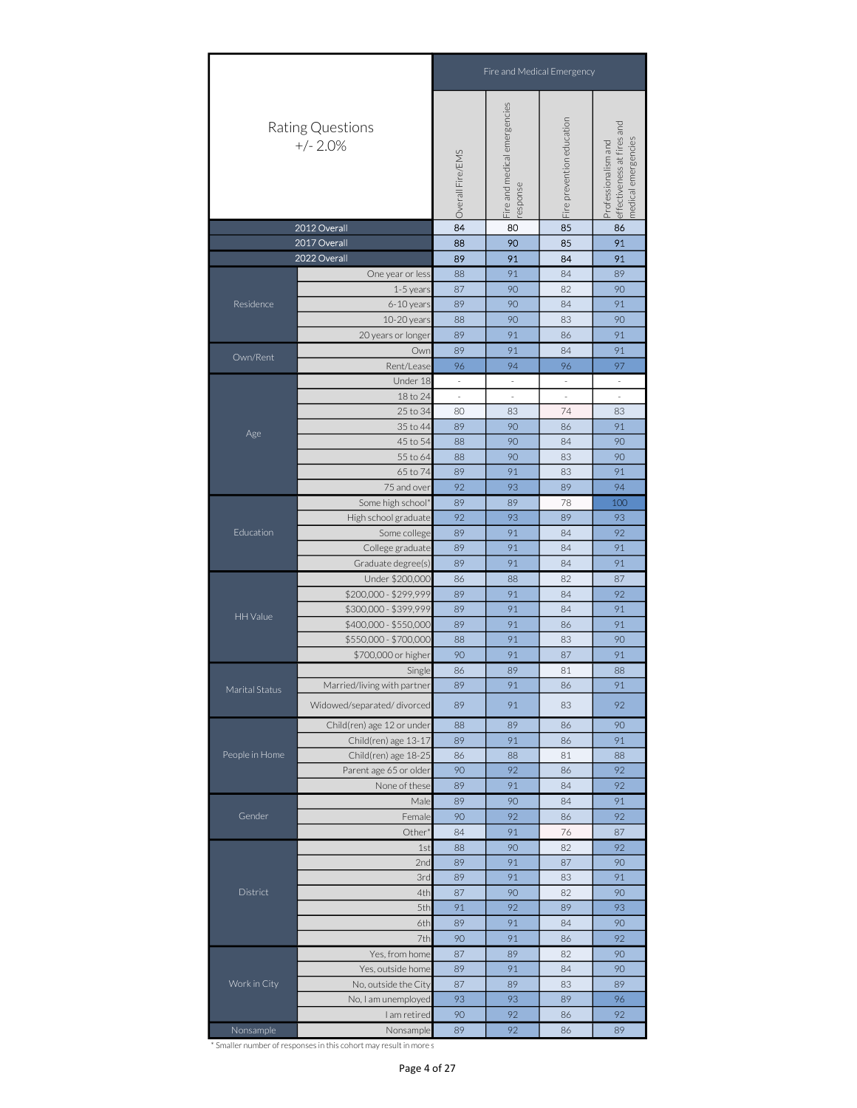|                | Rating Questions<br>$+/- 2.0%$                                                          |                                                                                                                                                                                                                                                                                                                                                                                                                                                                                                                                                                                                                                                             |                                                                                                                                                                                                                                                                                                                                                                                                                                                                                                                                                                                                               | Fire prevention education | effectiveness at fires and<br>medical emergencies<br>Professionalism and |
|----------------|-----------------------------------------------------------------------------------------|-------------------------------------------------------------------------------------------------------------------------------------------------------------------------------------------------------------------------------------------------------------------------------------------------------------------------------------------------------------------------------------------------------------------------------------------------------------------------------------------------------------------------------------------------------------------------------------------------------------------------------------------------------------|---------------------------------------------------------------------------------------------------------------------------------------------------------------------------------------------------------------------------------------------------------------------------------------------------------------------------------------------------------------------------------------------------------------------------------------------------------------------------------------------------------------------------------------------------------------------------------------------------------------|---------------------------|--------------------------------------------------------------------------|
|                | 2012 Overall                                                                            | 84                                                                                                                                                                                                                                                                                                                                                                                                                                                                                                                                                                                                                                                          | 80                                                                                                                                                                                                                                                                                                                                                                                                                                                                                                                                                                                                            | 85                        | 86                                                                       |
|                | 2017 Overall<br>2022 Overall                                                            |                                                                                                                                                                                                                                                                                                                                                                                                                                                                                                                                                                                                                                                             |                                                                                                                                                                                                                                                                                                                                                                                                                                                                                                                                                                                                               |                           |                                                                          |
|                |                                                                                         | 88                                                                                                                                                                                                                                                                                                                                                                                                                                                                                                                                                                                                                                                          | 91                                                                                                                                                                                                                                                                                                                                                                                                                                                                                                                                                                                                            | 84                        | 89                                                                       |
|                | 1-5 years                                                                               | 87                                                                                                                                                                                                                                                                                                                                                                                                                                                                                                                                                                                                                                                          | 90                                                                                                                                                                                                                                                                                                                                                                                                                                                                                                                                                                                                            | 82                        | 90                                                                       |
| Residence      | 6-10 years                                                                              | 89                                                                                                                                                                                                                                                                                                                                                                                                                                                                                                                                                                                                                                                          | 90                                                                                                                                                                                                                                                                                                                                                                                                                                                                                                                                                                                                            | 84                        | 91                                                                       |
|                | 10-20 years                                                                             | 88                                                                                                                                                                                                                                                                                                                                                                                                                                                                                                                                                                                                                                                          | 90                                                                                                                                                                                                                                                                                                                                                                                                                                                                                                                                                                                                            | 83                        | 90                                                                       |
|                | 20 years or longer                                                                      | 89                                                                                                                                                                                                                                                                                                                                                                                                                                                                                                                                                                                                                                                          | 91                                                                                                                                                                                                                                                                                                                                                                                                                                                                                                                                                                                                            | 86                        | 91                                                                       |
| Own/Rent       | Own                                                                                     | 91                                                                                                                                                                                                                                                                                                                                                                                                                                                                                                                                                                                                                                                          | 84                                                                                                                                                                                                                                                                                                                                                                                                                                                                                                                                                                                                            | 91                        |                                                                          |
|                | Rent/Lease                                                                              | 96                                                                                                                                                                                                                                                                                                                                                                                                                                                                                                                                                                                                                                                          | 94                                                                                                                                                                                                                                                                                                                                                                                                                                                                                                                                                                                                            | 96                        | 97                                                                       |
|                |                                                                                         |                                                                                                                                                                                                                                                                                                                                                                                                                                                                                                                                                                                                                                                             |                                                                                                                                                                                                                                                                                                                                                                                                                                                                                                                                                                                                               |                           | $\sim$                                                                   |
|                |                                                                                         |                                                                                                                                                                                                                                                                                                                                                                                                                                                                                                                                                                                                                                                             |                                                                                                                                                                                                                                                                                                                                                                                                                                                                                                                                                                                                               |                           |                                                                          |
|                |                                                                                         | 74<br>25 to 34<br>80<br>83<br>83<br>35 to 44<br>89<br>90<br>91<br>86<br>45 to 54<br>90<br>90<br>88<br>84<br>90<br>83<br>90                                                                                                                                                                                                                                                                                                                                                                                                                                                                                                                                  |                                                                                                                                                                                                                                                                                                                                                                                                                                                                                                                                                                                                               |                           |                                                                          |
| Age            |                                                                                         |                                                                                                                                                                                                                                                                                                                                                                                                                                                                                                                                                                                                                                                             |                                                                                                                                                                                                                                                                                                                                                                                                                                                                                                                                                                                                               |                           |                                                                          |
|                |                                                                                         |                                                                                                                                                                                                                                                                                                                                                                                                                                                                                                                                                                                                                                                             | esponse<br>90<br>85<br>88<br>89<br>91<br>84<br>89<br>$\omega$<br>$\omega$<br>$\omega$<br>$\overline{\phantom{a}}$<br>$\overline{\phantom{a}}$<br>$\overline{\phantom{a}}$<br>88<br>89<br>91<br>83<br>92<br>93<br>89<br>89<br>78<br>89<br>92<br>93<br>89<br>89<br>91<br>84<br>89<br>91<br>84<br>89<br>91<br>84<br>88<br>82<br>86<br>91<br>89<br>84<br>89<br>91<br>84<br>89<br>91<br>86<br>91<br>88<br>83<br>90<br>91<br>87<br>86<br>89<br>81<br>89<br>91<br>86<br>89<br>91<br>83<br>89<br>88<br>86<br>89<br>91<br>86<br>86<br>88<br>81<br>90<br>92<br>86<br>89<br>91<br>84<br>89<br>90<br>84<br>90<br>92<br>86 |                           |                                                                          |
|                | 65 to 74                                                                                |                                                                                                                                                                                                                                                                                                                                                                                                                                                                                                                                                                                                                                                             |                                                                                                                                                                                                                                                                                                                                                                                                                                                                                                                                                                                                               |                           | 91                                                                       |
|                | 75 and over                                                                             | Fire and Medical Emergency<br>Fire and medical emergencies<br>Overall Fire/EMS<br>91<br>91<br>$\overline{\phantom{a}}$<br>94<br>93<br>92<br>91<br>91<br>87<br>92<br>91<br>91<br>90<br>91<br>88<br>Single<br>91<br>92<br>91<br>88<br>92<br>92<br>91<br>Male<br>92<br>91<br>87<br>84<br>76<br>82<br>92<br>90<br>1st<br>88<br>91<br>90<br>2nd<br>89<br>87<br>89<br>91<br>91<br>3rd<br>83<br>4th<br>87<br>90<br>82<br>90<br>5th<br>91<br>92<br>89<br>90<br>6th<br>89<br>91<br>84<br>7th<br>92<br>90<br>91<br>86<br>87<br>89<br>82<br>90<br>89<br>90<br>91<br>84<br>87<br>89<br>83<br>89<br>93<br>93<br>89<br>96<br>92<br>92<br>90<br>86<br>89<br>92<br>86<br>89 |                                                                                                                                                                                                                                                                                                                                                                                                                                                                                                                                                                                                               |                           |                                                                          |
|                | Some high school*                                                                       |                                                                                                                                                                                                                                                                                                                                                                                                                                                                                                                                                                                                                                                             |                                                                                                                                                                                                                                                                                                                                                                                                                                                                                                                                                                                                               |                           | 100                                                                      |
|                | High school graduate                                                                    | One year or less<br>Under 18<br>18 to 24<br>55 to 64<br>Some college<br>College graduate<br>Graduate degree(s)<br>Under \$200,000<br>\$700,000 or higher<br>90<br>None of these<br>Female<br>Other <sup>*</sup><br>93<br>Yes, from home<br>Yes, outside home<br>No, outside the City<br>No, I am unemployed<br>I am retired<br>Nonsample                                                                                                                                                                                                                                                                                                                    |                                                                                                                                                                                                                                                                                                                                                                                                                                                                                                                                                                                                               |                           |                                                                          |
| Education      |                                                                                         |                                                                                                                                                                                                                                                                                                                                                                                                                                                                                                                                                                                                                                                             |                                                                                                                                                                                                                                                                                                                                                                                                                                                                                                                                                                                                               |                           |                                                                          |
|                |                                                                                         |                                                                                                                                                                                                                                                                                                                                                                                                                                                                                                                                                                                                                                                             |                                                                                                                                                                                                                                                                                                                                                                                                                                                                                                                                                                                                               |                           |                                                                          |
|                |                                                                                         |                                                                                                                                                                                                                                                                                                                                                                                                                                                                                                                                                                                                                                                             |                                                                                                                                                                                                                                                                                                                                                                                                                                                                                                                                                                                                               |                           |                                                                          |
|                |                                                                                         |                                                                                                                                                                                                                                                                                                                                                                                                                                                                                                                                                                                                                                                             |                                                                                                                                                                                                                                                                                                                                                                                                                                                                                                                                                                                                               |                           |                                                                          |
|                | \$200,000 - \$299,999                                                                   |                                                                                                                                                                                                                                                                                                                                                                                                                                                                                                                                                                                                                                                             |                                                                                                                                                                                                                                                                                                                                                                                                                                                                                                                                                                                                               |                           |                                                                          |
| HH Value       | \$300,000 - \$399,999                                                                   |                                                                                                                                                                                                                                                                                                                                                                                                                                                                                                                                                                                                                                                             |                                                                                                                                                                                                                                                                                                                                                                                                                                                                                                                                                                                                               |                           |                                                                          |
|                | \$400,000 - \$550,000                                                                   |                                                                                                                                                                                                                                                                                                                                                                                                                                                                                                                                                                                                                                                             |                                                                                                                                                                                                                                                                                                                                                                                                                                                                                                                                                                                                               |                           |                                                                          |
|                | \$550,000 - \$700,000                                                                   |                                                                                                                                                                                                                                                                                                                                                                                                                                                                                                                                                                                                                                                             |                                                                                                                                                                                                                                                                                                                                                                                                                                                                                                                                                                                                               |                           |                                                                          |
|                |                                                                                         |                                                                                                                                                                                                                                                                                                                                                                                                                                                                                                                                                                                                                                                             |                                                                                                                                                                                                                                                                                                                                                                                                                                                                                                                                                                                                               |                           |                                                                          |
|                |                                                                                         |                                                                                                                                                                                                                                                                                                                                                                                                                                                                                                                                                                                                                                                             |                                                                                                                                                                                                                                                                                                                                                                                                                                                                                                                                                                                                               |                           |                                                                          |
| Marital Status | Married/living with partner<br>Widowed/separated/divorced<br>Child(ren) age 12 or under |                                                                                                                                                                                                                                                                                                                                                                                                                                                                                                                                                                                                                                                             |                                                                                                                                                                                                                                                                                                                                                                                                                                                                                                                                                                                                               |                           |                                                                          |
|                |                                                                                         |                                                                                                                                                                                                                                                                                                                                                                                                                                                                                                                                                                                                                                                             |                                                                                                                                                                                                                                                                                                                                                                                                                                                                                                                                                                                                               |                           |                                                                          |
|                |                                                                                         |                                                                                                                                                                                                                                                                                                                                                                                                                                                                                                                                                                                                                                                             |                                                                                                                                                                                                                                                                                                                                                                                                                                                                                                                                                                                                               |                           |                                                                          |
|                | Child(ren) age 13-17                                                                    |                                                                                                                                                                                                                                                                                                                                                                                                                                                                                                                                                                                                                                                             |                                                                                                                                                                                                                                                                                                                                                                                                                                                                                                                                                                                                               |                           |                                                                          |
| People in Home | Child(ren) age 18-25                                                                    |                                                                                                                                                                                                                                                                                                                                                                                                                                                                                                                                                                                                                                                             |                                                                                                                                                                                                                                                                                                                                                                                                                                                                                                                                                                                                               |                           |                                                                          |
|                | Parent age 65 or older                                                                  |                                                                                                                                                                                                                                                                                                                                                                                                                                                                                                                                                                                                                                                             |                                                                                                                                                                                                                                                                                                                                                                                                                                                                                                                                                                                                               |                           |                                                                          |
|                |                                                                                         |                                                                                                                                                                                                                                                                                                                                                                                                                                                                                                                                                                                                                                                             |                                                                                                                                                                                                                                                                                                                                                                                                                                                                                                                                                                                                               |                           |                                                                          |
|                |                                                                                         |                                                                                                                                                                                                                                                                                                                                                                                                                                                                                                                                                                                                                                                             |                                                                                                                                                                                                                                                                                                                                                                                                                                                                                                                                                                                                               |                           |                                                                          |
| Gender         |                                                                                         |                                                                                                                                                                                                                                                                                                                                                                                                                                                                                                                                                                                                                                                             |                                                                                                                                                                                                                                                                                                                                                                                                                                                                                                                                                                                                               |                           |                                                                          |
|                |                                                                                         |                                                                                                                                                                                                                                                                                                                                                                                                                                                                                                                                                                                                                                                             |                                                                                                                                                                                                                                                                                                                                                                                                                                                                                                                                                                                                               |                           |                                                                          |
|                |                                                                                         |                                                                                                                                                                                                                                                                                                                                                                                                                                                                                                                                                                                                                                                             |                                                                                                                                                                                                                                                                                                                                                                                                                                                                                                                                                                                                               |                           |                                                                          |
|                |                                                                                         |                                                                                                                                                                                                                                                                                                                                                                                                                                                                                                                                                                                                                                                             |                                                                                                                                                                                                                                                                                                                                                                                                                                                                                                                                                                                                               |                           |                                                                          |
|                |                                                                                         |                                                                                                                                                                                                                                                                                                                                                                                                                                                                                                                                                                                                                                                             |                                                                                                                                                                                                                                                                                                                                                                                                                                                                                                                                                                                                               |                           |                                                                          |
| District       |                                                                                         |                                                                                                                                                                                                                                                                                                                                                                                                                                                                                                                                                                                                                                                             |                                                                                                                                                                                                                                                                                                                                                                                                                                                                                                                                                                                                               |                           |                                                                          |
|                |                                                                                         |                                                                                                                                                                                                                                                                                                                                                                                                                                                                                                                                                                                                                                                             |                                                                                                                                                                                                                                                                                                                                                                                                                                                                                                                                                                                                               |                           |                                                                          |
|                |                                                                                         |                                                                                                                                                                                                                                                                                                                                                                                                                                                                                                                                                                                                                                                             |                                                                                                                                                                                                                                                                                                                                                                                                                                                                                                                                                                                                               |                           |                                                                          |
|                |                                                                                         |                                                                                                                                                                                                                                                                                                                                                                                                                                                                                                                                                                                                                                                             |                                                                                                                                                                                                                                                                                                                                                                                                                                                                                                                                                                                                               |                           |                                                                          |
|                |                                                                                         |                                                                                                                                                                                                                                                                                                                                                                                                                                                                                                                                                                                                                                                             |                                                                                                                                                                                                                                                                                                                                                                                                                                                                                                                                                                                                               |                           |                                                                          |
|                |                                                                                         |                                                                                                                                                                                                                                                                                                                                                                                                                                                                                                                                                                                                                                                             |                                                                                                                                                                                                                                                                                                                                                                                                                                                                                                                                                                                                               |                           |                                                                          |
| Work in City   |                                                                                         |                                                                                                                                                                                                                                                                                                                                                                                                                                                                                                                                                                                                                                                             |                                                                                                                                                                                                                                                                                                                                                                                                                                                                                                                                                                                                               |                           |                                                                          |
|                |                                                                                         |                                                                                                                                                                                                                                                                                                                                                                                                                                                                                                                                                                                                                                                             |                                                                                                                                                                                                                                                                                                                                                                                                                                                                                                                                                                                                               |                           |                                                                          |
| Nonsample      |                                                                                         |                                                                                                                                                                                                                                                                                                                                                                                                                                                                                                                                                                                                                                                             |                                                                                                                                                                                                                                                                                                                                                                                                                                                                                                                                                                                                               |                           |                                                                          |
|                |                                                                                         |                                                                                                                                                                                                                                                                                                                                                                                                                                                                                                                                                                                                                                                             |                                                                                                                                                                                                                                                                                                                                                                                                                                                                                                                                                                                                               |                           |                                                                          |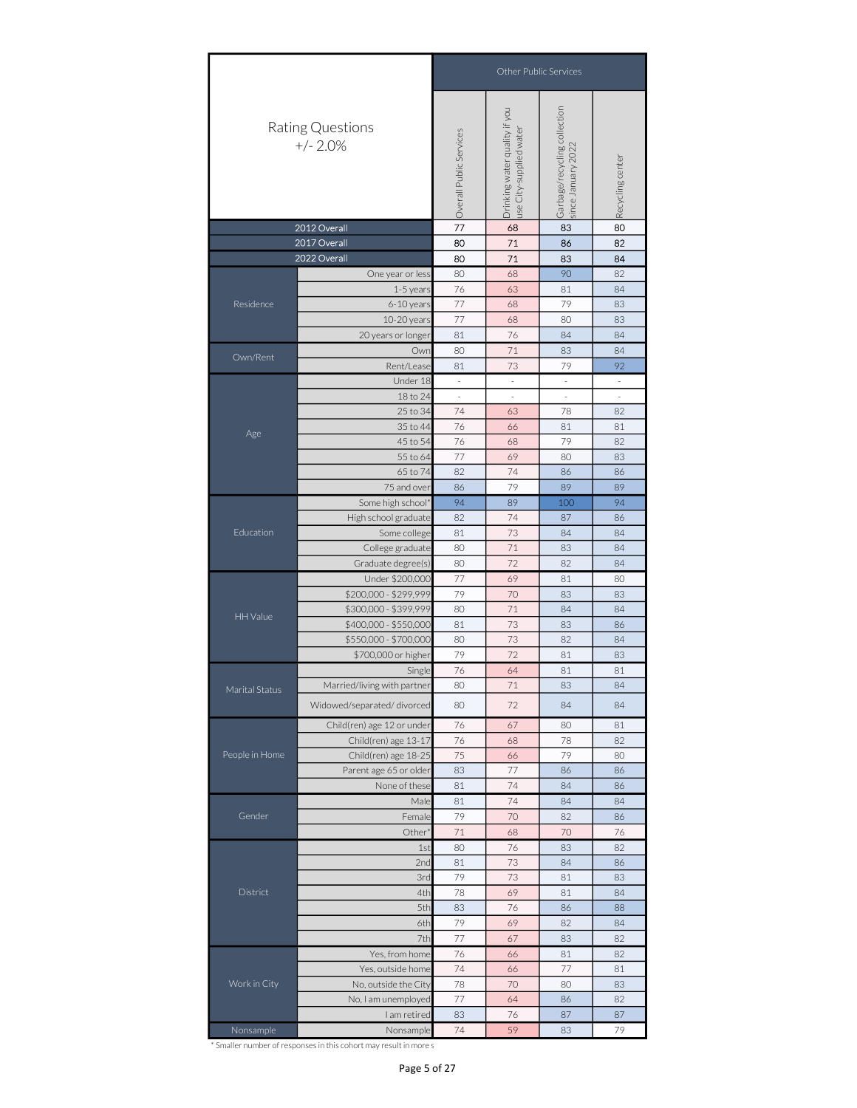|                                                                                                                                                                                              |                                | Other Public Services                                                                                                                                                                                                                                                                                                                                                                                                                                                                                                                                                                                                                                                                                                                                                                                                                                                                                                                                                                                                                                                                                                                                                |    |    |                          |  |  |  |  |  |
|----------------------------------------------------------------------------------------------------------------------------------------------------------------------------------------------|--------------------------------|----------------------------------------------------------------------------------------------------------------------------------------------------------------------------------------------------------------------------------------------------------------------------------------------------------------------------------------------------------------------------------------------------------------------------------------------------------------------------------------------------------------------------------------------------------------------------------------------------------------------------------------------------------------------------------------------------------------------------------------------------------------------------------------------------------------------------------------------------------------------------------------------------------------------------------------------------------------------------------------------------------------------------------------------------------------------------------------------------------------------------------------------------------------------|----|----|--------------------------|--|--|--|--|--|
|                                                                                                                                                                                              | Rating Questions<br>$+/- 2.0%$ |                                                                                                                                                                                                                                                                                                                                                                                                                                                                                                                                                                                                                                                                                                                                                                                                                                                                                                                                                                                                                                                                                                                                                                      |    |    |                          |  |  |  |  |  |
|                                                                                                                                                                                              |                                |                                                                                                                                                                                                                                                                                                                                                                                                                                                                                                                                                                                                                                                                                                                                                                                                                                                                                                                                                                                                                                                                                                                                                                      |    |    |                          |  |  |  |  |  |
|                                                                                                                                                                                              |                                |                                                                                                                                                                                                                                                                                                                                                                                                                                                                                                                                                                                                                                                                                                                                                                                                                                                                                                                                                                                                                                                                                                                                                                      |    |    |                          |  |  |  |  |  |
|                                                                                                                                                                                              |                                |                                                                                                                                                                                                                                                                                                                                                                                                                                                                                                                                                                                                                                                                                                                                                                                                                                                                                                                                                                                                                                                                                                                                                                      |    |    |                          |  |  |  |  |  |
|                                                                                                                                                                                              |                                |                                                                                                                                                                                                                                                                                                                                                                                                                                                                                                                                                                                                                                                                                                                                                                                                                                                                                                                                                                                                                                                                                                                                                                      |    |    |                          |  |  |  |  |  |
|                                                                                                                                                                                              |                                |                                                                                                                                                                                                                                                                                                                                                                                                                                                                                                                                                                                                                                                                                                                                                                                                                                                                                                                                                                                                                                                                                                                                                                      |    |    |                          |  |  |  |  |  |
|                                                                                                                                                                                              |                                |                                                                                                                                                                                                                                                                                                                                                                                                                                                                                                                                                                                                                                                                                                                                                                                                                                                                                                                                                                                                                                                                                                                                                                      |    |    |                          |  |  |  |  |  |
|                                                                                                                                                                                              |                                |                                                                                                                                                                                                                                                                                                                                                                                                                                                                                                                                                                                                                                                                                                                                                                                                                                                                                                                                                                                                                                                                                                                                                                      |    |    |                          |  |  |  |  |  |
|                                                                                                                                                                                              |                                | 81                                                                                                                                                                                                                                                                                                                                                                                                                                                                                                                                                                                                                                                                                                                                                                                                                                                                                                                                                                                                                                                                                                                                                                   | 76 | 84 | 84                       |  |  |  |  |  |
|                                                                                                                                                                                              | Own                            | 77<br>68<br>83<br>80<br>71<br>86<br>80<br>71<br>83<br>80<br>68<br>90<br>One year or less<br>76<br>63<br>1-5 years<br>81<br>77<br>79<br>6-10 years<br>68<br>10-20 years<br>77<br>68<br>80<br>20 years or longer<br>71<br>80<br>83<br>Rent/Lease<br>81<br>73<br>79<br>Under 18<br>$\overline{\phantom{a}}$<br>$\sim$<br>$\bar{z}$<br>18 to 24<br>$\overline{\phantom{a}}$<br>$\overline{\phantom{a}}$<br>$\overline{\phantom{a}}$<br>74<br>25 to 34<br>63<br>78<br>76<br>35 to 44<br>81<br>66<br>45 to 54<br>76<br>79<br>68<br>55 to 64<br>77<br>69<br>80<br>82<br>74<br>65 to 74<br>86<br>79<br>75 and over<br>86<br>89<br>94<br>Some high school*<br>89<br>100<br>High school graduate<br>82<br>74<br>87<br>73<br>Some college<br>81<br>84<br>College graduate<br>80<br>71<br>83<br>72<br>Graduate degree(s)<br>80<br>82<br>77<br>69<br>Under \$200,000<br>81<br>\$200,000 - \$299,999<br>79<br>70<br>83<br>\$300,000 - \$399,999<br>71<br>80<br>84<br>\$400,000 - \$550,000<br>73<br>81<br>83<br>\$550,000 - \$700,000<br>80<br>73<br>82<br>72<br>79<br>\$700,000 or higher<br>81<br>76<br>81<br>Single<br>64<br>71<br>83<br>80<br>80<br>72<br>84<br>76<br>67<br>80 |    |    | 84                       |  |  |  |  |  |
|                                                                                                                                                                                              |                                |                                                                                                                                                                                                                                                                                                                                                                                                                                                                                                                                                                                                                                                                                                                                                                                                                                                                                                                                                                                                                                                                                                                                                                      |    |    | 92                       |  |  |  |  |  |
|                                                                                                                                                                                              |                                |                                                                                                                                                                                                                                                                                                                                                                                                                                                                                                                                                                                                                                                                                                                                                                                                                                                                                                                                                                                                                                                                                                                                                                      |    |    | $\sim$                   |  |  |  |  |  |
|                                                                                                                                                                                              |                                |                                                                                                                                                                                                                                                                                                                                                                                                                                                                                                                                                                                                                                                                                                                                                                                                                                                                                                                                                                                                                                                                                                                                                                      |    |    | $\overline{\phantom{a}}$ |  |  |  |  |  |
|                                                                                                                                                                                              |                                |                                                                                                                                                                                                                                                                                                                                                                                                                                                                                                                                                                                                                                                                                                                                                                                                                                                                                                                                                                                                                                                                                                                                                                      |    |    | 82                       |  |  |  |  |  |
|                                                                                                                                                                                              |                                |                                                                                                                                                                                                                                                                                                                                                                                                                                                                                                                                                                                                                                                                                                                                                                                                                                                                                                                                                                                                                                                                                                                                                                      |    |    | 81                       |  |  |  |  |  |
|                                                                                                                                                                                              |                                |                                                                                                                                                                                                                                                                                                                                                                                                                                                                                                                                                                                                                                                                                                                                                                                                                                                                                                                                                                                                                                                                                                                                                                      |    |    | 82                       |  |  |  |  |  |
|                                                                                                                                                                                              |                                | Garbage/recycling collection<br>since January 2022<br>Drinking water quality if you<br>use City-supplied water<br>Overall Public Services<br>Recycling center<br>80<br>82<br>84<br>82<br>84<br>83<br>83<br>83<br>86<br>89<br>94<br>86<br>84<br>84<br>84<br>80<br>83<br>84<br>86<br>84<br>83<br>81<br>84<br>84<br>81<br>76<br>78<br>82<br>68<br>75<br>79<br>66<br>80<br>83<br>77<br>86<br>86<br>81<br>74<br>84<br>86<br>81<br>74<br>84<br>84<br>79<br>70<br>82<br>86<br>71<br>68<br>70<br>76<br>76<br>80<br>83<br>82<br>73<br>81<br>84<br>86<br>79<br>73<br>81<br>83<br>78<br>69<br>81<br>84<br>83<br>76<br>88<br>86<br>79<br>69<br>82<br>84<br>77<br>82<br>67<br>83<br>76<br>81<br>82<br>66<br>74<br>77<br>66<br>81<br>78<br>70<br>80<br>83<br>77<br>64<br>82<br>86<br>83<br>76<br>87<br>87<br>74<br>79<br>59<br>83                                                                                                                                                                                                                                                                                                                                                  |    |    |                          |  |  |  |  |  |
| 2012 Overall<br>2017 Overall<br>2022 Overall<br>Residence<br>Own/Rent<br>Age<br>Education<br>HH Value<br>Marital Status<br>People in Home<br>Gender<br>District<br>Work in City<br>Nonsample |                                |                                                                                                                                                                                                                                                                                                                                                                                                                                                                                                                                                                                                                                                                                                                                                                                                                                                                                                                                                                                                                                                                                                                                                                      |    |    |                          |  |  |  |  |  |
|                                                                                                                                                                                              |                                |                                                                                                                                                                                                                                                                                                                                                                                                                                                                                                                                                                                                                                                                                                                                                                                                                                                                                                                                                                                                                                                                                                                                                                      |    |    |                          |  |  |  |  |  |
|                                                                                                                                                                                              |                                |                                                                                                                                                                                                                                                                                                                                                                                                                                                                                                                                                                                                                                                                                                                                                                                                                                                                                                                                                                                                                                                                                                                                                                      |    |    |                          |  |  |  |  |  |
|                                                                                                                                                                                              |                                | Male<br>Female<br>Other <sup>®</sup><br>1st<br>2nd<br>3rd<br>4th<br>5th<br>6th<br>7th                                                                                                                                                                                                                                                                                                                                                                                                                                                                                                                                                                                                                                                                                                                                                                                                                                                                                                                                                                                                                                                                                |    |    |                          |  |  |  |  |  |
|                                                                                                                                                                                              |                                |                                                                                                                                                                                                                                                                                                                                                                                                                                                                                                                                                                                                                                                                                                                                                                                                                                                                                                                                                                                                                                                                                                                                                                      |    |    |                          |  |  |  |  |  |
| Married/living with partner<br>Widowed/separated/divorced                                                                                                                                    |                                |                                                                                                                                                                                                                                                                                                                                                                                                                                                                                                                                                                                                                                                                                                                                                                                                                                                                                                                                                                                                                                                                                                                                                                      |    |    |                          |  |  |  |  |  |
|                                                                                                                                                                                              |                                |                                                                                                                                                                                                                                                                                                                                                                                                                                                                                                                                                                                                                                                                                                                                                                                                                                                                                                                                                                                                                                                                                                                                                                      |    |    |                          |  |  |  |  |  |
|                                                                                                                                                                                              |                                |                                                                                                                                                                                                                                                                                                                                                                                                                                                                                                                                                                                                                                                                                                                                                                                                                                                                                                                                                                                                                                                                                                                                                                      |    |    |                          |  |  |  |  |  |
|                                                                                                                                                                                              |                                |                                                                                                                                                                                                                                                                                                                                                                                                                                                                                                                                                                                                                                                                                                                                                                                                                                                                                                                                                                                                                                                                                                                                                                      |    |    |                          |  |  |  |  |  |
|                                                                                                                                                                                              |                                |                                                                                                                                                                                                                                                                                                                                                                                                                                                                                                                                                                                                                                                                                                                                                                                                                                                                                                                                                                                                                                                                                                                                                                      |    |    |                          |  |  |  |  |  |
|                                                                                                                                                                                              |                                |                                                                                                                                                                                                                                                                                                                                                                                                                                                                                                                                                                                                                                                                                                                                                                                                                                                                                                                                                                                                                                                                                                                                                                      |    |    |                          |  |  |  |  |  |
|                                                                                                                                                                                              |                                |                                                                                                                                                                                                                                                                                                                                                                                                                                                                                                                                                                                                                                                                                                                                                                                                                                                                                                                                                                                                                                                                                                                                                                      |    |    |                          |  |  |  |  |  |
|                                                                                                                                                                                              |                                |                                                                                                                                                                                                                                                                                                                                                                                                                                                                                                                                                                                                                                                                                                                                                                                                                                                                                                                                                                                                                                                                                                                                                                      |    |    |                          |  |  |  |  |  |
|                                                                                                                                                                                              |                                |                                                                                                                                                                                                                                                                                                                                                                                                                                                                                                                                                                                                                                                                                                                                                                                                                                                                                                                                                                                                                                                                                                                                                                      |    |    |                          |  |  |  |  |  |
|                                                                                                                                                                                              |                                |                                                                                                                                                                                                                                                                                                                                                                                                                                                                                                                                                                                                                                                                                                                                                                                                                                                                                                                                                                                                                                                                                                                                                                      |    |    |                          |  |  |  |  |  |
|                                                                                                                                                                                              |                                |                                                                                                                                                                                                                                                                                                                                                                                                                                                                                                                                                                                                                                                                                                                                                                                                                                                                                                                                                                                                                                                                                                                                                                      |    |    |                          |  |  |  |  |  |
|                                                                                                                                                                                              | Child(ren) age 12 or under     |                                                                                                                                                                                                                                                                                                                                                                                                                                                                                                                                                                                                                                                                                                                                                                                                                                                                                                                                                                                                                                                                                                                                                                      |    |    |                          |  |  |  |  |  |
|                                                                                                                                                                                              | Child(ren) age 13-17           |                                                                                                                                                                                                                                                                                                                                                                                                                                                                                                                                                                                                                                                                                                                                                                                                                                                                                                                                                                                                                                                                                                                                                                      |    |    |                          |  |  |  |  |  |
|                                                                                                                                                                                              | Child(ren) age 18-25           |                                                                                                                                                                                                                                                                                                                                                                                                                                                                                                                                                                                                                                                                                                                                                                                                                                                                                                                                                                                                                                                                                                                                                                      |    |    |                          |  |  |  |  |  |
|                                                                                                                                                                                              | Parent age 65 or older         |                                                                                                                                                                                                                                                                                                                                                                                                                                                                                                                                                                                                                                                                                                                                                                                                                                                                                                                                                                                                                                                                                                                                                                      |    |    |                          |  |  |  |  |  |
|                                                                                                                                                                                              | None of these                  |                                                                                                                                                                                                                                                                                                                                                                                                                                                                                                                                                                                                                                                                                                                                                                                                                                                                                                                                                                                                                                                                                                                                                                      |    |    |                          |  |  |  |  |  |
|                                                                                                                                                                                              |                                |                                                                                                                                                                                                                                                                                                                                                                                                                                                                                                                                                                                                                                                                                                                                                                                                                                                                                                                                                                                                                                                                                                                                                                      |    |    |                          |  |  |  |  |  |
|                                                                                                                                                                                              |                                |                                                                                                                                                                                                                                                                                                                                                                                                                                                                                                                                                                                                                                                                                                                                                                                                                                                                                                                                                                                                                                                                                                                                                                      |    |    |                          |  |  |  |  |  |
|                                                                                                                                                                                              |                                |                                                                                                                                                                                                                                                                                                                                                                                                                                                                                                                                                                                                                                                                                                                                                                                                                                                                                                                                                                                                                                                                                                                                                                      |    |    |                          |  |  |  |  |  |
|                                                                                                                                                                                              |                                |                                                                                                                                                                                                                                                                                                                                                                                                                                                                                                                                                                                                                                                                                                                                                                                                                                                                                                                                                                                                                                                                                                                                                                      |    |    |                          |  |  |  |  |  |
|                                                                                                                                                                                              |                                |                                                                                                                                                                                                                                                                                                                                                                                                                                                                                                                                                                                                                                                                                                                                                                                                                                                                                                                                                                                                                                                                                                                                                                      |    |    |                          |  |  |  |  |  |
|                                                                                                                                                                                              |                                |                                                                                                                                                                                                                                                                                                                                                                                                                                                                                                                                                                                                                                                                                                                                                                                                                                                                                                                                                                                                                                                                                                                                                                      |    |    |                          |  |  |  |  |  |
|                                                                                                                                                                                              |                                |                                                                                                                                                                                                                                                                                                                                                                                                                                                                                                                                                                                                                                                                                                                                                                                                                                                                                                                                                                                                                                                                                                                                                                      |    |    |                          |  |  |  |  |  |
|                                                                                                                                                                                              |                                |                                                                                                                                                                                                                                                                                                                                                                                                                                                                                                                                                                                                                                                                                                                                                                                                                                                                                                                                                                                                                                                                                                                                                                      |    |    |                          |  |  |  |  |  |
|                                                                                                                                                                                              |                                |                                                                                                                                                                                                                                                                                                                                                                                                                                                                                                                                                                                                                                                                                                                                                                                                                                                                                                                                                                                                                                                                                                                                                                      |    |    |                          |  |  |  |  |  |
|                                                                                                                                                                                              |                                |                                                                                                                                                                                                                                                                                                                                                                                                                                                                                                                                                                                                                                                                                                                                                                                                                                                                                                                                                                                                                                                                                                                                                                      |    |    |                          |  |  |  |  |  |
|                                                                                                                                                                                              | Yes, from home                 |                                                                                                                                                                                                                                                                                                                                                                                                                                                                                                                                                                                                                                                                                                                                                                                                                                                                                                                                                                                                                                                                                                                                                                      |    |    |                          |  |  |  |  |  |
|                                                                                                                                                                                              |                                |                                                                                                                                                                                                                                                                                                                                                                                                                                                                                                                                                                                                                                                                                                                                                                                                                                                                                                                                                                                                                                                                                                                                                                      |    |    |                          |  |  |  |  |  |
|                                                                                                                                                                                              |                                |                                                                                                                                                                                                                                                                                                                                                                                                                                                                                                                                                                                                                                                                                                                                                                                                                                                                                                                                                                                                                                                                                                                                                                      |    |    |                          |  |  |  |  |  |
|                                                                                                                                                                                              | No, I am unemployed            |                                                                                                                                                                                                                                                                                                                                                                                                                                                                                                                                                                                                                                                                                                                                                                                                                                                                                                                                                                                                                                                                                                                                                                      |    |    |                          |  |  |  |  |  |
|                                                                                                                                                                                              |                                |                                                                                                                                                                                                                                                                                                                                                                                                                                                                                                                                                                                                                                                                                                                                                                                                                                                                                                                                                                                                                                                                                                                                                                      |    |    |                          |  |  |  |  |  |
|                                                                                                                                                                                              |                                | Yes, outside home<br>No, outside the City<br>I am retired<br>Nonsample                                                                                                                                                                                                                                                                                                                                                                                                                                                                                                                                                                                                                                                                                                                                                                                                                                                                                                                                                                                                                                                                                               |    |    |                          |  |  |  |  |  |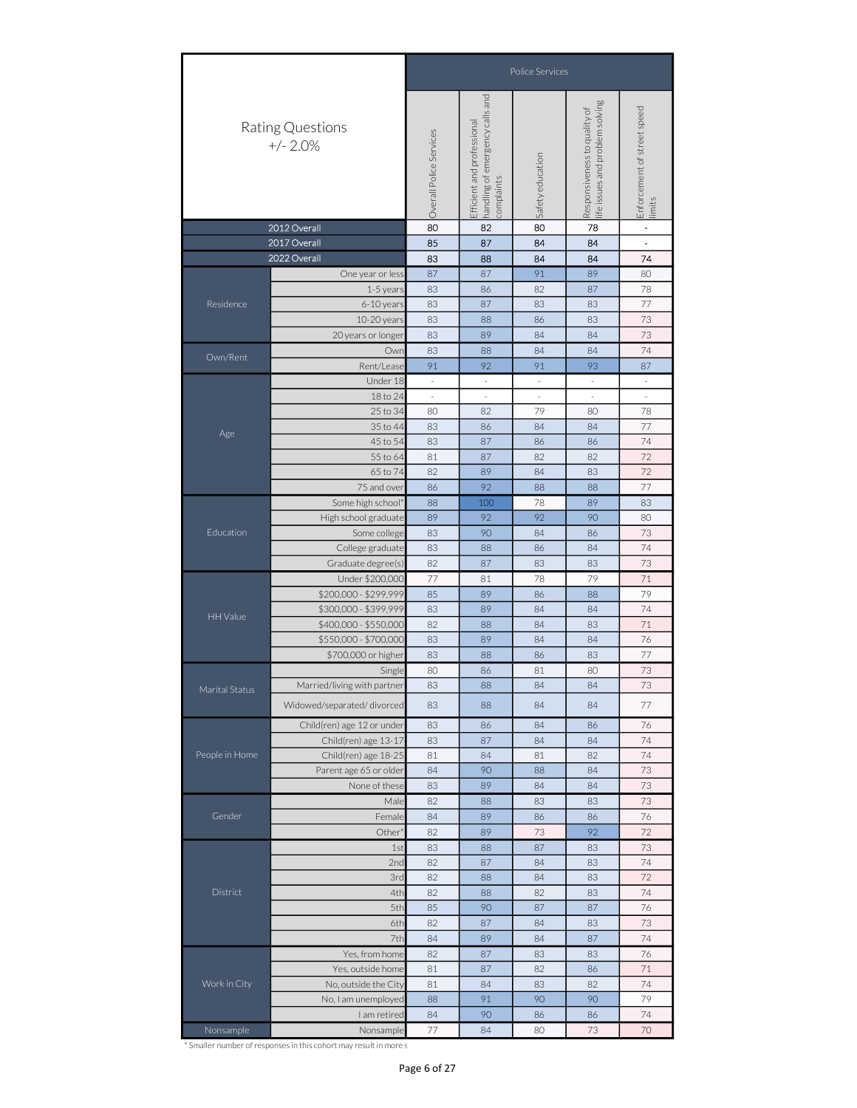|                |                                                                                                                                                                                                                                                                                                                   |                                                                                                                                                            |                                                                                | Police Services                                                                                                                                                                                                                                                                                                      |                                                                 |                                       |
|----------------|-------------------------------------------------------------------------------------------------------------------------------------------------------------------------------------------------------------------------------------------------------------------------------------------------------------------|------------------------------------------------------------------------------------------------------------------------------------------------------------|--------------------------------------------------------------------------------|----------------------------------------------------------------------------------------------------------------------------------------------------------------------------------------------------------------------------------------------------------------------------------------------------------------------|-----------------------------------------------------------------|---------------------------------------|
|                | Rating Questions<br>$+/- 2.0%$                                                                                                                                                                                                                                                                                    | Overall Police Services                                                                                                                                    | handling of emergency calls and<br>complaints<br>professional<br>Efficient and | Safety education                                                                                                                                                                                                                                                                                                     | life issues and problem solving<br>Responsiveness to quality of | Enforcement of street speed<br>limits |
|                | 2012 Overall                                                                                                                                                                                                                                                                                                      | 80                                                                                                                                                         | 82                                                                             |                                                                                                                                                                                                                                                                                                                      | 78                                                              | $\blacksquare$<br>$\mathbf{L}$        |
|                | 2017 Overall<br>2022 Overall                                                                                                                                                                                                                                                                                      | 85<br>83                                                                                                                                                   | 87<br>88                                                                       |                                                                                                                                                                                                                                                                                                                      |                                                                 | 74                                    |
|                | One year or less                                                                                                                                                                                                                                                                                                  | 87                                                                                                                                                         | 87                                                                             |                                                                                                                                                                                                                                                                                                                      | 89                                                              | 80                                    |
|                | 1-5 years                                                                                                                                                                                                                                                                                                         | 83                                                                                                                                                         | 86                                                                             | 82                                                                                                                                                                                                                                                                                                                   | 87                                                              | 78                                    |
| Residence      | 6-10 years                                                                                                                                                                                                                                                                                                        | 83                                                                                                                                                         | 87                                                                             | 83                                                                                                                                                                                                                                                                                                                   | 83                                                              | 77                                    |
|                | 10-20 years                                                                                                                                                                                                                                                                                                       | 83                                                                                                                                                         | 88                                                                             | 86                                                                                                                                                                                                                                                                                                                   | 83                                                              | 73                                    |
|                | 20 years or longer<br>83<br>89<br>84<br>84<br>83<br>84<br>84<br>Owr<br>88<br>92<br>91<br>93<br>Rent/Lease<br>91<br>Under 18<br>$\overline{\phantom{a}}$<br>$\overline{\phantom{a}}$<br>$\overline{\phantom{a}}$<br>$\overline{\phantom{a}}$<br>18 to 24<br>$\overline{\phantom{a}}$<br>$\sim$<br>$\sim$<br>$\sim$ | 73                                                                                                                                                         |                                                                                |                                                                                                                                                                                                                                                                                                                      |                                                                 |                                       |
| Own/Rent       |                                                                                                                                                                                                                                                                                                                   |                                                                                                                                                            |                                                                                |                                                                                                                                                                                                                                                                                                                      |                                                                 | 74                                    |
|                |                                                                                                                                                                                                                                                                                                                   |                                                                                                                                                            |                                                                                |                                                                                                                                                                                                                                                                                                                      |                                                                 | 87                                    |
|                |                                                                                                                                                                                                                                                                                                                   |                                                                                                                                                            |                                                                                |                                                                                                                                                                                                                                                                                                                      |                                                                 | $\overline{\phantom{a}}$              |
|                | 25 to 34                                                                                                                                                                                                                                                                                                          | 80                                                                                                                                                         | 82                                                                             |                                                                                                                                                                                                                                                                                                                      |                                                                 | $\overline{\phantom{a}}$<br>78        |
|                | 35 to 44                                                                                                                                                                                                                                                                                                          | 83                                                                                                                                                         | 86                                                                             |                                                                                                                                                                                                                                                                                                                      |                                                                 | 77                                    |
| Age            | 45 to 54                                                                                                                                                                                                                                                                                                          | 83                                                                                                                                                         | 87                                                                             | 86                                                                                                                                                                                                                                                                                                                   | 86                                                              | 74                                    |
|                | 55 to 64                                                                                                                                                                                                                                                                                                          | 81                                                                                                                                                         | 87                                                                             | 82                                                                                                                                                                                                                                                                                                                   | 82                                                              | 72                                    |
|                | 65 to 74                                                                                                                                                                                                                                                                                                          | 82                                                                                                                                                         | 89                                                                             | 84                                                                                                                                                                                                                                                                                                                   | 83                                                              | 72                                    |
|                | 75 and over                                                                                                                                                                                                                                                                                                       | 86                                                                                                                                                         | 92                                                                             | 88                                                                                                                                                                                                                                                                                                                   | 88                                                              | 77                                    |
|                | Some high school                                                                                                                                                                                                                                                                                                  | 88                                                                                                                                                         | 100                                                                            | 78                                                                                                                                                                                                                                                                                                                   | 89                                                              | 83                                    |
|                | High school graduate                                                                                                                                                                                                                                                                                              | 89                                                                                                                                                         | 92                                                                             | 92                                                                                                                                                                                                                                                                                                                   | 90                                                              | 80                                    |
| Education      | Some college                                                                                                                                                                                                                                                                                                      | 83                                                                                                                                                         | 90                                                                             | 84                                                                                                                                                                                                                                                                                                                   | 86                                                              | 73                                    |
|                |                                                                                                                                                                                                                                                                                                                   |                                                                                                                                                            |                                                                                |                                                                                                                                                                                                                                                                                                                      |                                                                 | 74                                    |
|                |                                                                                                                                                                                                                                                                                                                   |                                                                                                                                                            |                                                                                |                                                                                                                                                                                                                                                                                                                      |                                                                 | 73<br>71                              |
|                |                                                                                                                                                                                                                                                                                                                   | 83<br>College graduate<br>88<br>86<br>82<br>87<br>83<br>Graduate degree(s)<br>Under \$200,000<br>77<br>81<br>78<br>\$200,000 - \$299,999<br>85<br>89<br>86 |                                                                                |                                                                                                                                                                                                                                                                                                                      | 79                                                              |                                       |
|                | \$300,000 - \$399,999                                                                                                                                                                                                                                                                                             | 83                                                                                                                                                         | 89                                                                             | 84                                                                                                                                                                                                                                                                                                                   | 84                                                              | 74                                    |
| HH Value       | \$400,000 - \$550,000                                                                                                                                                                                                                                                                                             | 82                                                                                                                                                         | 88                                                                             | 84                                                                                                                                                                                                                                                                                                                   | 83                                                              | 71                                    |
|                | \$550,000 - \$700,000                                                                                                                                                                                                                                                                                             | 83                                                                                                                                                         | 89                                                                             | 84                                                                                                                                                                                                                                                                                                                   | 84                                                              | 76                                    |
|                | \$700,000 or higher                                                                                                                                                                                                                                                                                               | 79<br>88<br>83<br>88<br>86<br>83<br>80<br>80<br>86<br>81                                                                                                   |                                                                                | 77                                                                                                                                                                                                                                                                                                                   |                                                                 |                                       |
|                | Single                                                                                                                                                                                                                                                                                                            |                                                                                                                                                            |                                                                                |                                                                                                                                                                                                                                                                                                                      |                                                                 | 73                                    |
| Marital Status | Married/living with partner                                                                                                                                                                                                                                                                                       | 83                                                                                                                                                         | 88                                                                             | 84                                                                                                                                                                                                                                                                                                                   | 84                                                              | 73                                    |
|                | Widowed/separated/divorced                                                                                                                                                                                                                                                                                        | 83                                                                                                                                                         | 88                                                                             | 84                                                                                                                                                                                                                                                                                                                   | 84                                                              | 77                                    |
|                | Child(ren) age 12 or under                                                                                                                                                                                                                                                                                        | 83                                                                                                                                                         | 86                                                                             | 84                                                                                                                                                                                                                                                                                                                   | 86                                                              | 76                                    |
|                | Child(ren) age 13-17                                                                                                                                                                                                                                                                                              | 83                                                                                                                                                         | 87                                                                             | 80<br>84<br>84<br>84<br>84<br>91<br>79<br>80<br>84<br>84<br>84<br>83<br>84<br>84<br>82<br>81<br>88<br>84<br>84<br>84<br>83<br>83<br>86<br>86<br>92<br>73<br>87<br>83<br>84<br>83<br>84<br>83<br>82<br>83<br>87<br>87<br>84<br>83<br>87<br>84<br>83<br>83<br>82<br>86<br>83<br>82<br>90<br>90<br>86<br>86<br>73<br>80 | 74                                                              |                                       |
| People in Home | Child(ren) age 18-25                                                                                                                                                                                                                                                                                              | 81                                                                                                                                                         | 84                                                                             |                                                                                                                                                                                                                                                                                                                      |                                                                 | 74                                    |
|                | Parent age 65 or older                                                                                                                                                                                                                                                                                            | 84                                                                                                                                                         | 90                                                                             |                                                                                                                                                                                                                                                                                                                      |                                                                 | 73                                    |
|                | None of these                                                                                                                                                                                                                                                                                                     | 83                                                                                                                                                         | 89                                                                             |                                                                                                                                                                                                                                                                                                                      |                                                                 | 73                                    |
|                | Male                                                                                                                                                                                                                                                                                                              | 82                                                                                                                                                         | 88                                                                             |                                                                                                                                                                                                                                                                                                                      |                                                                 | 73                                    |
| Gender         | Female                                                                                                                                                                                                                                                                                                            | 84                                                                                                                                                         | 89                                                                             |                                                                                                                                                                                                                                                                                                                      |                                                                 | 76                                    |
|                | Other'<br>1st                                                                                                                                                                                                                                                                                                     | 82<br>83                                                                                                                                                   | 89<br>88                                                                       |                                                                                                                                                                                                                                                                                                                      |                                                                 | 72<br>73                              |
|                | 2nd                                                                                                                                                                                                                                                                                                               | 82                                                                                                                                                         | 87                                                                             |                                                                                                                                                                                                                                                                                                                      |                                                                 | 74                                    |
|                | 3rd                                                                                                                                                                                                                                                                                                               | 82                                                                                                                                                         | 88                                                                             |                                                                                                                                                                                                                                                                                                                      |                                                                 | 72                                    |
| District       | 4th                                                                                                                                                                                                                                                                                                               | 82                                                                                                                                                         | 88                                                                             |                                                                                                                                                                                                                                                                                                                      |                                                                 | 74                                    |
|                | 5th                                                                                                                                                                                                                                                                                                               | 85                                                                                                                                                         | 90                                                                             |                                                                                                                                                                                                                                                                                                                      |                                                                 | 76                                    |
|                | 6th                                                                                                                                                                                                                                                                                                               | 82                                                                                                                                                         | 87                                                                             |                                                                                                                                                                                                                                                                                                                      |                                                                 | 73                                    |
|                | 7th                                                                                                                                                                                                                                                                                                               | 84                                                                                                                                                         | 89                                                                             |                                                                                                                                                                                                                                                                                                                      |                                                                 | 74                                    |
|                | Yes, from home                                                                                                                                                                                                                                                                                                    | 82                                                                                                                                                         | 87                                                                             |                                                                                                                                                                                                                                                                                                                      |                                                                 | 76                                    |
|                | Yes, outside home                                                                                                                                                                                                                                                                                                 | 81                                                                                                                                                         | 87                                                                             |                                                                                                                                                                                                                                                                                                                      |                                                                 | 71                                    |
| Work in City   | No, outside the City                                                                                                                                                                                                                                                                                              | 81                                                                                                                                                         | 84                                                                             |                                                                                                                                                                                                                                                                                                                      |                                                                 | 74                                    |
|                | No, I am unemployed                                                                                                                                                                                                                                                                                               | 88                                                                                                                                                         | 91                                                                             |                                                                                                                                                                                                                                                                                                                      |                                                                 | 79                                    |
|                | I am retired                                                                                                                                                                                                                                                                                                      | 84                                                                                                                                                         | 90                                                                             |                                                                                                                                                                                                                                                                                                                      |                                                                 | 74                                    |
| Nonsample      | Nonsample                                                                                                                                                                                                                                                                                                         | 77                                                                                                                                                         | 84                                                                             |                                                                                                                                                                                                                                                                                                                      |                                                                 | 70                                    |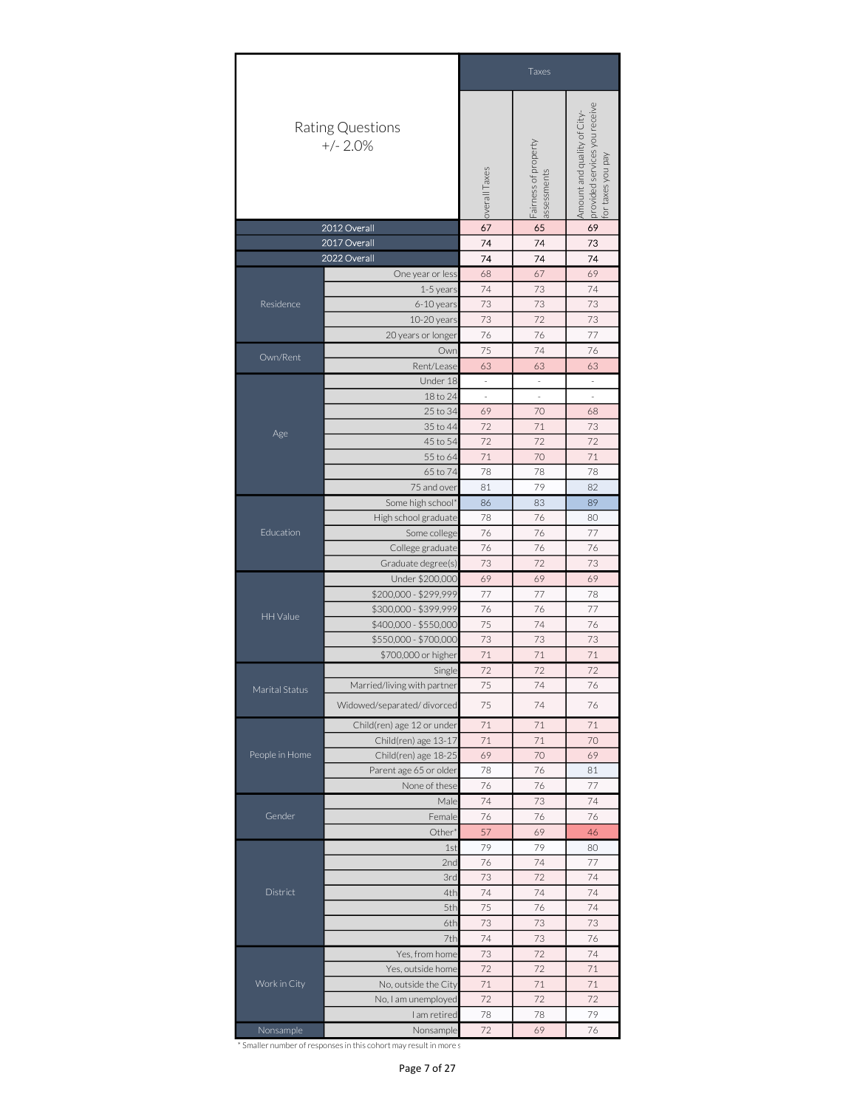|                | Taxes                                                                                                           |                                                                                                                                                                                                                                                                                                                                                                                                                                                                                                                                                                                                                                                                                                                                                                                                                                                                                                                                                                                                                                                                                  |                                                    |                   |  |
|----------------|-----------------------------------------------------------------------------------------------------------------|----------------------------------------------------------------------------------------------------------------------------------------------------------------------------------------------------------------------------------------------------------------------------------------------------------------------------------------------------------------------------------------------------------------------------------------------------------------------------------------------------------------------------------------------------------------------------------------------------------------------------------------------------------------------------------------------------------------------------------------------------------------------------------------------------------------------------------------------------------------------------------------------------------------------------------------------------------------------------------------------------------------------------------------------------------------------------------|----------------------------------------------------|-------------------|--|
|                | Rating Questions<br>$+/- 2.0%$                                                                                  |                                                                                                                                                                                                                                                                                                                                                                                                                                                                                                                                                                                                                                                                                                                                                                                                                                                                                                                                                                                                                                                                                  |                                                    | for taxes you pay |  |
|                | 2012 Overall                                                                                                    | 67                                                                                                                                                                                                                                                                                                                                                                                                                                                                                                                                                                                                                                                                                                                                                                                                                                                                                                                                                                                                                                                                               | 65                                                 | 69                |  |
|                | 2017 Overall                                                                                                    |                                                                                                                                                                                                                                                                                                                                                                                                                                                                                                                                                                                                                                                                                                                                                                                                                                                                                                                                                                                                                                                                                  |                                                    |                   |  |
|                |                                                                                                                 |                                                                                                                                                                                                                                                                                                                                                                                                                                                                                                                                                                                                                                                                                                                                                                                                                                                                                                                                                                                                                                                                                  |                                                    |                   |  |
|                |                                                                                                                 |                                                                                                                                                                                                                                                                                                                                                                                                                                                                                                                                                                                                                                                                                                                                                                                                                                                                                                                                                                                                                                                                                  |                                                    |                   |  |
| Residence      |                                                                                                                 |                                                                                                                                                                                                                                                                                                                                                                                                                                                                                                                                                                                                                                                                                                                                                                                                                                                                                                                                                                                                                                                                                  |                                                    |                   |  |
|                |                                                                                                                 |                                                                                                                                                                                                                                                                                                                                                                                                                                                                                                                                                                                                                                                                                                                                                                                                                                                                                                                                                                                                                                                                                  |                                                    |                   |  |
|                |                                                                                                                 |                                                                                                                                                                                                                                                                                                                                                                                                                                                                                                                                                                                                                                                                                                                                                                                                                                                                                                                                                                                                                                                                                  |                                                    |                   |  |
|                |                                                                                                                 | provided services you receive<br>Amount and quality of City-<br>Fairness of property<br>overall Taxes<br>assessments<br>74<br>74<br>73<br>74<br>74<br>74<br>69<br>68<br>67<br>74<br>73<br>74<br>73<br>73<br>73<br>73<br>72<br>73<br>76<br>76<br>77<br>75<br>74<br>76<br>63<br>63<br>63<br>$\overline{\phantom{a}}$<br>$\overline{\phantom{a}}$<br>$\overline{\phantom{a}}$<br>$\overline{\phantom{a}}$<br>$\overline{\phantom{a}}$<br>÷,<br>69<br>70<br>68<br>72<br>$71\,$<br>73<br>72<br>72<br>72<br>71<br>70<br>71<br>78<br>78<br>78<br>81<br>79<br>82<br>89<br>86<br>83<br>78<br>76<br>80<br>77<br>76<br>76<br>76<br>76<br>76<br>73<br>72<br>73<br>69<br>69<br>69<br>77<br>77<br>78<br>76<br>76<br>77<br>75<br>74<br>76<br>73<br>73<br>73<br>71<br>$71\,$<br>71<br>72<br>72<br>72<br>74<br>75<br>76<br>75<br>74<br>76<br>71<br>71<br>71<br>71<br>$71\,$<br>70<br>69<br>70<br>69<br>78<br>76<br>81<br>77<br>76<br>76<br>74<br>73<br>74<br>76<br>76<br>76<br>57<br>69<br>46<br>79<br>79<br>1st<br>80<br>77<br>76<br>74<br>2nd<br>73<br>74<br>3rd<br>72<br>74<br>74<br>4th<br>74 |                                                    |                   |  |
| Own/Rent       |                                                                                                                 |                                                                                                                                                                                                                                                                                                                                                                                                                                                                                                                                                                                                                                                                                                                                                                                                                                                                                                                                                                                                                                                                                  |                                                    |                   |  |
|                | Under 18                                                                                                        |                                                                                                                                                                                                                                                                                                                                                                                                                                                                                                                                                                                                                                                                                                                                                                                                                                                                                                                                                                                                                                                                                  |                                                    |                   |  |
|                | 18 to 24                                                                                                        |                                                                                                                                                                                                                                                                                                                                                                                                                                                                                                                                                                                                                                                                                                                                                                                                                                                                                                                                                                                                                                                                                  |                                                    |                   |  |
|                | 25 to 34                                                                                                        | Own<br>74<br>5th<br>75<br>76<br>73<br>73<br>73<br>6th<br>74<br>73<br>76<br>7th<br>73<br>72<br>74<br>72<br>$72\,$<br>$71\,$<br>$71\,$<br>$71\,$<br>$71\,$                                                                                                                                                                                                                                                                                                                                                                                                                                                                                                                                                                                                                                                                                                                                                                                                                                                                                                                         |                                                    |                   |  |
|                | 35 to 44                                                                                                        |                                                                                                                                                                                                                                                                                                                                                                                                                                                                                                                                                                                                                                                                                                                                                                                                                                                                                                                                                                                                                                                                                  |                                                    |                   |  |
| Age            | 45 to 54                                                                                                        |                                                                                                                                                                                                                                                                                                                                                                                                                                                                                                                                                                                                                                                                                                                                                                                                                                                                                                                                                                                                                                                                                  |                                                    |                   |  |
|                | 55 to 64                                                                                                        |                                                                                                                                                                                                                                                                                                                                                                                                                                                                                                                                                                                                                                                                                                                                                                                                                                                                                                                                                                                                                                                                                  |                                                    |                   |  |
|                | 65 to 74                                                                                                        |                                                                                                                                                                                                                                                                                                                                                                                                                                                                                                                                                                                                                                                                                                                                                                                                                                                                                                                                                                                                                                                                                  | 72<br>72<br>72<br>78<br>79<br>78<br>72<br>69<br>76 |                   |  |
|                | 75 and over                                                                                                     |                                                                                                                                                                                                                                                                                                                                                                                                                                                                                                                                                                                                                                                                                                                                                                                                                                                                                                                                                                                                                                                                                  |                                                    |                   |  |
|                | Some high school*                                                                                               |                                                                                                                                                                                                                                                                                                                                                                                                                                                                                                                                                                                                                                                                                                                                                                                                                                                                                                                                                                                                                                                                                  |                                                    |                   |  |
|                | High school graduate                                                                                            |                                                                                                                                                                                                                                                                                                                                                                                                                                                                                                                                                                                                                                                                                                                                                                                                                                                                                                                                                                                                                                                                                  |                                                    |                   |  |
| Education      | Some college                                                                                                    |                                                                                                                                                                                                                                                                                                                                                                                                                                                                                                                                                                                                                                                                                                                                                                                                                                                                                                                                                                                                                                                                                  |                                                    |                   |  |
|                | College graduate                                                                                                | Single<br>Male                                                                                                                                                                                                                                                                                                                                                                                                                                                                                                                                                                                                                                                                                                                                                                                                                                                                                                                                                                                                                                                                   |                                                    |                   |  |
|                | Graduate degree(s)                                                                                              |                                                                                                                                                                                                                                                                                                                                                                                                                                                                                                                                                                                                                                                                                                                                                                                                                                                                                                                                                                                                                                                                                  |                                                    |                   |  |
|                | Under \$200,000                                                                                                 |                                                                                                                                                                                                                                                                                                                                                                                                                                                                                                                                                                                                                                                                                                                                                                                                                                                                                                                                                                                                                                                                                  |                                                    |                   |  |
|                | \$200,000 - \$299,999                                                                                           | 2022 Overall<br>One year or less<br>1-5 years<br>6-10 years<br>10-20 years<br>20 years or longer<br>Rent/Lease<br>\$300,000 - \$399,999<br>\$400,000 - \$550,000<br>\$550,000 - \$700,000<br>\$700,000 or higher<br>Married/living with partner<br>Child(ren) age 12 or under<br>Child(ren) age 13-17<br>Child(ren) age 18-25<br>Parent age 65 or older<br>None of these<br>Female                                                                                                                                                                                                                                                                                                                                                                                                                                                                                                                                                                                                                                                                                               |                                                    |                   |  |
|                |                                                                                                                 |                                                                                                                                                                                                                                                                                                                                                                                                                                                                                                                                                                                                                                                                                                                                                                                                                                                                                                                                                                                                                                                                                  |                                                    |                   |  |
|                |                                                                                                                 |                                                                                                                                                                                                                                                                                                                                                                                                                                                                                                                                                                                                                                                                                                                                                                                                                                                                                                                                                                                                                                                                                  |                                                    |                   |  |
|                |                                                                                                                 |                                                                                                                                                                                                                                                                                                                                                                                                                                                                                                                                                                                                                                                                                                                                                                                                                                                                                                                                                                                                                                                                                  |                                                    |                   |  |
|                |                                                                                                                 |                                                                                                                                                                                                                                                                                                                                                                                                                                                                                                                                                                                                                                                                                                                                                                                                                                                                                                                                                                                                                                                                                  |                                                    |                   |  |
|                |                                                                                                                 |                                                                                                                                                                                                                                                                                                                                                                                                                                                                                                                                                                                                                                                                                                                                                                                                                                                                                                                                                                                                                                                                                  |                                                    |                   |  |
| Marital Status | HH Value                                                                                                        |                                                                                                                                                                                                                                                                                                                                                                                                                                                                                                                                                                                                                                                                                                                                                                                                                                                                                                                                                                                                                                                                                  |                                                    |                   |  |
|                | Widowed/separated/divorced                                                                                      |                                                                                                                                                                                                                                                                                                                                                                                                                                                                                                                                                                                                                                                                                                                                                                                                                                                                                                                                                                                                                                                                                  |                                                    |                   |  |
|                |                                                                                                                 | Other <sup>®</sup>                                                                                                                                                                                                                                                                                                                                                                                                                                                                                                                                                                                                                                                                                                                                                                                                                                                                                                                                                                                                                                                               |                                                    |                   |  |
|                |                                                                                                                 |                                                                                                                                                                                                                                                                                                                                                                                                                                                                                                                                                                                                                                                                                                                                                                                                                                                                                                                                                                                                                                                                                  |                                                    |                   |  |
| People in Home |                                                                                                                 |                                                                                                                                                                                                                                                                                                                                                                                                                                                                                                                                                                                                                                                                                                                                                                                                                                                                                                                                                                                                                                                                                  |                                                    |                   |  |
|                |                                                                                                                 |                                                                                                                                                                                                                                                                                                                                                                                                                                                                                                                                                                                                                                                                                                                                                                                                                                                                                                                                                                                                                                                                                  |                                                    |                   |  |
|                |                                                                                                                 |                                                                                                                                                                                                                                                                                                                                                                                                                                                                                                                                                                                                                                                                                                                                                                                                                                                                                                                                                                                                                                                                                  |                                                    |                   |  |
|                |                                                                                                                 |                                                                                                                                                                                                                                                                                                                                                                                                                                                                                                                                                                                                                                                                                                                                                                                                                                                                                                                                                                                                                                                                                  |                                                    |                   |  |
| Gender         |                                                                                                                 |                                                                                                                                                                                                                                                                                                                                                                                                                                                                                                                                                                                                                                                                                                                                                                                                                                                                                                                                                                                                                                                                                  |                                                    |                   |  |
|                |                                                                                                                 |                                                                                                                                                                                                                                                                                                                                                                                                                                                                                                                                                                                                                                                                                                                                                                                                                                                                                                                                                                                                                                                                                  |                                                    |                   |  |
|                |                                                                                                                 |                                                                                                                                                                                                                                                                                                                                                                                                                                                                                                                                                                                                                                                                                                                                                                                                                                                                                                                                                                                                                                                                                  |                                                    |                   |  |
|                |                                                                                                                 |                                                                                                                                                                                                                                                                                                                                                                                                                                                                                                                                                                                                                                                                                                                                                                                                                                                                                                                                                                                                                                                                                  |                                                    |                   |  |
|                |                                                                                                                 |                                                                                                                                                                                                                                                                                                                                                                                                                                                                                                                                                                                                                                                                                                                                                                                                                                                                                                                                                                                                                                                                                  |                                                    |                   |  |
| District       |                                                                                                                 |                                                                                                                                                                                                                                                                                                                                                                                                                                                                                                                                                                                                                                                                                                                                                                                                                                                                                                                                                                                                                                                                                  |                                                    |                   |  |
|                |                                                                                                                 |                                                                                                                                                                                                                                                                                                                                                                                                                                                                                                                                                                                                                                                                                                                                                                                                                                                                                                                                                                                                                                                                                  |                                                    |                   |  |
|                | Yes, from home<br>Yes, outside home<br>No, outside the City<br>No, I am unemployed<br>I am retired<br>Nonsample |                                                                                                                                                                                                                                                                                                                                                                                                                                                                                                                                                                                                                                                                                                                                                                                                                                                                                                                                                                                                                                                                                  |                                                    |                   |  |
|                |                                                                                                                 |                                                                                                                                                                                                                                                                                                                                                                                                                                                                                                                                                                                                                                                                                                                                                                                                                                                                                                                                                                                                                                                                                  |                                                    |                   |  |
|                |                                                                                                                 |                                                                                                                                                                                                                                                                                                                                                                                                                                                                                                                                                                                                                                                                                                                                                                                                                                                                                                                                                                                                                                                                                  |                                                    |                   |  |
|                |                                                                                                                 |                                                                                                                                                                                                                                                                                                                                                                                                                                                                                                                                                                                                                                                                                                                                                                                                                                                                                                                                                                                                                                                                                  |                                                    |                   |  |
| Work in City   |                                                                                                                 |                                                                                                                                                                                                                                                                                                                                                                                                                                                                                                                                                                                                                                                                                                                                                                                                                                                                                                                                                                                                                                                                                  |                                                    |                   |  |
|                |                                                                                                                 |                                                                                                                                                                                                                                                                                                                                                                                                                                                                                                                                                                                                                                                                                                                                                                                                                                                                                                                                                                                                                                                                                  |                                                    |                   |  |
|                |                                                                                                                 |                                                                                                                                                                                                                                                                                                                                                                                                                                                                                                                                                                                                                                                                                                                                                                                                                                                                                                                                                                                                                                                                                  |                                                    |                   |  |
| Nonsample      |                                                                                                                 |                                                                                                                                                                                                                                                                                                                                                                                                                                                                                                                                                                                                                                                                                                                                                                                                                                                                                                                                                                                                                                                                                  |                                                    |                   |  |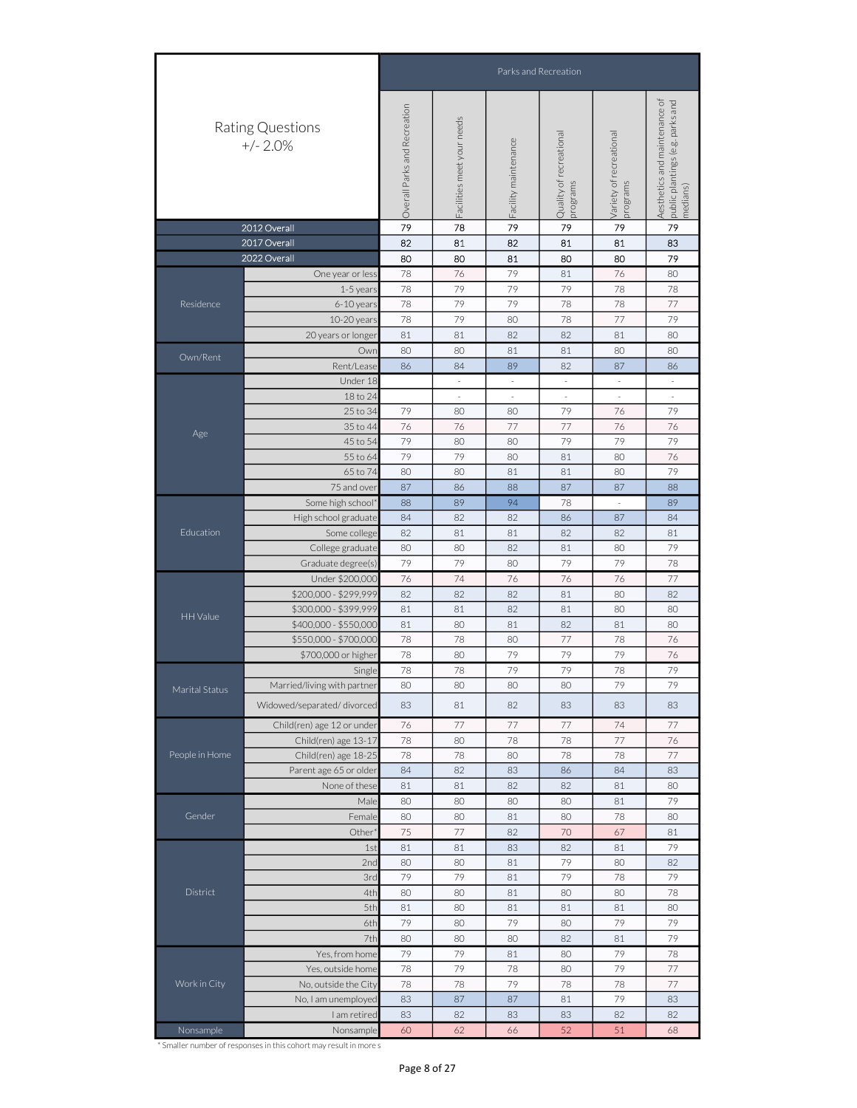|                              |                                                                                       | Parks and Recreation                                                                                                                                                                                                                                                                                                                                                                                                                                                                                                                                                                                                                                                                                                                                                                                                                                                                |                                                                                                                                                                                                                                                                                                                                                                                                                                                                                                                                                                                                                                                                                                                                                                                                                                              |                      |                                     |                                     |                                                                               |  |  |  |  |  |
|------------------------------|---------------------------------------------------------------------------------------|-------------------------------------------------------------------------------------------------------------------------------------------------------------------------------------------------------------------------------------------------------------------------------------------------------------------------------------------------------------------------------------------------------------------------------------------------------------------------------------------------------------------------------------------------------------------------------------------------------------------------------------------------------------------------------------------------------------------------------------------------------------------------------------------------------------------------------------------------------------------------------------|----------------------------------------------------------------------------------------------------------------------------------------------------------------------------------------------------------------------------------------------------------------------------------------------------------------------------------------------------------------------------------------------------------------------------------------------------------------------------------------------------------------------------------------------------------------------------------------------------------------------------------------------------------------------------------------------------------------------------------------------------------------------------------------------------------------------------------------------|----------------------|-------------------------------------|-------------------------------------|-------------------------------------------------------------------------------|--|--|--|--|--|
|                              | Rating Questions<br>$+/- 2.0%$                                                        | Overall Parks and Recreation                                                                                                                                                                                                                                                                                                                                                                                                                                                                                                                                                                                                                                                                                                                                                                                                                                                        | Facilities meet your needs                                                                                                                                                                                                                                                                                                                                                                                                                                                                                                                                                                                                                                                                                                                                                                                                                   | Facility maintenance | Quality of recreational<br>programs | Variety of recreational<br>programs | Aesthetics and maintenance of<br>public plantings (e.g. parks and<br>medians) |  |  |  |  |  |
| 2012 Overall<br>2017 Overall |                                                                                       |                                                                                                                                                                                                                                                                                                                                                                                                                                                                                                                                                                                                                                                                                                                                                                                                                                                                                     |                                                                                                                                                                                                                                                                                                                                                                                                                                                                                                                                                                                                                                                                                                                                                                                                                                              |                      |                                     |                                     | 79                                                                            |  |  |  |  |  |
|                              |                                                                                       |                                                                                                                                                                                                                                                                                                                                                                                                                                                                                                                                                                                                                                                                                                                                                                                                                                                                                     |                                                                                                                                                                                                                                                                                                                                                                                                                                                                                                                                                                                                                                                                                                                                                                                                                                              |                      |                                     |                                     | 83                                                                            |  |  |  |  |  |
|                              | 2022 Overall                                                                          |                                                                                                                                                                                                                                                                                                                                                                                                                                                                                                                                                                                                                                                                                                                                                                                                                                                                                     |                                                                                                                                                                                                                                                                                                                                                                                                                                                                                                                                                                                                                                                                                                                                                                                                                                              |                      |                                     |                                     | 79                                                                            |  |  |  |  |  |
|                              | One year or less                                                                      |                                                                                                                                                                                                                                                                                                                                                                                                                                                                                                                                                                                                                                                                                                                                                                                                                                                                                     |                                                                                                                                                                                                                                                                                                                                                                                                                                                                                                                                                                                                                                                                                                                                                                                                                                              |                      |                                     |                                     | 80                                                                            |  |  |  |  |  |
| Residence                    |                                                                                       |                                                                                                                                                                                                                                                                                                                                                                                                                                                                                                                                                                                                                                                                                                                                                                                                                                                                                     |                                                                                                                                                                                                                                                                                                                                                                                                                                                                                                                                                                                                                                                                                                                                                                                                                                              |                      |                                     |                                     | 78<br>77                                                                      |  |  |  |  |  |
|                              |                                                                                       |                                                                                                                                                                                                                                                                                                                                                                                                                                                                                                                                                                                                                                                                                                                                                                                                                                                                                     |                                                                                                                                                                                                                                                                                                                                                                                                                                                                                                                                                                                                                                                                                                                                                                                                                                              |                      |                                     |                                     | 79                                                                            |  |  |  |  |  |
|                              |                                                                                       |                                                                                                                                                                                                                                                                                                                                                                                                                                                                                                                                                                                                                                                                                                                                                                                                                                                                                     |                                                                                                                                                                                                                                                                                                                                                                                                                                                                                                                                                                                                                                                                                                                                                                                                                                              |                      |                                     |                                     | 80                                                                            |  |  |  |  |  |
|                              |                                                                                       | 79<br>79<br>79<br>78<br>78<br>1-5 years<br>78<br>79<br>79<br>78<br>78<br>6-10 years<br>77<br>79<br>10-20 years<br>78<br>80<br>78<br>20 years or longer<br>81<br>81<br>82<br>82<br>81<br>80<br>80<br>81<br>81<br>80<br>Owr<br>86<br>84<br>89<br>82<br>87<br>Rent/Lease<br>Under 18<br>$\sim$<br>$\sim$<br>$\sim$<br>$\overline{\phantom{a}}$<br>18 to 24<br>25 to 34<br>79<br>79<br>80<br>80<br>76<br>77<br>77<br>35 to 44<br>76<br>76<br>76<br>79<br>79<br>79<br>45 to 54<br>80<br>80<br>79<br>79<br>55 to 64<br>80<br>81<br>80<br>65 to 74<br>80<br>80<br>81<br>80<br>81<br>75 and over<br>87<br>87<br>87<br>86<br>88<br>94<br>Some high school'<br>88<br>89<br>78<br>$\overline{\phantom{a}}$<br>High school graduate<br>84<br>82<br>82<br>86<br>87<br>82<br>82<br>82<br>Some college<br>81<br>81<br>80<br>82<br>College graduate<br>80<br>81<br>80<br>79<br>79<br>79<br>79<br>80 | 80                                                                                                                                                                                                                                                                                                                                                                                                                                                                                                                                                                                                                                                                                                                                                                                                                                           |                      |                                     |                                     |                                                                               |  |  |  |  |  |
| Own/Rent                     |                                                                                       |                                                                                                                                                                                                                                                                                                                                                                                                                                                                                                                                                                                                                                                                                                                                                                                                                                                                                     |                                                                                                                                                                                                                                                                                                                                                                                                                                                                                                                                                                                                                                                                                                                                                                                                                                              |                      |                                     |                                     | 86                                                                            |  |  |  |  |  |
|                              |                                                                                       |                                                                                                                                                                                                                                                                                                                                                                                                                                                                                                                                                                                                                                                                                                                                                                                                                                                                                     |                                                                                                                                                                                                                                                                                                                                                                                                                                                                                                                                                                                                                                                                                                                                                                                                                                              |                      |                                     |                                     |                                                                               |  |  |  |  |  |
|                              |                                                                                       |                                                                                                                                                                                                                                                                                                                                                                                                                                                                                                                                                                                                                                                                                                                                                                                                                                                                                     |                                                                                                                                                                                                                                                                                                                                                                                                                                                                                                                                                                                                                                                                                                                                                                                                                                              |                      |                                     |                                     |                                                                               |  |  |  |  |  |
|                              |                                                                                       |                                                                                                                                                                                                                                                                                                                                                                                                                                                                                                                                                                                                                                                                                                                                                                                                                                                                                     |                                                                                                                                                                                                                                                                                                                                                                                                                                                                                                                                                                                                                                                                                                                                                                                                                                              |                      |                                     |                                     | 79                                                                            |  |  |  |  |  |
|                              |                                                                                       |                                                                                                                                                                                                                                                                                                                                                                                                                                                                                                                                                                                                                                                                                                                                                                                                                                                                                     |                                                                                                                                                                                                                                                                                                                                                                                                                                                                                                                                                                                                                                                                                                                                                                                                                                              |                      |                                     |                                     | 76                                                                            |  |  |  |  |  |
| Age                          |                                                                                       |                                                                                                                                                                                                                                                                                                                                                                                                                                                                                                                                                                                                                                                                                                                                                                                                                                                                                     |                                                                                                                                                                                                                                                                                                                                                                                                                                                                                                                                                                                                                                                                                                                                                                                                                                              |                      |                                     |                                     | 79                                                                            |  |  |  |  |  |
|                              |                                                                                       |                                                                                                                                                                                                                                                                                                                                                                                                                                                                                                                                                                                                                                                                                                                                                                                                                                                                                     |                                                                                                                                                                                                                                                                                                                                                                                                                                                                                                                                                                                                                                                                                                                                                                                                                                              |                      |                                     |                                     | 76                                                                            |  |  |  |  |  |
|                              |                                                                                       |                                                                                                                                                                                                                                                                                                                                                                                                                                                                                                                                                                                                                                                                                                                                                                                                                                                                                     | 79<br>78<br>79<br>79<br>81<br>82<br>81<br>81<br>80<br>81<br>80<br>80<br>79<br>76<br>81<br>76<br>74<br>76<br>76<br>76<br>82<br>82<br>81<br>80<br>81<br>82<br>81<br>80<br>80<br>81<br>82<br>81<br>78<br>80<br>77<br>78<br>79<br>79<br>79<br>80<br>78<br>79<br>79<br>78<br>80<br>80<br>80<br>79<br>81<br>83<br>83<br>82<br>77<br>74<br>77<br>77<br>80<br>78<br>78<br>77<br>78<br>78<br>78<br>80<br>82<br>83<br>86<br>84<br>81<br>82<br>82<br>81<br>80<br>80<br>80<br>81<br>80<br>81<br>80<br>78<br>77<br>70<br>82<br>67<br>81<br>83<br>82<br>81<br>79<br>80<br>81<br>80<br>79<br>79<br>78<br>81<br>80<br>80<br>81<br>80<br>80<br>81<br>81<br>81<br>79<br>79<br>80<br>80<br>80<br>80<br>82<br>81<br>79<br>79<br>81<br>80<br>79<br>79<br>78<br>80<br>79<br>78<br>78<br>78<br>79<br>87<br>87<br>81<br>82<br>82<br>83<br>83<br>62<br>66<br>52<br>51 |                      | 79                                  |                                     |                                                                               |  |  |  |  |  |
|                              |                                                                                       |                                                                                                                                                                                                                                                                                                                                                                                                                                                                                                                                                                                                                                                                                                                                                                                                                                                                                     |                                                                                                                                                                                                                                                                                                                                                                                                                                                                                                                                                                                                                                                                                                                                                                                                                                              |                      |                                     |                                     | 88                                                                            |  |  |  |  |  |
|                              |                                                                                       |                                                                                                                                                                                                                                                                                                                                                                                                                                                                                                                                                                                                                                                                                                                                                                                                                                                                                     |                                                                                                                                                                                                                                                                                                                                                                                                                                                                                                                                                                                                                                                                                                                                                                                                                                              |                      |                                     |                                     | 89                                                                            |  |  |  |  |  |
|                              |                                                                                       |                                                                                                                                                                                                                                                                                                                                                                                                                                                                                                                                                                                                                                                                                                                                                                                                                                                                                     |                                                                                                                                                                                                                                                                                                                                                                                                                                                                                                                                                                                                                                                                                                                                                                                                                                              |                      |                                     |                                     | 84                                                                            |  |  |  |  |  |
| Education                    |                                                                                       |                                                                                                                                                                                                                                                                                                                                                                                                                                                                                                                                                                                                                                                                                                                                                                                                                                                                                     |                                                                                                                                                                                                                                                                                                                                                                                                                                                                                                                                                                                                                                                                                                                                                                                                                                              |                      |                                     |                                     | 81                                                                            |  |  |  |  |  |
|                              |                                                                                       |                                                                                                                                                                                                                                                                                                                                                                                                                                                                                                                                                                                                                                                                                                                                                                                                                                                                                     |                                                                                                                                                                                                                                                                                                                                                                                                                                                                                                                                                                                                                                                                                                                                                                                                                                              |                      |                                     |                                     | 79                                                                            |  |  |  |  |  |
|                              | Graduate degree(s)                                                                    |                                                                                                                                                                                                                                                                                                                                                                                                                                                                                                                                                                                                                                                                                                                                                                                                                                                                                     |                                                                                                                                                                                                                                                                                                                                                                                                                                                                                                                                                                                                                                                                                                                                                                                                                                              |                      |                                     |                                     | 78                                                                            |  |  |  |  |  |
|                              | Under \$200,000                                                                       | 76                                                                                                                                                                                                                                                                                                                                                                                                                                                                                                                                                                                                                                                                                                                                                                                                                                                                                  |                                                                                                                                                                                                                                                                                                                                                                                                                                                                                                                                                                                                                                                                                                                                                                                                                                              |                      |                                     |                                     | 77                                                                            |  |  |  |  |  |
|                              | \$200,000 - \$299,999                                                                 | 82                                                                                                                                                                                                                                                                                                                                                                                                                                                                                                                                                                                                                                                                                                                                                                                                                                                                                  |                                                                                                                                                                                                                                                                                                                                                                                                                                                                                                                                                                                                                                                                                                                                                                                                                                              |                      |                                     |                                     | 82                                                                            |  |  |  |  |  |
| HH Value                     | \$300,000 - \$399,999                                                                 | 81                                                                                                                                                                                                                                                                                                                                                                                                                                                                                                                                                                                                                                                                                                                                                                                                                                                                                  |                                                                                                                                                                                                                                                                                                                                                                                                                                                                                                                                                                                                                                                                                                                                                                                                                                              |                      |                                     |                                     | 80                                                                            |  |  |  |  |  |
|                              | \$400,000 - \$550,000                                                                 | 81                                                                                                                                                                                                                                                                                                                                                                                                                                                                                                                                                                                                                                                                                                                                                                                                                                                                                  | 79<br>82<br>80<br>78<br>78<br>78<br>78<br>80<br>83<br>76<br>78<br>78<br>84<br>81<br>80<br>80<br>75<br>81<br>80<br>79<br>80<br>81<br>79<br>80<br>79<br>78<br>78<br>83<br>83<br>60                                                                                                                                                                                                                                                                                                                                                                                                                                                                                                                                                                                                                                                             | 80                   |                                     |                                     |                                                                               |  |  |  |  |  |
|                              | \$550,000 - \$700,000<br>\$700,000 or higher<br>Single<br>Married/living with partner |                                                                                                                                                                                                                                                                                                                                                                                                                                                                                                                                                                                                                                                                                                                                                                                                                                                                                     |                                                                                                                                                                                                                                                                                                                                                                                                                                                                                                                                                                                                                                                                                                                                                                                                                                              | 76                   |                                     |                                     |                                                                               |  |  |  |  |  |
|                              |                                                                                       |                                                                                                                                                                                                                                                                                                                                                                                                                                                                                                                                                                                                                                                                                                                                                                                                                                                                                     |                                                                                                                                                                                                                                                                                                                                                                                                                                                                                                                                                                                                                                                                                                                                                                                                                                              |                      |                                     |                                     | 76                                                                            |  |  |  |  |  |
|                              |                                                                                       |                                                                                                                                                                                                                                                                                                                                                                                                                                                                                                                                                                                                                                                                                                                                                                                                                                                                                     |                                                                                                                                                                                                                                                                                                                                                                                                                                                                                                                                                                                                                                                                                                                                                                                                                                              |                      |                                     |                                     | 79                                                                            |  |  |  |  |  |
| Marital Status               |                                                                                       |                                                                                                                                                                                                                                                                                                                                                                                                                                                                                                                                                                                                                                                                                                                                                                                                                                                                                     |                                                                                                                                                                                                                                                                                                                                                                                                                                                                                                                                                                                                                                                                                                                                                                                                                                              |                      |                                     |                                     | 79                                                                            |  |  |  |  |  |
|                              | Widowed/separated/divorced                                                            |                                                                                                                                                                                                                                                                                                                                                                                                                                                                                                                                                                                                                                                                                                                                                                                                                                                                                     |                                                                                                                                                                                                                                                                                                                                                                                                                                                                                                                                                                                                                                                                                                                                                                                                                                              |                      |                                     |                                     | 83                                                                            |  |  |  |  |  |
|                              | Child(ren) age 12 or under                                                            |                                                                                                                                                                                                                                                                                                                                                                                                                                                                                                                                                                                                                                                                                                                                                                                                                                                                                     |                                                                                                                                                                                                                                                                                                                                                                                                                                                                                                                                                                                                                                                                                                                                                                                                                                              |                      |                                     |                                     | 77                                                                            |  |  |  |  |  |
|                              | Child(ren) age 13-17                                                                  |                                                                                                                                                                                                                                                                                                                                                                                                                                                                                                                                                                                                                                                                                                                                                                                                                                                                                     |                                                                                                                                                                                                                                                                                                                                                                                                                                                                                                                                                                                                                                                                                                                                                                                                                                              |                      |                                     |                                     | 76                                                                            |  |  |  |  |  |
| People in Home               | Child(ren) age 18-25                                                                  |                                                                                                                                                                                                                                                                                                                                                                                                                                                                                                                                                                                                                                                                                                                                                                                                                                                                                     |                                                                                                                                                                                                                                                                                                                                                                                                                                                                                                                                                                                                                                                                                                                                                                                                                                              |                      |                                     |                                     | 77                                                                            |  |  |  |  |  |
|                              | Parent age 65 or older                                                                |                                                                                                                                                                                                                                                                                                                                                                                                                                                                                                                                                                                                                                                                                                                                                                                                                                                                                     |                                                                                                                                                                                                                                                                                                                                                                                                                                                                                                                                                                                                                                                                                                                                                                                                                                              |                      |                                     |                                     | 83                                                                            |  |  |  |  |  |
|                              | None of these                                                                         |                                                                                                                                                                                                                                                                                                                                                                                                                                                                                                                                                                                                                                                                                                                                                                                                                                                                                     |                                                                                                                                                                                                                                                                                                                                                                                                                                                                                                                                                                                                                                                                                                                                                                                                                                              |                      |                                     |                                     | 80                                                                            |  |  |  |  |  |
|                              | Male                                                                                  |                                                                                                                                                                                                                                                                                                                                                                                                                                                                                                                                                                                                                                                                                                                                                                                                                                                                                     |                                                                                                                                                                                                                                                                                                                                                                                                                                                                                                                                                                                                                                                                                                                                                                                                                                              |                      |                                     |                                     | 79                                                                            |  |  |  |  |  |
| Gender                       | Female                                                                                |                                                                                                                                                                                                                                                                                                                                                                                                                                                                                                                                                                                                                                                                                                                                                                                                                                                                                     |                                                                                                                                                                                                                                                                                                                                                                                                                                                                                                                                                                                                                                                                                                                                                                                                                                              |                      |                                     |                                     | 80                                                                            |  |  |  |  |  |
|                              | Other'                                                                                |                                                                                                                                                                                                                                                                                                                                                                                                                                                                                                                                                                                                                                                                                                                                                                                                                                                                                     |                                                                                                                                                                                                                                                                                                                                                                                                                                                                                                                                                                                                                                                                                                                                                                                                                                              |                      |                                     |                                     | 81                                                                            |  |  |  |  |  |
|                              | 1st                                                                                   |                                                                                                                                                                                                                                                                                                                                                                                                                                                                                                                                                                                                                                                                                                                                                                                                                                                                                     |                                                                                                                                                                                                                                                                                                                                                                                                                                                                                                                                                                                                                                                                                                                                                                                                                                              |                      |                                     |                                     | 79                                                                            |  |  |  |  |  |
|                              | 2nd                                                                                   |                                                                                                                                                                                                                                                                                                                                                                                                                                                                                                                                                                                                                                                                                                                                                                                                                                                                                     |                                                                                                                                                                                                                                                                                                                                                                                                                                                                                                                                                                                                                                                                                                                                                                                                                                              |                      |                                     |                                     | 82                                                                            |  |  |  |  |  |
|                              | 3rd                                                                                   |                                                                                                                                                                                                                                                                                                                                                                                                                                                                                                                                                                                                                                                                                                                                                                                                                                                                                     |                                                                                                                                                                                                                                                                                                                                                                                                                                                                                                                                                                                                                                                                                                                                                                                                                                              |                      |                                     |                                     | 79                                                                            |  |  |  |  |  |
| District                     | 4th                                                                                   |                                                                                                                                                                                                                                                                                                                                                                                                                                                                                                                                                                                                                                                                                                                                                                                                                                                                                     |                                                                                                                                                                                                                                                                                                                                                                                                                                                                                                                                                                                                                                                                                                                                                                                                                                              |                      |                                     |                                     | 78                                                                            |  |  |  |  |  |
|                              | 5th                                                                                   |                                                                                                                                                                                                                                                                                                                                                                                                                                                                                                                                                                                                                                                                                                                                                                                                                                                                                     |                                                                                                                                                                                                                                                                                                                                                                                                                                                                                                                                                                                                                                                                                                                                                                                                                                              |                      |                                     |                                     | 80                                                                            |  |  |  |  |  |
|                              | 6th                                                                                   |                                                                                                                                                                                                                                                                                                                                                                                                                                                                                                                                                                                                                                                                                                                                                                                                                                                                                     |                                                                                                                                                                                                                                                                                                                                                                                                                                                                                                                                                                                                                                                                                                                                                                                                                                              |                      |                                     |                                     | 79                                                                            |  |  |  |  |  |
|                              | 7th                                                                                   |                                                                                                                                                                                                                                                                                                                                                                                                                                                                                                                                                                                                                                                                                                                                                                                                                                                                                     |                                                                                                                                                                                                                                                                                                                                                                                                                                                                                                                                                                                                                                                                                                                                                                                                                                              |                      |                                     |                                     | 79                                                                            |  |  |  |  |  |
|                              | Yes, from home                                                                        |                                                                                                                                                                                                                                                                                                                                                                                                                                                                                                                                                                                                                                                                                                                                                                                                                                                                                     |                                                                                                                                                                                                                                                                                                                                                                                                                                                                                                                                                                                                                                                                                                                                                                                                                                              |                      |                                     |                                     | 78                                                                            |  |  |  |  |  |
|                              | Yes, outside home                                                                     |                                                                                                                                                                                                                                                                                                                                                                                                                                                                                                                                                                                                                                                                                                                                                                                                                                                                                     |                                                                                                                                                                                                                                                                                                                                                                                                                                                                                                                                                                                                                                                                                                                                                                                                                                              |                      |                                     |                                     | 77                                                                            |  |  |  |  |  |
| Work in City                 | No, outside the City                                                                  |                                                                                                                                                                                                                                                                                                                                                                                                                                                                                                                                                                                                                                                                                                                                                                                                                                                                                     |                                                                                                                                                                                                                                                                                                                                                                                                                                                                                                                                                                                                                                                                                                                                                                                                                                              |                      |                                     |                                     | 77                                                                            |  |  |  |  |  |
|                              | No, I am unemployed                                                                   |                                                                                                                                                                                                                                                                                                                                                                                                                                                                                                                                                                                                                                                                                                                                                                                                                                                                                     |                                                                                                                                                                                                                                                                                                                                                                                                                                                                                                                                                                                                                                                                                                                                                                                                                                              |                      |                                     |                                     | 83                                                                            |  |  |  |  |  |
|                              | I am retired                                                                          |                                                                                                                                                                                                                                                                                                                                                                                                                                                                                                                                                                                                                                                                                                                                                                                                                                                                                     |                                                                                                                                                                                                                                                                                                                                                                                                                                                                                                                                                                                                                                                                                                                                                                                                                                              |                      |                                     |                                     | 82                                                                            |  |  |  |  |  |
| Nonsample                    | Nonsample                                                                             |                                                                                                                                                                                                                                                                                                                                                                                                                                                                                                                                                                                                                                                                                                                                                                                                                                                                                     |                                                                                                                                                                                                                                                                                                                                                                                                                                                                                                                                                                                                                                                                                                                                                                                                                                              |                      |                                     |                                     | 68                                                                            |  |  |  |  |  |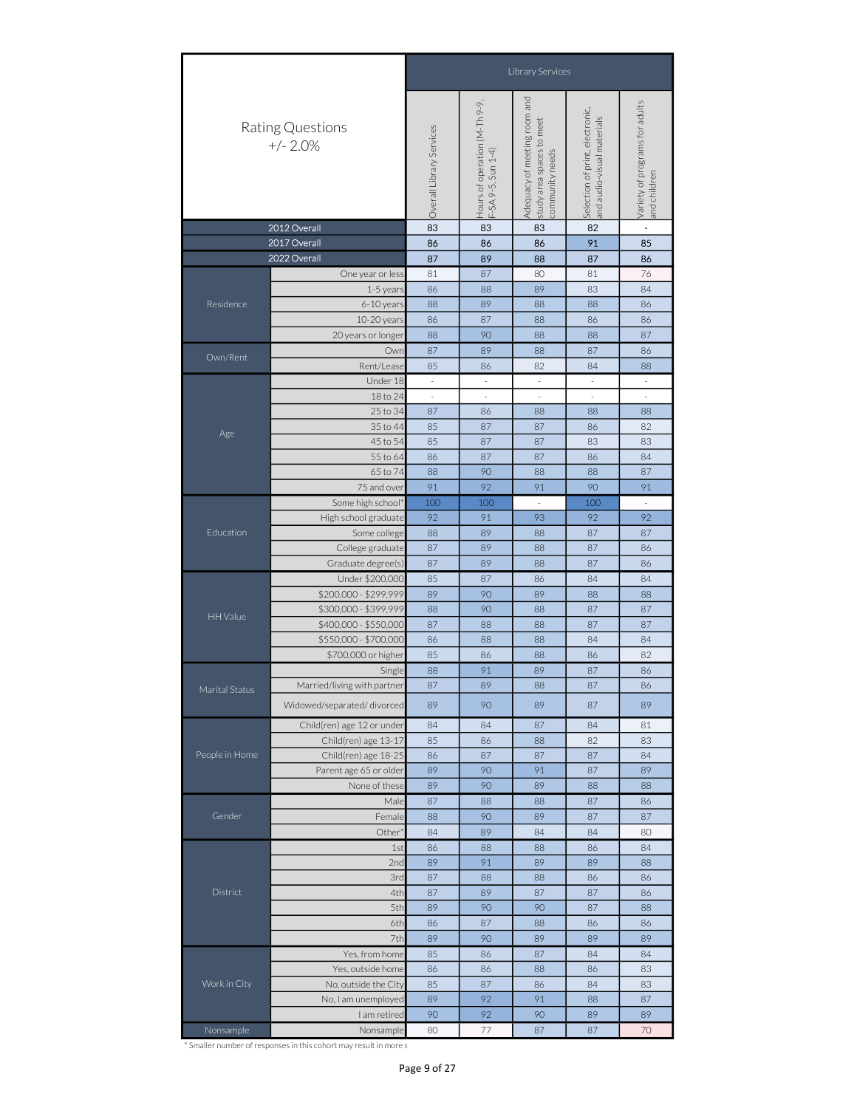|                |                                | Library Services<br>and<br>Hours of operation (M-Th 9-9,<br>F-SA 9-5, Sun 1-4)<br>Variety of programs for adults<br>and children<br>Selection of print, electronic,<br>and audio-visual materials<br>Adequacy of meeting room<br>study area spaces to meet<br>Overall Library Services<br>community needs<br>83<br>2012 Overall<br>83<br>82<br>83<br>$\blacksquare$<br>86<br>86<br>86<br>91<br>85<br>87<br>89<br>88<br>87<br>86<br>87<br>80<br>81<br>76<br>One year or less<br>81<br>89<br>84<br>86<br>88<br>83<br>1-5 years<br>88<br>89<br>6-10 years<br>88<br>88<br>86<br>10-20 years<br>86<br>87<br>88<br>86<br>86<br>90<br>87<br>20 years or longer<br>88<br>88<br>88<br>87<br>89<br>87<br>Owr<br>88<br>86<br>Rent/Lease<br>85<br>82<br>84<br>86<br>88<br>Under 18<br>$\overline{\phantom{a}}$<br>$\overline{\phantom{a}}$<br>$\overline{\phantom{a}}$<br>$\overline{\phantom{a}}$<br>$\overline{\phantom{a}}$<br>18 to 24<br>$\overline{\phantom{a}}$<br>$\overline{\phantom{a}}$<br>÷,<br>$\overline{\phantom{a}}$<br>$\overline{\phantom{a}}$<br>25 to 34<br>87<br>86<br>88<br>88<br>88<br>35 to 44<br>85<br>87<br>87<br>86<br>82<br>45 to 54<br>85<br>87<br>87<br>83<br>83<br>55 to 64<br>86<br>87<br>87<br>84<br>86<br>90<br>87<br>65 to 74<br>88<br>88<br>88<br>91<br>92<br>91<br>91<br>75 and over<br>90<br>Some high school<br>100<br>100<br>100<br>÷,<br>93<br>92<br>92<br>91<br>92<br>High school graduate<br>Some college<br>88<br>89<br>88<br>87<br>87<br>College graduate<br>87<br>89<br>88<br>87<br>86<br>Graduate degree(s)<br>87<br>89<br>88<br>87<br>86<br>Under \$200,000<br>85<br>87<br>86<br>84<br>84<br>\$200,000 - \$299,999<br>89<br>90<br>89<br>88<br>88<br>\$300,000 - \$399,999<br>88<br>90<br>88<br>87<br>87<br>87<br>\$400,000 - \$550,000<br>88<br>88<br>87<br>87<br>\$550,000 - \$700,000<br>86<br>88<br>88<br>84<br>84<br>\$700,000 or higher<br>85<br>86<br>86<br>82<br>88<br>88<br>91<br>89<br>87<br>86<br>Single<br>89<br>87<br>88<br>87<br>86<br>89<br>89<br>89<br>90<br>87<br>Child(ren) age 12 or under<br>84<br>84<br>87<br>84<br>81<br>Child(ren) age 13-17<br>85<br>88<br>82<br>83<br>86<br>Child(ren) age 18-25<br>87<br>87<br>87<br>84<br>86 |  |  |  |  |  |  |  |  |
|----------------|--------------------------------|--------------------------------------------------------------------------------------------------------------------------------------------------------------------------------------------------------------------------------------------------------------------------------------------------------------------------------------------------------------------------------------------------------------------------------------------------------------------------------------------------------------------------------------------------------------------------------------------------------------------------------------------------------------------------------------------------------------------------------------------------------------------------------------------------------------------------------------------------------------------------------------------------------------------------------------------------------------------------------------------------------------------------------------------------------------------------------------------------------------------------------------------------------------------------------------------------------------------------------------------------------------------------------------------------------------------------------------------------------------------------------------------------------------------------------------------------------------------------------------------------------------------------------------------------------------------------------------------------------------------------------------------------------------------------------------------------------------------------------------------------------------------------------------------------------------------------------------------------------------------------------------------------------------------------------------------------------------------------------------------------------------------------------------------------------------------------------------------------------------------------------------------------------------------------------------------|--|--|--|--|--|--|--|--|
|                | Rating Questions<br>$+/- 2.0%$ |                                                                                                                                                                                                                                                                                                                                                                                                                                                                                                                                                                                                                                                                                                                                                                                                                                                                                                                                                                                                                                                                                                                                                                                                                                                                                                                                                                                                                                                                                                                                                                                                                                                                                                                                                                                                                                                                                                                                                                                                                                                                                                                                                                                            |  |  |  |  |  |  |  |  |
|                |                                |                                                                                                                                                                                                                                                                                                                                                                                                                                                                                                                                                                                                                                                                                                                                                                                                                                                                                                                                                                                                                                                                                                                                                                                                                                                                                                                                                                                                                                                                                                                                                                                                                                                                                                                                                                                                                                                                                                                                                                                                                                                                                                                                                                                            |  |  |  |  |  |  |  |  |
| 2017 Overall   |                                |                                                                                                                                                                                                                                                                                                                                                                                                                                                                                                                                                                                                                                                                                                                                                                                                                                                                                                                                                                                                                                                                                                                                                                                                                                                                                                                                                                                                                                                                                                                                                                                                                                                                                                                                                                                                                                                                                                                                                                                                                                                                                                                                                                                            |  |  |  |  |  |  |  |  |
|                | 2022 Overall                   |                                                                                                                                                                                                                                                                                                                                                                                                                                                                                                                                                                                                                                                                                                                                                                                                                                                                                                                                                                                                                                                                                                                                                                                                                                                                                                                                                                                                                                                                                                                                                                                                                                                                                                                                                                                                                                                                                                                                                                                                                                                                                                                                                                                            |  |  |  |  |  |  |  |  |
|                |                                |                                                                                                                                                                                                                                                                                                                                                                                                                                                                                                                                                                                                                                                                                                                                                                                                                                                                                                                                                                                                                                                                                                                                                                                                                                                                                                                                                                                                                                                                                                                                                                                                                                                                                                                                                                                                                                                                                                                                                                                                                                                                                                                                                                                            |  |  |  |  |  |  |  |  |
|                |                                |                                                                                                                                                                                                                                                                                                                                                                                                                                                                                                                                                                                                                                                                                                                                                                                                                                                                                                                                                                                                                                                                                                                                                                                                                                                                                                                                                                                                                                                                                                                                                                                                                                                                                                                                                                                                                                                                                                                                                                                                                                                                                                                                                                                            |  |  |  |  |  |  |  |  |
| Residence      |                                |                                                                                                                                                                                                                                                                                                                                                                                                                                                                                                                                                                                                                                                                                                                                                                                                                                                                                                                                                                                                                                                                                                                                                                                                                                                                                                                                                                                                                                                                                                                                                                                                                                                                                                                                                                                                                                                                                                                                                                                                                                                                                                                                                                                            |  |  |  |  |  |  |  |  |
|                |                                |                                                                                                                                                                                                                                                                                                                                                                                                                                                                                                                                                                                                                                                                                                                                                                                                                                                                                                                                                                                                                                                                                                                                                                                                                                                                                                                                                                                                                                                                                                                                                                                                                                                                                                                                                                                                                                                                                                                                                                                                                                                                                                                                                                                            |  |  |  |  |  |  |  |  |
|                |                                | 91<br>89<br>89<br>90<br>87<br>89<br>90<br>89<br>88<br>88<br>87<br>88<br>88<br>87<br>86<br>88<br>90<br>89<br>87<br>87<br>84<br>89<br>84<br>84<br>80<br>86<br>88<br>84<br>88<br>86<br>89<br>91<br>89<br>89<br>88<br>87<br>88<br>88<br>86<br>86<br>87<br>87<br>89<br>87<br>86<br>90<br>89<br>90<br>87<br>88<br>87<br>86<br>86<br>88<br>86<br>90<br>89<br>89<br>89<br>89<br>85<br>86<br>87<br>84<br>84<br>86<br>86<br>88<br>86<br>83<br>85<br>87<br>86<br>84<br>83<br>92<br>91<br>87<br>89<br>88<br>90<br>89<br>90<br>92<br>89<br>87<br>80<br>77<br>87<br>70                                                                                                                                                                                                                                                                                                                                                                                                                                                                                                                                                                                                                                                                                                                                                                                                                                                                                                                                                                                                                                                                                                                                                                                                                                                                                                                                                                                                                                                                                                                                                                                                                                   |  |  |  |  |  |  |  |  |
| Own/Rent       |                                |                                                                                                                                                                                                                                                                                                                                                                                                                                                                                                                                                                                                                                                                                                                                                                                                                                                                                                                                                                                                                                                                                                                                                                                                                                                                                                                                                                                                                                                                                                                                                                                                                                                                                                                                                                                                                                                                                                                                                                                                                                                                                                                                                                                            |  |  |  |  |  |  |  |  |
|                |                                |                                                                                                                                                                                                                                                                                                                                                                                                                                                                                                                                                                                                                                                                                                                                                                                                                                                                                                                                                                                                                                                                                                                                                                                                                                                                                                                                                                                                                                                                                                                                                                                                                                                                                                                                                                                                                                                                                                                                                                                                                                                                                                                                                                                            |  |  |  |  |  |  |  |  |
|                |                                |                                                                                                                                                                                                                                                                                                                                                                                                                                                                                                                                                                                                                                                                                                                                                                                                                                                                                                                                                                                                                                                                                                                                                                                                                                                                                                                                                                                                                                                                                                                                                                                                                                                                                                                                                                                                                                                                                                                                                                                                                                                                                                                                                                                            |  |  |  |  |  |  |  |  |
|                |                                |                                                                                                                                                                                                                                                                                                                                                                                                                                                                                                                                                                                                                                                                                                                                                                                                                                                                                                                                                                                                                                                                                                                                                                                                                                                                                                                                                                                                                                                                                                                                                                                                                                                                                                                                                                                                                                                                                                                                                                                                                                                                                                                                                                                            |  |  |  |  |  |  |  |  |
|                |                                |                                                                                                                                                                                                                                                                                                                                                                                                                                                                                                                                                                                                                                                                                                                                                                                                                                                                                                                                                                                                                                                                                                                                                                                                                                                                                                                                                                                                                                                                                                                                                                                                                                                                                                                                                                                                                                                                                                                                                                                                                                                                                                                                                                                            |  |  |  |  |  |  |  |  |
| Age            |                                |                                                                                                                                                                                                                                                                                                                                                                                                                                                                                                                                                                                                                                                                                                                                                                                                                                                                                                                                                                                                                                                                                                                                                                                                                                                                                                                                                                                                                                                                                                                                                                                                                                                                                                                                                                                                                                                                                                                                                                                                                                                                                                                                                                                            |  |  |  |  |  |  |  |  |
|                |                                |                                                                                                                                                                                                                                                                                                                                                                                                                                                                                                                                                                                                                                                                                                                                                                                                                                                                                                                                                                                                                                                                                                                                                                                                                                                                                                                                                                                                                                                                                                                                                                                                                                                                                                                                                                                                                                                                                                                                                                                                                                                                                                                                                                                            |  |  |  |  |  |  |  |  |
|                |                                |                                                                                                                                                                                                                                                                                                                                                                                                                                                                                                                                                                                                                                                                                                                                                                                                                                                                                                                                                                                                                                                                                                                                                                                                                                                                                                                                                                                                                                                                                                                                                                                                                                                                                                                                                                                                                                                                                                                                                                                                                                                                                                                                                                                            |  |  |  |  |  |  |  |  |
|                |                                |                                                                                                                                                                                                                                                                                                                                                                                                                                                                                                                                                                                                                                                                                                                                                                                                                                                                                                                                                                                                                                                                                                                                                                                                                                                                                                                                                                                                                                                                                                                                                                                                                                                                                                                                                                                                                                                                                                                                                                                                                                                                                                                                                                                            |  |  |  |  |  |  |  |  |
|                |                                |                                                                                                                                                                                                                                                                                                                                                                                                                                                                                                                                                                                                                                                                                                                                                                                                                                                                                                                                                                                                                                                                                                                                                                                                                                                                                                                                                                                                                                                                                                                                                                                                                                                                                                                                                                                                                                                                                                                                                                                                                                                                                                                                                                                            |  |  |  |  |  |  |  |  |
|                |                                |                                                                                                                                                                                                                                                                                                                                                                                                                                                                                                                                                                                                                                                                                                                                                                                                                                                                                                                                                                                                                                                                                                                                                                                                                                                                                                                                                                                                                                                                                                                                                                                                                                                                                                                                                                                                                                                                                                                                                                                                                                                                                                                                                                                            |  |  |  |  |  |  |  |  |
| Education      |                                | Male<br>Female<br>Other<br>1st<br>2nc<br>3rd<br>4th<br>5th<br>6th<br>7th                                                                                                                                                                                                                                                                                                                                                                                                                                                                                                                                                                                                                                                                                                                                                                                                                                                                                                                                                                                                                                                                                                                                                                                                                                                                                                                                                                                                                                                                                                                                                                                                                                                                                                                                                                                                                                                                                                                                                                                                                                                                                                                   |  |  |  |  |  |  |  |  |
|                |                                |                                                                                                                                                                                                                                                                                                                                                                                                                                                                                                                                                                                                                                                                                                                                                                                                                                                                                                                                                                                                                                                                                                                                                                                                                                                                                                                                                                                                                                                                                                                                                                                                                                                                                                                                                                                                                                                                                                                                                                                                                                                                                                                                                                                            |  |  |  |  |  |  |  |  |
|                |                                |                                                                                                                                                                                                                                                                                                                                                                                                                                                                                                                                                                                                                                                                                                                                                                                                                                                                                                                                                                                                                                                                                                                                                                                                                                                                                                                                                                                                                                                                                                                                                                                                                                                                                                                                                                                                                                                                                                                                                                                                                                                                                                                                                                                            |  |  |  |  |  |  |  |  |
|                |                                |                                                                                                                                                                                                                                                                                                                                                                                                                                                                                                                                                                                                                                                                                                                                                                                                                                                                                                                                                                                                                                                                                                                                                                                                                                                                                                                                                                                                                                                                                                                                                                                                                                                                                                                                                                                                                                                                                                                                                                                                                                                                                                                                                                                            |  |  |  |  |  |  |  |  |
|                |                                |                                                                                                                                                                                                                                                                                                                                                                                                                                                                                                                                                                                                                                                                                                                                                                                                                                                                                                                                                                                                                                                                                                                                                                                                                                                                                                                                                                                                                                                                                                                                                                                                                                                                                                                                                                                                                                                                                                                                                                                                                                                                                                                                                                                            |  |  |  |  |  |  |  |  |
|                |                                |                                                                                                                                                                                                                                                                                                                                                                                                                                                                                                                                                                                                                                                                                                                                                                                                                                                                                                                                                                                                                                                                                                                                                                                                                                                                                                                                                                                                                                                                                                                                                                                                                                                                                                                                                                                                                                                                                                                                                                                                                                                                                                                                                                                            |  |  |  |  |  |  |  |  |
| HH Value       |                                |                                                                                                                                                                                                                                                                                                                                                                                                                                                                                                                                                                                                                                                                                                                                                                                                                                                                                                                                                                                                                                                                                                                                                                                                                                                                                                                                                                                                                                                                                                                                                                                                                                                                                                                                                                                                                                                                                                                                                                                                                                                                                                                                                                                            |  |  |  |  |  |  |  |  |
|                |                                |                                                                                                                                                                                                                                                                                                                                                                                                                                                                                                                                                                                                                                                                                                                                                                                                                                                                                                                                                                                                                                                                                                                                                                                                                                                                                                                                                                                                                                                                                                                                                                                                                                                                                                                                                                                                                                                                                                                                                                                                                                                                                                                                                                                            |  |  |  |  |  |  |  |  |
|                |                                |                                                                                                                                                                                                                                                                                                                                                                                                                                                                                                                                                                                                                                                                                                                                                                                                                                                                                                                                                                                                                                                                                                                                                                                                                                                                                                                                                                                                                                                                                                                                                                                                                                                                                                                                                                                                                                                                                                                                                                                                                                                                                                                                                                                            |  |  |  |  |  |  |  |  |
|                |                                |                                                                                                                                                                                                                                                                                                                                                                                                                                                                                                                                                                                                                                                                                                                                                                                                                                                                                                                                                                                                                                                                                                                                                                                                                                                                                                                                                                                                                                                                                                                                                                                                                                                                                                                                                                                                                                                                                                                                                                                                                                                                                                                                                                                            |  |  |  |  |  |  |  |  |
| Marital Status | Married/living with partner    |                                                                                                                                                                                                                                                                                                                                                                                                                                                                                                                                                                                                                                                                                                                                                                                                                                                                                                                                                                                                                                                                                                                                                                                                                                                                                                                                                                                                                                                                                                                                                                                                                                                                                                                                                                                                                                                                                                                                                                                                                                                                                                                                                                                            |  |  |  |  |  |  |  |  |
|                | Widowed/separated/divorced     |                                                                                                                                                                                                                                                                                                                                                                                                                                                                                                                                                                                                                                                                                                                                                                                                                                                                                                                                                                                                                                                                                                                                                                                                                                                                                                                                                                                                                                                                                                                                                                                                                                                                                                                                                                                                                                                                                                                                                                                                                                                                                                                                                                                            |  |  |  |  |  |  |  |  |
|                |                                |                                                                                                                                                                                                                                                                                                                                                                                                                                                                                                                                                                                                                                                                                                                                                                                                                                                                                                                                                                                                                                                                                                                                                                                                                                                                                                                                                                                                                                                                                                                                                                                                                                                                                                                                                                                                                                                                                                                                                                                                                                                                                                                                                                                            |  |  |  |  |  |  |  |  |
|                |                                |                                                                                                                                                                                                                                                                                                                                                                                                                                                                                                                                                                                                                                                                                                                                                                                                                                                                                                                                                                                                                                                                                                                                                                                                                                                                                                                                                                                                                                                                                                                                                                                                                                                                                                                                                                                                                                                                                                                                                                                                                                                                                                                                                                                            |  |  |  |  |  |  |  |  |
| People in Home |                                |                                                                                                                                                                                                                                                                                                                                                                                                                                                                                                                                                                                                                                                                                                                                                                                                                                                                                                                                                                                                                                                                                                                                                                                                                                                                                                                                                                                                                                                                                                                                                                                                                                                                                                                                                                                                                                                                                                                                                                                                                                                                                                                                                                                            |  |  |  |  |  |  |  |  |
|                | Parent age 65 or older         |                                                                                                                                                                                                                                                                                                                                                                                                                                                                                                                                                                                                                                                                                                                                                                                                                                                                                                                                                                                                                                                                                                                                                                                                                                                                                                                                                                                                                                                                                                                                                                                                                                                                                                                                                                                                                                                                                                                                                                                                                                                                                                                                                                                            |  |  |  |  |  |  |  |  |
|                | None of these                  |                                                                                                                                                                                                                                                                                                                                                                                                                                                                                                                                                                                                                                                                                                                                                                                                                                                                                                                                                                                                                                                                                                                                                                                                                                                                                                                                                                                                                                                                                                                                                                                                                                                                                                                                                                                                                                                                                                                                                                                                                                                                                                                                                                                            |  |  |  |  |  |  |  |  |
|                |                                |                                                                                                                                                                                                                                                                                                                                                                                                                                                                                                                                                                                                                                                                                                                                                                                                                                                                                                                                                                                                                                                                                                                                                                                                                                                                                                                                                                                                                                                                                                                                                                                                                                                                                                                                                                                                                                                                                                                                                                                                                                                                                                                                                                                            |  |  |  |  |  |  |  |  |
| Gender         |                                |                                                                                                                                                                                                                                                                                                                                                                                                                                                                                                                                                                                                                                                                                                                                                                                                                                                                                                                                                                                                                                                                                                                                                                                                                                                                                                                                                                                                                                                                                                                                                                                                                                                                                                                                                                                                                                                                                                                                                                                                                                                                                                                                                                                            |  |  |  |  |  |  |  |  |
|                |                                |                                                                                                                                                                                                                                                                                                                                                                                                                                                                                                                                                                                                                                                                                                                                                                                                                                                                                                                                                                                                                                                                                                                                                                                                                                                                                                                                                                                                                                                                                                                                                                                                                                                                                                                                                                                                                                                                                                                                                                                                                                                                                                                                                                                            |  |  |  |  |  |  |  |  |
|                |                                |                                                                                                                                                                                                                                                                                                                                                                                                                                                                                                                                                                                                                                                                                                                                                                                                                                                                                                                                                                                                                                                                                                                                                                                                                                                                                                                                                                                                                                                                                                                                                                                                                                                                                                                                                                                                                                                                                                                                                                                                                                                                                                                                                                                            |  |  |  |  |  |  |  |  |
|                |                                |                                                                                                                                                                                                                                                                                                                                                                                                                                                                                                                                                                                                                                                                                                                                                                                                                                                                                                                                                                                                                                                                                                                                                                                                                                                                                                                                                                                                                                                                                                                                                                                                                                                                                                                                                                                                                                                                                                                                                                                                                                                                                                                                                                                            |  |  |  |  |  |  |  |  |
|                |                                |                                                                                                                                                                                                                                                                                                                                                                                                                                                                                                                                                                                                                                                                                                                                                                                                                                                                                                                                                                                                                                                                                                                                                                                                                                                                                                                                                                                                                                                                                                                                                                                                                                                                                                                                                                                                                                                                                                                                                                                                                                                                                                                                                                                            |  |  |  |  |  |  |  |  |
| District       |                                |                                                                                                                                                                                                                                                                                                                                                                                                                                                                                                                                                                                                                                                                                                                                                                                                                                                                                                                                                                                                                                                                                                                                                                                                                                                                                                                                                                                                                                                                                                                                                                                                                                                                                                                                                                                                                                                                                                                                                                                                                                                                                                                                                                                            |  |  |  |  |  |  |  |  |
|                |                                |                                                                                                                                                                                                                                                                                                                                                                                                                                                                                                                                                                                                                                                                                                                                                                                                                                                                                                                                                                                                                                                                                                                                                                                                                                                                                                                                                                                                                                                                                                                                                                                                                                                                                                                                                                                                                                                                                                                                                                                                                                                                                                                                                                                            |  |  |  |  |  |  |  |  |
|                |                                | I am retired<br>Nonsample                                                                                                                                                                                                                                                                                                                                                                                                                                                                                                                                                                                                                                                                                                                                                                                                                                                                                                                                                                                                                                                                                                                                                                                                                                                                                                                                                                                                                                                                                                                                                                                                                                                                                                                                                                                                                                                                                                                                                                                                                                                                                                                                                                  |  |  |  |  |  |  |  |  |
|                |                                |                                                                                                                                                                                                                                                                                                                                                                                                                                                                                                                                                                                                                                                                                                                                                                                                                                                                                                                                                                                                                                                                                                                                                                                                                                                                                                                                                                                                                                                                                                                                                                                                                                                                                                                                                                                                                                                                                                                                                                                                                                                                                                                                                                                            |  |  |  |  |  |  |  |  |
|                | Yes, from home                 |                                                                                                                                                                                                                                                                                                                                                                                                                                                                                                                                                                                                                                                                                                                                                                                                                                                                                                                                                                                                                                                                                                                                                                                                                                                                                                                                                                                                                                                                                                                                                                                                                                                                                                                                                                                                                                                                                                                                                                                                                                                                                                                                                                                            |  |  |  |  |  |  |  |  |
|                | Yes, outside home              |                                                                                                                                                                                                                                                                                                                                                                                                                                                                                                                                                                                                                                                                                                                                                                                                                                                                                                                                                                                                                                                                                                                                                                                                                                                                                                                                                                                                                                                                                                                                                                                                                                                                                                                                                                                                                                                                                                                                                                                                                                                                                                                                                                                            |  |  |  |  |  |  |  |  |
| Work in City   | No, outside the City           |                                                                                                                                                                                                                                                                                                                                                                                                                                                                                                                                                                                                                                                                                                                                                                                                                                                                                                                                                                                                                                                                                                                                                                                                                                                                                                                                                                                                                                                                                                                                                                                                                                                                                                                                                                                                                                                                                                                                                                                                                                                                                                                                                                                            |  |  |  |  |  |  |  |  |
|                | No, I am unemployed            |                                                                                                                                                                                                                                                                                                                                                                                                                                                                                                                                                                                                                                                                                                                                                                                                                                                                                                                                                                                                                                                                                                                                                                                                                                                                                                                                                                                                                                                                                                                                                                                                                                                                                                                                                                                                                                                                                                                                                                                                                                                                                                                                                                                            |  |  |  |  |  |  |  |  |
|                |                                |                                                                                                                                                                                                                                                                                                                                                                                                                                                                                                                                                                                                                                                                                                                                                                                                                                                                                                                                                                                                                                                                                                                                                                                                                                                                                                                                                                                                                                                                                                                                                                                                                                                                                                                                                                                                                                                                                                                                                                                                                                                                                                                                                                                            |  |  |  |  |  |  |  |  |
| Nonsample      |                                |                                                                                                                                                                                                                                                                                                                                                                                                                                                                                                                                                                                                                                                                                                                                                                                                                                                                                                                                                                                                                                                                                                                                                                                                                                                                                                                                                                                                                                                                                                                                                                                                                                                                                                                                                                                                                                                                                                                                                                                                                                                                                                                                                                                            |  |  |  |  |  |  |  |  |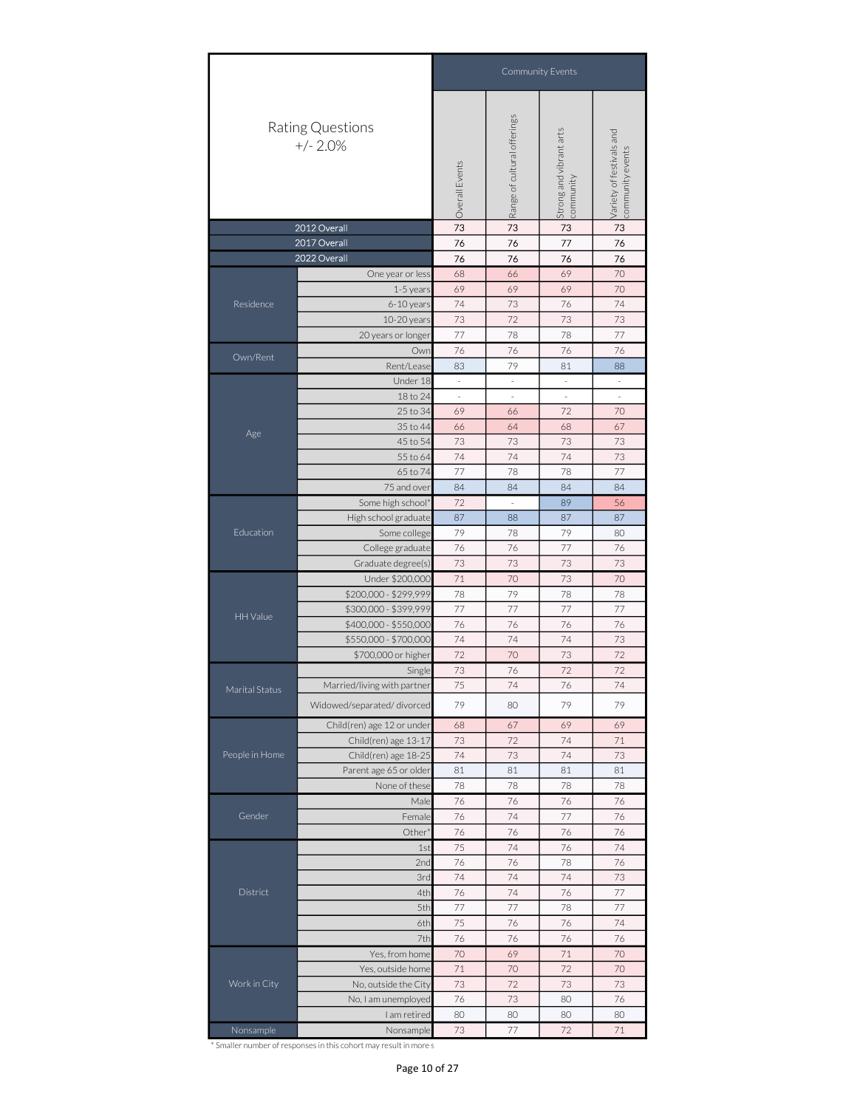|                                                                                                                                                                                                                                                                                                                                                                                                                                                                                                                                                                                                                                                                                                                                                                                                                                                                                                                                                                                                                          | Rating Questions<br>$+/- 2.0%$                                                                                                                      |                                                                                                                                                                                                                                                                                                                                                                                                                                                                                               |                          | Strong and vibrant arts<br>community | Variety of festivals and<br>community events |
|--------------------------------------------------------------------------------------------------------------------------------------------------------------------------------------------------------------------------------------------------------------------------------------------------------------------------------------------------------------------------------------------------------------------------------------------------------------------------------------------------------------------------------------------------------------------------------------------------------------------------------------------------------------------------------------------------------------------------------------------------------------------------------------------------------------------------------------------------------------------------------------------------------------------------------------------------------------------------------------------------------------------------|-----------------------------------------------------------------------------------------------------------------------------------------------------|-----------------------------------------------------------------------------------------------------------------------------------------------------------------------------------------------------------------------------------------------------------------------------------------------------------------------------------------------------------------------------------------------------------------------------------------------------------------------------------------------|--------------------------|--------------------------------------|----------------------------------------------|
|                                                                                                                                                                                                                                                                                                                                                                                                                                                                                                                                                                                                                                                                                                                                                                                                                                                                                                                                                                                                                          | 2012 Overall                                                                                                                                        | 73                                                                                                                                                                                                                                                                                                                                                                                                                                                                                            | 73                       | 73                                   | 73                                           |
|                                                                                                                                                                                                                                                                                                                                                                                                                                                                                                                                                                                                                                                                                                                                                                                                                                                                                                                                                                                                                          | 2017 Overall<br>2022 Overall                                                                                                                        |                                                                                                                                                                                                                                                                                                                                                                                                                                                                                               |                          |                                      |                                              |
|                                                                                                                                                                                                                                                                                                                                                                                                                                                                                                                                                                                                                                                                                                                                                                                                                                                                                                                                                                                                                          |                                                                                                                                                     |                                                                                                                                                                                                                                                                                                                                                                                                                                                                                               |                          |                                      |                                              |
|                                                                                                                                                                                                                                                                                                                                                                                                                                                                                                                                                                                                                                                                                                                                                                                                                                                                                                                                                                                                                          |                                                                                                                                                     |                                                                                                                                                                                                                                                                                                                                                                                                                                                                                               | 69                       | 69                                   | 70                                           |
| Residence                                                                                                                                                                                                                                                                                                                                                                                                                                                                                                                                                                                                                                                                                                                                                                                                                                                                                                                                                                                                                | 6-10 years                                                                                                                                          | 74                                                                                                                                                                                                                                                                                                                                                                                                                                                                                            | 73                       | 76                                   | 74                                           |
|                                                                                                                                                                                                                                                                                                                                                                                                                                                                                                                                                                                                                                                                                                                                                                                                                                                                                                                                                                                                                          | 10-20 years                                                                                                                                         | 73                                                                                                                                                                                                                                                                                                                                                                                                                                                                                            | 72                       | 73                                   | 73                                           |
|                                                                                                                                                                                                                                                                                                                                                                                                                                                                                                                                                                                                                                                                                                                                                                                                                                                                                                                                                                                                                          | 20 years or longer                                                                                                                                  | 77                                                                                                                                                                                                                                                                                                                                                                                                                                                                                            | 78                       | 78                                   | 77                                           |
|                                                                                                                                                                                                                                                                                                                                                                                                                                                                                                                                                                                                                                                                                                                                                                                                                                                                                                                                                                                                                          | Own                                                                                                                                                 | 76                                                                                                                                                                                                                                                                                                                                                                                                                                                                                            | 76                       | 76                                   |                                              |
|                                                                                                                                                                                                                                                                                                                                                                                                                                                                                                                                                                                                                                                                                                                                                                                                                                                                                                                                                                                                                          | Rent/Lease                                                                                                                                          | 83                                                                                                                                                                                                                                                                                                                                                                                                                                                                                            | 79                       | 81                                   | 88                                           |
|                                                                                                                                                                                                                                                                                                                                                                                                                                                                                                                                                                                                                                                                                                                                                                                                                                                                                                                                                                                                                          | Under 18                                                                                                                                            | $\overline{\phantom{a}}$                                                                                                                                                                                                                                                                                                                                                                                                                                                                      | $\overline{\phantom{a}}$ | $\overline{\phantom{a}}$             | $\overline{\phantom{a}}$                     |
|                                                                                                                                                                                                                                                                                                                                                                                                                                                                                                                                                                                                                                                                                                                                                                                                                                                                                                                                                                                                                          |                                                                                                                                                     |                                                                                                                                                                                                                                                                                                                                                                                                                                                                                               |                          | $\overline{\phantom{a}}$             | ä,                                           |
|                                                                                                                                                                                                                                                                                                                                                                                                                                                                                                                                                                                                                                                                                                                                                                                                                                                                                                                                                                                                                          |                                                                                                                                                     |                                                                                                                                                                                                                                                                                                                                                                                                                                                                                               |                          |                                      |                                              |
| Age                                                                                                                                                                                                                                                                                                                                                                                                                                                                                                                                                                                                                                                                                                                                                                                                                                                                                                                                                                                                                      |                                                                                                                                                     |                                                                                                                                                                                                                                                                                                                                                                                                                                                                                               |                          |                                      |                                              |
|                                                                                                                                                                                                                                                                                                                                                                                                                                                                                                                                                                                                                                                                                                                                                                                                                                                                                                                                                                                                                          |                                                                                                                                                     |                                                                                                                                                                                                                                                                                                                                                                                                                                                                                               |                          |                                      |                                              |
| 69<br>70<br>68<br>66<br>One year or less<br>69<br>1-5 years<br>76<br>Own/Rent<br>18 to 24<br>$\overline{\phantom{a}}$<br>$\bar{z}$<br>72<br>25 to 34<br>69<br>70<br>66<br>35 to 44<br>66<br>64<br>68<br>67<br>45 to 54<br>73<br>73<br>73<br>73<br>74<br>74<br>74<br>73<br>55 to 64<br>77<br>77<br>65 to 74<br>78<br>78<br>75 and over<br>84<br>84<br>84<br>84<br>72<br>89<br>56<br>Some high school*<br>High school graduate<br>87<br>88<br>87<br>87<br>Education<br>79<br>79<br>Some college<br>78<br>80<br>77<br>College graduate<br>76<br>76<br>76<br>73<br>73<br>73<br>73<br>Graduate degree(s)<br>Under \$200,000<br>71<br>70<br>73<br>70<br>\$200,000 - \$299,999<br>78<br>79<br>78<br>78<br>\$300,000 - \$399,999<br>77<br>77<br>77<br>77<br>HH Value<br>76<br>76<br>76<br>76<br>\$400,000 - \$550,000<br>\$550,000 - \$700,000<br>74<br>74<br>74<br>73<br>\$700,000 or higher<br>72<br>70<br>73<br>72<br>72<br>73<br>76<br>72<br>Single<br>Married/living with partner<br>74<br>76<br>74<br>75<br>Marital Status |                                                                                                                                                     |                                                                                                                                                                                                                                                                                                                                                                                                                                                                                               |                          |                                      |                                              |
|                                                                                                                                                                                                                                                                                                                                                                                                                                                                                                                                                                                                                                                                                                                                                                                                                                                                                                                                                                                                                          |                                                                                                                                                     | Range of cultural offerings<br>Overall Events<br>76<br>76<br>77<br>76<br>76<br>76<br>79<br>79<br>80<br>69<br>68<br>67<br>74<br>73<br>72<br>74<br>73<br>74<br>81<br>81<br>81<br>78<br>78<br>78<br>76<br>76<br>76<br>77<br>76<br>74<br>76<br>76<br>76<br>75<br>74<br>76<br>76<br>76<br>78<br>74<br>74<br>74<br>76<br>74<br>76<br>77<br>77<br>78<br>75<br>76<br>76<br>76<br>76<br>76<br>70<br>71<br>69<br>71<br>70<br>72<br>73<br>72<br>73<br>76<br>73<br>80<br>80<br>80<br>80<br>73<br>77<br>72 |                          |                                      |                                              |
|                                                                                                                                                                                                                                                                                                                                                                                                                                                                                                                                                                                                                                                                                                                                                                                                                                                                                                                                                                                                                          |                                                                                                                                                     |                                                                                                                                                                                                                                                                                                                                                                                                                                                                                               |                          |                                      |                                              |
|                                                                                                                                                                                                                                                                                                                                                                                                                                                                                                                                                                                                                                                                                                                                                                                                                                                                                                                                                                                                                          |                                                                                                                                                     | Community Events<br>76<br>76<br>79<br>69<br>71<br>73<br>81<br>78<br>76<br>Male<br>76<br>76<br>74<br>1st<br>76<br>2nd<br>3rd<br>73<br>77<br>4th<br>5th<br>77<br>74<br>6th<br>7th<br>76<br>70<br>70<br>73<br>76<br>80<br>$71\,$                                                                                                                                                                                                                                                                 |                          |                                      |                                              |
|                                                                                                                                                                                                                                                                                                                                                                                                                                                                                                                                                                                                                                                                                                                                                                                                                                                                                                                                                                                                                          |                                                                                                                                                     |                                                                                                                                                                                                                                                                                                                                                                                                                                                                                               |                          |                                      |                                              |
|                                                                                                                                                                                                                                                                                                                                                                                                                                                                                                                                                                                                                                                                                                                                                                                                                                                                                                                                                                                                                          | Widowed/separated/divorced<br>Child(ren) age 12 or under<br>Child(ren) age 13-17<br>Child(ren) age 18-25<br>Parent age 65 or older<br>None of these |                                                                                                                                                                                                                                                                                                                                                                                                                                                                                               |                          |                                      |                                              |
|                                                                                                                                                                                                                                                                                                                                                                                                                                                                                                                                                                                                                                                                                                                                                                                                                                                                                                                                                                                                                          |                                                                                                                                                     |                                                                                                                                                                                                                                                                                                                                                                                                                                                                                               |                          |                                      |                                              |
|                                                                                                                                                                                                                                                                                                                                                                                                                                                                                                                                                                                                                                                                                                                                                                                                                                                                                                                                                                                                                          |                                                                                                                                                     |                                                                                                                                                                                                                                                                                                                                                                                                                                                                                               |                          |                                      |                                              |
|                                                                                                                                                                                                                                                                                                                                                                                                                                                                                                                                                                                                                                                                                                                                                                                                                                                                                                                                                                                                                          |                                                                                                                                                     |                                                                                                                                                                                                                                                                                                                                                                                                                                                                                               |                          |                                      |                                              |
|                                                                                                                                                                                                                                                                                                                                                                                                                                                                                                                                                                                                                                                                                                                                                                                                                                                                                                                                                                                                                          |                                                                                                                                                     |                                                                                                                                                                                                                                                                                                                                                                                                                                                                                               |                          |                                      |                                              |
|                                                                                                                                                                                                                                                                                                                                                                                                                                                                                                                                                                                                                                                                                                                                                                                                                                                                                                                                                                                                                          |                                                                                                                                                     |                                                                                                                                                                                                                                                                                                                                                                                                                                                                                               |                          |                                      |                                              |
|                                                                                                                                                                                                                                                                                                                                                                                                                                                                                                                                                                                                                                                                                                                                                                                                                                                                                                                                                                                                                          |                                                                                                                                                     |                                                                                                                                                                                                                                                                                                                                                                                                                                                                                               |                          |                                      |                                              |
|                                                                                                                                                                                                                                                                                                                                                                                                                                                                                                                                                                                                                                                                                                                                                                                                                                                                                                                                                                                                                          |                                                                                                                                                     |                                                                                                                                                                                                                                                                                                                                                                                                                                                                                               |                          |                                      |                                              |
|                                                                                                                                                                                                                                                                                                                                                                                                                                                                                                                                                                                                                                                                                                                                                                                                                                                                                                                                                                                                                          |                                                                                                                                                     |                                                                                                                                                                                                                                                                                                                                                                                                                                                                                               |                          |                                      |                                              |
|                                                                                                                                                                                                                                                                                                                                                                                                                                                                                                                                                                                                                                                                                                                                                                                                                                                                                                                                                                                                                          |                                                                                                                                                     | Female                                                                                                                                                                                                                                                                                                                                                                                                                                                                                        |                          |                                      |                                              |
|                                                                                                                                                                                                                                                                                                                                                                                                                                                                                                                                                                                                                                                                                                                                                                                                                                                                                                                                                                                                                          |                                                                                                                                                     |                                                                                                                                                                                                                                                                                                                                                                                                                                                                                               |                          |                                      |                                              |
|                                                                                                                                                                                                                                                                                                                                                                                                                                                                                                                                                                                                                                                                                                                                                                                                                                                                                                                                                                                                                          |                                                                                                                                                     | Other <sup>®</sup>                                                                                                                                                                                                                                                                                                                                                                                                                                                                            |                          |                                      |                                              |
|                                                                                                                                                                                                                                                                                                                                                                                                                                                                                                                                                                                                                                                                                                                                                                                                                                                                                                                                                                                                                          |                                                                                                                                                     |                                                                                                                                                                                                                                                                                                                                                                                                                                                                                               |                          |                                      |                                              |
| People in Home                                                                                                                                                                                                                                                                                                                                                                                                                                                                                                                                                                                                                                                                                                                                                                                                                                                                                                                                                                                                           |                                                                                                                                                     |                                                                                                                                                                                                                                                                                                                                                                                                                                                                                               |                          |                                      |                                              |
|                                                                                                                                                                                                                                                                                                                                                                                                                                                                                                                                                                                                                                                                                                                                                                                                                                                                                                                                                                                                                          |                                                                                                                                                     |                                                                                                                                                                                                                                                                                                                                                                                                                                                                                               |                          |                                      |                                              |
|                                                                                                                                                                                                                                                                                                                                                                                                                                                                                                                                                                                                                                                                                                                                                                                                                                                                                                                                                                                                                          |                                                                                                                                                     |                                                                                                                                                                                                                                                                                                                                                                                                                                                                                               |                          |                                      |                                              |
| Gender                                                                                                                                                                                                                                                                                                                                                                                                                                                                                                                                                                                                                                                                                                                                                                                                                                                                                                                                                                                                                   |                                                                                                                                                     |                                                                                                                                                                                                                                                                                                                                                                                                                                                                                               |                          |                                      |                                              |
|                                                                                                                                                                                                                                                                                                                                                                                                                                                                                                                                                                                                                                                                                                                                                                                                                                                                                                                                                                                                                          |                                                                                                                                                     |                                                                                                                                                                                                                                                                                                                                                                                                                                                                                               |                          |                                      |                                              |
|                                                                                                                                                                                                                                                                                                                                                                                                                                                                                                                                                                                                                                                                                                                                                                                                                                                                                                                                                                                                                          |                                                                                                                                                     |                                                                                                                                                                                                                                                                                                                                                                                                                                                                                               |                          |                                      |                                              |
|                                                                                                                                                                                                                                                                                                                                                                                                                                                                                                                                                                                                                                                                                                                                                                                                                                                                                                                                                                                                                          |                                                                                                                                                     |                                                                                                                                                                                                                                                                                                                                                                                                                                                                                               |                          |                                      |                                              |
|                                                                                                                                                                                                                                                                                                                                                                                                                                                                                                                                                                                                                                                                                                                                                                                                                                                                                                                                                                                                                          |                                                                                                                                                     |                                                                                                                                                                                                                                                                                                                                                                                                                                                                                               |                          |                                      |                                              |
| District                                                                                                                                                                                                                                                                                                                                                                                                                                                                                                                                                                                                                                                                                                                                                                                                                                                                                                                                                                                                                 |                                                                                                                                                     |                                                                                                                                                                                                                                                                                                                                                                                                                                                                                               |                          |                                      |                                              |
|                                                                                                                                                                                                                                                                                                                                                                                                                                                                                                                                                                                                                                                                                                                                                                                                                                                                                                                                                                                                                          |                                                                                                                                                     |                                                                                                                                                                                                                                                                                                                                                                                                                                                                                               |                          |                                      |                                              |
|                                                                                                                                                                                                                                                                                                                                                                                                                                                                                                                                                                                                                                                                                                                                                                                                                                                                                                                                                                                                                          |                                                                                                                                                     |                                                                                                                                                                                                                                                                                                                                                                                                                                                                                               |                          |                                      |                                              |
|                                                                                                                                                                                                                                                                                                                                                                                                                                                                                                                                                                                                                                                                                                                                                                                                                                                                                                                                                                                                                          |                                                                                                                                                     |                                                                                                                                                                                                                                                                                                                                                                                                                                                                                               |                          |                                      |                                              |
|                                                                                                                                                                                                                                                                                                                                                                                                                                                                                                                                                                                                                                                                                                                                                                                                                                                                                                                                                                                                                          | Yes, from home                                                                                                                                      |                                                                                                                                                                                                                                                                                                                                                                                                                                                                                               |                          |                                      |                                              |
|                                                                                                                                                                                                                                                                                                                                                                                                                                                                                                                                                                                                                                                                                                                                                                                                                                                                                                                                                                                                                          | Yes, outside home                                                                                                                                   |                                                                                                                                                                                                                                                                                                                                                                                                                                                                                               |                          |                                      |                                              |
| Work in City                                                                                                                                                                                                                                                                                                                                                                                                                                                                                                                                                                                                                                                                                                                                                                                                                                                                                                                                                                                                             | No, outside the City                                                                                                                                |                                                                                                                                                                                                                                                                                                                                                                                                                                                                                               |                          |                                      |                                              |
|                                                                                                                                                                                                                                                                                                                                                                                                                                                                                                                                                                                                                                                                                                                                                                                                                                                                                                                                                                                                                          | No, I am unemployed                                                                                                                                 |                                                                                                                                                                                                                                                                                                                                                                                                                                                                                               |                          |                                      |                                              |
| Nonsample                                                                                                                                                                                                                                                                                                                                                                                                                                                                                                                                                                                                                                                                                                                                                                                                                                                                                                                                                                                                                | I am retired<br>Nonsample                                                                                                                           |                                                                                                                                                                                                                                                                                                                                                                                                                                                                                               |                          |                                      |                                              |
|                                                                                                                                                                                                                                                                                                                                                                                                                                                                                                                                                                                                                                                                                                                                                                                                                                                                                                                                                                                                                          |                                                                                                                                                     |                                                                                                                                                                                                                                                                                                                                                                                                                                                                                               |                          |                                      |                                              |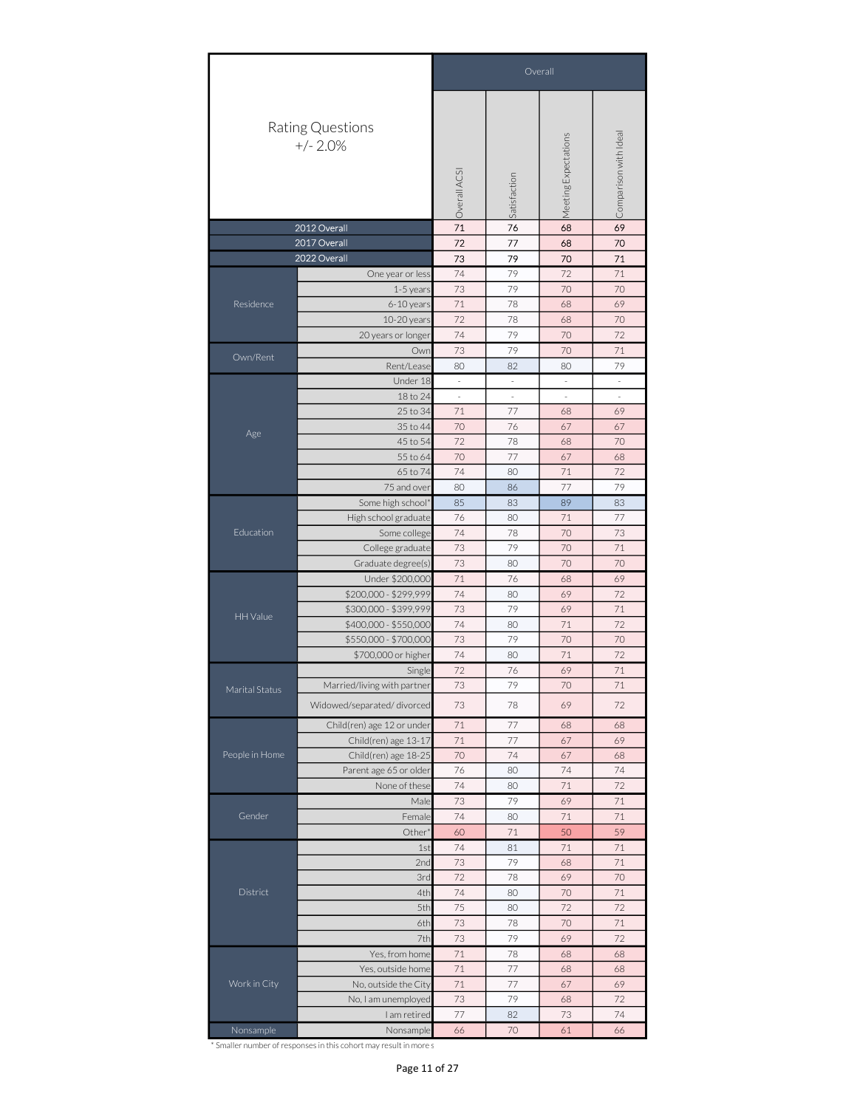|                |                                | Overall<br>Comparison with Ideal<br>Meeting Expectations<br>Overall ACSI<br>Satisfaction<br>71<br>76<br>68<br>72<br>77<br>68<br>73<br>79<br>70<br>79<br>74<br>72<br>73<br>79<br>70<br>1-5 years<br>71<br>6-10 years<br>78<br>68<br>72<br>10-20 years<br>78<br>68<br>79<br>74<br>70<br>73<br>79<br>70<br>Own<br>Rent/Lease<br>80<br>82<br>80<br>Under 18<br>$\overline{\phantom{a}}$<br>$\overline{\phantom{a}}$<br>$\overline{\phantom{a}}$<br>$\overline{\phantom{a}}$<br>18 to 24<br>$\overline{\phantom{a}}$<br>$\overline{\phantom{a}}$<br>×,<br>71<br>77<br>25 to 34<br>68<br>35 to 44<br>70<br>76<br>67<br>45 to 54<br>72<br>78<br>68<br>55 to 64<br>70<br>77<br>67<br>74<br>71<br>65 to 74<br>80<br>77<br>75 and over<br>80<br>86<br>85<br>83<br>89<br>76<br>71<br>80<br>74<br>Some college<br>78<br>70<br>73<br>79<br>70<br>73<br>70<br>80<br>71<br>76<br>68<br>74<br>69<br>80<br>73<br>79<br>69<br>74<br>80<br>71<br>73<br>79<br>70<br>74<br>80<br>71<br>72<br>71<br>76<br>69<br>Single<br>73<br>79<br>70<br>73<br>78<br>69<br>72<br>$7\,1$<br>77<br>68<br>71<br>77<br>67<br>70<br>74<br>67<br>76<br>80<br>74<br>74<br>71<br>None of these<br>80<br>73<br>79<br>69<br>Male<br>74<br>80<br>71<br>Female<br>71<br>Other <sup>*</sup><br>60<br>50<br>74<br>81<br>71<br>1st<br>73<br>79<br>2nd<br>68<br>72<br>78<br>3rd<br>69<br>4th<br>74<br>80<br>70<br>75<br>5th<br>72<br>80<br>73<br>78<br>70<br>6th<br>73<br>79<br>69<br>7th<br>71<br>78<br>68<br>71<br>77<br>68<br>$71\,$<br>77<br>67<br>73<br>79<br>68 |    |    |    |
|----------------|--------------------------------|--------------------------------------------------------------------------------------------------------------------------------------------------------------------------------------------------------------------------------------------------------------------------------------------------------------------------------------------------------------------------------------------------------------------------------------------------------------------------------------------------------------------------------------------------------------------------------------------------------------------------------------------------------------------------------------------------------------------------------------------------------------------------------------------------------------------------------------------------------------------------------------------------------------------------------------------------------------------------------------------------------------------------------------------------------------------------------------------------------------------------------------------------------------------------------------------------------------------------------------------------------------------------------------------------------------------------------------------------------------------------------------------------------------------------------------------------------------------------------------------------------------------|----|----|----|
|                | Rating Questions<br>$+/- 2.0%$ |                                                                                                                                                                                                                                                                                                                                                                                                                                                                                                                                                                                                                                                                                                                                                                                                                                                                                                                                                                                                                                                                                                                                                                                                                                                                                                                                                                                                                                                                                                                    |    |    |    |
|                | 2012 Overall                   |                                                                                                                                                                                                                                                                                                                                                                                                                                                                                                                                                                                                                                                                                                                                                                                                                                                                                                                                                                                                                                                                                                                                                                                                                                                                                                                                                                                                                                                                                                                    |    |    | 69 |
|                | 2017 Overall                   |                                                                                                                                                                                                                                                                                                                                                                                                                                                                                                                                                                                                                                                                                                                                                                                                                                                                                                                                                                                                                                                                                                                                                                                                                                                                                                                                                                                                                                                                                                                    |    |    | 70 |
|                | 2022 Overall                   |                                                                                                                                                                                                                                                                                                                                                                                                                                                                                                                                                                                                                                                                                                                                                                                                                                                                                                                                                                                                                                                                                                                                                                                                                                                                                                                                                                                                                                                                                                                    |    |    | 71 |
|                | One year or less               |                                                                                                                                                                                                                                                                                                                                                                                                                                                                                                                                                                                                                                                                                                                                                                                                                                                                                                                                                                                                                                                                                                                                                                                                                                                                                                                                                                                                                                                                                                                    |    |    | 71 |
|                |                                |                                                                                                                                                                                                                                                                                                                                                                                                                                                                                                                                                                                                                                                                                                                                                                                                                                                                                                                                                                                                                                                                                                                                                                                                                                                                                                                                                                                                                                                                                                                    |    |    | 70 |
| Residence      |                                |                                                                                                                                                                                                                                                                                                                                                                                                                                                                                                                                                                                                                                                                                                                                                                                                                                                                                                                                                                                                                                                                                                                                                                                                                                                                                                                                                                                                                                                                                                                    |    |    | 69 |
|                |                                |                                                                                                                                                                                                                                                                                                                                                                                                                                                                                                                                                                                                                                                                                                                                                                                                                                                                                                                                                                                                                                                                                                                                                                                                                                                                                                                                                                                                                                                                                                                    |    |    | 70 |
|                | 20 years or longer             |                                                                                                                                                                                                                                                                                                                                                                                                                                                                                                                                                                                                                                                                                                                                                                                                                                                                                                                                                                                                                                                                                                                                                                                                                                                                                                                                                                                                                                                                                                                    |    |    | 72 |
| Own/Rent       |                                |                                                                                                                                                                                                                                                                                                                                                                                                                                                                                                                                                                                                                                                                                                                                                                                                                                                                                                                                                                                                                                                                                                                                                                                                                                                                                                                                                                                                                                                                                                                    |    |    | 71 |
|                |                                |                                                                                                                                                                                                                                                                                                                                                                                                                                                                                                                                                                                                                                                                                                                                                                                                                                                                                                                                                                                                                                                                                                                                                                                                                                                                                                                                                                                                                                                                                                                    |    |    | 79 |
|                |                                |                                                                                                                                                                                                                                                                                                                                                                                                                                                                                                                                                                                                                                                                                                                                                                                                                                                                                                                                                                                                                                                                                                                                                                                                                                                                                                                                                                                                                                                                                                                    |    |    |    |
|                |                                |                                                                                                                                                                                                                                                                                                                                                                                                                                                                                                                                                                                                                                                                                                                                                                                                                                                                                                                                                                                                                                                                                                                                                                                                                                                                                                                                                                                                                                                                                                                    |    |    |    |
| Age            |                                |                                                                                                                                                                                                                                                                                                                                                                                                                                                                                                                                                                                                                                                                                                                                                                                                                                                                                                                                                                                                                                                                                                                                                                                                                                                                                                                                                                                                                                                                                                                    |    |    | 69 |
|                |                                |                                                                                                                                                                                                                                                                                                                                                                                                                                                                                                                                                                                                                                                                                                                                                                                                                                                                                                                                                                                                                                                                                                                                                                                                                                                                                                                                                                                                                                                                                                                    |    |    | 67 |
|                |                                |                                                                                                                                                                                                                                                                                                                                                                                                                                                                                                                                                                                                                                                                                                                                                                                                                                                                                                                                                                                                                                                                                                                                                                                                                                                                                                                                                                                                                                                                                                                    |    |    | 70 |
|                |                                |                                                                                                                                                                                                                                                                                                                                                                                                                                                                                                                                                                                                                                                                                                                                                                                                                                                                                                                                                                                                                                                                                                                                                                                                                                                                                                                                                                                                                                                                                                                    |    |    | 68 |
|                |                                |                                                                                                                                                                                                                                                                                                                                                                                                                                                                                                                                                                                                                                                                                                                                                                                                                                                                                                                                                                                                                                                                                                                                                                                                                                                                                                                                                                                                                                                                                                                    |    |    | 72 |
|                |                                |                                                                                                                                                                                                                                                                                                                                                                                                                                                                                                                                                                                                                                                                                                                                                                                                                                                                                                                                                                                                                                                                                                                                                                                                                                                                                                                                                                                                                                                                                                                    |    |    | 79 |
|                | Some high school*              |                                                                                                                                                                                                                                                                                                                                                                                                                                                                                                                                                                                                                                                                                                                                                                                                                                                                                                                                                                                                                                                                                                                                                                                                                                                                                                                                                                                                                                                                                                                    |    |    | 83 |
| Education      | High school graduate           |                                                                                                                                                                                                                                                                                                                                                                                                                                                                                                                                                                                                                                                                                                                                                                                                                                                                                                                                                                                                                                                                                                                                                                                                                                                                                                                                                                                                                                                                                                                    |    |    | 77 |
|                |                                |                                                                                                                                                                                                                                                                                                                                                                                                                                                                                                                                                                                                                                                                                                                                                                                                                                                                                                                                                                                                                                                                                                                                                                                                                                                                                                                                                                                                                                                                                                                    |    |    | 73 |
|                | College graduate               |                                                                                                                                                                                                                                                                                                                                                                                                                                                                                                                                                                                                                                                                                                                                                                                                                                                                                                                                                                                                                                                                                                                                                                                                                                                                                                                                                                                                                                                                                                                    |    |    | 71 |
|                |                                |                                                                                                                                                                                                                                                                                                                                                                                                                                                                                                                                                                                                                                                                                                                                                                                                                                                                                                                                                                                                                                                                                                                                                                                                                                                                                                                                                                                                                                                                                                                    |    |    | 70 |
|                |                                |                                                                                                                                                                                                                                                                                                                                                                                                                                                                                                                                                                                                                                                                                                                                                                                                                                                                                                                                                                                                                                                                                                                                                                                                                                                                                                                                                                                                                                                                                                                    |    |    | 69 |
|                | \$200,000 - \$299,999          |                                                                                                                                                                                                                                                                                                                                                                                                                                                                                                                                                                                                                                                                                                                                                                                                                                                                                                                                                                                                                                                                                                                                                                                                                                                                                                                                                                                                                                                                                                                    |    |    | 72 |
|                |                                |                                                                                                                                                                                                                                                                                                                                                                                                                                                                                                                                                                                                                                                                                                                                                                                                                                                                                                                                                                                                                                                                                                                                                                                                                                                                                                                                                                                                                                                                                                                    |    |    | 71 |
| HH Value       |                                |                                                                                                                                                                                                                                                                                                                                                                                                                                                                                                                                                                                                                                                                                                                                                                                                                                                                                                                                                                                                                                                                                                                                                                                                                                                                                                                                                                                                                                                                                                                    |    |    | 72 |
|                |                                |                                                                                                                                                                                                                                                                                                                                                                                                                                                                                                                                                                                                                                                                                                                                                                                                                                                                                                                                                                                                                                                                                                                                                                                                                                                                                                                                                                                                                                                                                                                    |    |    | 70 |
|                |                                |                                                                                                                                                                                                                                                                                                                                                                                                                                                                                                                                                                                                                                                                                                                                                                                                                                                                                                                                                                                                                                                                                                                                                                                                                                                                                                                                                                                                                                                                                                                    |    |    | 72 |
|                |                                |                                                                                                                                                                                                                                                                                                                                                                                                                                                                                                                                                                                                                                                                                                                                                                                                                                                                                                                                                                                                                                                                                                                                                                                                                                                                                                                                                                                                                                                                                                                    |    |    |    |
|                |                                |                                                                                                                                                                                                                                                                                                                                                                                                                                                                                                                                                                                                                                                                                                                                                                                                                                                                                                                                                                                                                                                                                                                                                                                                                                                                                                                                                                                                                                                                                                                    |    |    | 71 |
| Marital Status |                                | Graduate degree(s)<br>Under \$200,000<br>\$300,000 - \$399,999<br>\$400,000 - \$550,000<br>\$550,000 - \$700,000<br>\$700,000 or higher<br>Married/living with partner<br>Widowed/separated/divorced                                                                                                                                                                                                                                                                                                                                                                                                                                                                                                                                                                                                                                                                                                                                                                                                                                                                                                                                                                                                                                                                                                                                                                                                                                                                                                               |    |    |    |
|                |                                |                                                                                                                                                                                                                                                                                                                                                                                                                                                                                                                                                                                                                                                                                                                                                                                                                                                                                                                                                                                                                                                                                                                                                                                                                                                                                                                                                                                                                                                                                                                    |    |    |    |
|                | Child(ren) age 12 or under     |                                                                                                                                                                                                                                                                                                                                                                                                                                                                                                                                                                                                                                                                                                                                                                                                                                                                                                                                                                                                                                                                                                                                                                                                                                                                                                                                                                                                                                                                                                                    |    |    | 68 |
|                | Child(ren) age 13-17           |                                                                                                                                                                                                                                                                                                                                                                                                                                                                                                                                                                                                                                                                                                                                                                                                                                                                                                                                                                                                                                                                                                                                                                                                                                                                                                                                                                                                                                                                                                                    |    |    | 69 |
| People in Home | Child(ren) age 18-25           |                                                                                                                                                                                                                                                                                                                                                                                                                                                                                                                                                                                                                                                                                                                                                                                                                                                                                                                                                                                                                                                                                                                                                                                                                                                                                                                                                                                                                                                                                                                    |    |    | 68 |
|                | Parent age 65 or older         |                                                                                                                                                                                                                                                                                                                                                                                                                                                                                                                                                                                                                                                                                                                                                                                                                                                                                                                                                                                                                                                                                                                                                                                                                                                                                                                                                                                                                                                                                                                    |    |    | 74 |
|                |                                |                                                                                                                                                                                                                                                                                                                                                                                                                                                                                                                                                                                                                                                                                                                                                                                                                                                                                                                                                                                                                                                                                                                                                                                                                                                                                                                                                                                                                                                                                                                    |    |    | 72 |
|                |                                |                                                                                                                                                                                                                                                                                                                                                                                                                                                                                                                                                                                                                                                                                                                                                                                                                                                                                                                                                                                                                                                                                                                                                                                                                                                                                                                                                                                                                                                                                                                    |    |    | 71 |
| Gender         |                                |                                                                                                                                                                                                                                                                                                                                                                                                                                                                                                                                                                                                                                                                                                                                                                                                                                                                                                                                                                                                                                                                                                                                                                                                                                                                                                                                                                                                                                                                                                                    |    |    | 71 |
|                |                                |                                                                                                                                                                                                                                                                                                                                                                                                                                                                                                                                                                                                                                                                                                                                                                                                                                                                                                                                                                                                                                                                                                                                                                                                                                                                                                                                                                                                                                                                                                                    |    |    | 59 |
|                |                                |                                                                                                                                                                                                                                                                                                                                                                                                                                                                                                                                                                                                                                                                                                                                                                                                                                                                                                                                                                                                                                                                                                                                                                                                                                                                                                                                                                                                                                                                                                                    |    |    | 71 |
|                |                                |                                                                                                                                                                                                                                                                                                                                                                                                                                                                                                                                                                                                                                                                                                                                                                                                                                                                                                                                                                                                                                                                                                                                                                                                                                                                                                                                                                                                                                                                                                                    |    |    | 71 |
|                |                                |                                                                                                                                                                                                                                                                                                                                                                                                                                                                                                                                                                                                                                                                                                                                                                                                                                                                                                                                                                                                                                                                                                                                                                                                                                                                                                                                                                                                                                                                                                                    |    |    | 70 |
| District       |                                |                                                                                                                                                                                                                                                                                                                                                                                                                                                                                                                                                                                                                                                                                                                                                                                                                                                                                                                                                                                                                                                                                                                                                                                                                                                                                                                                                                                                                                                                                                                    |    |    | 71 |
|                |                                |                                                                                                                                                                                                                                                                                                                                                                                                                                                                                                                                                                                                                                                                                                                                                                                                                                                                                                                                                                                                                                                                                                                                                                                                                                                                                                                                                                                                                                                                                                                    |    |    | 72 |
|                |                                |                                                                                                                                                                                                                                                                                                                                                                                                                                                                                                                                                                                                                                                                                                                                                                                                                                                                                                                                                                                                                                                                                                                                                                                                                                                                                                                                                                                                                                                                                                                    |    |    | 71 |
|                |                                |                                                                                                                                                                                                                                                                                                                                                                                                                                                                                                                                                                                                                                                                                                                                                                                                                                                                                                                                                                                                                                                                                                                                                                                                                                                                                                                                                                                                                                                                                                                    |    |    | 72 |
|                | Yes, from home                 |                                                                                                                                                                                                                                                                                                                                                                                                                                                                                                                                                                                                                                                                                                                                                                                                                                                                                                                                                                                                                                                                                                                                                                                                                                                                                                                                                                                                                                                                                                                    |    |    | 68 |
|                | Yes, outside home              |                                                                                                                                                                                                                                                                                                                                                                                                                                                                                                                                                                                                                                                                                                                                                                                                                                                                                                                                                                                                                                                                                                                                                                                                                                                                                                                                                                                                                                                                                                                    |    |    | 68 |
| Work in City   | No, outside the City           |                                                                                                                                                                                                                                                                                                                                                                                                                                                                                                                                                                                                                                                                                                                                                                                                                                                                                                                                                                                                                                                                                                                                                                                                                                                                                                                                                                                                                                                                                                                    |    |    | 69 |
|                | No, I am unemployed            |                                                                                                                                                                                                                                                                                                                                                                                                                                                                                                                                                                                                                                                                                                                                                                                                                                                                                                                                                                                                                                                                                                                                                                                                                                                                                                                                                                                                                                                                                                                    |    |    | 72 |
|                | I am retired                   | $77 \,$                                                                                                                                                                                                                                                                                                                                                                                                                                                                                                                                                                                                                                                                                                                                                                                                                                                                                                                                                                                                                                                                                                                                                                                                                                                                                                                                                                                                                                                                                                            | 82 | 73 | 74 |
| Nonsample      | Nonsample                      | 66                                                                                                                                                                                                                                                                                                                                                                                                                                                                                                                                                                                                                                                                                                                                                                                                                                                                                                                                                                                                                                                                                                                                                                                                                                                                                                                                                                                                                                                                                                                 | 70 | 61 | 66 |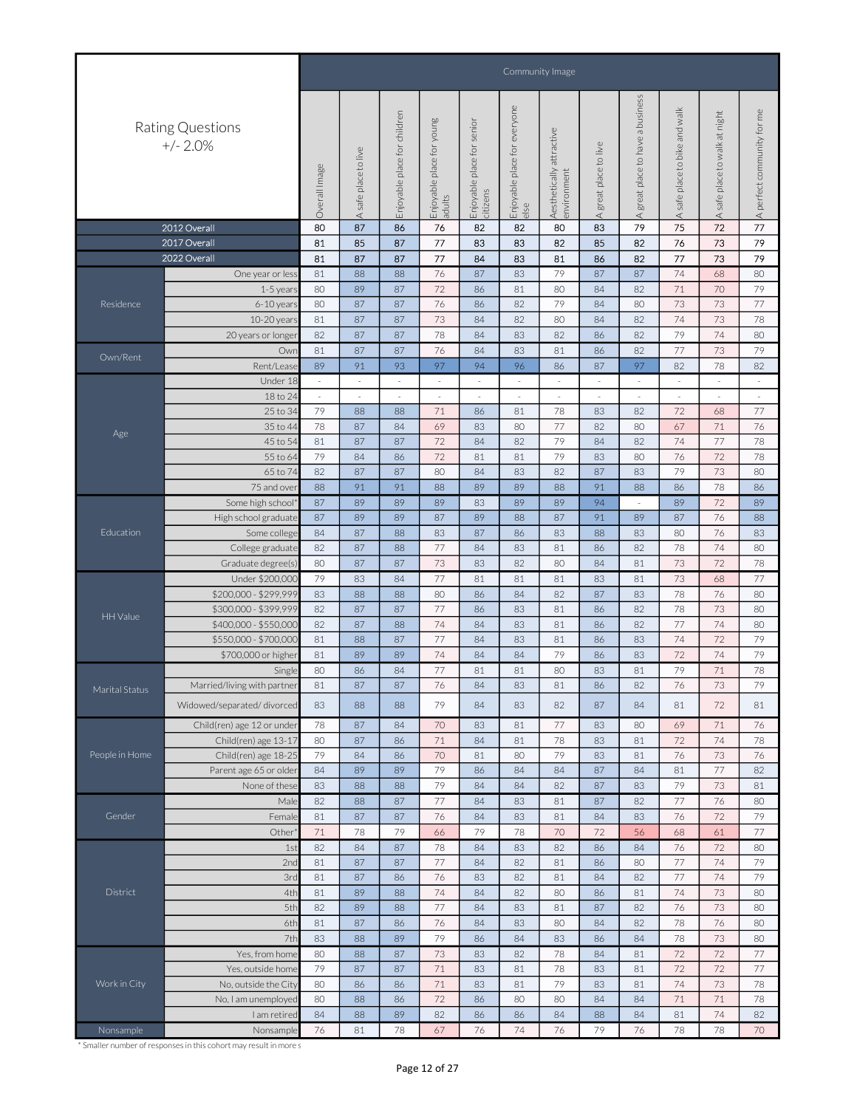|                |                                |                                                                                                                                                                                                                                                                                                                                                                                                                                                                                                                                                                                                                                                                                                                                                                                                                                                                                                                                                                                                                                                                                                                                                                                                                                                                                                                                                                                                                                                                                                                                                                                                                                                                                                                                                                                                                                      |                      |                                 |                              |                               | Community Image<br>everyone<br>and walk |                                                                                                                                                                                                                                                                                                                                                                                                                                                                                                                                                                                                                                                                                                                                                                                                                                                                                                                                                                                                                                                                                                                                                                                                                                                                                                                                                                                |                         |                                  |                                  |                               |                                |
|----------------|--------------------------------|--------------------------------------------------------------------------------------------------------------------------------------------------------------------------------------------------------------------------------------------------------------------------------------------------------------------------------------------------------------------------------------------------------------------------------------------------------------------------------------------------------------------------------------------------------------------------------------------------------------------------------------------------------------------------------------------------------------------------------------------------------------------------------------------------------------------------------------------------------------------------------------------------------------------------------------------------------------------------------------------------------------------------------------------------------------------------------------------------------------------------------------------------------------------------------------------------------------------------------------------------------------------------------------------------------------------------------------------------------------------------------------------------------------------------------------------------------------------------------------------------------------------------------------------------------------------------------------------------------------------------------------------------------------------------------------------------------------------------------------------------------------------------------------------------------------------------------------|----------------------|---------------------------------|------------------------------|-------------------------------|-----------------------------------------|--------------------------------------------------------------------------------------------------------------------------------------------------------------------------------------------------------------------------------------------------------------------------------------------------------------------------------------------------------------------------------------------------------------------------------------------------------------------------------------------------------------------------------------------------------------------------------------------------------------------------------------------------------------------------------------------------------------------------------------------------------------------------------------------------------------------------------------------------------------------------------------------------------------------------------------------------------------------------------------------------------------------------------------------------------------------------------------------------------------------------------------------------------------------------------------------------------------------------------------------------------------------------------------------------------------------------------------------------------------------------------|-------------------------|----------------------------------|----------------------------------|-------------------------------|--------------------------------|
|                | Rating Questions<br>$+/- 2.0%$ | Image                                                                                                                                                                                                                                                                                                                                                                                                                                                                                                                                                                                                                                                                                                                                                                                                                                                                                                                                                                                                                                                                                                                                                                                                                                                                                                                                                                                                                                                                                                                                                                                                                                                                                                                                                                                                                                | A safe place to live | children<br>Enjoyable place for | woung<br>Enjoyable place for | senior<br>Enjoyable place for |                                         | Aesthetically attractive<br>environment                                                                                                                                                                                                                                                                                                                                                                                                                                                                                                                                                                                                                                                                                                                                                                                                                                                                                                                                                                                                                                                                                                                                                                                                                                                                                                                                        | to live<br>Agreat place | A great place to have a business | to bike<br>safe place<br>$\prec$ | A safe place to walk at night | eu.<br>A perfect community for |
|                | 2012 Overall                   | 80                                                                                                                                                                                                                                                                                                                                                                                                                                                                                                                                                                                                                                                                                                                                                                                                                                                                                                                                                                                                                                                                                                                                                                                                                                                                                                                                                                                                                                                                                                                                                                                                                                                                                                                                                                                                                                   | 87                   | 86                              | 76                           | 82                            | 82                                      | 80                                                                                                                                                                                                                                                                                                                                                                                                                                                                                                                                                                                                                                                                                                                                                                                                                                                                                                                                                                                                                                                                                                                                                                                                                                                                                                                                                                             | 83                      | 79                               | 75                               | $72\,$                        | 77                             |
|                | 2017 Overall                   |                                                                                                                                                                                                                                                                                                                                                                                                                                                                                                                                                                                                                                                                                                                                                                                                                                                                                                                                                                                                                                                                                                                                                                                                                                                                                                                                                                                                                                                                                                                                                                                                                                                                                                                                                                                                                                      |                      |                                 |                              |                               |                                         |                                                                                                                                                                                                                                                                                                                                                                                                                                                                                                                                                                                                                                                                                                                                                                                                                                                                                                                                                                                                                                                                                                                                                                                                                                                                                                                                                                                |                         |                                  |                                  | 73                            | 79                             |
|                | 2022 Overall                   |                                                                                                                                                                                                                                                                                                                                                                                                                                                                                                                                                                                                                                                                                                                                                                                                                                                                                                                                                                                                                                                                                                                                                                                                                                                                                                                                                                                                                                                                                                                                                                                                                                                                                                                                                                                                                                      |                      |                                 |                              |                               |                                         |                                                                                                                                                                                                                                                                                                                                                                                                                                                                                                                                                                                                                                                                                                                                                                                                                                                                                                                                                                                                                                                                                                                                                                                                                                                                                                                                                                                |                         |                                  |                                  | 73                            | 79                             |
|                |                                |                                                                                                                                                                                                                                                                                                                                                                                                                                                                                                                                                                                                                                                                                                                                                                                                                                                                                                                                                                                                                                                                                                                                                                                                                                                                                                                                                                                                                                                                                                                                                                                                                                                                                                                                                                                                                                      |                      |                                 |                              |                               |                                         |                                                                                                                                                                                                                                                                                                                                                                                                                                                                                                                                                                                                                                                                                                                                                                                                                                                                                                                                                                                                                                                                                                                                                                                                                                                                                                                                                                                |                         |                                  |                                  |                               | 80                             |
|                |                                |                                                                                                                                                                                                                                                                                                                                                                                                                                                                                                                                                                                                                                                                                                                                                                                                                                                                                                                                                                                                                                                                                                                                                                                                                                                                                                                                                                                                                                                                                                                                                                                                                                                                                                                                                                                                                                      |                      |                                 |                              |                               |                                         |                                                                                                                                                                                                                                                                                                                                                                                                                                                                                                                                                                                                                                                                                                                                                                                                                                                                                                                                                                                                                                                                                                                                                                                                                                                                                                                                                                                |                         |                                  |                                  |                               | 79                             |
| Residence      |                                |                                                                                                                                                                                                                                                                                                                                                                                                                                                                                                                                                                                                                                                                                                                                                                                                                                                                                                                                                                                                                                                                                                                                                                                                                                                                                                                                                                                                                                                                                                                                                                                                                                                                                                                                                                                                                                      |                      |                                 |                              |                               |                                         |                                                                                                                                                                                                                                                                                                                                                                                                                                                                                                                                                                                                                                                                                                                                                                                                                                                                                                                                                                                                                                                                                                                                                                                                                                                                                                                                                                                |                         |                                  |                                  |                               | 77                             |
|                |                                |                                                                                                                                                                                                                                                                                                                                                                                                                                                                                                                                                                                                                                                                                                                                                                                                                                                                                                                                                                                                                                                                                                                                                                                                                                                                                                                                                                                                                                                                                                                                                                                                                                                                                                                                                                                                                                      |                      |                                 |                              |                               |                                         |                                                                                                                                                                                                                                                                                                                                                                                                                                                                                                                                                                                                                                                                                                                                                                                                                                                                                                                                                                                                                                                                                                                                                                                                                                                                                                                                                                                |                         |                                  |                                  |                               | 78                             |
|                |                                |                                                                                                                                                                                                                                                                                                                                                                                                                                                                                                                                                                                                                                                                                                                                                                                                                                                                                                                                                                                                                                                                                                                                                                                                                                                                                                                                                                                                                                                                                                                                                                                                                                                                                                                                                                                                                                      |                      |                                 |                              |                               |                                         |                                                                                                                                                                                                                                                                                                                                                                                                                                                                                                                                                                                                                                                                                                                                                                                                                                                                                                                                                                                                                                                                                                                                                                                                                                                                                                                                                                                |                         |                                  |                                  |                               |                                |
|                |                                |                                                                                                                                                                                                                                                                                                                                                                                                                                                                                                                                                                                                                                                                                                                                                                                                                                                                                                                                                                                                                                                                                                                                                                                                                                                                                                                                                                                                                                                                                                                                                                                                                                                                                                                                                                                                                                      |                      |                                 |                              |                               |                                         |                                                                                                                                                                                                                                                                                                                                                                                                                                                                                                                                                                                                                                                                                                                                                                                                                                                                                                                                                                                                                                                                                                                                                                                                                                                                                                                                                                                |                         |                                  |                                  |                               | 80                             |
| Own/Rent       |                                |                                                                                                                                                                                                                                                                                                                                                                                                                                                                                                                                                                                                                                                                                                                                                                                                                                                                                                                                                                                                                                                                                                                                                                                                                                                                                                                                                                                                                                                                                                                                                                                                                                                                                                                                                                                                                                      |                      |                                 |                              |                               |                                         |                                                                                                                                                                                                                                                                                                                                                                                                                                                                                                                                                                                                                                                                                                                                                                                                                                                                                                                                                                                                                                                                                                                                                                                                                                                                                                                                                                                |                         |                                  |                                  | 73                            | 79                             |
|                |                                |                                                                                                                                                                                                                                                                                                                                                                                                                                                                                                                                                                                                                                                                                                                                                                                                                                                                                                                                                                                                                                                                                                                                                                                                                                                                                                                                                                                                                                                                                                                                                                                                                                                                                                                                                                                                                                      |                      |                                 |                              |                               |                                         |                                                                                                                                                                                                                                                                                                                                                                                                                                                                                                                                                                                                                                                                                                                                                                                                                                                                                                                                                                                                                                                                                                                                                                                                                                                                                                                                                                                |                         |                                  |                                  | 78                            | 82                             |
|                |                                |                                                                                                                                                                                                                                                                                                                                                                                                                                                                                                                                                                                                                                                                                                                                                                                                                                                                                                                                                                                                                                                                                                                                                                                                                                                                                                                                                                                                                                                                                                                                                                                                                                                                                                                                                                                                                                      |                      |                                 |                              |                               |                                         |                                                                                                                                                                                                                                                                                                                                                                                                                                                                                                                                                                                                                                                                                                                                                                                                                                                                                                                                                                                                                                                                                                                                                                                                                                                                                                                                                                                |                         |                                  |                                  |                               | $\sim$                         |
|                |                                |                                                                                                                                                                                                                                                                                                                                                                                                                                                                                                                                                                                                                                                                                                                                                                                                                                                                                                                                                                                                                                                                                                                                                                                                                                                                                                                                                                                                                                                                                                                                                                                                                                                                                                                                                                                                                                      |                      |                                 |                              |                               |                                         |                                                                                                                                                                                                                                                                                                                                                                                                                                                                                                                                                                                                                                                                                                                                                                                                                                                                                                                                                                                                                                                                                                                                                                                                                                                                                                                                                                                |                         |                                  |                                  |                               | $\sim$                         |
|                |                                |                                                                                                                                                                                                                                                                                                                                                                                                                                                                                                                                                                                                                                                                                                                                                                                                                                                                                                                                                                                                                                                                                                                                                                                                                                                                                                                                                                                                                                                                                                                                                                                                                                                                                                                                                                                                                                      |                      |                                 |                              |                               |                                         |                                                                                                                                                                                                                                                                                                                                                                                                                                                                                                                                                                                                                                                                                                                                                                                                                                                                                                                                                                                                                                                                                                                                                                                                                                                                                                                                                                                |                         |                                  |                                  | 68                            | 77                             |
| Age            |                                |                                                                                                                                                                                                                                                                                                                                                                                                                                                                                                                                                                                                                                                                                                                                                                                                                                                                                                                                                                                                                                                                                                                                                                                                                                                                                                                                                                                                                                                                                                                                                                                                                                                                                                                                                                                                                                      |                      |                                 |                              |                               |                                         |                                                                                                                                                                                                                                                                                                                                                                                                                                                                                                                                                                                                                                                                                                                                                                                                                                                                                                                                                                                                                                                                                                                                                                                                                                                                                                                                                                                |                         |                                  |                                  | 71                            | 76                             |
|                |                                |                                                                                                                                                                                                                                                                                                                                                                                                                                                                                                                                                                                                                                                                                                                                                                                                                                                                                                                                                                                                                                                                                                                                                                                                                                                                                                                                                                                                                                                                                                                                                                                                                                                                                                                                                                                                                                      |                      |                                 |                              |                               |                                         |                                                                                                                                                                                                                                                                                                                                                                                                                                                                                                                                                                                                                                                                                                                                                                                                                                                                                                                                                                                                                                                                                                                                                                                                                                                                                                                                                                                |                         |                                  |                                  | 77                            | 78                             |
|                |                                |                                                                                                                                                                                                                                                                                                                                                                                                                                                                                                                                                                                                                                                                                                                                                                                                                                                                                                                                                                                                                                                                                                                                                                                                                                                                                                                                                                                                                                                                                                                                                                                                                                                                                                                                                                                                                                      |                      |                                 |                              |                               |                                         |                                                                                                                                                                                                                                                                                                                                                                                                                                                                                                                                                                                                                                                                                                                                                                                                                                                                                                                                                                                                                                                                                                                                                                                                                                                                                                                                                                                |                         |                                  |                                  |                               | 78                             |
|                |                                |                                                                                                                                                                                                                                                                                                                                                                                                                                                                                                                                                                                                                                                                                                                                                                                                                                                                                                                                                                                                                                                                                                                                                                                                                                                                                                                                                                                                                                                                                                                                                                                                                                                                                                                                                                                                                                      |                      |                                 |                              |                               |                                         |                                                                                                                                                                                                                                                                                                                                                                                                                                                                                                                                                                                                                                                                                                                                                                                                                                                                                                                                                                                                                                                                                                                                                                                                                                                                                                                                                                                |                         |                                  |                                  | 73                            | 80                             |
|                |                                |                                                                                                                                                                                                                                                                                                                                                                                                                                                                                                                                                                                                                                                                                                                                                                                                                                                                                                                                                                                                                                                                                                                                                                                                                                                                                                                                                                                                                                                                                                                                                                                                                                                                                                                                                                                                                                      |                      |                                 |                              |                               |                                         |                                                                                                                                                                                                                                                                                                                                                                                                                                                                                                                                                                                                                                                                                                                                                                                                                                                                                                                                                                                                                                                                                                                                                                                                                                                                                                                                                                                |                         |                                  |                                  | 78                            | 86                             |
|                |                                |                                                                                                                                                                                                                                                                                                                                                                                                                                                                                                                                                                                                                                                                                                                                                                                                                                                                                                                                                                                                                                                                                                                                                                                                                                                                                                                                                                                                                                                                                                                                                                                                                                                                                                                                                                                                                                      |                      |                                 |                              |                               |                                         |                                                                                                                                                                                                                                                                                                                                                                                                                                                                                                                                                                                                                                                                                                                                                                                                                                                                                                                                                                                                                                                                                                                                                                                                                                                                                                                                                                                |                         |                                  |                                  | 72                            | 89                             |
|                |                                |                                                                                                                                                                                                                                                                                                                                                                                                                                                                                                                                                                                                                                                                                                                                                                                                                                                                                                                                                                                                                                                                                                                                                                                                                                                                                                                                                                                                                                                                                                                                                                                                                                                                                                                                                                                                                                      |                      |                                 |                              |                               |                                         |                                                                                                                                                                                                                                                                                                                                                                                                                                                                                                                                                                                                                                                                                                                                                                                                                                                                                                                                                                                                                                                                                                                                                                                                                                                                                                                                                                                |                         |                                  |                                  | 76                            | 88                             |
| Education      | Some college                   |                                                                                                                                                                                                                                                                                                                                                                                                                                                                                                                                                                                                                                                                                                                                                                                                                                                                                                                                                                                                                                                                                                                                                                                                                                                                                                                                                                                                                                                                                                                                                                                                                                                                                                                                                                                                                                      |                      |                                 |                              |                               |                                         |                                                                                                                                                                                                                                                                                                                                                                                                                                                                                                                                                                                                                                                                                                                                                                                                                                                                                                                                                                                                                                                                                                                                                                                                                                                                                                                                                                                |                         |                                  |                                  | 76                            | 83                             |
|                |                                |                                                                                                                                                                                                                                                                                                                                                                                                                                                                                                                                                                                                                                                                                                                                                                                                                                                                                                                                                                                                                                                                                                                                                                                                                                                                                                                                                                                                                                                                                                                                                                                                                                                                                                                                                                                                                                      |                      |                                 |                              |                               |                                         |                                                                                                                                                                                                                                                                                                                                                                                                                                                                                                                                                                                                                                                                                                                                                                                                                                                                                                                                                                                                                                                                                                                                                                                                                                                                                                                                                                                |                         |                                  |                                  | 74                            | 80                             |
|                |                                |                                                                                                                                                                                                                                                                                                                                                                                                                                                                                                                                                                                                                                                                                                                                                                                                                                                                                                                                                                                                                                                                                                                                                                                                                                                                                                                                                                                                                                                                                                                                                                                                                                                                                                                                                                                                                                      |                      |                                 |                              |                               |                                         |                                                                                                                                                                                                                                                                                                                                                                                                                                                                                                                                                                                                                                                                                                                                                                                                                                                                                                                                                                                                                                                                                                                                                                                                                                                                                                                                                                                |                         |                                  |                                  | 72                            | 78                             |
|                |                                |                                                                                                                                                                                                                                                                                                                                                                                                                                                                                                                                                                                                                                                                                                                                                                                                                                                                                                                                                                                                                                                                                                                                                                                                                                                                                                                                                                                                                                                                                                                                                                                                                                                                                                                                                                                                                                      |                      |                                 |                              |                               |                                         |                                                                                                                                                                                                                                                                                                                                                                                                                                                                                                                                                                                                                                                                                                                                                                                                                                                                                                                                                                                                                                                                                                                                                                                                                                                                                                                                                                                |                         |                                  |                                  | 68                            | 77                             |
|                |                                |                                                                                                                                                                                                                                                                                                                                                                                                                                                                                                                                                                                                                                                                                                                                                                                                                                                                                                                                                                                                                                                                                                                                                                                                                                                                                                                                                                                                                                                                                                                                                                                                                                                                                                                                                                                                                                      |                      |                                 |                              |                               |                                         |                                                                                                                                                                                                                                                                                                                                                                                                                                                                                                                                                                                                                                                                                                                                                                                                                                                                                                                                                                                                                                                                                                                                                                                                                                                                                                                                                                                |                         |                                  |                                  | 76                            | 80                             |
| HH Value       |                                |                                                                                                                                                                                                                                                                                                                                                                                                                                                                                                                                                                                                                                                                                                                                                                                                                                                                                                                                                                                                                                                                                                                                                                                                                                                                                                                                                                                                                                                                                                                                                                                                                                                                                                                                                                                                                                      |                      |                                 |                              |                               |                                         | 81                                                                                                                                                                                                                                                                                                                                                                                                                                                                                                                                                                                                                                                                                                                                                                                                                                                                                                                                                                                                                                                                                                                                                                                                                                                                                                                                                                             |                         |                                  |                                  | 73                            | 80                             |
|                | \$400,000 - \$550,000          | 82                                                                                                                                                                                                                                                                                                                                                                                                                                                                                                                                                                                                                                                                                                                                                                                                                                                                                                                                                                                                                                                                                                                                                                                                                                                                                                                                                                                                                                                                                                                                                                                                                                                                                                                                                                                                                                   | 87                   | 88                              |                              | 84                            | 83                                      | 81                                                                                                                                                                                                                                                                                                                                                                                                                                                                                                                                                                                                                                                                                                                                                                                                                                                                                                                                                                                                                                                                                                                                                                                                                                                                                                                                                                             | 86                      | 82                               | 77                               | 74                            | 80                             |
|                | \$550,000 - \$700,000          | 81                                                                                                                                                                                                                                                                                                                                                                                                                                                                                                                                                                                                                                                                                                                                                                                                                                                                                                                                                                                                                                                                                                                                                                                                                                                                                                                                                                                                                                                                                                                                                                                                                                                                                                                                                                                                                                   | 88                   | 87                              | 77                           | 84                            | 83                                      | 76<br>82<br>85<br>82<br>86<br>82<br>77<br>81<br>79<br>87<br>87<br>74<br>68<br>70<br>80<br>84<br>82<br>71<br>73<br>79<br>84<br>80<br>73<br>74<br>73<br>80<br>84<br>82<br>79<br>74<br>82<br>86<br>82<br>81<br>86<br>82<br>77<br>97<br>87<br>82<br>86<br>$\sim$<br>$\sim$<br>$\sim$<br>$\sim$<br>$\overline{\phantom{a}}$<br>$\sim$<br>$\sim$<br>$\sim$<br>$\sim$<br>82<br>72<br>78<br>83<br>77<br>82<br>67<br>80<br>79<br>84<br>82<br>74<br>72<br>79<br>83<br>80<br>76<br>82<br>87<br>83<br>79<br>91<br>88<br>88<br>86<br>89<br>94<br>89<br>$\sim$<br>89<br>87<br>91<br>87<br>88<br>83<br>80<br>83<br>82<br>78<br>81<br>86<br>73<br>80<br>84<br>81<br>83<br>73<br>81<br>81<br>87<br>83<br>82<br>78<br>78<br>86<br>82<br>81<br>86<br>83<br>74<br>72<br>79<br>83<br>86<br>79<br>80<br>83<br>81<br>81<br>86<br>82<br>76<br>87<br>84<br>82<br>81<br>77<br>83<br>80<br>69<br>71<br>83<br>72<br>78<br>81<br>79<br>83<br>76<br>81<br>84<br>87<br>84<br>81<br>79<br>82<br>87<br>83<br>81<br>87<br>82<br>77<br>83<br>81<br>84<br>76<br>72<br>70<br>56<br>68<br>61<br>82<br>86<br>84<br>76<br>81<br>86<br>80<br>77<br>77<br>84<br>82<br>81<br>74<br>80<br>86<br>81<br>81<br>87<br>82<br>76<br>82<br>80<br>84<br>78<br>84<br>83<br>86<br>78<br>78<br>81<br>72<br>84<br>72<br>78<br>83<br>81<br>83<br>79<br>81<br>74<br>84<br>71<br>80<br>84<br>84<br>88<br>84<br>81<br>76<br>79<br>76<br>78 | 72                      | 79                               |                                  |                               |                                |
|                | \$700,000 or higher            | 81                                                                                                                                                                                                                                                                                                                                                                                                                                                                                                                                                                                                                                                                                                                                                                                                                                                                                                                                                                                                                                                                                                                                                                                                                                                                                                                                                                                                                                                                                                                                                                                                                                                                                                                                                                                                                                   | 89                   | 89                              | 74                           | 84                            | 84                                      |                                                                                                                                                                                                                                                                                                                                                                                                                                                                                                                                                                                                                                                                                                                                                                                                                                                                                                                                                                                                                                                                                                                                                                                                                                                                                                                                                                                |                         |                                  |                                  | 74                            | 79                             |
|                | Single                         | 80                                                                                                                                                                                                                                                                                                                                                                                                                                                                                                                                                                                                                                                                                                                                                                                                                                                                                                                                                                                                                                                                                                                                                                                                                                                                                                                                                                                                                                                                                                                                                                                                                                                                                                                                                                                                                                   | 86                   | 84                              | 77                           | 81                            | 81                                      |                                                                                                                                                                                                                                                                                                                                                                                                                                                                                                                                                                                                                                                                                                                                                                                                                                                                                                                                                                                                                                                                                                                                                                                                                                                                                                                                                                                |                         |                                  |                                  | 71                            | 78                             |
| Marital Status | Married/living with partner    | 81                                                                                                                                                                                                                                                                                                                                                                                                                                                                                                                                                                                                                                                                                                                                                                                                                                                                                                                                                                                                                                                                                                                                                                                                                                                                                                                                                                                                                                                                                                                                                                                                                                                                                                                                                                                                                                   | 87                   | 87                              | 76                           | 84                            | 83                                      |                                                                                                                                                                                                                                                                                                                                                                                                                                                                                                                                                                                                                                                                                                                                                                                                                                                                                                                                                                                                                                                                                                                                                                                                                                                                                                                                                                                |                         |                                  |                                  | 73                            | 79                             |
|                | Widowed/separated/divorced     | 83                                                                                                                                                                                                                                                                                                                                                                                                                                                                                                                                                                                                                                                                                                                                                                                                                                                                                                                                                                                                                                                                                                                                                                                                                                                                                                                                                                                                                                                                                                                                                                                                                                                                                                                                                                                                                                   | 88                   | 88                              | 79                           | 84                            | 83                                      |                                                                                                                                                                                                                                                                                                                                                                                                                                                                                                                                                                                                                                                                                                                                                                                                                                                                                                                                                                                                                                                                                                                                                                                                                                                                                                                                                                                |                         |                                  |                                  | 72                            | 81                             |
|                |                                |                                                                                                                                                                                                                                                                                                                                                                                                                                                                                                                                                                                                                                                                                                                                                                                                                                                                                                                                                                                                                                                                                                                                                                                                                                                                                                                                                                                                                                                                                                                                                                                                                                                                                                                                                                                                                                      |                      |                                 |                              |                               |                                         |                                                                                                                                                                                                                                                                                                                                                                                                                                                                                                                                                                                                                                                                                                                                                                                                                                                                                                                                                                                                                                                                                                                                                                                                                                                                                                                                                                                |                         |                                  |                                  |                               | 76                             |
|                |                                |                                                                                                                                                                                                                                                                                                                                                                                                                                                                                                                                                                                                                                                                                                                                                                                                                                                                                                                                                                                                                                                                                                                                                                                                                                                                                                                                                                                                                                                                                                                                                                                                                                                                                                                                                                                                                                      |                      |                                 |                              |                               |                                         |                                                                                                                                                                                                                                                                                                                                                                                                                                                                                                                                                                                                                                                                                                                                                                                                                                                                                                                                                                                                                                                                                                                                                                                                                                                                                                                                                                                |                         |                                  |                                  | 74                            | 78                             |
| People in Home |                                |                                                                                                                                                                                                                                                                                                                                                                                                                                                                                                                                                                                                                                                                                                                                                                                                                                                                                                                                                                                                                                                                                                                                                                                                                                                                                                                                                                                                                                                                                                                                                                                                                                                                                                                                                                                                                                      |                      |                                 |                              |                               |                                         |                                                                                                                                                                                                                                                                                                                                                                                                                                                                                                                                                                                                                                                                                                                                                                                                                                                                                                                                                                                                                                                                                                                                                                                                                                                                                                                                                                                |                         |                                  |                                  | 73                            | 76                             |
|                |                                |                                                                                                                                                                                                                                                                                                                                                                                                                                                                                                                                                                                                                                                                                                                                                                                                                                                                                                                                                                                                                                                                                                                                                                                                                                                                                                                                                                                                                                                                                                                                                                                                                                                                                                                                                                                                                                      |                      |                                 |                              |                               |                                         |                                                                                                                                                                                                                                                                                                                                                                                                                                                                                                                                                                                                                                                                                                                                                                                                                                                                                                                                                                                                                                                                                                                                                                                                                                                                                                                                                                                |                         |                                  |                                  | 77                            | 82                             |
|                |                                |                                                                                                                                                                                                                                                                                                                                                                                                                                                                                                                                                                                                                                                                                                                                                                                                                                                                                                                                                                                                                                                                                                                                                                                                                                                                                                                                                                                                                                                                                                                                                                                                                                                                                                                                                                                                                                      |                      |                                 |                              |                               |                                         |                                                                                                                                                                                                                                                                                                                                                                                                                                                                                                                                                                                                                                                                                                                                                                                                                                                                                                                                                                                                                                                                                                                                                                                                                                                                                                                                                                                |                         |                                  |                                  | 73                            | 81                             |
|                |                                |                                                                                                                                                                                                                                                                                                                                                                                                                                                                                                                                                                                                                                                                                                                                                                                                                                                                                                                                                                                                                                                                                                                                                                                                                                                                                                                                                                                                                                                                                                                                                                                                                                                                                                                                                                                                                                      |                      |                                 |                              |                               |                                         |                                                                                                                                                                                                                                                                                                                                                                                                                                                                                                                                                                                                                                                                                                                                                                                                                                                                                                                                                                                                                                                                                                                                                                                                                                                                                                                                                                                |                         |                                  |                                  | 76                            | 80                             |
| Gender         |                                |                                                                                                                                                                                                                                                                                                                                                                                                                                                                                                                                                                                                                                                                                                                                                                                                                                                                                                                                                                                                                                                                                                                                                                                                                                                                                                                                                                                                                                                                                                                                                                                                                                                                                                                                                                                                                                      |                      |                                 |                              |                               |                                         |                                                                                                                                                                                                                                                                                                                                                                                                                                                                                                                                                                                                                                                                                                                                                                                                                                                                                                                                                                                                                                                                                                                                                                                                                                                                                                                                                                                |                         |                                  |                                  | 72                            | 79                             |
|                |                                |                                                                                                                                                                                                                                                                                                                                                                                                                                                                                                                                                                                                                                                                                                                                                                                                                                                                                                                                                                                                                                                                                                                                                                                                                                                                                                                                                                                                                                                                                                                                                                                                                                                                                                                                                                                                                                      |                      |                                 |                              |                               |                                         |                                                                                                                                                                                                                                                                                                                                                                                                                                                                                                                                                                                                                                                                                                                                                                                                                                                                                                                                                                                                                                                                                                                                                                                                                                                                                                                                                                                |                         |                                  |                                  |                               | 77                             |
|                |                                |                                                                                                                                                                                                                                                                                                                                                                                                                                                                                                                                                                                                                                                                                                                                                                                                                                                                                                                                                                                                                                                                                                                                                                                                                                                                                                                                                                                                                                                                                                                                                                                                                                                                                                                                                                                                                                      |                      |                                 |                              |                               |                                         |                                                                                                                                                                                                                                                                                                                                                                                                                                                                                                                                                                                                                                                                                                                                                                                                                                                                                                                                                                                                                                                                                                                                                                                                                                                                                                                                                                                |                         |                                  |                                  | 72                            | 80                             |
|                |                                |                                                                                                                                                                                                                                                                                                                                                                                                                                                                                                                                                                                                                                                                                                                                                                                                                                                                                                                                                                                                                                                                                                                                                                                                                                                                                                                                                                                                                                                                                                                                                                                                                                                                                                                                                                                                                                      |                      |                                 |                              |                               |                                         |                                                                                                                                                                                                                                                                                                                                                                                                                                                                                                                                                                                                                                                                                                                                                                                                                                                                                                                                                                                                                                                                                                                                                                                                                                                                                                                                                                                |                         |                                  |                                  |                               |                                |
|                |                                | Enjoyable place for<br>else<br>Overall<br>citizens<br>adults<br>77<br>81<br>87<br>83<br>85<br>83<br>77<br>81<br>87<br>87<br>83<br>84<br>81<br>88<br>88<br>76<br>87<br>83<br>72<br>80<br>89<br>87<br>86<br>81<br>80<br>87<br>87<br>76<br>86<br>82<br>73<br>81<br>87<br>87<br>84<br>82<br>82<br>87<br>87<br>78<br>84<br>83<br>81<br>87<br>87<br>76<br>84<br>83<br>89<br>91<br>93<br>97<br>94<br>96<br>$\sim$<br>$\sim$<br>$\sim$<br>$\sim$<br>$\sim$<br>$\sim$<br>$\sim$<br>$\sim$<br>÷.<br>$\overline{\phantom{a}}$<br>79<br>88<br>88<br>71<br>86<br>81<br>78<br>87<br>69<br>80<br>84<br>83<br>72<br>81<br>87<br>87<br>84<br>82<br>79<br>72<br>84<br>81<br>81<br>86<br>82<br>87<br>87<br>80<br>84<br>83<br>91<br>91<br>88<br>89<br>89<br>88<br>87<br>89<br>89<br>89<br>83<br>89<br>87<br>89<br>89<br>87<br>89<br>88<br>87<br>83<br>87<br>84<br>88<br>86<br>82<br>87<br>77<br>88<br>84<br>83<br>73<br>80<br>87<br>87<br>83<br>82<br>79<br>83<br>77<br>81<br>84<br>81<br>83<br>88<br>80<br>84<br>88<br>86<br>77<br>82<br>87<br>87<br>86<br>83<br>74<br>83<br>78<br>87<br>84<br>70<br>81<br>80<br>87<br>84<br>86<br>71<br>81<br>79<br>70<br>84<br>86<br>81<br>80<br>79<br>84<br>89<br>89<br>86<br>84<br>79<br>83<br>88<br>88<br>84<br>84<br>82<br>77<br>88<br>87<br>84<br>83<br>81<br>87<br>76<br>84<br>87<br>83<br>79<br>79<br>71<br>78<br>66<br>78<br>82<br>84<br>87<br>78<br>84<br>83<br>81<br>87<br>87<br>77<br>84<br>82<br>87<br>76<br>81<br>86<br>83<br>82<br>81<br>74<br>84<br>89<br>88<br>82<br>82<br>77<br>89<br>88<br>84<br>83<br>81<br>87<br>86<br>76<br>84<br>83<br>89<br>79<br>83<br>88<br>86<br>84<br>80<br>88<br>87<br>73<br>83<br>82<br>79<br>71<br>87<br>87<br>83<br>81<br>80<br>86<br>86<br>71<br>83<br>81<br>72<br>80<br>86<br>88<br>86<br>80<br>89<br>82<br>84<br>88<br>86<br>86<br>78<br>76<br>81<br>67<br>76<br>74 |                      |                                 |                              | 74                            | 79                                      |                                                                                                                                                                                                                                                                                                                                                                                                                                                                                                                                                                                                                                                                                                                                                                                                                                                                                                                                                                                                                                                                                                                                                                                                                                                                                                                                                                                |                         |                                  |                                  |                               |                                |
|                |                                |                                                                                                                                                                                                                                                                                                                                                                                                                                                                                                                                                                                                                                                                                                                                                                                                                                                                                                                                                                                                                                                                                                                                                                                                                                                                                                                                                                                                                                                                                                                                                                                                                                                                                                                                                                                                                                      |                      |                                 |                              |                               |                                         |                                                                                                                                                                                                                                                                                                                                                                                                                                                                                                                                                                                                                                                                                                                                                                                                                                                                                                                                                                                                                                                                                                                                                                                                                                                                                                                                                                                |                         |                                  |                                  | 74                            | 79                             |
| District       |                                |                                                                                                                                                                                                                                                                                                                                                                                                                                                                                                                                                                                                                                                                                                                                                                                                                                                                                                                                                                                                                                                                                                                                                                                                                                                                                                                                                                                                                                                                                                                                                                                                                                                                                                                                                                                                                                      |                      |                                 |                              |                               |                                         |                                                                                                                                                                                                                                                                                                                                                                                                                                                                                                                                                                                                                                                                                                                                                                                                                                                                                                                                                                                                                                                                                                                                                                                                                                                                                                                                                                                |                         |                                  |                                  | 73                            | 80                             |
|                |                                |                                                                                                                                                                                                                                                                                                                                                                                                                                                                                                                                                                                                                                                                                                                                                                                                                                                                                                                                                                                                                                                                                                                                                                                                                                                                                                                                                                                                                                                                                                                                                                                                                                                                                                                                                                                                                                      |                      |                                 |                              |                               |                                         |                                                                                                                                                                                                                                                                                                                                                                                                                                                                                                                                                                                                                                                                                                                                                                                                                                                                                                                                                                                                                                                                                                                                                                                                                                                                                                                                                                                |                         |                                  |                                  | 73                            | 80                             |
|                |                                |                                                                                                                                                                                                                                                                                                                                                                                                                                                                                                                                                                                                                                                                                                                                                                                                                                                                                                                                                                                                                                                                                                                                                                                                                                                                                                                                                                                                                                                                                                                                                                                                                                                                                                                                                                                                                                      |                      |                                 |                              |                               |                                         |                                                                                                                                                                                                                                                                                                                                                                                                                                                                                                                                                                                                                                                                                                                                                                                                                                                                                                                                                                                                                                                                                                                                                                                                                                                                                                                                                                                |                         |                                  |                                  | 76                            | 80                             |
|                |                                |                                                                                                                                                                                                                                                                                                                                                                                                                                                                                                                                                                                                                                                                                                                                                                                                                                                                                                                                                                                                                                                                                                                                                                                                                                                                                                                                                                                                                                                                                                                                                                                                                                                                                                                                                                                                                                      |                      |                                 |                              |                               |                                         |                                                                                                                                                                                                                                                                                                                                                                                                                                                                                                                                                                                                                                                                                                                                                                                                                                                                                                                                                                                                                                                                                                                                                                                                                                                                                                                                                                                |                         |                                  |                                  | 73                            | 80                             |
|                | Yes, from home                 |                                                                                                                                                                                                                                                                                                                                                                                                                                                                                                                                                                                                                                                                                                                                                                                                                                                                                                                                                                                                                                                                                                                                                                                                                                                                                                                                                                                                                                                                                                                                                                                                                                                                                                                                                                                                                                      |                      |                                 |                              |                               |                                         |                                                                                                                                                                                                                                                                                                                                                                                                                                                                                                                                                                                                                                                                                                                                                                                                                                                                                                                                                                                                                                                                                                                                                                                                                                                                                                                                                                                |                         |                                  |                                  | 72                            | 77                             |
|                | Yes, outside home              |                                                                                                                                                                                                                                                                                                                                                                                                                                                                                                                                                                                                                                                                                                                                                                                                                                                                                                                                                                                                                                                                                                                                                                                                                                                                                                                                                                                                                                                                                                                                                                                                                                                                                                                                                                                                                                      |                      |                                 |                              |                               |                                         |                                                                                                                                                                                                                                                                                                                                                                                                                                                                                                                                                                                                                                                                                                                                                                                                                                                                                                                                                                                                                                                                                                                                                                                                                                                                                                                                                                                |                         |                                  |                                  | 72                            | 77                             |
| Work in City   | No, outside the City           |                                                                                                                                                                                                                                                                                                                                                                                                                                                                                                                                                                                                                                                                                                                                                                                                                                                                                                                                                                                                                                                                                                                                                                                                                                                                                                                                                                                                                                                                                                                                                                                                                                                                                                                                                                                                                                      |                      |                                 |                              |                               |                                         |                                                                                                                                                                                                                                                                                                                                                                                                                                                                                                                                                                                                                                                                                                                                                                                                                                                                                                                                                                                                                                                                                                                                                                                                                                                                                                                                                                                |                         |                                  |                                  | 73                            | 78                             |
|                |                                |                                                                                                                                                                                                                                                                                                                                                                                                                                                                                                                                                                                                                                                                                                                                                                                                                                                                                                                                                                                                                                                                                                                                                                                                                                                                                                                                                                                                                                                                                                                                                                                                                                                                                                                                                                                                                                      |                      |                                 |                              |                               |                                         |                                                                                                                                                                                                                                                                                                                                                                                                                                                                                                                                                                                                                                                                                                                                                                                                                                                                                                                                                                                                                                                                                                                                                                                                                                                                                                                                                                                |                         |                                  |                                  | 71                            | 78                             |
|                | I am retired                   | One year or less<br>1-5 years<br>$6-10$ years<br>10-20 years<br>20 years or longer<br>Owr<br>Rent/Lease<br>Under 18<br>18 to 24<br>25 to 34<br>35 to 44<br>45 to 54<br>55 to 64<br>65 to 74<br>75 and over<br>Some high school'<br>High school graduate<br>College graduate<br>Graduate degree(s)<br>Under \$200,000<br>\$200,000 - \$299,999<br>\$300,000 - \$399,999<br>Child(ren) age 12 or under<br>Child(ren) age 13-17<br>Child(ren) age 18-25<br>Parent age 65 or older<br>None of these<br>Male<br>Female<br>Other<br>1st<br>2nc<br>3rc<br>4th<br>5th<br>6th<br>7th<br>No, I am unemployed<br>Nonsample                                                                                                                                                                                                                                                                                                                                                                                                                                                                                                                                                                                                                                                                                                                                                                                                                                                                                                                                                                                                                                                                                                                                                                                                                      |                      |                                 |                              |                               | 74                                      | 82                                                                                                                                                                                                                                                                                                                                                                                                                                                                                                                                                                                                                                                                                                                                                                                                                                                                                                                                                                                                                                                                                                                                                                                                                                                                                                                                                                             |                         |                                  |                                  |                               |                                |
| Nonsample      |                                |                                                                                                                                                                                                                                                                                                                                                                                                                                                                                                                                                                                                                                                                                                                                                                                                                                                                                                                                                                                                                                                                                                                                                                                                                                                                                                                                                                                                                                                                                                                                                                                                                                                                                                                                                                                                                                      |                      |                                 |                              |                               |                                         |                                                                                                                                                                                                                                                                                                                                                                                                                                                                                                                                                                                                                                                                                                                                                                                                                                                                                                                                                                                                                                                                                                                                                                                                                                                                                                                                                                                |                         |                                  |                                  | 78                            | 70                             |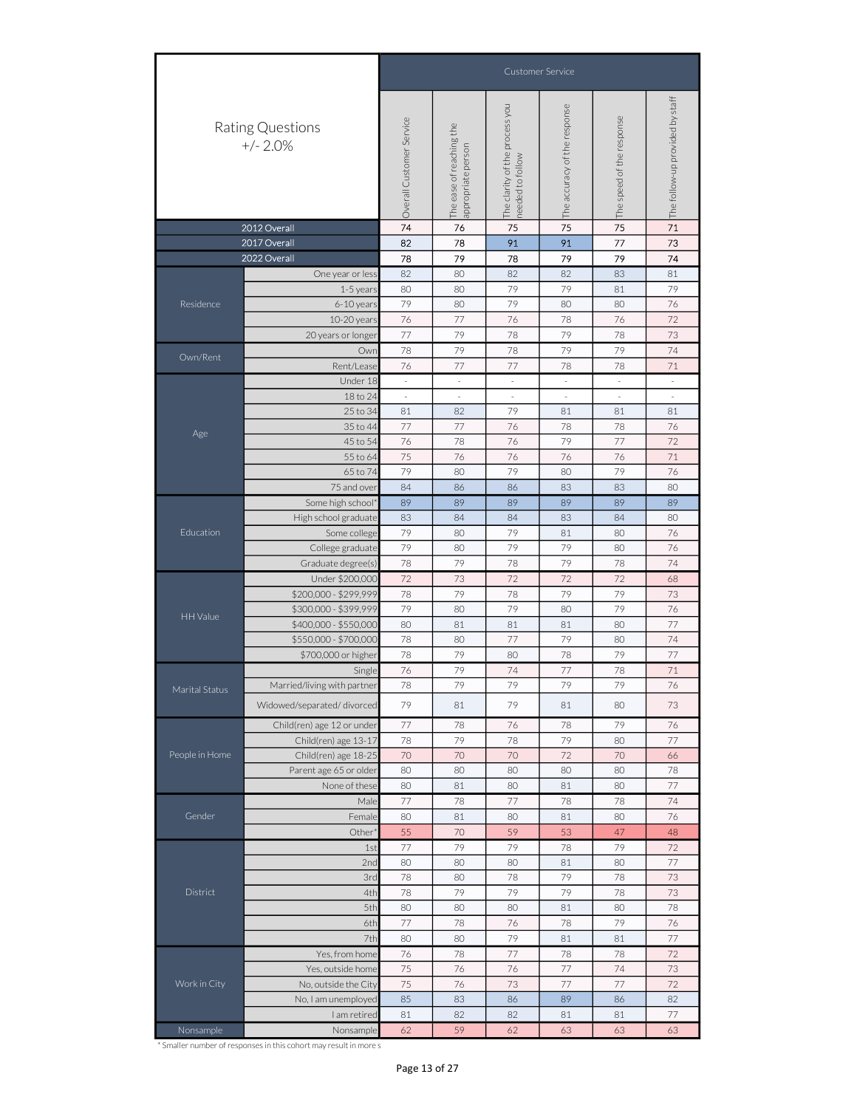| <b>Customer Service</b>                                                                                                                                                                                                                                            |  |
|--------------------------------------------------------------------------------------------------------------------------------------------------------------------------------------------------------------------------------------------------------------------|--|
| The follow-up provided by staff<br>The clarity of the process you<br>The accuracy of the response<br>The speed of the response<br>Overall Customer Service<br>Rating Questions<br>The ease of reaching the<br>$+/- 2.0%$<br>appropriate person<br>needed to follow |  |
| 71<br>2012 Overall<br>74<br>76<br>75<br>75<br>75                                                                                                                                                                                                                   |  |
| 2017 Overall<br>77<br>82<br>78<br>91<br>91<br>73                                                                                                                                                                                                                   |  |
| 2022 Overall<br>79<br>74<br>78<br>79<br>79<br>78                                                                                                                                                                                                                   |  |
| 82<br>80<br>82<br>82<br>83<br>81<br>One year or less                                                                                                                                                                                                               |  |
| 79<br>79<br>79<br>80<br>80<br>81<br>1-5 years                                                                                                                                                                                                                      |  |
| 79<br>79<br>Residence<br>80<br>76<br>6-10 years<br>80<br>80                                                                                                                                                                                                        |  |
| 76<br>77<br>76<br>76<br>72<br>10-20 years<br>78                                                                                                                                                                                                                    |  |
| 77<br>79<br>78<br>79<br>78<br>73<br>20 years or longer                                                                                                                                                                                                             |  |
| 79<br>79<br>79<br>74<br>78<br>78<br>Own<br>Own/Rent                                                                                                                                                                                                                |  |
| 77<br>77<br>Rent/Lease<br>76<br>78<br>78<br>71                                                                                                                                                                                                                     |  |
| Under 18<br>$\overline{\phantom{a}}$<br>$\overline{\phantom{a}}$<br>$\overline{\phantom{a}}$<br>$\overline{\phantom{a}}$<br>$\overline{\phantom{a}}$<br>$\overline{\phantom{a}}$<br>à,<br>÷,<br>÷,<br>÷,                                                           |  |
| 18 to 24<br>79<br>25 to 34<br>82<br>81<br>81<br>81<br>81                                                                                                                                                                                                           |  |
| 77<br>77<br>76<br>78<br>76<br>35 to 44<br>78                                                                                                                                                                                                                       |  |
| Age<br>76<br>79<br>77<br>72<br>45 to 54<br>76<br>78                                                                                                                                                                                                                |  |
| 75<br>76<br>76<br>71<br>55 to 64<br>76<br>76                                                                                                                                                                                                                       |  |
| 65 to 74<br>79<br>80<br>79<br>79<br>76<br>80                                                                                                                                                                                                                       |  |
| 83<br>80<br>75 and over<br>84<br>86<br>86<br>83                                                                                                                                                                                                                    |  |
| 89<br>89<br>89<br>89<br>Some high school*<br>89<br>89                                                                                                                                                                                                              |  |
| 84<br>83<br>84<br>83<br>84<br>80<br>High school graduate                                                                                                                                                                                                           |  |
| Education<br>79<br>79<br>80<br>81<br>80<br>76<br>Some college                                                                                                                                                                                                      |  |
| 79<br>79<br>79<br>College graduate<br>80<br>80<br>76                                                                                                                                                                                                               |  |
| 79<br>78<br>79<br>74<br>78<br>78<br>Graduate degree(s)                                                                                                                                                                                                             |  |
| 72<br>72<br>72<br>Under \$200,000<br>73<br>72<br>68                                                                                                                                                                                                                |  |
| 79<br>79<br>79<br>\$200,000 - \$299,999<br>78<br>78<br>73                                                                                                                                                                                                          |  |
| \$300,000 - \$399,999<br>79<br>79<br>79<br>80<br>80<br>76<br>HH Value                                                                                                                                                                                              |  |
| 77<br>\$400,000 - \$550,000<br>80<br>81<br>81<br>81<br>80                                                                                                                                                                                                          |  |
| \$550,000 - \$700,000<br>78<br>80<br>77<br>79<br>74<br>80                                                                                                                                                                                                          |  |
| 79<br>79<br>77<br>\$700,000 or higher<br>78<br>80<br>78                                                                                                                                                                                                            |  |
| 79<br>76<br>74<br>77<br>78<br>71<br>Single                                                                                                                                                                                                                         |  |
| 78<br>79<br>79<br>79<br>79<br>76<br>Married/living with partner<br>Marital Status                                                                                                                                                                                  |  |
| 79<br>Widowed/separated/divorced<br>79<br>81<br>81<br>80<br>73                                                                                                                                                                                                     |  |
| $77\,$<br>Child(ren) age 12 or under<br>78<br>76<br>78<br>79<br>76                                                                                                                                                                                                 |  |
| 78<br>79<br>78<br>79<br>80<br>77<br>Child(ren) age 13-17                                                                                                                                                                                                           |  |
| 70<br>People in Home<br>Child(ren) age 18-25<br>70<br>70<br>72<br>70<br>66                                                                                                                                                                                         |  |
| Parent age 65 or older<br>80<br>80<br>80<br>80<br>78<br>80                                                                                                                                                                                                         |  |
| 80<br>80<br>80<br>77<br>None of these<br>81<br>81                                                                                                                                                                                                                  |  |
| 77<br>78<br>77<br>78<br>74<br>78<br>Male                                                                                                                                                                                                                           |  |
| 76<br>Gender<br>80<br>81<br>80<br>Female<br>80<br>81                                                                                                                                                                                                               |  |
| 70<br>59<br>Other <sup>*</sup><br>55<br>53<br>47<br>48                                                                                                                                                                                                             |  |
| 77<br>79<br>79<br>79<br>72<br>78<br>1st                                                                                                                                                                                                                            |  |
| 77<br>2nd<br>80<br>80<br>80<br>81<br>80                                                                                                                                                                                                                            |  |
| 78<br>80<br>78<br>79<br>78<br>73<br>3rd                                                                                                                                                                                                                            |  |
| District<br>4th<br>78<br>79<br>79<br>79<br>73<br>78<br>5th<br>80<br>80<br>80<br>80<br>78                                                                                                                                                                           |  |
| 81<br>77<br>79<br>76                                                                                                                                                                                                                                               |  |
| 6th<br>78<br>76<br>78<br>79                                                                                                                                                                                                                                        |  |
| 80<br>80<br>81<br>77<br>7th<br>81                                                                                                                                                                                                                                  |  |
| Yes, from home<br>76<br>78<br>$77\,$<br>78<br>78<br>72<br>75<br>$73\,$<br>76<br>76<br>77<br>74                                                                                                                                                                     |  |
| Yes, outside home<br>Work in City<br>75<br>72<br>No, outside the City<br>76<br>73<br>77<br>77                                                                                                                                                                      |  |
| 82<br>85<br>83<br>86<br>89<br>86<br>No, I am unemployed                                                                                                                                                                                                            |  |
| 82<br>$77 \,$<br>I am retired<br>81<br>82<br>81<br>81                                                                                                                                                                                                              |  |
|                                                                                                                                                                                                                                                                    |  |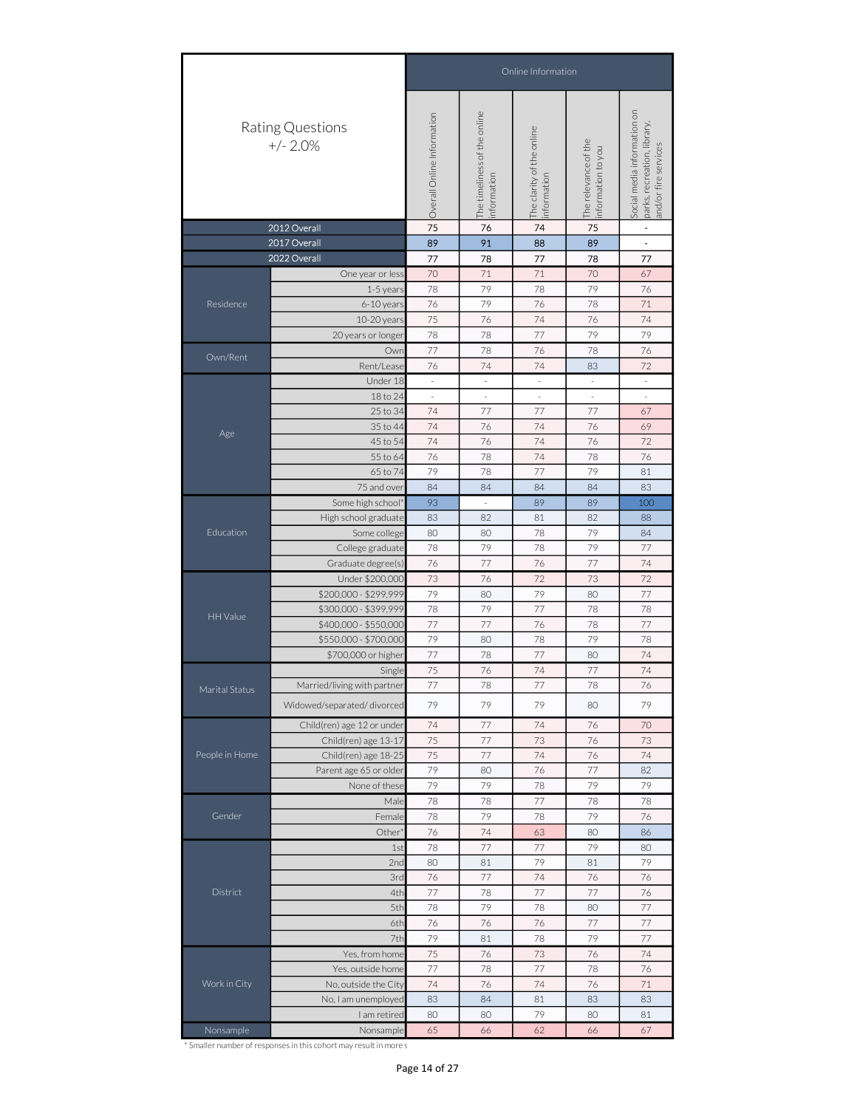|                |                                                                                                                                                                                                                                                                                                                                                                                                                                                                                                                                                                                                                                                                                                                                                                                                                                                                                                                                                                                                                                                                                                                                                                                                                                                                                                                                                                                                                                                                                                                                                                                                                                                                                                                                                                                                                                                                                                                                                                                                                                                                                                                 |                            |                                             | Online Information                       |                                           |                                                                                    |
|----------------|-----------------------------------------------------------------------------------------------------------------------------------------------------------------------------------------------------------------------------------------------------------------------------------------------------------------------------------------------------------------------------------------------------------------------------------------------------------------------------------------------------------------------------------------------------------------------------------------------------------------------------------------------------------------------------------------------------------------------------------------------------------------------------------------------------------------------------------------------------------------------------------------------------------------------------------------------------------------------------------------------------------------------------------------------------------------------------------------------------------------------------------------------------------------------------------------------------------------------------------------------------------------------------------------------------------------------------------------------------------------------------------------------------------------------------------------------------------------------------------------------------------------------------------------------------------------------------------------------------------------------------------------------------------------------------------------------------------------------------------------------------------------------------------------------------------------------------------------------------------------------------------------------------------------------------------------------------------------------------------------------------------------------------------------------------------------------------------------------------------------|----------------------------|---------------------------------------------|------------------------------------------|-------------------------------------------|------------------------------------------------------------------------------------|
|                |                                                                                                                                                                                                                                                                                                                                                                                                                                                                                                                                                                                                                                                                                                                                                                                                                                                                                                                                                                                                                                                                                                                                                                                                                                                                                                                                                                                                                                                                                                                                                                                                                                                                                                                                                                                                                                                                                                                                                                                                                                                                                                                 | Overall Online Information | The timeliness of the online<br>information | The clarity of the online<br>information | The relevance of the<br>nformation to you | Social media information on<br>parks, recreation, library,<br>and/or fire services |
|                |                                                                                                                                                                                                                                                                                                                                                                                                                                                                                                                                                                                                                                                                                                                                                                                                                                                                                                                                                                                                                                                                                                                                                                                                                                                                                                                                                                                                                                                                                                                                                                                                                                                                                                                                                                                                                                                                                                                                                                                                                                                                                                                 |                            |                                             |                                          |                                           | $\blacksquare$                                                                     |
|                |                                                                                                                                                                                                                                                                                                                                                                                                                                                                                                                                                                                                                                                                                                                                                                                                                                                                                                                                                                                                                                                                                                                                                                                                                                                                                                                                                                                                                                                                                                                                                                                                                                                                                                                                                                                                                                                                                                                                                                                                                                                                                                                 |                            |                                             |                                          |                                           |                                                                                    |
|                |                                                                                                                                                                                                                                                                                                                                                                                                                                                                                                                                                                                                                                                                                                                                                                                                                                                                                                                                                                                                                                                                                                                                                                                                                                                                                                                                                                                                                                                                                                                                                                                                                                                                                                                                                                                                                                                                                                                                                                                                                                                                                                                 | 70                         | 71                                          | 71                                       | 70                                        | 67                                                                                 |
|                | 1-5 years                                                                                                                                                                                                                                                                                                                                                                                                                                                                                                                                                                                                                                                                                                                                                                                                                                                                                                                                                                                                                                                                                                                                                                                                                                                                                                                                                                                                                                                                                                                                                                                                                                                                                                                                                                                                                                                                                                                                                                                                                                                                                                       | 78                         | 79                                          | 78                                       | 79                                        | 76                                                                                 |
| Residence      | 6-10 years                                                                                                                                                                                                                                                                                                                                                                                                                                                                                                                                                                                                                                                                                                                                                                                                                                                                                                                                                                                                                                                                                                                                                                                                                                                                                                                                                                                                                                                                                                                                                                                                                                                                                                                                                                                                                                                                                                                                                                                                                                                                                                      | 76                         | 79                                          | 76                                       | 78                                        | 71                                                                                 |
|                | 10-20 years                                                                                                                                                                                                                                                                                                                                                                                                                                                                                                                                                                                                                                                                                                                                                                                                                                                                                                                                                                                                                                                                                                                                                                                                                                                                                                                                                                                                                                                                                                                                                                                                                                                                                                                                                                                                                                                                                                                                                                                                                                                                                                     | 75                         | 76                                          | 74                                       | 76                                        | 74                                                                                 |
|                | 20 years or longer                                                                                                                                                                                                                                                                                                                                                                                                                                                                                                                                                                                                                                                                                                                                                                                                                                                                                                                                                                                                                                                                                                                                                                                                                                                                                                                                                                                                                                                                                                                                                                                                                                                                                                                                                                                                                                                                                                                                                                                                                                                                                              | 78                         | 78                                          | 77                                       | 79                                        | 79                                                                                 |
| Own/Rent       | Own                                                                                                                                                                                                                                                                                                                                                                                                                                                                                                                                                                                                                                                                                                                                                                                                                                                                                                                                                                                                                                                                                                                                                                                                                                                                                                                                                                                                                                                                                                                                                                                                                                                                                                                                                                                                                                                                                                                                                                                                                                                                                                             | 77                         | 78                                          | 76                                       | 78                                        | 76                                                                                 |
|                | Rent/Lease                                                                                                                                                                                                                                                                                                                                                                                                                                                                                                                                                                                                                                                                                                                                                                                                                                                                                                                                                                                                                                                                                                                                                                                                                                                                                                                                                                                                                                                                                                                                                                                                                                                                                                                                                                                                                                                                                                                                                                                                                                                                                                      | 76                         | 74                                          | 74                                       | 83                                        | 72                                                                                 |
|                | Under 18                                                                                                                                                                                                                                                                                                                                                                                                                                                                                                                                                                                                                                                                                                                                                                                                                                                                                                                                                                                                                                                                                                                                                                                                                                                                                                                                                                                                                                                                                                                                                                                                                                                                                                                                                                                                                                                                                                                                                                                                                                                                                                        | $\overline{\phantom{a}}$   | $\overline{\phantom{a}}$                    | $\overline{\phantom{a}}$                 | $\overline{\phantom{a}}$                  | $\overline{\phantom{a}}$                                                           |
|                |                                                                                                                                                                                                                                                                                                                                                                                                                                                                                                                                                                                                                                                                                                                                                                                                                                                                                                                                                                                                                                                                                                                                                                                                                                                                                                                                                                                                                                                                                                                                                                                                                                                                                                                                                                                                                                                                                                                                                                                                                                                                                                                 | $\bar{z}$                  | $\bar{\phantom{a}}$                         | $\bar{z}$                                | $\overline{\phantom{a}}$                  | ÷,                                                                                 |
|                |                                                                                                                                                                                                                                                                                                                                                                                                                                                                                                                                                                                                                                                                                                                                                                                                                                                                                                                                                                                                                                                                                                                                                                                                                                                                                                                                                                                                                                                                                                                                                                                                                                                                                                                                                                                                                                                                                                                                                                                                                                                                                                                 |                            |                                             |                                          |                                           |                                                                                    |
| Age            |                                                                                                                                                                                                                                                                                                                                                                                                                                                                                                                                                                                                                                                                                                                                                                                                                                                                                                                                                                                                                                                                                                                                                                                                                                                                                                                                                                                                                                                                                                                                                                                                                                                                                                                                                                                                                                                                                                                                                                                                                                                                                                                 |                            |                                             |                                          |                                           |                                                                                    |
|                |                                                                                                                                                                                                                                                                                                                                                                                                                                                                                                                                                                                                                                                                                                                                                                                                                                                                                                                                                                                                                                                                                                                                                                                                                                                                                                                                                                                                                                                                                                                                                                                                                                                                                                                                                                                                                                                                                                                                                                                                                                                                                                                 |                            |                                             |                                          |                                           |                                                                                    |
|                |                                                                                                                                                                                                                                                                                                                                                                                                                                                                                                                                                                                                                                                                                                                                                                                                                                                                                                                                                                                                                                                                                                                                                                                                                                                                                                                                                                                                                                                                                                                                                                                                                                                                                                                                                                                                                                                                                                                                                                                                                                                                                                                 |                            |                                             |                                          |                                           |                                                                                    |
|                |                                                                                                                                                                                                                                                                                                                                                                                                                                                                                                                                                                                                                                                                                                                                                                                                                                                                                                                                                                                                                                                                                                                                                                                                                                                                                                                                                                                                                                                                                                                                                                                                                                                                                                                                                                                                                                                                                                                                                                                                                                                                                                                 |                            |                                             |                                          |                                           |                                                                                    |
|                |                                                                                                                                                                                                                                                                                                                                                                                                                                                                                                                                                                                                                                                                                                                                                                                                                                                                                                                                                                                                                                                                                                                                                                                                                                                                                                                                                                                                                                                                                                                                                                                                                                                                                                                                                                                                                                                                                                                                                                                                                                                                                                                 | 93                         |                                             | 89                                       | 89                                        | 100                                                                                |
|                | High school graduate                                                                                                                                                                                                                                                                                                                                                                                                                                                                                                                                                                                                                                                                                                                                                                                                                                                                                                                                                                                                                                                                                                                                                                                                                                                                                                                                                                                                                                                                                                                                                                                                                                                                                                                                                                                                                                                                                                                                                                                                                                                                                            | 83                         | 82                                          | 81                                       | 82                                        | 88                                                                                 |
| Education      | Some college                                                                                                                                                                                                                                                                                                                                                                                                                                                                                                                                                                                                                                                                                                                                                                                                                                                                                                                                                                                                                                                                                                                                                                                                                                                                                                                                                                                                                                                                                                                                                                                                                                                                                                                                                                                                                                                                                                                                                                                                                                                                                                    | 80                         | 80                                          | 78                                       | 79                                        | 84                                                                                 |
|                | <b>Rating Questions</b><br>$+/- 2.0%$<br>2012 Overall<br>75<br>74<br>76<br>75<br>91<br>2017 Overall<br>89<br>88<br>89<br>$\overline{\phantom{a}}$<br>2022 Overall<br>77<br>78<br>77<br>78<br>77<br>One year or less<br>18 to 24<br>77<br>77<br>77<br>25 to 34<br>74<br>67<br>35 to 44<br>74<br>76<br>74<br>76<br>69<br>45 to 54<br>74<br>76<br>74<br>76<br>72<br>76<br>55 to 64<br>76<br>78<br>74<br>78<br>79<br>79<br>65 to 74<br>78<br>77<br>81<br>83<br>75 and over<br>84<br>84<br>84<br>84<br>Some high school*<br>78<br>79<br>78<br>79<br>77<br>College graduate<br>76<br>77<br>76<br>77<br>74<br>Graduate degree(s)<br>73<br>76<br>72<br>73<br>72<br>Under \$200,000<br>79<br>79<br>77<br>\$200,000 - \$299,999<br>80<br>80<br>77<br>\$300,000 - \$399,999<br>78<br>79<br>78<br>78<br>\$400,000 - \$550,000<br>77<br>77<br>76<br>78<br>77<br>79<br>79<br>78<br>78<br>\$550,000 - \$700,000<br>80<br>77<br>78<br>77<br>80<br>74<br>\$700,000 or higher<br>75<br>76<br>74<br>77<br>74<br>Single<br>77<br>78<br>77<br>78<br>76<br>Married/living with partner<br>79<br>79<br>79<br>79<br>Widowed/separated/divorced<br>80<br>Child(ren) age 12 or under<br>74<br>$77\,$<br>74<br>76<br>70<br>73<br>Child(ren) age 13-17<br>75<br>77<br>73<br>76<br>75<br>77<br>74<br>76<br>74<br>Child(ren) age 18-25<br>79<br>77<br>82<br>Parent age 65 or older<br>80<br>76<br>79<br>79<br>79<br>78<br>79<br>None of these<br>78<br>78<br>77<br>78<br>78<br>Male<br>79<br>79<br>78<br>78<br>76<br>Female<br>76<br>74<br>Other*<br>63<br>80<br>86<br>77<br>77<br>79<br>78<br>80<br>1st<br>79<br>79<br>2nd<br>80<br>81<br>81<br>74<br>76<br>77<br>76<br>76<br>3rd<br>4th<br>77<br>78<br>77<br>77<br>76<br>5th<br>79<br>77<br>78<br>78<br>80<br>76<br>76<br>76<br>77<br>77<br>6th<br>79<br>7th<br>79<br>81<br>78<br>77<br>75<br>76<br>73<br>76<br>74<br>Yes, from home<br>77<br>77<br>78<br>78<br>76<br>Yes, outside home<br>74<br>76<br>74<br>71<br>No, outside the City<br>76<br>84<br>81<br>83<br>83<br>No, I am unemployed<br>83<br>80<br>79<br>81<br>I am retired<br>80<br>80<br>62<br>67<br>65<br>66<br>Nonsample<br>66 |                            |                                             |                                          |                                           |                                                                                    |
|                |                                                                                                                                                                                                                                                                                                                                                                                                                                                                                                                                                                                                                                                                                                                                                                                                                                                                                                                                                                                                                                                                                                                                                                                                                                                                                                                                                                                                                                                                                                                                                                                                                                                                                                                                                                                                                                                                                                                                                                                                                                                                                                                 |                            |                                             |                                          |                                           |                                                                                    |
|                |                                                                                                                                                                                                                                                                                                                                                                                                                                                                                                                                                                                                                                                                                                                                                                                                                                                                                                                                                                                                                                                                                                                                                                                                                                                                                                                                                                                                                                                                                                                                                                                                                                                                                                                                                                                                                                                                                                                                                                                                                                                                                                                 |                            |                                             |                                          |                                           |                                                                                    |
|                |                                                                                                                                                                                                                                                                                                                                                                                                                                                                                                                                                                                                                                                                                                                                                                                                                                                                                                                                                                                                                                                                                                                                                                                                                                                                                                                                                                                                                                                                                                                                                                                                                                                                                                                                                                                                                                                                                                                                                                                                                                                                                                                 |                            |                                             |                                          |                                           |                                                                                    |
| HH Value       |                                                                                                                                                                                                                                                                                                                                                                                                                                                                                                                                                                                                                                                                                                                                                                                                                                                                                                                                                                                                                                                                                                                                                                                                                                                                                                                                                                                                                                                                                                                                                                                                                                                                                                                                                                                                                                                                                                                                                                                                                                                                                                                 |                            |                                             |                                          |                                           |                                                                                    |
|                |                                                                                                                                                                                                                                                                                                                                                                                                                                                                                                                                                                                                                                                                                                                                                                                                                                                                                                                                                                                                                                                                                                                                                                                                                                                                                                                                                                                                                                                                                                                                                                                                                                                                                                                                                                                                                                                                                                                                                                                                                                                                                                                 |                            |                                             |                                          |                                           |                                                                                    |
|                |                                                                                                                                                                                                                                                                                                                                                                                                                                                                                                                                                                                                                                                                                                                                                                                                                                                                                                                                                                                                                                                                                                                                                                                                                                                                                                                                                                                                                                                                                                                                                                                                                                                                                                                                                                                                                                                                                                                                                                                                                                                                                                                 |                            |                                             |                                          |                                           |                                                                                    |
|                |                                                                                                                                                                                                                                                                                                                                                                                                                                                                                                                                                                                                                                                                                                                                                                                                                                                                                                                                                                                                                                                                                                                                                                                                                                                                                                                                                                                                                                                                                                                                                                                                                                                                                                                                                                                                                                                                                                                                                                                                                                                                                                                 |                            |                                             |                                          |                                           |                                                                                    |
|                |                                                                                                                                                                                                                                                                                                                                                                                                                                                                                                                                                                                                                                                                                                                                                                                                                                                                                                                                                                                                                                                                                                                                                                                                                                                                                                                                                                                                                                                                                                                                                                                                                                                                                                                                                                                                                                                                                                                                                                                                                                                                                                                 |                            |                                             |                                          |                                           |                                                                                    |
| Marital Status |                                                                                                                                                                                                                                                                                                                                                                                                                                                                                                                                                                                                                                                                                                                                                                                                                                                                                                                                                                                                                                                                                                                                                                                                                                                                                                                                                                                                                                                                                                                                                                                                                                                                                                                                                                                                                                                                                                                                                                                                                                                                                                                 |                            |                                             |                                          |                                           |                                                                                    |
|                |                                                                                                                                                                                                                                                                                                                                                                                                                                                                                                                                                                                                                                                                                                                                                                                                                                                                                                                                                                                                                                                                                                                                                                                                                                                                                                                                                                                                                                                                                                                                                                                                                                                                                                                                                                                                                                                                                                                                                                                                                                                                                                                 |                            |                                             |                                          |                                           |                                                                                    |
|                |                                                                                                                                                                                                                                                                                                                                                                                                                                                                                                                                                                                                                                                                                                                                                                                                                                                                                                                                                                                                                                                                                                                                                                                                                                                                                                                                                                                                                                                                                                                                                                                                                                                                                                                                                                                                                                                                                                                                                                                                                                                                                                                 |                            |                                             |                                          |                                           |                                                                                    |
|                |                                                                                                                                                                                                                                                                                                                                                                                                                                                                                                                                                                                                                                                                                                                                                                                                                                                                                                                                                                                                                                                                                                                                                                                                                                                                                                                                                                                                                                                                                                                                                                                                                                                                                                                                                                                                                                                                                                                                                                                                                                                                                                                 |                            |                                             |                                          |                                           |                                                                                    |
| People in Home |                                                                                                                                                                                                                                                                                                                                                                                                                                                                                                                                                                                                                                                                                                                                                                                                                                                                                                                                                                                                                                                                                                                                                                                                                                                                                                                                                                                                                                                                                                                                                                                                                                                                                                                                                                                                                                                                                                                                                                                                                                                                                                                 |                            |                                             |                                          |                                           |                                                                                    |
|                |                                                                                                                                                                                                                                                                                                                                                                                                                                                                                                                                                                                                                                                                                                                                                                                                                                                                                                                                                                                                                                                                                                                                                                                                                                                                                                                                                                                                                                                                                                                                                                                                                                                                                                                                                                                                                                                                                                                                                                                                                                                                                                                 |                            |                                             |                                          |                                           |                                                                                    |
|                |                                                                                                                                                                                                                                                                                                                                                                                                                                                                                                                                                                                                                                                                                                                                                                                                                                                                                                                                                                                                                                                                                                                                                                                                                                                                                                                                                                                                                                                                                                                                                                                                                                                                                                                                                                                                                                                                                                                                                                                                                                                                                                                 |                            |                                             |                                          |                                           |                                                                                    |
|                |                                                                                                                                                                                                                                                                                                                                                                                                                                                                                                                                                                                                                                                                                                                                                                                                                                                                                                                                                                                                                                                                                                                                                                                                                                                                                                                                                                                                                                                                                                                                                                                                                                                                                                                                                                                                                                                                                                                                                                                                                                                                                                                 |                            |                                             |                                          |                                           |                                                                                    |
| Gender         |                                                                                                                                                                                                                                                                                                                                                                                                                                                                                                                                                                                                                                                                                                                                                                                                                                                                                                                                                                                                                                                                                                                                                                                                                                                                                                                                                                                                                                                                                                                                                                                                                                                                                                                                                                                                                                                                                                                                                                                                                                                                                                                 |                            |                                             |                                          |                                           |                                                                                    |
|                |                                                                                                                                                                                                                                                                                                                                                                                                                                                                                                                                                                                                                                                                                                                                                                                                                                                                                                                                                                                                                                                                                                                                                                                                                                                                                                                                                                                                                                                                                                                                                                                                                                                                                                                                                                                                                                                                                                                                                                                                                                                                                                                 |                            |                                             |                                          |                                           |                                                                                    |
|                |                                                                                                                                                                                                                                                                                                                                                                                                                                                                                                                                                                                                                                                                                                                                                                                                                                                                                                                                                                                                                                                                                                                                                                                                                                                                                                                                                                                                                                                                                                                                                                                                                                                                                                                                                                                                                                                                                                                                                                                                                                                                                                                 |                            |                                             |                                          |                                           |                                                                                    |
|                |                                                                                                                                                                                                                                                                                                                                                                                                                                                                                                                                                                                                                                                                                                                                                                                                                                                                                                                                                                                                                                                                                                                                                                                                                                                                                                                                                                                                                                                                                                                                                                                                                                                                                                                                                                                                                                                                                                                                                                                                                                                                                                                 |                            |                                             |                                          |                                           |                                                                                    |
|                |                                                                                                                                                                                                                                                                                                                                                                                                                                                                                                                                                                                                                                                                                                                                                                                                                                                                                                                                                                                                                                                                                                                                                                                                                                                                                                                                                                                                                                                                                                                                                                                                                                                                                                                                                                                                                                                                                                                                                                                                                                                                                                                 |                            |                                             |                                          |                                           |                                                                                    |
| District       |                                                                                                                                                                                                                                                                                                                                                                                                                                                                                                                                                                                                                                                                                                                                                                                                                                                                                                                                                                                                                                                                                                                                                                                                                                                                                                                                                                                                                                                                                                                                                                                                                                                                                                                                                                                                                                                                                                                                                                                                                                                                                                                 |                            |                                             |                                          |                                           |                                                                                    |
|                |                                                                                                                                                                                                                                                                                                                                                                                                                                                                                                                                                                                                                                                                                                                                                                                                                                                                                                                                                                                                                                                                                                                                                                                                                                                                                                                                                                                                                                                                                                                                                                                                                                                                                                                                                                                                                                                                                                                                                                                                                                                                                                                 |                            |                                             |                                          |                                           |                                                                                    |
|                |                                                                                                                                                                                                                                                                                                                                                                                                                                                                                                                                                                                                                                                                                                                                                                                                                                                                                                                                                                                                                                                                                                                                                                                                                                                                                                                                                                                                                                                                                                                                                                                                                                                                                                                                                                                                                                                                                                                                                                                                                                                                                                                 |                            |                                             |                                          |                                           |                                                                                    |
|                |                                                                                                                                                                                                                                                                                                                                                                                                                                                                                                                                                                                                                                                                                                                                                                                                                                                                                                                                                                                                                                                                                                                                                                                                                                                                                                                                                                                                                                                                                                                                                                                                                                                                                                                                                                                                                                                                                                                                                                                                                                                                                                                 |                            |                                             |                                          |                                           |                                                                                    |
|                |                                                                                                                                                                                                                                                                                                                                                                                                                                                                                                                                                                                                                                                                                                                                                                                                                                                                                                                                                                                                                                                                                                                                                                                                                                                                                                                                                                                                                                                                                                                                                                                                                                                                                                                                                                                                                                                                                                                                                                                                                                                                                                                 |                            |                                             |                                          |                                           |                                                                                    |
|                |                                                                                                                                                                                                                                                                                                                                                                                                                                                                                                                                                                                                                                                                                                                                                                                                                                                                                                                                                                                                                                                                                                                                                                                                                                                                                                                                                                                                                                                                                                                                                                                                                                                                                                                                                                                                                                                                                                                                                                                                                                                                                                                 |                            |                                             |                                          |                                           |                                                                                    |
| Work in City   |                                                                                                                                                                                                                                                                                                                                                                                                                                                                                                                                                                                                                                                                                                                                                                                                                                                                                                                                                                                                                                                                                                                                                                                                                                                                                                                                                                                                                                                                                                                                                                                                                                                                                                                                                                                                                                                                                                                                                                                                                                                                                                                 |                            |                                             |                                          |                                           |                                                                                    |
|                |                                                                                                                                                                                                                                                                                                                                                                                                                                                                                                                                                                                                                                                                                                                                                                                                                                                                                                                                                                                                                                                                                                                                                                                                                                                                                                                                                                                                                                                                                                                                                                                                                                                                                                                                                                                                                                                                                                                                                                                                                                                                                                                 |                            |                                             |                                          |                                           |                                                                                    |
|                |                                                                                                                                                                                                                                                                                                                                                                                                                                                                                                                                                                                                                                                                                                                                                                                                                                                                                                                                                                                                                                                                                                                                                                                                                                                                                                                                                                                                                                                                                                                                                                                                                                                                                                                                                                                                                                                                                                                                                                                                                                                                                                                 |                            |                                             |                                          |                                           |                                                                                    |
| Nonsample      |                                                                                                                                                                                                                                                                                                                                                                                                                                                                                                                                                                                                                                                                                                                                                                                                                                                                                                                                                                                                                                                                                                                                                                                                                                                                                                                                                                                                                                                                                                                                                                                                                                                                                                                                                                                                                                                                                                                                                                                                                                                                                                                 |                            |                                             |                                          |                                           |                                                                                    |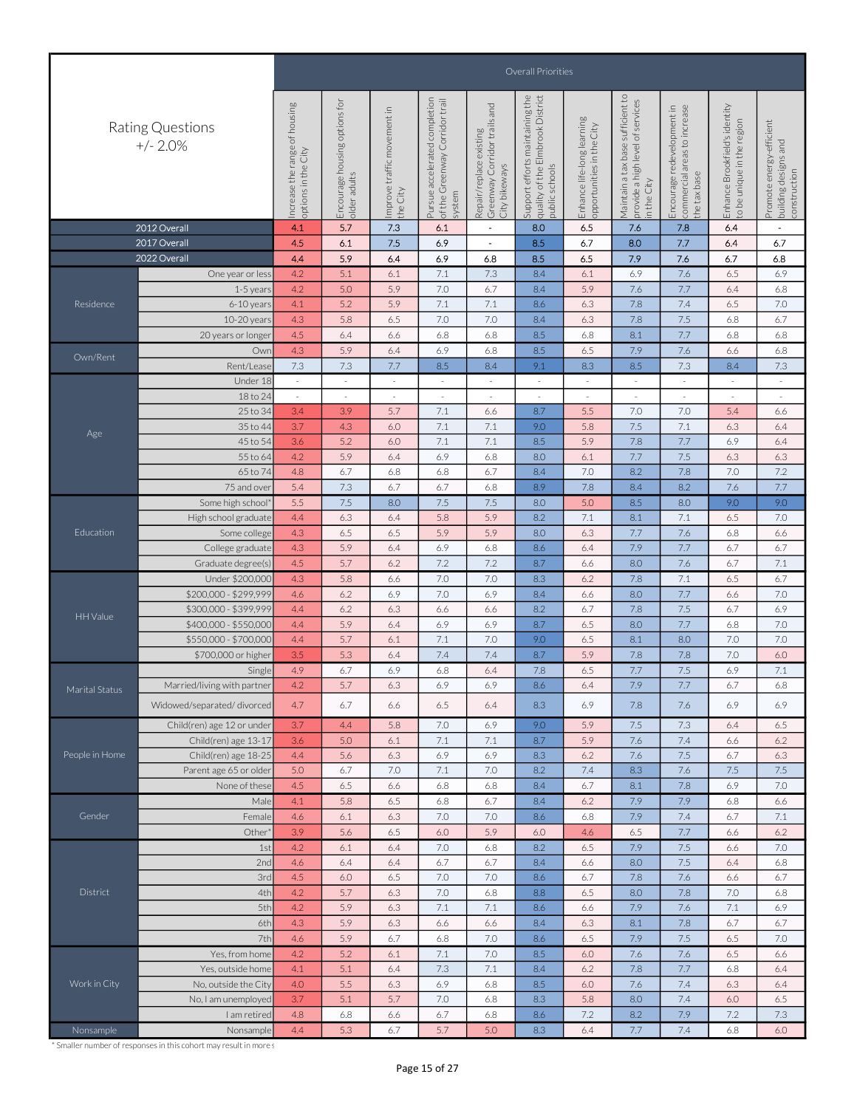|                |                                |                                                        | Overall Priorities                            |                                            |                                                                                 |                                                                             |                                                                                       |                                                         |                                                                                              |                                                                            |                                                             |                                                                  |  |  |
|----------------|--------------------------------|--------------------------------------------------------|-----------------------------------------------|--------------------------------------------|---------------------------------------------------------------------------------|-----------------------------------------------------------------------------|---------------------------------------------------------------------------------------|---------------------------------------------------------|----------------------------------------------------------------------------------------------|----------------------------------------------------------------------------|-------------------------------------------------------------|------------------------------------------------------------------|--|--|
|                | Rating Questions<br>$+/- 2.0%$ | ncrease the range of housing<br>in the City<br>options | Encourage housing options for<br>older adults | 크.<br>improve traffic movement<br>the City | completion<br>of the Greenway Corridor trail<br>accelerated<br>Pursue<br>system | Greenway Corridor trails and<br>City bikeways<br>existing<br>Repair/replace | Support efforts maintaining the<br>quality of the Elmbrook District<br>public schools | Enhance life-long learning<br>opportunities in the City | sufficient to<br>of services<br>Maintain a tax base<br>provide a high level<br>City<br>n the | Encourage redevelopment in<br>commercial areas to increase<br>the tax base | Enhance Brookfield's identity<br>to be unique in the region | Promote energy-efficient<br>building designs and<br>construction |  |  |
|                | 2012 Overall                   | 4.1                                                    | 5.7                                           | 7.3                                        | 6.1                                                                             | $\blacksquare$                                                              | 8.0                                                                                   | 6.5                                                     | 7.6                                                                                          | 7.8                                                                        | 6.4                                                         | $\blacksquare$                                                   |  |  |
|                | 2017 Overall                   | 4.5                                                    | 6.1                                           | 7.5                                        | 6.9                                                                             | $\overline{\phantom{a}}$                                                    | 8.5                                                                                   | 6.7                                                     | 8.0                                                                                          | 7.7                                                                        | 6.4                                                         | 6.7                                                              |  |  |
|                |                                |                                                        |                                               |                                            |                                                                                 |                                                                             |                                                                                       |                                                         |                                                                                              |                                                                            |                                                             |                                                                  |  |  |
|                | 2022 Overall                   | 4.4                                                    | 5.9                                           | 6.4                                        | 6.9                                                                             | 6.8                                                                         | 8.5                                                                                   | 6.5                                                     | 7.9                                                                                          | 7.6                                                                        | 6.7                                                         | 6.8                                                              |  |  |
|                | One year or less               | 4.2                                                    | 5.1                                           | 6.1                                        | 7.1                                                                             | 7.3                                                                         | 8.4                                                                                   | 6.1                                                     | 6.9                                                                                          | 7.6                                                                        | 6.5                                                         | 6.9                                                              |  |  |
|                | 1-5 years                      | 4.2                                                    | 5.0                                           | 5.9                                        | 7.0                                                                             | 6.7                                                                         | 8.4                                                                                   | 5.9                                                     | 7.6                                                                                          | 7.7                                                                        | 6.4                                                         | 6.8                                                              |  |  |
| Residence      | 6-10 years                     | 4.1                                                    | 5.2                                           | 5.9                                        | 7.1                                                                             | 7.1                                                                         | 8.6                                                                                   | 6.3                                                     | 7.8                                                                                          | 7.4                                                                        | 6.5                                                         | 7.0                                                              |  |  |
|                | 10-20 years                    | 4.3                                                    | 5.8                                           | 6.5                                        | 7.0                                                                             | 7.0                                                                         | 8.4                                                                                   | 6.3                                                     | 7.8                                                                                          | 7.5                                                                        | 6.8                                                         | 6.7                                                              |  |  |
|                | 20 years or longer             | 4.5                                                    | 6.4                                           | 6.6                                        | 6.8                                                                             | 6.8                                                                         | 8.5                                                                                   | 6.8                                                     | 8.1                                                                                          | 7.7                                                                        | 6.8                                                         | 6.8                                                              |  |  |
|                | Owr                            | 4.3                                                    | 5.9                                           | 6.4                                        | 6.9                                                                             | 6.8                                                                         | 8.5                                                                                   | 6.5                                                     | 7.9                                                                                          | 7.6                                                                        | 6.6                                                         | 6.8                                                              |  |  |
| Own/Rent       | Rent/Lease                     | 7.3                                                    | 7.3                                           | 7.7                                        | 8.5                                                                             | 8.4                                                                         | 9.1                                                                                   | 8.3                                                     | 8.5                                                                                          | $7.3\,$                                                                    | 8.4                                                         | 7.3                                                              |  |  |
|                | Under 18                       | $\sim$                                                 |                                               | $\sim$                                     |                                                                                 |                                                                             |                                                                                       | $\sim$                                                  |                                                                                              |                                                                            |                                                             | $\sim$                                                           |  |  |
|                |                                |                                                        |                                               |                                            |                                                                                 |                                                                             |                                                                                       |                                                         |                                                                                              |                                                                            |                                                             |                                                                  |  |  |
|                | 18 to 24                       | $\sim$                                                 | $\sim$                                        | $\sim$                                     | $\sim$                                                                          | $\sim$                                                                      |                                                                                       | $\sim$                                                  | $\sim$                                                                                       | $\sim$                                                                     |                                                             | $\sim$                                                           |  |  |
|                | 25 to 34                       | 3.4                                                    | 3.9                                           | 5.7                                        | 7.1                                                                             | 6.6                                                                         | 8.7                                                                                   | 5.5                                                     | 7.0                                                                                          | 7.0                                                                        | 5.4                                                         | 6.6                                                              |  |  |
| Age            | 35 to 44                       | 3.7                                                    | 4.3                                           | 6.0                                        | 7.1                                                                             | 7.1                                                                         | 9.0                                                                                   | 5.8                                                     | 7.5                                                                                          | 7.1                                                                        | 6.3                                                         | 6.4                                                              |  |  |
|                | 45 to 54                       | 3.6                                                    | 5.2                                           | 6.0                                        | 7.1                                                                             | 7.1                                                                         | 8.5                                                                                   | 5.9                                                     | 7.8                                                                                          | 7.7                                                                        | 6.9                                                         | 6.4                                                              |  |  |
|                | 55 to 64                       | 4.2                                                    | 5.9                                           | 6.4                                        | 6.9                                                                             | 6.8                                                                         | 8.0                                                                                   | 6.1                                                     | 7.7                                                                                          | 7.5                                                                        | 6.3                                                         | 6.3                                                              |  |  |
|                | 65 to 74                       | 4.8                                                    | 6.7                                           | 6.8                                        | 6.8                                                                             | 6.7                                                                         | 8.4                                                                                   | 7.0                                                     | 8.2                                                                                          | 7.8                                                                        | 7.0                                                         | 7.2                                                              |  |  |
|                | 75 and over                    | 5.4                                                    | 7.3                                           | 6.7                                        | 6.7                                                                             | 6.8                                                                         | 8.9                                                                                   | 7.8                                                     | 8.4                                                                                          | 8.2                                                                        | 7.6                                                         | 7.7                                                              |  |  |
|                | Some high school'              | 5.5                                                    | 7.5                                           | 8.0                                        | 7.5                                                                             | 7.5                                                                         | 8.0                                                                                   | 5.0                                                     | 8.5                                                                                          | 8.0                                                                        | 9.0                                                         | 9.0                                                              |  |  |
|                | High school graduate           | 4.4                                                    | 6.3                                           | 6.4                                        | 5.8                                                                             | 5.9                                                                         | 8.2                                                                                   | 7.1                                                     | 8.1                                                                                          | 7.1                                                                        | 6.5                                                         | 7.0                                                              |  |  |
| Education      | Some college                   | 4.3                                                    | 6.5                                           | 6.5                                        | 5.9                                                                             | 5.9                                                                         | 8.0                                                                                   | 6.3                                                     | 7.7                                                                                          | 7.6                                                                        | 6.8                                                         | 6.6                                                              |  |  |
|                | College graduate               | 4.3                                                    | 5.9                                           | 6.4                                        | 6.9                                                                             | 6.8                                                                         | 8.6                                                                                   | 6.4                                                     | 7.9                                                                                          | 7.7                                                                        | 6.7                                                         | 6.7                                                              |  |  |
|                | Graduate degree(s)             | 4.5                                                    | 5.7                                           | 6.2                                        | 7.2                                                                             | 7.2                                                                         | 8.7                                                                                   | 6.6                                                     | 8.0                                                                                          | 7.6                                                                        | 6.7                                                         | 7.1                                                              |  |  |
|                | Under \$200,000                | 4.3                                                    | 5.8                                           | 6.6                                        | 7.0                                                                             | 7.0                                                                         | 8.3                                                                                   | 6.2                                                     | 7.8                                                                                          | 7.1                                                                        | 6.5                                                         | 6.7                                                              |  |  |
|                |                                |                                                        |                                               |                                            |                                                                                 |                                                                             |                                                                                       |                                                         |                                                                                              |                                                                            |                                                             |                                                                  |  |  |
|                | \$200,000 - \$299,999          | 4.6                                                    | 6.2                                           | 6.9                                        | 7.0                                                                             | 6.9                                                                         | 8.4                                                                                   | 6.6                                                     | 8.0                                                                                          | 7.7                                                                        | 6.6                                                         | 7.0                                                              |  |  |
| HH Value       | \$300,000 - \$399,999          | 4.4                                                    | 6.2                                           | 6.3                                        | 6.6                                                                             | 6.6                                                                         | 8.2                                                                                   | 6.7                                                     | 7.8                                                                                          | 7.5                                                                        | 6.7                                                         | 6.9                                                              |  |  |
|                | \$400,000 - \$550,000          | 4.4                                                    | 5.9                                           | 6.4                                        | 6.9                                                                             | 6.9                                                                         | 8.7                                                                                   | 6.5                                                     | 8.0                                                                                          | 7.7                                                                        | 6.8                                                         | 7.0                                                              |  |  |
|                | \$550,000 - \$700,000          | 4.4                                                    | 5.7                                           | 6.1                                        | 7.1                                                                             | 7.0                                                                         | 9.0                                                                                   | 6.5                                                     | 8.1                                                                                          | 8.0                                                                        | 7.0                                                         | 7.0                                                              |  |  |
|                | \$700,000 or higher            | 3.5                                                    | 5.3                                           | 6.4                                        | 7.4                                                                             | 7.4                                                                         | 8.7                                                                                   | 5.9                                                     | 7.8                                                                                          | 7.8                                                                        | 7.0                                                         | 6.0                                                              |  |  |
|                | Single                         | 4.9                                                    | 6.7                                           | 6.9                                        | 6.8                                                                             | 6.4                                                                         | 7.8                                                                                   | 6.5                                                     | 7.7                                                                                          | 7.5                                                                        | 6.9                                                         | 7.1                                                              |  |  |
| Marital Status | Married/living with partner    | 4.2                                                    | 5.7                                           | 6.3                                        | 6.9                                                                             | 6.9                                                                         | 8.6                                                                                   | 6.4                                                     | 7.9                                                                                          | 7.7                                                                        | 6.7                                                         | 6.8                                                              |  |  |
|                | Widowed/separated/divorced     | 4.7                                                    | 6.7                                           | 6.6                                        | 6.5                                                                             | 6.4                                                                         | 8.3                                                                                   | 6.9                                                     | 7.8                                                                                          | 7.6                                                                        | 6.9                                                         | 6.9                                                              |  |  |
|                |                                |                                                        |                                               |                                            |                                                                                 |                                                                             |                                                                                       |                                                         |                                                                                              |                                                                            |                                                             |                                                                  |  |  |
|                | Child(ren) age 12 or under     | 3.7                                                    | 4.4                                           | 5.8                                        | 7.0                                                                             | 6.9                                                                         | 9.0                                                                                   | 5.9                                                     | 7.5                                                                                          | 7.3                                                                        | 6.4                                                         | 6.5                                                              |  |  |
|                | Child(ren) age 13-17           | 3.6                                                    | 5.0                                           | 6.1                                        | 7.1                                                                             | 7.1                                                                         | 8.7                                                                                   | 5.9                                                     | 7.6                                                                                          | 7.4                                                                        | 6.6                                                         | 6.2                                                              |  |  |
| People in Home | Child(ren) age 18-25           | 4.4                                                    | 5.6                                           | 6.3                                        | 6.9                                                                             | 6.9                                                                         | 8.3                                                                                   | 6.2                                                     | 7.6                                                                                          | 7.5                                                                        | 6.7                                                         | 6.3                                                              |  |  |
|                | Parent age 65 or older         | 5.0                                                    | 6.7                                           | 7.0                                        | 7.1                                                                             | 7.0                                                                         | 8.2                                                                                   | 7.4                                                     | 8.3                                                                                          | 7.6                                                                        | 7.5                                                         | 7.5                                                              |  |  |
|                | None of these                  | 4.5                                                    | 6.5                                           | 6.6                                        | 6.8                                                                             | 6.8                                                                         | 8.4                                                                                   | 6.7                                                     | 8.1                                                                                          | 7.8                                                                        | 6.9                                                         | 7.0                                                              |  |  |
|                | Male                           | 4.1                                                    | 5.8                                           | 6.5                                        | 6.8                                                                             | 6.7                                                                         | 8.4                                                                                   | 6.2                                                     | 7.9                                                                                          | 7.9                                                                        | 6.8                                                         | 6.6                                                              |  |  |
| Gender         | Female                         | 4.6                                                    | 6.1                                           | 6.3                                        | 7.0                                                                             | 7.0                                                                         | 8.6                                                                                   | 6.8                                                     | 7.9                                                                                          | 7.4                                                                        | 6.7                                                         | 7.1                                                              |  |  |
|                | Other*                         | 3.9                                                    | 5.6                                           | 6.5                                        | 6.0                                                                             | 5.9                                                                         | 6.0                                                                                   | 4.6                                                     | 6.5                                                                                          | 7.7                                                                        | 6.6                                                         | 6.2                                                              |  |  |
|                | 1st                            | 4.2                                                    | 6.1                                           | 6.4                                        | 7.0                                                                             | 6.8                                                                         | 8.2                                                                                   | 6.5                                                     | 7.9                                                                                          | 7.5                                                                        | 6.6                                                         | 7.0                                                              |  |  |
|                | 2nd                            | 4.6                                                    | 6.4                                           | 6.4                                        | 6.7                                                                             | 6.7                                                                         | 8.4                                                                                   | 6.6                                                     | 8.0                                                                                          | 7.5                                                                        | 6.4                                                         | 6.8                                                              |  |  |
|                | 3rd                            | 4.5                                                    | 6.0                                           | 6.5                                        | 7.0                                                                             | 7.0                                                                         | 8.6                                                                                   | 6.7                                                     | 7.8                                                                                          | 7.6                                                                        | 6.6                                                         | 6.7                                                              |  |  |
| District       | 4th                            | 4.2                                                    | 5.7                                           | 6.3                                        | 7.0                                                                             | 6.8                                                                         | 8.8                                                                                   | 6.5                                                     | 8.0                                                                                          | 7.8                                                                        | 7.0                                                         | 6.8                                                              |  |  |
|                |                                |                                                        |                                               |                                            |                                                                                 |                                                                             |                                                                                       |                                                         |                                                                                              |                                                                            |                                                             |                                                                  |  |  |
|                | 5th                            | 4.2                                                    | 5.9                                           | 6.3                                        | 7.1                                                                             | 7.1                                                                         | 8.6                                                                                   | 6.6                                                     | 7.9                                                                                          | 7.6                                                                        | 7.1                                                         | 6.9                                                              |  |  |
|                | 6th                            | 4.3                                                    | 5.9                                           | 6.3                                        | 6.6                                                                             | 6.6                                                                         | 8.4                                                                                   | 6.3                                                     | 8.1                                                                                          | 7.8                                                                        | 6.7                                                         | 6.7                                                              |  |  |
|                | 7th                            | 4.6                                                    | 5.9                                           | 6.7                                        | 6.8                                                                             | 7.0                                                                         | 8.6                                                                                   | 6.5                                                     | 7.9                                                                                          | 7.5                                                                        | 6.5                                                         | 7.0                                                              |  |  |
|                | Yes, from home                 | 4.2                                                    | 5.2                                           | 6.1                                        | 7.1                                                                             | 7.0                                                                         | 8.5                                                                                   | 6.0                                                     | 7.6                                                                                          | 7.6                                                                        | 6.5                                                         | 6.6                                                              |  |  |
|                | Yes, outside home              | 4.1                                                    | 5.1                                           | 6.4                                        | 7.3                                                                             | 7.1                                                                         | 8.4                                                                                   | 6.2                                                     | 7.8                                                                                          | 7.7                                                                        | 6.8                                                         | 6.4                                                              |  |  |
| Work in City   | No, outside the City           | 4.0                                                    | 5.5                                           | 6.3                                        | 6.9                                                                             | 6.8                                                                         | 8.5                                                                                   | 6.0                                                     | 7.6                                                                                          | 7.4                                                                        | 6.3                                                         | 6.4                                                              |  |  |
|                | No, I am unemployed            | 3.7                                                    | 5.1                                           | 5.7                                        | 7.0                                                                             | 6.8                                                                         | 8.3                                                                                   | 5.8                                                     | 8.0                                                                                          | 7.4                                                                        | 6.0                                                         | 6.5                                                              |  |  |
|                | I am retired                   | 4.8                                                    | 6.8                                           | 6.6                                        | 6.7                                                                             | 6.8                                                                         | 8.6                                                                                   | 7.2                                                     | 8.2                                                                                          | 7.9                                                                        | 7.2                                                         | 7.3                                                              |  |  |
| Nonsample      | Nonsample                      | 4.4                                                    | 5.3                                           | 6.7                                        | 5.7                                                                             | 5.0                                                                         | 8.3                                                                                   | 6.4                                                     | 7.7                                                                                          | 7.4                                                                        | 6.8                                                         | 6.0                                                              |  |  |
|                |                                |                                                        |                                               |                                            |                                                                                 |                                                                             |                                                                                       |                                                         |                                                                                              |                                                                            |                                                             |                                                                  |  |  |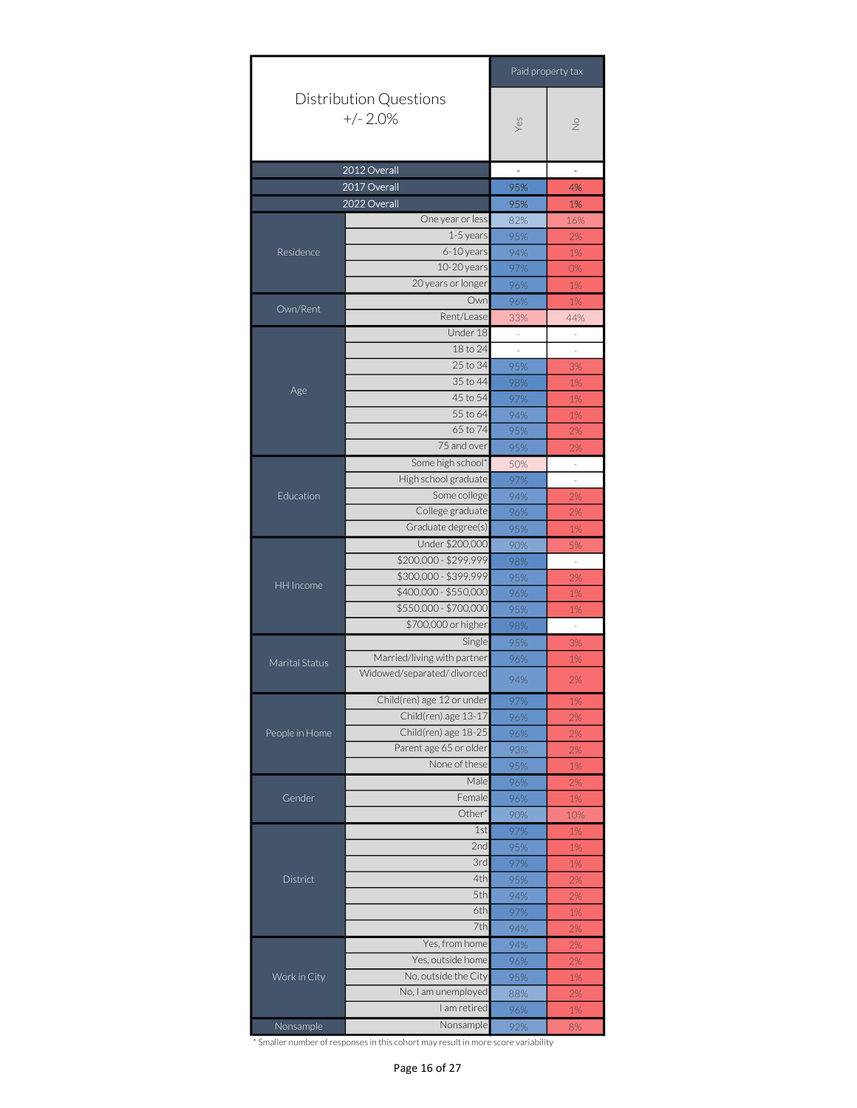|                |                                             |                                                                                                                                                                                                                                                                                                                                                                                                                                                                                                                                                                                                                                                                                                                                                                                                                                                                                                                                                                                                                                                                                                                                                                                                                                                                                                           | Paid property tax        |
|----------------|---------------------------------------------|-----------------------------------------------------------------------------------------------------------------------------------------------------------------------------------------------------------------------------------------------------------------------------------------------------------------------------------------------------------------------------------------------------------------------------------------------------------------------------------------------------------------------------------------------------------------------------------------------------------------------------------------------------------------------------------------------------------------------------------------------------------------------------------------------------------------------------------------------------------------------------------------------------------------------------------------------------------------------------------------------------------------------------------------------------------------------------------------------------------------------------------------------------------------------------------------------------------------------------------------------------------------------------------------------------------|--------------------------|
|                | <b>Distribution Questions</b><br>$+/- 2.0%$ | Yes                                                                                                                                                                                                                                                                                                                                                                                                                                                                                                                                                                                                                                                                                                                                                                                                                                                                                                                                                                                                                                                                                                                                                                                                                                                                                                       | $\stackrel{\circ}{\geq}$ |
|                | 2012 Overall                                | $\overline{a}$                                                                                                                                                                                                                                                                                                                                                                                                                                                                                                                                                                                                                                                                                                                                                                                                                                                                                                                                                                                                                                                                                                                                                                                                                                                                                            | $\overline{\phantom{0}}$ |
|                | 2017 Overall                                |                                                                                                                                                                                                                                                                                                                                                                                                                                                                                                                                                                                                                                                                                                                                                                                                                                                                                                                                                                                                                                                                                                                                                                                                                                                                                                           |                          |
|                | 2022 Overall                                |                                                                                                                                                                                                                                                                                                                                                                                                                                                                                                                                                                                                                                                                                                                                                                                                                                                                                                                                                                                                                                                                                                                                                                                                                                                                                                           |                          |
|                |                                             |                                                                                                                                                                                                                                                                                                                                                                                                                                                                                                                                                                                                                                                                                                                                                                                                                                                                                                                                                                                                                                                                                                                                                                                                                                                                                                           |                          |
|                |                                             |                                                                                                                                                                                                                                                                                                                                                                                                                                                                                                                                                                                                                                                                                                                                                                                                                                                                                                                                                                                                                                                                                                                                                                                                                                                                                                           |                          |
| Residence      | 6-10 years                                  |                                                                                                                                                                                                                                                                                                                                                                                                                                                                                                                                                                                                                                                                                                                                                                                                                                                                                                                                                                                                                                                                                                                                                                                                                                                                                                           |                          |
|                | 10-20 years                                 |                                                                                                                                                                                                                                                                                                                                                                                                                                                                                                                                                                                                                                                                                                                                                                                                                                                                                                                                                                                                                                                                                                                                                                                                                                                                                                           | 0%                       |
|                | 20 years or longer                          |                                                                                                                                                                                                                                                                                                                                                                                                                                                                                                                                                                                                                                                                                                                                                                                                                                                                                                                                                                                                                                                                                                                                                                                                                                                                                                           |                          |
|                | Own                                         |                                                                                                                                                                                                                                                                                                                                                                                                                                                                                                                                                                                                                                                                                                                                                                                                                                                                                                                                                                                                                                                                                                                                                                                                                                                                                                           |                          |
| Own/Rent       | Rent/Lease                                  |                                                                                                                                                                                                                                                                                                                                                                                                                                                                                                                                                                                                                                                                                                                                                                                                                                                                                                                                                                                                                                                                                                                                                                                                                                                                                                           |                          |
|                | Under 18                                    | $\bar{z}$                                                                                                                                                                                                                                                                                                                                                                                                                                                                                                                                                                                                                                                                                                                                                                                                                                                                                                                                                                                                                                                                                                                                                                                                                                                                                                 | $\bar{z}$                |
|                | 18 to 24                                    | $\bar{z}$                                                                                                                                                                                                                                                                                                                                                                                                                                                                                                                                                                                                                                                                                                                                                                                                                                                                                                                                                                                                                                                                                                                                                                                                                                                                                                 |                          |
|                | 25 to 34                                    |                                                                                                                                                                                                                                                                                                                                                                                                                                                                                                                                                                                                                                                                                                                                                                                                                                                                                                                                                                                                                                                                                                                                                                                                                                                                                                           |                          |
|                | 35 to 44                                    |                                                                                                                                                                                                                                                                                                                                                                                                                                                                                                                                                                                                                                                                                                                                                                                                                                                                                                                                                                                                                                                                                                                                                                                                                                                                                                           |                          |
| Age            | 45 to 54                                    |                                                                                                                                                                                                                                                                                                                                                                                                                                                                                                                                                                                                                                                                                                                                                                                                                                                                                                                                                                                                                                                                                                                                                                                                                                                                                                           |                          |
|                |                                             |                                                                                                                                                                                                                                                                                                                                                                                                                                                                                                                                                                                                                                                                                                                                                                                                                                                                                                                                                                                                                                                                                                                                                                                                                                                                                                           |                          |
|                |                                             |                                                                                                                                                                                                                                                                                                                                                                                                                                                                                                                                                                                                                                                                                                                                                                                                                                                                                                                                                                                                                                                                                                                                                                                                                                                                                                           |                          |
|                |                                             |                                                                                                                                                                                                                                                                                                                                                                                                                                                                                                                                                                                                                                                                                                                                                                                                                                                                                                                                                                                                                                                                                                                                                                                                                                                                                                           |                          |
|                |                                             |                                                                                                                                                                                                                                                                                                                                                                                                                                                                                                                                                                                                                                                                                                                                                                                                                                                                                                                                                                                                                                                                                                                                                                                                                                                                                                           |                          |
|                |                                             |                                                                                                                                                                                                                                                                                                                                                                                                                                                                                                                                                                                                                                                                                                                                                                                                                                                                                                                                                                                                                                                                                                                                                                                                                                                                                                           |                          |
| Education      |                                             |                                                                                                                                                                                                                                                                                                                                                                                                                                                                                                                                                                                                                                                                                                                                                                                                                                                                                                                                                                                                                                                                                                                                                                                                                                                                                                           |                          |
|                |                                             |                                                                                                                                                                                                                                                                                                                                                                                                                                                                                                                                                                                                                                                                                                                                                                                                                                                                                                                                                                                                                                                                                                                                                                                                                                                                                                           |                          |
|                |                                             | 95%<br>4%<br>95%<br>1%<br>One year or less<br>82%<br>16%<br>1-5 years<br>95%<br>2%<br>94%<br>$1\%$<br>97%<br>96%<br>$1\%$<br>96%<br>$1\%$<br>33%<br>44%<br>$\sim$<br>95%<br>3%<br>98%<br>$1\%$<br>97%<br>$1\%$<br>55 to 64<br>94%<br>$1\%$<br>65 to 74<br>95%<br>2%<br>75 and over<br>95%<br>2%<br>Some high school*<br>50%<br>$\bar{ }$<br>High school graduate<br>97%<br>Some college<br>94%<br>2%<br>College graduate<br>96%<br>2%<br>Graduate degree(s)<br>95%<br>1%<br>Under \$200,000<br>90%<br>5%<br>\$200,000 - \$299,999<br>98%<br>$\bar{z}$<br>\$300,000 - \$399,999<br>95%<br>2%<br>\$400,000 - \$550,000<br>96%<br>$1\%$<br>\$550,000 - \$700,000<br>95%<br>$1\%$<br>\$700,000 or higher<br>98%<br>$\sim$<br>Single<br>95%<br>$3%$<br>96%<br>1%<br>94%<br>2%<br>97%<br>$1\%$<br>96%<br>2%<br>$2\%$<br>96%<br>93%<br>2%<br>None of these<br>95%<br>1%<br>Male<br>96%<br>2%<br>Female<br>96%<br>$1\%$<br>Other*<br>90%<br>10%<br>1st<br>97%<br>$1\%$<br>2nd<br>95%<br>$1\%$<br>3rd<br>97%<br>$1\%$<br>4th<br>95%<br>2%<br>5th<br>94%<br>2%<br>6th<br>97%<br>$1\%$<br>7th<br>94%<br>$2\%$<br>Yes, from home<br>94%<br>2%<br>Yes, outside home<br>96%<br>$2\%$<br>No, outside the City<br>95%<br>$1\%$<br>No, I am unemployed<br>88%<br>2%<br>I am retired<br>96%<br>1%<br>Nonsample<br>92%<br>8% |                          |
|                |                                             |                                                                                                                                                                                                                                                                                                                                                                                                                                                                                                                                                                                                                                                                                                                                                                                                                                                                                                                                                                                                                                                                                                                                                                                                                                                                                                           |                          |
|                |                                             |                                                                                                                                                                                                                                                                                                                                                                                                                                                                                                                                                                                                                                                                                                                                                                                                                                                                                                                                                                                                                                                                                                                                                                                                                                                                                                           |                          |
|                |                                             |                                                                                                                                                                                                                                                                                                                                                                                                                                                                                                                                                                                                                                                                                                                                                                                                                                                                                                                                                                                                                                                                                                                                                                                                                                                                                                           |                          |
| HH Income      |                                             |                                                                                                                                                                                                                                                                                                                                                                                                                                                                                                                                                                                                                                                                                                                                                                                                                                                                                                                                                                                                                                                                                                                                                                                                                                                                                                           |                          |
|                |                                             |                                                                                                                                                                                                                                                                                                                                                                                                                                                                                                                                                                                                                                                                                                                                                                                                                                                                                                                                                                                                                                                                                                                                                                                                                                                                                                           |                          |
|                |                                             |                                                                                                                                                                                                                                                                                                                                                                                                                                                                                                                                                                                                                                                                                                                                                                                                                                                                                                                                                                                                                                                                                                                                                                                                                                                                                                           |                          |
|                |                                             |                                                                                                                                                                                                                                                                                                                                                                                                                                                                                                                                                                                                                                                                                                                                                                                                                                                                                                                                                                                                                                                                                                                                                                                                                                                                                                           |                          |
|                |                                             |                                                                                                                                                                                                                                                                                                                                                                                                                                                                                                                                                                                                                                                                                                                                                                                                                                                                                                                                                                                                                                                                                                                                                                                                                                                                                                           |                          |
| Marital Status | Married/living with partner                 |                                                                                                                                                                                                                                                                                                                                                                                                                                                                                                                                                                                                                                                                                                                                                                                                                                                                                                                                                                                                                                                                                                                                                                                                                                                                                                           |                          |
|                | Widowed/separated/divorced                  |                                                                                                                                                                                                                                                                                                                                                                                                                                                                                                                                                                                                                                                                                                                                                                                                                                                                                                                                                                                                                                                                                                                                                                                                                                                                                                           |                          |
|                | Child(ren) age 12 or under                  |                                                                                                                                                                                                                                                                                                                                                                                                                                                                                                                                                                                                                                                                                                                                                                                                                                                                                                                                                                                                                                                                                                                                                                                                                                                                                                           |                          |
|                | Child(ren) age 13-17                        |                                                                                                                                                                                                                                                                                                                                                                                                                                                                                                                                                                                                                                                                                                                                                                                                                                                                                                                                                                                                                                                                                                                                                                                                                                                                                                           |                          |
| People in Home | Child(ren) age 18-25                        |                                                                                                                                                                                                                                                                                                                                                                                                                                                                                                                                                                                                                                                                                                                                                                                                                                                                                                                                                                                                                                                                                                                                                                                                                                                                                                           |                          |
|                | Parent age 65 or older                      |                                                                                                                                                                                                                                                                                                                                                                                                                                                                                                                                                                                                                                                                                                                                                                                                                                                                                                                                                                                                                                                                                                                                                                                                                                                                                                           |                          |
|                |                                             |                                                                                                                                                                                                                                                                                                                                                                                                                                                                                                                                                                                                                                                                                                                                                                                                                                                                                                                                                                                                                                                                                                                                                                                                                                                                                                           |                          |
|                |                                             |                                                                                                                                                                                                                                                                                                                                                                                                                                                                                                                                                                                                                                                                                                                                                                                                                                                                                                                                                                                                                                                                                                                                                                                                                                                                                                           |                          |
| Gender         |                                             |                                                                                                                                                                                                                                                                                                                                                                                                                                                                                                                                                                                                                                                                                                                                                                                                                                                                                                                                                                                                                                                                                                                                                                                                                                                                                                           |                          |
|                |                                             |                                                                                                                                                                                                                                                                                                                                                                                                                                                                                                                                                                                                                                                                                                                                                                                                                                                                                                                                                                                                                                                                                                                                                                                                                                                                                                           |                          |
|                |                                             |                                                                                                                                                                                                                                                                                                                                                                                                                                                                                                                                                                                                                                                                                                                                                                                                                                                                                                                                                                                                                                                                                                                                                                                                                                                                                                           |                          |
|                |                                             |                                                                                                                                                                                                                                                                                                                                                                                                                                                                                                                                                                                                                                                                                                                                                                                                                                                                                                                                                                                                                                                                                                                                                                                                                                                                                                           |                          |
|                |                                             |                                                                                                                                                                                                                                                                                                                                                                                                                                                                                                                                                                                                                                                                                                                                                                                                                                                                                                                                                                                                                                                                                                                                                                                                                                                                                                           |                          |
| District       |                                             |                                                                                                                                                                                                                                                                                                                                                                                                                                                                                                                                                                                                                                                                                                                                                                                                                                                                                                                                                                                                                                                                                                                                                                                                                                                                                                           |                          |
|                |                                             |                                                                                                                                                                                                                                                                                                                                                                                                                                                                                                                                                                                                                                                                                                                                                                                                                                                                                                                                                                                                                                                                                                                                                                                                                                                                                                           |                          |
|                |                                             |                                                                                                                                                                                                                                                                                                                                                                                                                                                                                                                                                                                                                                                                                                                                                                                                                                                                                                                                                                                                                                                                                                                                                                                                                                                                                                           |                          |
|                |                                             |                                                                                                                                                                                                                                                                                                                                                                                                                                                                                                                                                                                                                                                                                                                                                                                                                                                                                                                                                                                                                                                                                                                                                                                                                                                                                                           |                          |
|                |                                             |                                                                                                                                                                                                                                                                                                                                                                                                                                                                                                                                                                                                                                                                                                                                                                                                                                                                                                                                                                                                                                                                                                                                                                                                                                                                                                           |                          |
|                |                                             |                                                                                                                                                                                                                                                                                                                                                                                                                                                                                                                                                                                                                                                                                                                                                                                                                                                                                                                                                                                                                                                                                                                                                                                                                                                                                                           |                          |
|                |                                             |                                                                                                                                                                                                                                                                                                                                                                                                                                                                                                                                                                                                                                                                                                                                                                                                                                                                                                                                                                                                                                                                                                                                                                                                                                                                                                           |                          |
| Work in City   |                                             |                                                                                                                                                                                                                                                                                                                                                                                                                                                                                                                                                                                                                                                                                                                                                                                                                                                                                                                                                                                                                                                                                                                                                                                                                                                                                                           |                          |
|                |                                             |                                                                                                                                                                                                                                                                                                                                                                                                                                                                                                                                                                                                                                                                                                                                                                                                                                                                                                                                                                                                                                                                                                                                                                                                                                                                                                           |                          |
|                |                                             |                                                                                                                                                                                                                                                                                                                                                                                                                                                                                                                                                                                                                                                                                                                                                                                                                                                                                                                                                                                                                                                                                                                                                                                                                                                                                                           |                          |
| Nonsample      |                                             |                                                                                                                                                                                                                                                                                                                                                                                                                                                                                                                                                                                                                                                                                                                                                                                                                                                                                                                                                                                                                                                                                                                                                                                                                                                                                                           |                          |

\* Smaller number of responses in this cohort may result in more score variability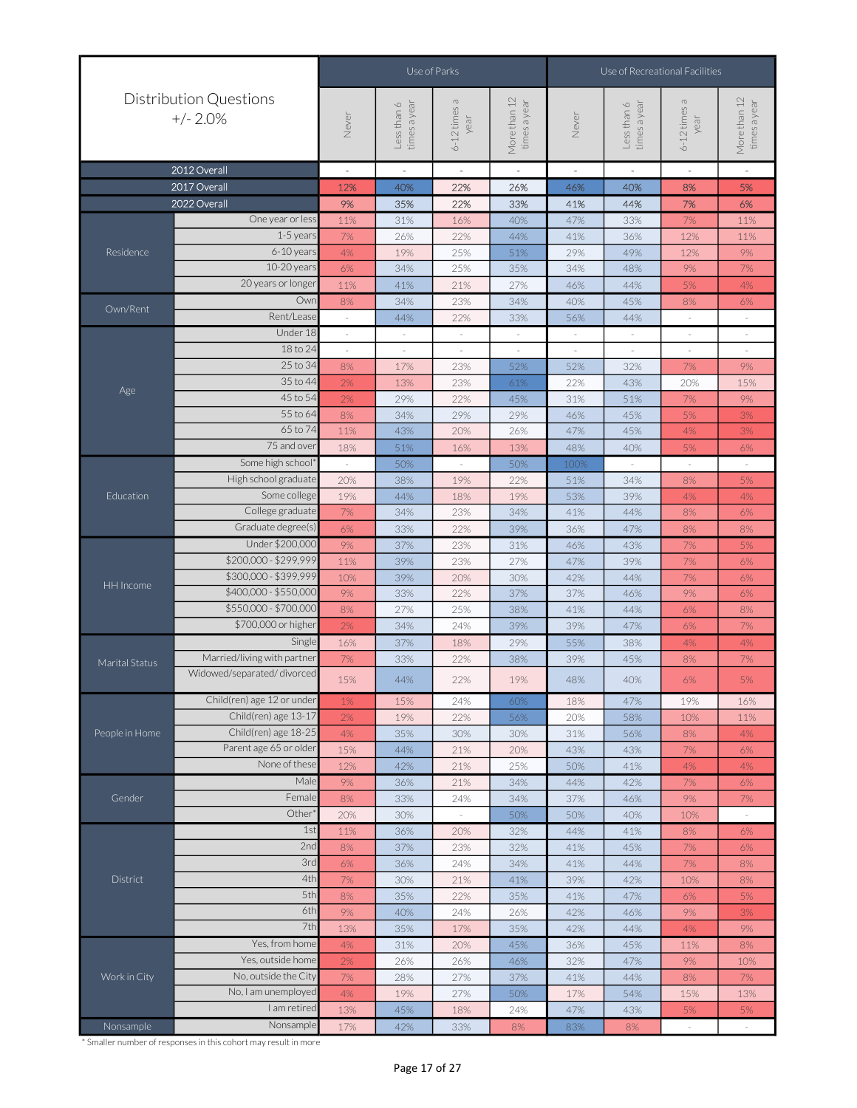|                |                                             |       |                             | Use of Parks             |                              | Use of Recreational Facilities |                             |                          |                              |  |  |
|----------------|---------------------------------------------|-------|-----------------------------|--------------------------|------------------------------|--------------------------------|-----------------------------|--------------------------|------------------------------|--|--|
|                | <b>Distribution Questions</b><br>$+/- 2.0%$ | Never | times a year<br>Less than 6 | 6-12 times a<br>year     | More than 12<br>times a year | Never                          | Less than 6<br>times a year | 6-12 times a<br>year     | More than 12<br>times a year |  |  |
|                | 2012 Overall                                | L,    | $\overline{\phantom{a}}$    | $\overline{\phantom{a}}$ | $\sim$                       | $\overline{\phantom{a}}$       | $\overline{\phantom{a}}$    | $\overline{\phantom{a}}$ | $\sim$                       |  |  |
|                | 2017 Overall                                | 12%   | 40%                         | 22%                      | 26%                          | 46%                            | 40%                         | 8%                       | 5%                           |  |  |
|                | 2022 Overall                                | 9%    | 35%                         | 22%                      | 33%                          | 41%                            | 44%                         | 7%                       | 6%                           |  |  |
|                | One year or less                            | 11%   | 31%                         | 16%                      | 40%                          | 47%                            | 33%                         | $7\%$                    | 11%                          |  |  |
|                | $1-5$ years                                 | 7%    | 26%                         | 22%                      | 44%                          | 41%                            | 36%                         | 12%                      | 11%                          |  |  |
| Residence      | 6-10 years                                  | 4%    | 19%                         | 25%                      | 51%                          | 29%                            | 49%                         | 12%                      | 9%                           |  |  |
|                | 10-20 years                                 | 6%    | 34%                         | 25%                      | 35%                          | 34%                            | 48%                         | 9%                       | 7%                           |  |  |
|                | 20 years or longer                          | 11%   | 41%                         | 21%                      | 27%                          | 46%                            | 44%                         | 5%                       | 4%                           |  |  |
| Own/Rent       | Owr                                         | 8%    | 34%                         | 23%                      | 34%                          | 40%                            | 45%                         | 8%                       | 6%                           |  |  |
|                | Rent/Lease                                  |       | 44%                         | 22%                      | 33%                          | 56%                            | 44%                         |                          | ×,                           |  |  |
|                | Under 18                                    |       | $\sim$                      | $\overline{\phantom{a}}$ | $\sim$                       | $\overline{\phantom{a}}$       | $\bar{z}$                   | $\overline{\phantom{a}}$ | $\overline{\phantom{a}}$     |  |  |
|                | 18 to 24                                    |       |                             |                          |                              |                                |                             |                          | $\overline{\phantom{a}}$     |  |  |
|                | 25 to 34                                    | 8%    | 17%                         | 23%                      | 52%                          | 52%                            | 32%                         | 7%                       | 9%                           |  |  |
| Age            | 35 to 44                                    | 2%    | 13%                         | 23%                      | 61%                          | 22%                            | 43%                         | 20%                      | 15%                          |  |  |
|                | 45 to 54                                    | 2%    | 29%                         | 22%                      | 45%                          | 31%                            | 51%                         | 7%                       | 9%                           |  |  |
|                | 55 to 64                                    | 8%    | 34%                         | 29%                      | 29%                          | 46%                            | 45%                         | 5%                       | 3%                           |  |  |
|                | 65 to 74                                    | 11%   | 43%                         | 20%                      | 26%                          | 47%                            | 45%                         | 4%                       | 3%                           |  |  |
|                | 75 and over                                 | 18%   | 51%                         | 16%                      | 13%                          | 48%                            | 40%                         | 5%                       | 6%                           |  |  |
|                | Some high school*                           |       | 50%                         | ÷.                       | 50%                          | 100%                           |                             | ÷,                       | ×,                           |  |  |
|                | High school graduate                        | 20%   | 38%                         | 19%                      | 22%                          | 51%                            | 34%                         | 8%                       | 5%                           |  |  |
| Education      | Some college                                | 19%   | 44%                         | 18%                      | 19%                          | 53%                            | 39%                         | 4%                       | 4%                           |  |  |
|                | College graduate                            | 7%    | 34%                         | 23%                      | 34%                          | 41%                            | 44%                         | 8%                       | 6%                           |  |  |
|                | Graduate degree(s)                          | 6%    | 33%                         | 22%                      | 39%                          | 36%                            | 47%                         | 8%                       | 8%                           |  |  |
|                | Under \$200,000                             | 9%    | 37%                         | 23%                      | 31%                          | 46%                            | 43%                         | 7%                       | 5%                           |  |  |
|                | \$200,000 - \$299,999                       | 11%   | 39%                         | 23%                      | 27%                          | 47%                            | 39%                         | $7\%$                    | $6\%$                        |  |  |
| HH Income      | \$300,000 - \$399,999                       | 10%   | 39%                         | 20%                      | 30%                          | 42%                            | 44%                         | 7%                       | 6%                           |  |  |
|                | \$400,000 - \$550,000                       | 9%    | 33%                         | 22%                      | 37%                          | 37%                            | 46%                         | 9%                       | 6%                           |  |  |
|                | \$550,000 - \$700,000                       | 8%    | 27%                         | 25%                      | 38%                          | 41%                            | 44%                         | 6%                       | 8%                           |  |  |
|                | \$700,000 or higher                         | 2%    | 34%                         | 24%                      | 39%                          | 39%                            | 47%                         | 6%                       | 7%                           |  |  |
|                | Single                                      | 16%   | 37%                         | 18%                      | 29%                          | 55%                            | 38%                         | 4%                       | 4%                           |  |  |
| Marital Status | Married/living with partner                 | 7%    | 33%                         | 22%                      | 38%                          | 39%                            | 45%                         | 8%                       | 7%                           |  |  |
|                | Widowed/separated/divorced                  | 15%   | 44%                         | 22%                      | 19%                          | 48%                            | 40%                         | $6\%$                    | 5%                           |  |  |
|                | Child(ren) age 12 or under                  | 1%    | 15%                         | 24%                      | 60%                          | 18%                            | 47%                         | 19%                      | 16%                          |  |  |
|                | Child(ren) age 13-17                        | $2\%$ | 19%                         | 22%                      | 56%                          | 20%                            | 58%                         | 10%                      | 11%                          |  |  |
| People in Home | Child(ren) age 18-25                        | 4%    | 35%                         | 30%                      | 30%                          | 31%                            | 56%                         | $8\%$                    | 4%                           |  |  |
|                | Parent age 65 or older                      | 15%   | 44%                         | 21%                      | 20%                          | 43%                            | 43%                         | $7\%$                    | 6%                           |  |  |
|                | None of these                               | 12%   | 42%                         | 21%                      | 25%                          | 50%                            | 41%                         | 4%                       | 4%                           |  |  |
|                | Male                                        | 9%    | 36%                         | 21%                      | 34%                          | 44%                            | 42%                         | 7%                       | 6%                           |  |  |
| Gender         | Female                                      | 8%    | 33%                         | 24%                      | 34%                          | 37%                            | 46%                         | 9%                       | 7%                           |  |  |
|                | Other <sup>*</sup>                          | 20%   | 30%                         |                          | 50%                          | 50%                            | 40%                         | 10%                      | $\sim$                       |  |  |
|                | 1st                                         | 11%   | 36%                         | 20%                      | 32%                          | 44%                            | 41%                         | $8\%$                    | 6%                           |  |  |
|                | 2nd                                         | $8\%$ | 37%                         | 23%                      | 32%                          | 41%                            | 45%                         | 7%                       | $6\%$                        |  |  |
|                | 3rd                                         | 6%    | 36%                         | 24%                      | 34%                          | 41%                            | 44%                         | $7\%$                    | $8\%$                        |  |  |
| District       | 4th                                         | 7%    | 30%                         | 21%                      | 41%                          | 39%                            | 42%                         | 10%                      | $8\%$                        |  |  |
|                | 5th                                         | 8%    | 35%                         | 22%                      | 35%                          | 41%                            | 47%                         | $6\%$                    | 5%                           |  |  |
|                | 6th                                         | 9%    | 40%                         | 24%                      | 26%                          | 42%                            | 46%                         | 9%                       | 3%                           |  |  |
|                | 7th                                         | 13%   | 35%                         | 17%                      | 35%                          | 42%                            | 44%                         | 4%                       | 9%                           |  |  |
|                | Yes, from home                              | 4%    | 31%                         | 20%                      | 45%                          | 36%                            | 45%                         | 11%                      | 8%                           |  |  |
|                | Yes, outside home                           | 2%    | 26%                         | 26%                      | 46%                          | 32%                            | 47%                         | 9%                       | 10%                          |  |  |
| Work in City   | No, outside the City                        | 7%    | 28%                         | 27%                      | 37%                          | 41%                            | 44%                         | $8\%$                    | $7\%$                        |  |  |
|                | No, I am unemployed                         | 4%    | 19%                         | 27%                      | 50%                          | 17%                            | 54%                         | 15%                      | 13%                          |  |  |
|                | I am retired                                | 13%   | 45%                         | 18%                      | 24%                          | 47%                            | 43%                         | 5%                       | 5%                           |  |  |
| Nonsample      | Nonsample                                   | 17%   | 42%                         | 33%                      | 8%                           | 83%                            | 8%                          |                          |                              |  |  |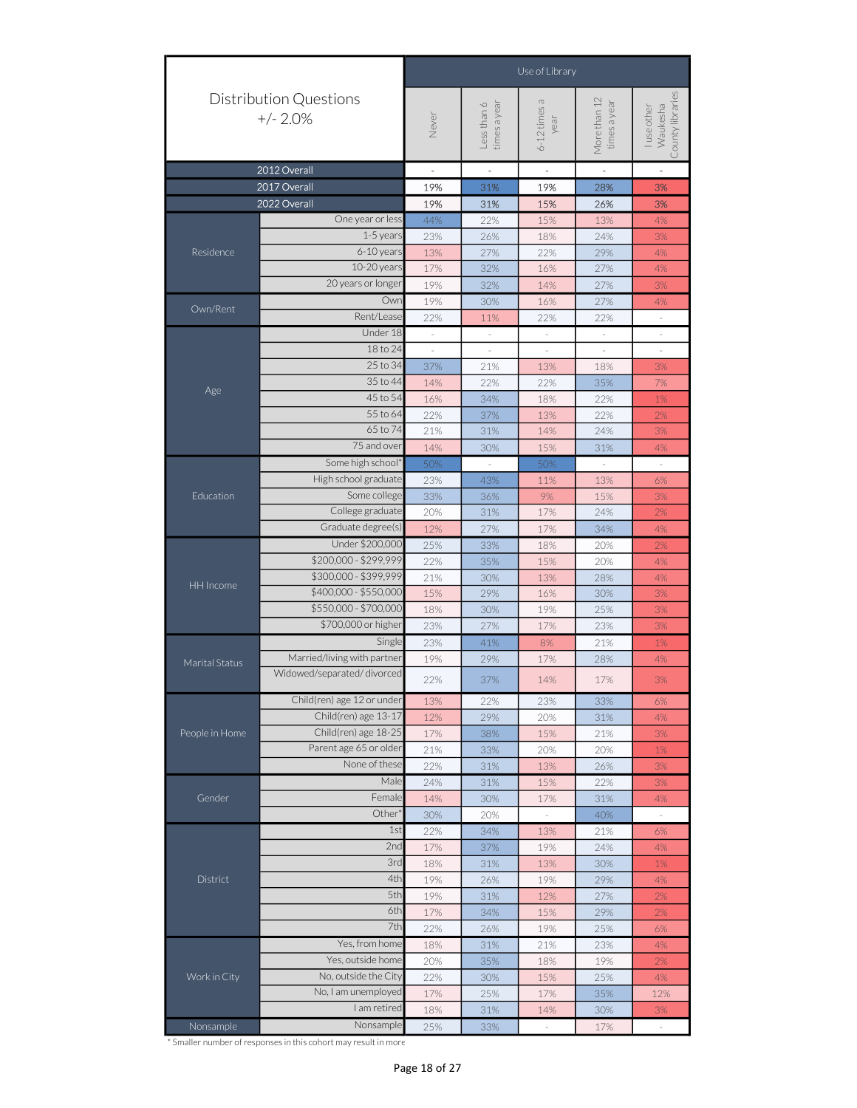|                |                                                                                     | Use of Library<br>More than 12<br>6-12 times a<br>times a year<br>times a year<br>Less than 6<br>Waukesha<br>luse other<br>Never<br>year<br>$\sim$<br>$\overline{\phantom{a}}$<br>$\overline{\phantom{a}}$<br>$\overline{\phantom{a}}$<br>÷,<br>19%<br>31%<br>19%<br>28%<br>19%<br>15%<br>31%<br>26%<br>One year or less<br>44%<br>22%<br>15%<br>13%<br>1-5 years<br>24%<br>23%<br>26%<br>18%<br>$6-10$ years<br>13%<br>29%<br>27%<br>22%<br>10-20 years<br>17%<br>32%<br>16%<br>27%<br>20 years or longer<br>19%<br>32%<br>27%<br>14%<br>Owr<br>19%<br>30%<br>16%<br>27%<br>Rent/Lease<br>22%<br>22%<br>22%<br>11%<br>$\bar{z}$<br>Under 18<br>$\overline{\phantom{a}}$<br>$\overline{\phantom{a}}$<br>$\overline{\phantom{a}}$<br>$\overline{\phantom{a}}$<br>$\overline{\phantom{a}}$<br>18 to 24<br>$\frac{1}{2}$<br>$\frac{1}{2}$<br>$\overline{\phantom{a}}$<br>$\overline{\phantom{a}}$<br>25 to 34<br>37%<br>21%<br>18%<br>13%<br>35 to 44<br>14%<br>22%<br>22%<br>35%<br>45 to 54<br>16%<br>34%<br>18%<br>22%<br>55 to 64<br>22%<br>37%<br>22%<br>13%<br>65 to 74<br>21%<br>31%<br>14%<br>24%<br>75 and over<br>14%<br>15%<br>31%<br>30%<br>Some high school'<br>50%<br>$\overline{a}$<br>50%<br>$\overline{\phantom{a}}$<br>$\omega$<br>23%<br>43%<br>13%<br>11%<br>Some college<br>33%<br>9%<br>36%<br>15%<br>College graduate<br>20%<br>31%<br>17%<br>24%<br>12%<br>27%<br>17%<br>34%<br>Under \$200,000<br>25%<br>33%<br>18%<br>20%<br>22%<br>35%<br>15%<br>20%<br>21%<br>13%<br>30%<br>28%<br>15%<br>29%<br>16%<br>30%<br>18%<br>30%<br>19%<br>25%<br>23%<br>27%<br>17%<br>23%<br>Single<br>23%<br>41%<br>8%<br>21%<br>19%<br>29%<br>28%<br>17%<br>3%<br>22%<br>37%<br>14%<br>17%<br>23%<br>33%<br>13%<br>22%<br>12%<br>29%<br>20%<br>31%<br>17%<br>38%<br>15%<br>21%<br>21%<br>33%<br>20%<br>20%<br>None of these<br>22%<br>31%<br>13%<br>26%<br>Male<br>24%<br>31%<br>15%<br>22%<br>Female<br>14%<br>30%<br>17%<br>31%<br>Other<br>30%<br>20%<br>40%<br>$\overline{\phantom{a}}$<br>÷,<br>1st<br>22%<br>34%<br>13%<br>21%<br>2nd<br>17%<br>37%<br>19%<br>24%<br>3rd<br>18%<br>31%<br>13%<br>30%<br>4th<br>19%<br>26%<br>19%<br>29% |  |  |  |                  |  |  |  |  |
|----------------|-------------------------------------------------------------------------------------|----------------------------------------------------------------------------------------------------------------------------------------------------------------------------------------------------------------------------------------------------------------------------------------------------------------------------------------------------------------------------------------------------------------------------------------------------------------------------------------------------------------------------------------------------------------------------------------------------------------------------------------------------------------------------------------------------------------------------------------------------------------------------------------------------------------------------------------------------------------------------------------------------------------------------------------------------------------------------------------------------------------------------------------------------------------------------------------------------------------------------------------------------------------------------------------------------------------------------------------------------------------------------------------------------------------------------------------------------------------------------------------------------------------------------------------------------------------------------------------------------------------------------------------------------------------------------------------------------------------------------------------------------------------------------------------------------------------------------------------------------------------------------------------------------------------------------------------------------------------------------------------------------------------------------------------------------------------------------------------------------------------------------------------------------------------------------------------------------------------------------------------------------|--|--|--|------------------|--|--|--|--|
|                | <b>Distribution Questions</b><br>$+/- 2.0%$                                         |                                                                                                                                                                                                                                                                                                                                                                                                                                                                                                                                                                                                                                                                                                                                                                                                                                                                                                                                                                                                                                                                                                                                                                                                                                                                                                                                                                                                                                                                                                                                                                                                                                                                                                                                                                                                                                                                                                                                                                                                                                                                                                                                                    |  |  |  | County libraries |  |  |  |  |
|                | 2012 Overall                                                                        |                                                                                                                                                                                                                                                                                                                                                                                                                                                                                                                                                                                                                                                                                                                                                                                                                                                                                                                                                                                                                                                                                                                                                                                                                                                                                                                                                                                                                                                                                                                                                                                                                                                                                                                                                                                                                                                                                                                                                                                                                                                                                                                                                    |  |  |  |                  |  |  |  |  |
|                | 2017 Overall                                                                        |                                                                                                                                                                                                                                                                                                                                                                                                                                                                                                                                                                                                                                                                                                                                                                                                                                                                                                                                                                                                                                                                                                                                                                                                                                                                                                                                                                                                                                                                                                                                                                                                                                                                                                                                                                                                                                                                                                                                                                                                                                                                                                                                                    |  |  |  | 3%               |  |  |  |  |
|                | 2022 Overall                                                                        |                                                                                                                                                                                                                                                                                                                                                                                                                                                                                                                                                                                                                                                                                                                                                                                                                                                                                                                                                                                                                                                                                                                                                                                                                                                                                                                                                                                                                                                                                                                                                                                                                                                                                                                                                                                                                                                                                                                                                                                                                                                                                                                                                    |  |  |  | 3%               |  |  |  |  |
|                |                                                                                     |                                                                                                                                                                                                                                                                                                                                                                                                                                                                                                                                                                                                                                                                                                                                                                                                                                                                                                                                                                                                                                                                                                                                                                                                                                                                                                                                                                                                                                                                                                                                                                                                                                                                                                                                                                                                                                                                                                                                                                                                                                                                                                                                                    |  |  |  | 4%               |  |  |  |  |
|                |                                                                                     |                                                                                                                                                                                                                                                                                                                                                                                                                                                                                                                                                                                                                                                                                                                                                                                                                                                                                                                                                                                                                                                                                                                                                                                                                                                                                                                                                                                                                                                                                                                                                                                                                                                                                                                                                                                                                                                                                                                                                                                                                                                                                                                                                    |  |  |  | $3%$             |  |  |  |  |
| Residence      |                                                                                     |                                                                                                                                                                                                                                                                                                                                                                                                                                                                                                                                                                                                                                                                                                                                                                                                                                                                                                                                                                                                                                                                                                                                                                                                                                                                                                                                                                                                                                                                                                                                                                                                                                                                                                                                                                                                                                                                                                                                                                                                                                                                                                                                                    |  |  |  | 4%               |  |  |  |  |
|                |                                                                                     |                                                                                                                                                                                                                                                                                                                                                                                                                                                                                                                                                                                                                                                                                                                                                                                                                                                                                                                                                                                                                                                                                                                                                                                                                                                                                                                                                                                                                                                                                                                                                                                                                                                                                                                                                                                                                                                                                                                                                                                                                                                                                                                                                    |  |  |  | 4%               |  |  |  |  |
|                |                                                                                     |                                                                                                                                                                                                                                                                                                                                                                                                                                                                                                                                                                                                                                                                                                                                                                                                                                                                                                                                                                                                                                                                                                                                                                                                                                                                                                                                                                                                                                                                                                                                                                                                                                                                                                                                                                                                                                                                                                                                                                                                                                                                                                                                                    |  |  |  | $3%$             |  |  |  |  |
| Own/Rent       |                                                                                     |                                                                                                                                                                                                                                                                                                                                                                                                                                                                                                                                                                                                                                                                                                                                                                                                                                                                                                                                                                                                                                                                                                                                                                                                                                                                                                                                                                                                                                                                                                                                                                                                                                                                                                                                                                                                                                                                                                                                                                                                                                                                                                                                                    |  |  |  | 4%               |  |  |  |  |
|                |                                                                                     |                                                                                                                                                                                                                                                                                                                                                                                                                                                                                                                                                                                                                                                                                                                                                                                                                                                                                                                                                                                                                                                                                                                                                                                                                                                                                                                                                                                                                                                                                                                                                                                                                                                                                                                                                                                                                                                                                                                                                                                                                                                                                                                                                    |  |  |  |                  |  |  |  |  |
|                |                                                                                     |                                                                                                                                                                                                                                                                                                                                                                                                                                                                                                                                                                                                                                                                                                                                                                                                                                                                                                                                                                                                                                                                                                                                                                                                                                                                                                                                                                                                                                                                                                                                                                                                                                                                                                                                                                                                                                                                                                                                                                                                                                                                                                                                                    |  |  |  |                  |  |  |  |  |
|                |                                                                                     |                                                                                                                                                                                                                                                                                                                                                                                                                                                                                                                                                                                                                                                                                                                                                                                                                                                                                                                                                                                                                                                                                                                                                                                                                                                                                                                                                                                                                                                                                                                                                                                                                                                                                                                                                                                                                                                                                                                                                                                                                                                                                                                                                    |  |  |  |                  |  |  |  |  |
|                |                                                                                     |                                                                                                                                                                                                                                                                                                                                                                                                                                                                                                                                                                                                                                                                                                                                                                                                                                                                                                                                                                                                                                                                                                                                                                                                                                                                                                                                                                                                                                                                                                                                                                                                                                                                                                                                                                                                                                                                                                                                                                                                                                                                                                                                                    |  |  |  |                  |  |  |  |  |
| Age            |                                                                                     |                                                                                                                                                                                                                                                                                                                                                                                                                                                                                                                                                                                                                                                                                                                                                                                                                                                                                                                                                                                                                                                                                                                                                                                                                                                                                                                                                                                                                                                                                                                                                                                                                                                                                                                                                                                                                                                                                                                                                                                                                                                                                                                                                    |  |  |  |                  |  |  |  |  |
|                |                                                                                     | 3%<br>7%<br>1%<br>2%<br>3%<br>4%<br>High school graduate<br>6%<br>3%<br>2%<br>Graduate degree(s)<br>4%<br>2%<br>\$200,000 - \$299,999<br>4%<br>\$300,000 - \$399,999<br>4%<br>\$400,000 - \$550,000<br>3%<br>\$550,000 - \$700,000<br>3%<br>\$700,000 or higher<br>3%<br>1%<br>4%<br>6%<br>Child(ren) age 13-17<br>4%<br>Child(ren) age 18-25<br>3%<br>$1\%$<br>3%<br>3%<br>4%<br>6%<br>4%<br>$1\%$<br>4%<br>5th<br>19%<br>12%<br>27%<br>31%<br>2%<br>6th<br>17%<br>34%<br>15%<br>29%<br>2%<br>7th<br>22%<br>26%<br>19%<br>25%<br>6%<br>Yes, from home<br>18%<br>31%<br>21%<br>23%<br>4%<br>Yes, outside home<br>20%<br>35%<br>18%<br>19%<br>2%<br>No, outside the City<br>22%<br>30%<br>15%<br>25%<br>4%<br>No, I am unemployed<br>17%<br>25%<br>17%<br>35%<br>12%<br>I am retired<br>3%<br>18%<br>31%<br>14%<br>30%<br>Nonsample<br>25%<br>17%<br>33%<br>$\bar{\phantom{a}}$<br>$\frac{1}{2}$                                                                                                                                                                                                                                                                                                                                                                                                                                                                                                                                                                                                                                                                                                                                                                                                                                                                                                                                                                                                                                                                                                                                                                                                                                                    |  |  |  |                  |  |  |  |  |
|                |                                                                                     |                                                                                                                                                                                                                                                                                                                                                                                                                                                                                                                                                                                                                                                                                                                                                                                                                                                                                                                                                                                                                                                                                                                                                                                                                                                                                                                                                                                                                                                                                                                                                                                                                                                                                                                                                                                                                                                                                                                                                                                                                                                                                                                                                    |  |  |  |                  |  |  |  |  |
|                |                                                                                     |                                                                                                                                                                                                                                                                                                                                                                                                                                                                                                                                                                                                                                                                                                                                                                                                                                                                                                                                                                                                                                                                                                                                                                                                                                                                                                                                                                                                                                                                                                                                                                                                                                                                                                                                                                                                                                                                                                                                                                                                                                                                                                                                                    |  |  |  |                  |  |  |  |  |
|                |                                                                                     |                                                                                                                                                                                                                                                                                                                                                                                                                                                                                                                                                                                                                                                                                                                                                                                                                                                                                                                                                                                                                                                                                                                                                                                                                                                                                                                                                                                                                                                                                                                                                                                                                                                                                                                                                                                                                                                                                                                                                                                                                                                                                                                                                    |  |  |  |                  |  |  |  |  |
|                |                                                                                     |                                                                                                                                                                                                                                                                                                                                                                                                                                                                                                                                                                                                                                                                                                                                                                                                                                                                                                                                                                                                                                                                                                                                                                                                                                                                                                                                                                                                                                                                                                                                                                                                                                                                                                                                                                                                                                                                                                                                                                                                                                                                                                                                                    |  |  |  |                  |  |  |  |  |
| Education      |                                                                                     |                                                                                                                                                                                                                                                                                                                                                                                                                                                                                                                                                                                                                                                                                                                                                                                                                                                                                                                                                                                                                                                                                                                                                                                                                                                                                                                                                                                                                                                                                                                                                                                                                                                                                                                                                                                                                                                                                                                                                                                                                                                                                                                                                    |  |  |  |                  |  |  |  |  |
|                |                                                                                     |                                                                                                                                                                                                                                                                                                                                                                                                                                                                                                                                                                                                                                                                                                                                                                                                                                                                                                                                                                                                                                                                                                                                                                                                                                                                                                                                                                                                                                                                                                                                                                                                                                                                                                                                                                                                                                                                                                                                                                                                                                                                                                                                                    |  |  |  |                  |  |  |  |  |
|                |                                                                                     |                                                                                                                                                                                                                                                                                                                                                                                                                                                                                                                                                                                                                                                                                                                                                                                                                                                                                                                                                                                                                                                                                                                                                                                                                                                                                                                                                                                                                                                                                                                                                                                                                                                                                                                                                                                                                                                                                                                                                                                                                                                                                                                                                    |  |  |  |                  |  |  |  |  |
|                |                                                                                     |                                                                                                                                                                                                                                                                                                                                                                                                                                                                                                                                                                                                                                                                                                                                                                                                                                                                                                                                                                                                                                                                                                                                                                                                                                                                                                                                                                                                                                                                                                                                                                                                                                                                                                                                                                                                                                                                                                                                                                                                                                                                                                                                                    |  |  |  |                  |  |  |  |  |
|                |                                                                                     |                                                                                                                                                                                                                                                                                                                                                                                                                                                                                                                                                                                                                                                                                                                                                                                                                                                                                                                                                                                                                                                                                                                                                                                                                                                                                                                                                                                                                                                                                                                                                                                                                                                                                                                                                                                                                                                                                                                                                                                                                                                                                                                                                    |  |  |  |                  |  |  |  |  |
| HH Income      |                                                                                     |                                                                                                                                                                                                                                                                                                                                                                                                                                                                                                                                                                                                                                                                                                                                                                                                                                                                                                                                                                                                                                                                                                                                                                                                                                                                                                                                                                                                                                                                                                                                                                                                                                                                                                                                                                                                                                                                                                                                                                                                                                                                                                                                                    |  |  |  |                  |  |  |  |  |
|                |                                                                                     |                                                                                                                                                                                                                                                                                                                                                                                                                                                                                                                                                                                                                                                                                                                                                                                                                                                                                                                                                                                                                                                                                                                                                                                                                                                                                                                                                                                                                                                                                                                                                                                                                                                                                                                                                                                                                                                                                                                                                                                                                                                                                                                                                    |  |  |  |                  |  |  |  |  |
|                |                                                                                     |                                                                                                                                                                                                                                                                                                                                                                                                                                                                                                                                                                                                                                                                                                                                                                                                                                                                                                                                                                                                                                                                                                                                                                                                                                                                                                                                                                                                                                                                                                                                                                                                                                                                                                                                                                                                                                                                                                                                                                                                                                                                                                                                                    |  |  |  |                  |  |  |  |  |
|                |                                                                                     |                                                                                                                                                                                                                                                                                                                                                                                                                                                                                                                                                                                                                                                                                                                                                                                                                                                                                                                                                                                                                                                                                                                                                                                                                                                                                                                                                                                                                                                                                                                                                                                                                                                                                                                                                                                                                                                                                                                                                                                                                                                                                                                                                    |  |  |  |                  |  |  |  |  |
|                |                                                                                     |                                                                                                                                                                                                                                                                                                                                                                                                                                                                                                                                                                                                                                                                                                                                                                                                                                                                                                                                                                                                                                                                                                                                                                                                                                                                                                                                                                                                                                                                                                                                                                                                                                                                                                                                                                                                                                                                                                                                                                                                                                                                                                                                                    |  |  |  |                  |  |  |  |  |
| Marital Status |                                                                                     |                                                                                                                                                                                                                                                                                                                                                                                                                                                                                                                                                                                                                                                                                                                                                                                                                                                                                                                                                                                                                                                                                                                                                                                                                                                                                                                                                                                                                                                                                                                                                                                                                                                                                                                                                                                                                                                                                                                                                                                                                                                                                                                                                    |  |  |  |                  |  |  |  |  |
|                |                                                                                     |                                                                                                                                                                                                                                                                                                                                                                                                                                                                                                                                                                                                                                                                                                                                                                                                                                                                                                                                                                                                                                                                                                                                                                                                                                                                                                                                                                                                                                                                                                                                                                                                                                                                                                                                                                                                                                                                                                                                                                                                                                                                                                                                                    |  |  |  |                  |  |  |  |  |
|                | Child(ren) age 12 or under                                                          |                                                                                                                                                                                                                                                                                                                                                                                                                                                                                                                                                                                                                                                                                                                                                                                                                                                                                                                                                                                                                                                                                                                                                                                                                                                                                                                                                                                                                                                                                                                                                                                                                                                                                                                                                                                                                                                                                                                                                                                                                                                                                                                                                    |  |  |  |                  |  |  |  |  |
|                |                                                                                     |                                                                                                                                                                                                                                                                                                                                                                                                                                                                                                                                                                                                                                                                                                                                                                                                                                                                                                                                                                                                                                                                                                                                                                                                                                                                                                                                                                                                                                                                                                                                                                                                                                                                                                                                                                                                                                                                                                                                                                                                                                                                                                                                                    |  |  |  |                  |  |  |  |  |
| People in Home |                                                                                     |                                                                                                                                                                                                                                                                                                                                                                                                                                                                                                                                                                                                                                                                                                                                                                                                                                                                                                                                                                                                                                                                                                                                                                                                                                                                                                                                                                                                                                                                                                                                                                                                                                                                                                                                                                                                                                                                                                                                                                                                                                                                                                                                                    |  |  |  |                  |  |  |  |  |
|                |                                                                                     |                                                                                                                                                                                                                                                                                                                                                                                                                                                                                                                                                                                                                                                                                                                                                                                                                                                                                                                                                                                                                                                                                                                                                                                                                                                                                                                                                                                                                                                                                                                                                                                                                                                                                                                                                                                                                                                                                                                                                                                                                                                                                                                                                    |  |  |  |                  |  |  |  |  |
|                |                                                                                     |                                                                                                                                                                                                                                                                                                                                                                                                                                                                                                                                                                                                                                                                                                                                                                                                                                                                                                                                                                                                                                                                                                                                                                                                                                                                                                                                                                                                                                                                                                                                                                                                                                                                                                                                                                                                                                                                                                                                                                                                                                                                                                                                                    |  |  |  |                  |  |  |  |  |
|                |                                                                                     |                                                                                                                                                                                                                                                                                                                                                                                                                                                                                                                                                                                                                                                                                                                                                                                                                                                                                                                                                                                                                                                                                                                                                                                                                                                                                                                                                                                                                                                                                                                                                                                                                                                                                                                                                                                                                                                                                                                                                                                                                                                                                                                                                    |  |  |  |                  |  |  |  |  |
| Gender         | Married/living with partner<br>Widowed/separated/divorced<br>Parent age 65 or older |                                                                                                                                                                                                                                                                                                                                                                                                                                                                                                                                                                                                                                                                                                                                                                                                                                                                                                                                                                                                                                                                                                                                                                                                                                                                                                                                                                                                                                                                                                                                                                                                                                                                                                                                                                                                                                                                                                                                                                                                                                                                                                                                                    |  |  |  |                  |  |  |  |  |
|                |                                                                                     |                                                                                                                                                                                                                                                                                                                                                                                                                                                                                                                                                                                                                                                                                                                                                                                                                                                                                                                                                                                                                                                                                                                                                                                                                                                                                                                                                                                                                                                                                                                                                                                                                                                                                                                                                                                                                                                                                                                                                                                                                                                                                                                                                    |  |  |  |                  |  |  |  |  |
|                |                                                                                     |                                                                                                                                                                                                                                                                                                                                                                                                                                                                                                                                                                                                                                                                                                                                                                                                                                                                                                                                                                                                                                                                                                                                                                                                                                                                                                                                                                                                                                                                                                                                                                                                                                                                                                                                                                                                                                                                                                                                                                                                                                                                                                                                                    |  |  |  |                  |  |  |  |  |
|                |                                                                                     |                                                                                                                                                                                                                                                                                                                                                                                                                                                                                                                                                                                                                                                                                                                                                                                                                                                                                                                                                                                                                                                                                                                                                                                                                                                                                                                                                                                                                                                                                                                                                                                                                                                                                                                                                                                                                                                                                                                                                                                                                                                                                                                                                    |  |  |  |                  |  |  |  |  |
| District       |                                                                                     |                                                                                                                                                                                                                                                                                                                                                                                                                                                                                                                                                                                                                                                                                                                                                                                                                                                                                                                                                                                                                                                                                                                                                                                                                                                                                                                                                                                                                                                                                                                                                                                                                                                                                                                                                                                                                                                                                                                                                                                                                                                                                                                                                    |  |  |  |                  |  |  |  |  |
|                |                                                                                     |                                                                                                                                                                                                                                                                                                                                                                                                                                                                                                                                                                                                                                                                                                                                                                                                                                                                                                                                                                                                                                                                                                                                                                                                                                                                                                                                                                                                                                                                                                                                                                                                                                                                                                                                                                                                                                                                                                                                                                                                                                                                                                                                                    |  |  |  |                  |  |  |  |  |
|                |                                                                                     |                                                                                                                                                                                                                                                                                                                                                                                                                                                                                                                                                                                                                                                                                                                                                                                                                                                                                                                                                                                                                                                                                                                                                                                                                                                                                                                                                                                                                                                                                                                                                                                                                                                                                                                                                                                                                                                                                                                                                                                                                                                                                                                                                    |  |  |  |                  |  |  |  |  |
|                |                                                                                     |                                                                                                                                                                                                                                                                                                                                                                                                                                                                                                                                                                                                                                                                                                                                                                                                                                                                                                                                                                                                                                                                                                                                                                                                                                                                                                                                                                                                                                                                                                                                                                                                                                                                                                                                                                                                                                                                                                                                                                                                                                                                                                                                                    |  |  |  |                  |  |  |  |  |
|                |                                                                                     |                                                                                                                                                                                                                                                                                                                                                                                                                                                                                                                                                                                                                                                                                                                                                                                                                                                                                                                                                                                                                                                                                                                                                                                                                                                                                                                                                                                                                                                                                                                                                                                                                                                                                                                                                                                                                                                                                                                                                                                                                                                                                                                                                    |  |  |  |                  |  |  |  |  |
|                |                                                                                     |                                                                                                                                                                                                                                                                                                                                                                                                                                                                                                                                                                                                                                                                                                                                                                                                                                                                                                                                                                                                                                                                                                                                                                                                                                                                                                                                                                                                                                                                                                                                                                                                                                                                                                                                                                                                                                                                                                                                                                                                                                                                                                                                                    |  |  |  |                  |  |  |  |  |
| Work in City   |                                                                                     |                                                                                                                                                                                                                                                                                                                                                                                                                                                                                                                                                                                                                                                                                                                                                                                                                                                                                                                                                                                                                                                                                                                                                                                                                                                                                                                                                                                                                                                                                                                                                                                                                                                                                                                                                                                                                                                                                                                                                                                                                                                                                                                                                    |  |  |  |                  |  |  |  |  |
|                |                                                                                     |                                                                                                                                                                                                                                                                                                                                                                                                                                                                                                                                                                                                                                                                                                                                                                                                                                                                                                                                                                                                                                                                                                                                                                                                                                                                                                                                                                                                                                                                                                                                                                                                                                                                                                                                                                                                                                                                                                                                                                                                                                                                                                                                                    |  |  |  |                  |  |  |  |  |
|                |                                                                                     |                                                                                                                                                                                                                                                                                                                                                                                                                                                                                                                                                                                                                                                                                                                                                                                                                                                                                                                                                                                                                                                                                                                                                                                                                                                                                                                                                                                                                                                                                                                                                                                                                                                                                                                                                                                                                                                                                                                                                                                                                                                                                                                                                    |  |  |  |                  |  |  |  |  |
| Nonsample      |                                                                                     |                                                                                                                                                                                                                                                                                                                                                                                                                                                                                                                                                                                                                                                                                                                                                                                                                                                                                                                                                                                                                                                                                                                                                                                                                                                                                                                                                                                                                                                                                                                                                                                                                                                                                                                                                                                                                                                                                                                                                                                                                                                                                                                                                    |  |  |  |                  |  |  |  |  |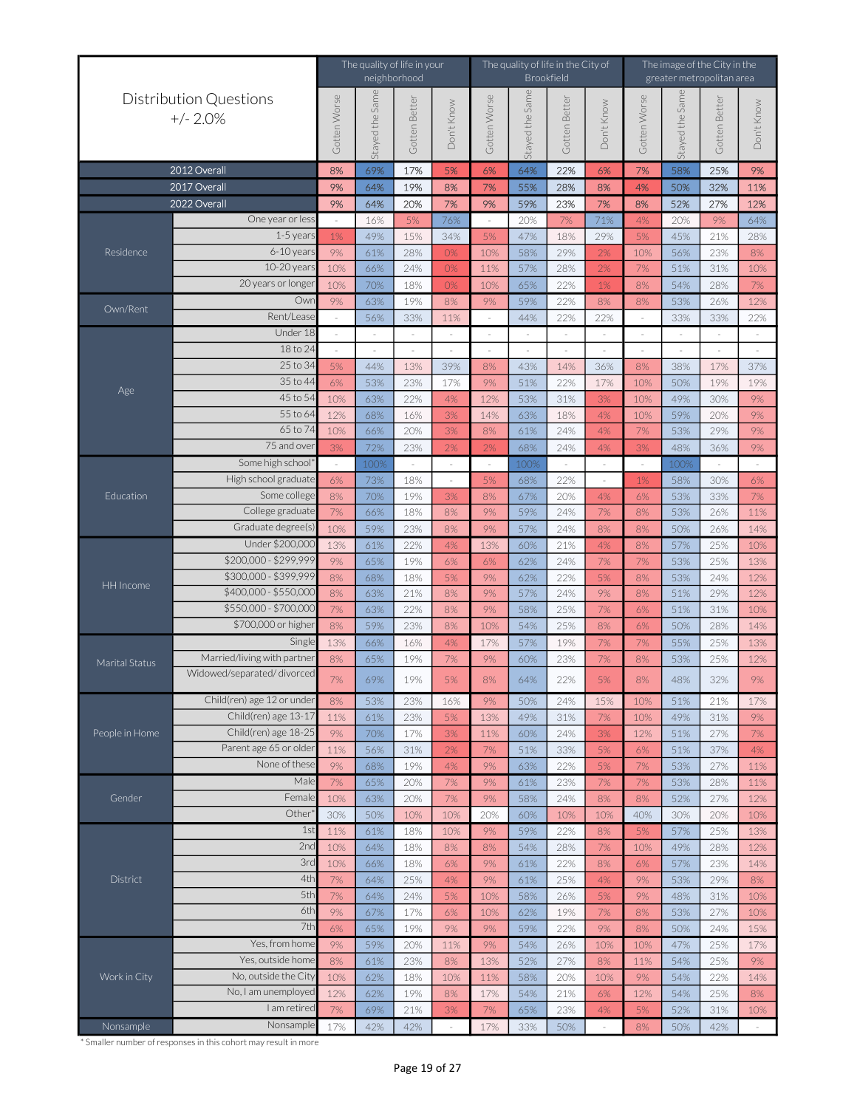|                                                                                                               |                                             |              | The quality of life in your | neighborhood  |               | The quality of life in the City of<br><b>Brookfield</b> |                 |               | The image of the City in the<br>greater metropolitan area |              |                |               |                          |
|---------------------------------------------------------------------------------------------------------------|---------------------------------------------|--------------|-----------------------------|---------------|---------------|---------------------------------------------------------|-----------------|---------------|-----------------------------------------------------------|--------------|----------------|---------------|--------------------------|
|                                                                                                               | <b>Distribution Questions</b><br>$+/- 2.0%$ | Gotten Worse | Stayed the Sam              | Gotten Better | Don't Know    | Gotten Worse                                            | Stayed the Same | Gotten Better | Don't Know                                                | Gotten Worse | Stayed the Sam | Gotten Better | Don't Know               |
|                                                                                                               | 2012 Overall                                | 8%           | 69%                         | 17%           | 5%            | 6%                                                      | 64%             | 22%           | 6%                                                        | 7%           | 58%            | 25%           | 9%                       |
|                                                                                                               | 2017 Overall                                | 9%           | 64%                         | 19%           | 8%            | 7%                                                      | 55%             | 28%           | 8%                                                        | 4%           | 50%            | 32%           | 11%                      |
|                                                                                                               | 2022 Overall                                | 9%           | 64%                         | 20%           | 7%            | 9%                                                      | 59%             | 23%           | 7%                                                        | 8%           | 52%            | 27%           | 12%                      |
|                                                                                                               | One year or less                            |              | 16%                         | 5%            | 76%           | $\sim$                                                  | 20%             | 7%            | 71%                                                       | 4%           | 20%            | 9%            | 64%                      |
|                                                                                                               | $1-5$ year:                                 | 1%           | 49%                         | 15%           | 34%           | 5%                                                      | 47%             | 18%           | 29%                                                       | 5%           | 45%            | 21%           | 28%                      |
|                                                                                                               | 6-10 years                                  | 9%           | 61%                         | 28%           | 0%            | 10%                                                     | 58%             | 29%           | 2%                                                        | 10%          | 56%            | 23%           | 8%                       |
|                                                                                                               | 10-20 year<br>20 years or longe             | 10%          | 66%                         | 24%           | 0%            | 11%                                                     | 57%             | 28%           | 2%                                                        | 7%           | 51%            | 31%           | 10%                      |
|                                                                                                               | Ow                                          | 10%          | 70%                         | 18%           | 0%            | 10%                                                     | 65%             | 22%           | 1%                                                        | 8%           | 54%            | 28%           | 7%                       |
| Own/Rent                                                                                                      | Rent/Lease                                  | 9%           | 63%<br>56%                  | 19%<br>33%    | 8%            | 9%                                                      | 59%<br>44%      | 22%<br>22%    | 8%<br>22%                                                 | 8%           | 53%<br>33%     | 26%<br>33%    | 12%<br>22%               |
|                                                                                                               | Under 18                                    |              |                             |               | 11%<br>$\sim$ | $\sim$<br>$\sim$                                        | $\sim$          | $\sim$        |                                                           |              | $\sim$         | $\sim$        | $\sim$                   |
|                                                                                                               | 18 to 24                                    |              |                             |               |               |                                                         |                 |               |                                                           |              |                |               | $\overline{\phantom{a}}$ |
|                                                                                                               | 25 to 34                                    | 5%           | 44%                         | 13%           | 39%           | 8%                                                      | 43%             | 14%           | 36%                                                       | 8%           | 38%            | 17%           | 37%                      |
|                                                                                                               | 35 to 44                                    | 6%           | 53%                         | 23%           | 17%           | 9%                                                      | 51%             | 22%           | 17%                                                       | 10%          | 50%            | 19%           | 19%                      |
| Age                                                                                                           | 45 to 54                                    | 10%          | 63%                         | 22%           | 4%            | 12%                                                     | 53%             | 31%           | 3%                                                        | 10%          | 49%            | 30%           | 9%                       |
|                                                                                                               | 55 to 64                                    | 12%          | 68%                         | 16%           | 3%            | 14%                                                     | 63%             | 18%           | 4%                                                        | 10%          | 59%            | 20%           | 9%                       |
| Residence<br>Education<br>HH Income<br>Marital Status<br>People in Home<br>Gender<br>District<br>Work in City | 65 to 7                                     | 10%          | 66%                         | 20%           | 3%            | 8%                                                      | 61%             | 24%           | 4%                                                        | 7%           | 53%            | 29%           | 9%                       |
|                                                                                                               | 75 and ove                                  | 3%           | 72%                         | 23%           | 2%            | 2%                                                      | 68%             | 24%           | 4%                                                        | 3%           | 48%            | 36%           | 9%                       |
|                                                                                                               | Some high school                            |              | 1009                        |               |               | $\sim$                                                  | 1009            |               |                                                           |              | 1009           |               | $\sim$                   |
|                                                                                                               | High school graduate                        | 6%           | 73%                         | 18%           | $\sim$        | 5%                                                      | 68%             | 22%           |                                                           | 1%           | 58%            | 30%           | $6\%$                    |
|                                                                                                               | Some college                                | 8%           | 70%                         | 19%           | 3%            | 8%                                                      | 67%             | 20%           | 4%                                                        | 6%           | 53%            | 33%           | 7%                       |
|                                                                                                               | College graduate                            | 7%           | 66%                         | 18%           | 8%            | 9%                                                      | 59%             | 24%           | 7%                                                        | 8%           | 53%            | 26%           | 11%                      |
|                                                                                                               | Graduate degree(s)                          | 10%          | 59%                         | 23%           | 8%            | 9%                                                      | 57%             | 24%           | 8%                                                        | 8%           | 50%            | 26%           | 14%                      |
|                                                                                                               | Under \$200,000                             | 13%          | 61%                         | 22%           | 4%            | 13%                                                     | 60%             | 21%           | 4%                                                        | 8%           | 57%            | 25%           | 10%                      |
|                                                                                                               | \$200,000 - \$299,999                       | 9%           | 65%                         | 19%           | 6%            | 6%                                                      | 62%             | 24%           | 7%                                                        | 7%           | 53%            | 25%           | 13%                      |
|                                                                                                               | \$300,000 - \$399,999                       | 8%           | 68%                         | 18%           | 5%            | 9%                                                      | 62%             | 22%           | 5%                                                        | 8%           | 53%            | 24%           | 12%                      |
|                                                                                                               | \$400,000 - \$550,000                       | 8%           | 63%                         | 21%           | 8%            | 9%                                                      | 57%             | 24%           | 9%                                                        | 8%           | 51%            | 29%           | 12%                      |
|                                                                                                               | \$550,000 - \$700,00                        | 7%           | 63%                         | 22%           | 8%            | 9%                                                      | 58%             | 25%           | 7%                                                        | 6%           | 51%            | 31%           | 10%                      |
|                                                                                                               | \$700,000 or higher                         | 8%           | 59%                         | 23%           | 8%            | 10%                                                     | 54%             | 25%           | 8%                                                        | 6%           | 50%            | 28%           | 14%                      |
|                                                                                                               | Single                                      | 13%          | 66%                         | 16%           | 4%            | 17%                                                     | 57%             | 19%           | 7%                                                        | 7%           | 55%            | 25%           | 13%                      |
|                                                                                                               | Married/living with partner                 | 8%           | 65%                         | 19%           | 7%            | 9%                                                      | 60%             | 23%           | 7%                                                        | 8%           | 53%            | 25%           | 12%                      |
|                                                                                                               | Widowed/separated/divorced                  | 7%           | 69%                         | 19%           | 5%            | 8%                                                      | 64%             | 22%           | 5%                                                        | 8%           | 48%            | 32%           | 9%                       |
|                                                                                                               | Child(ren) age 12 or under                  | 8%           | 53%                         | 23%           | 16%           | 9%                                                      | 50%             | 24%           | 15%                                                       | 10%          | 51%            | 21%           | 17%                      |
|                                                                                                               | Child(ren) age 13-17                        | 11%          | 61%                         | 23%           | 5%            | 13%                                                     | 49%             | 31%           | 7%                                                        | 10%          | 49%            | 31%           | 9%                       |
|                                                                                                               | Child(ren) age 18-2                         | 9%           | 70%                         | 17%           | 3%            | 11%                                                     | 60%             | 24%           | 3%                                                        | 12%          | 51%            | 27%           | 7%                       |
|                                                                                                               | Parent age 65 or older                      | 11%          | 56%                         | 31%           | 2%            | 7%                                                      | 51%             | 33%           | 5%                                                        | 6%           | 51%            | 37%           | 4%                       |
|                                                                                                               | None of these                               | 9%           | 68%                         | 19%           | 4%            | 9%                                                      | 63%             | 22%           | 5%                                                        | 7%           | 53%            | 27%           | 11%                      |
|                                                                                                               | Male                                        | 7%           | 65%                         | 20%           | 7%            | 9%                                                      | 61%             | 23%           | 7%                                                        | 7%           | 53%            | 28%           | 11%                      |
|                                                                                                               | Female                                      | 10%          | 63%                         | 20%           | 7%            | 9%                                                      | 58%             | 24%           | 8%                                                        | 8%           | 52%            | 27%           | 12%                      |
|                                                                                                               | Other                                       | 30%          | 50%                         | 10%           | 10%           | 20%                                                     | 60%             | 10%           | 10%                                                       | 40%          | 30%            | 20%           | 10%                      |
|                                                                                                               | 1st                                         | 11%          | 61%                         | 18%           | 10%           | 9%                                                      | 59%             | 22%           | 8%                                                        | 5%           | 57%            | 25%           | 13%                      |
|                                                                                                               | 2nd                                         | 10%          | 64%                         | 18%           | 8%            | 8%                                                      | 54%             | 28%           | 7%                                                        | 10%          | 49%            | 28%           | 12%                      |
|                                                                                                               | 3rd                                         | 10%          | 66%                         | 18%           | 6%            | 9%                                                      | 61%             | 22%           | 8%                                                        | 6%           | 57%            | 23%           | 14%                      |
|                                                                                                               | 4th                                         | 7%           | 64%                         | 25%           | 4%            | 9%                                                      | 61%             | 25%           | 4%                                                        | 9%           | 53%            | 29%           | 8%                       |
|                                                                                                               | 5th                                         | 7%           | 64%                         | 24%           | 5%            | 10%                                                     | 58%             | 26%           | 5%                                                        | 9%           | 48%            | 31%           | 10%                      |
|                                                                                                               | 6th<br>7th                                  | 9%           | 67%                         | 17%           | 6%            | 10%                                                     | 62%             | 19%           | 7%                                                        | 8%           | 53%            | 27%           | 10%                      |
|                                                                                                               |                                             | 6%           | 65%                         | 19%           | 9%            | 9%                                                      | 59%             | 22%           | 9%                                                        | 8%           | 50%            | 24%           | 15%                      |
|                                                                                                               | Yes, from home<br>Yes, outside home         | 9%           | 59%                         | 20%           | 11%           | 9%                                                      | 54%             | 26%           | 10%                                                       | 10%          | 47%            | 25%           | 17%                      |
|                                                                                                               | No, outside the City                        | 8%           | 61%                         | 23%           | 8%            | 13%                                                     | 52%             | 27%           | 8%                                                        | 11%          | 54%            | 25%           | 9%                       |
|                                                                                                               | No, I am unemployed                         | 10%          | 62%                         | 18%           | 10%           | 11%                                                     | 58%             | 20%           | 10%                                                       | 9%           | 54%            | 22%           | 14%                      |
|                                                                                                               | I am retired                                | 12%<br>7%    | 62%                         | 19%<br>21%    | 8%            | 17%                                                     | 54%             | 21%<br>23%    | 6%                                                        | 12%          | 54%            | 25%           | 8%                       |
|                                                                                                               | Nonsample                                   |              | 69%                         |               | 3%            | 7%                                                      | 65%             |               | 4%                                                        | 5%           | 52%            | 31%           | 10%                      |
| Nonsample                                                                                                     |                                             | 17%          | 42%                         | 42%           | $\sim$        | 17%                                                     | 33%             | 50%           |                                                           | 8%           | 50%            | 42%           | $\sim$                   |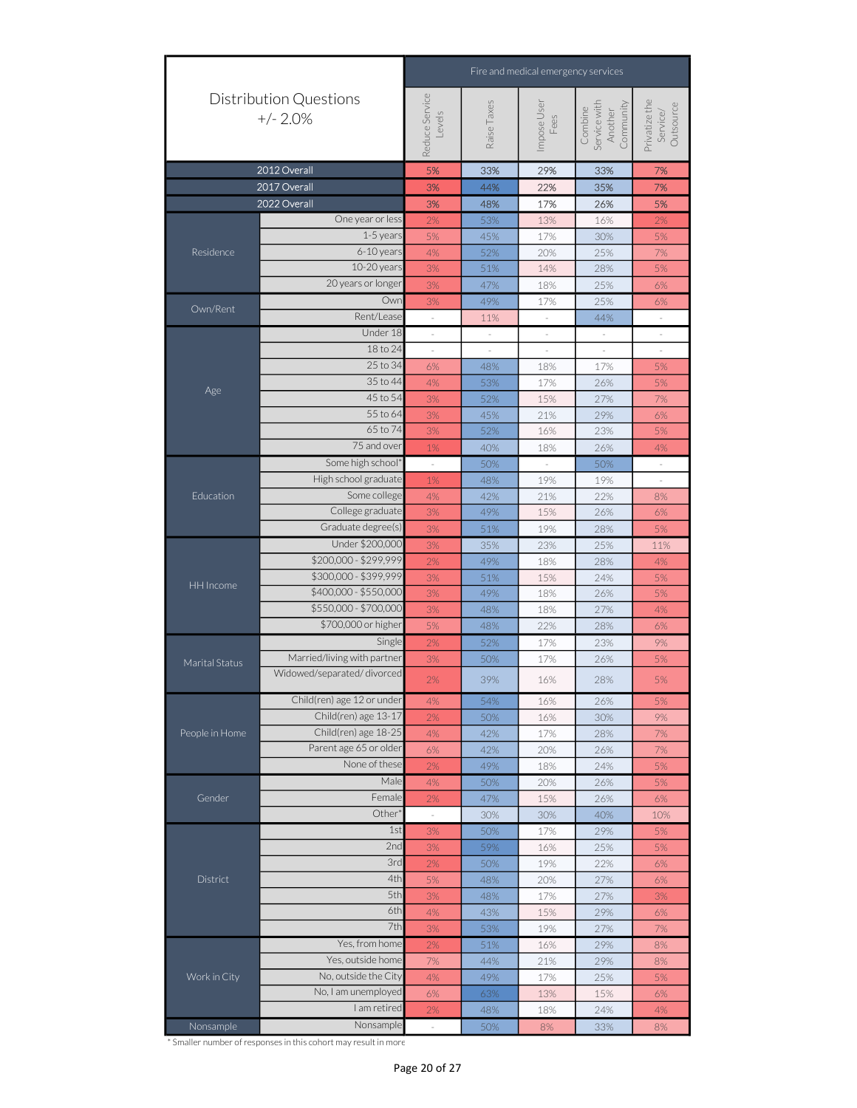|                |                                             | Fire and medical emergency services<br>Reduce Service<br>Privatize the<br>Service/<br>Raise Taxes<br>Service with<br>Impose User<br>Community<br>Outsource<br>Combine<br>Another<br>Levels<br>Fees<br>5%<br>33%<br>29%<br>33%<br>7%<br>3%<br>44%<br>22%<br>35%<br>7%<br>3%<br>48%<br>17%<br>26%<br>5%<br>2%<br>53%<br>13%<br>2%<br>16%<br>45%<br>5%<br>17%<br>30%<br>5%<br>52%<br>20%<br>$7%$<br>4%<br>25%<br>51%<br>28%<br>5%<br>3%<br>14%<br>3%<br>47%<br>18%<br>25%<br>6%<br>49%<br>25%<br>17%<br>6%<br>3%<br>44%<br>11%<br>$\overline{\phantom{a}}$<br>$\bar{\phantom{a}}$<br>$\equiv$<br>$\overline{\phantom{a}}$<br>$\overline{\phantom{a}}$<br>$\overline{\phantom{a}}$<br>$\overline{\phantom{a}}$<br>$\overline{\phantom{a}}$<br>$\overline{\phantom{a}}$<br>$\overline{\phantom{a}}$<br>$\overline{\phantom{a}}$<br>$\overline{\phantom{a}}$<br>$\overline{\phantom{a}}$<br>6%<br>48%<br>17%<br>5%<br>18%<br>53%<br>4%<br>17%<br>26%<br>5%<br>52%<br>15%<br>3%<br>27%<br>7%<br>3%<br>45%<br>21%<br>29%<br>6%<br>52%<br>16%<br>23%<br>$3%$<br>5%<br>1%<br>40%<br>18%<br>26%<br>4%<br>50%<br>50%<br>1%<br>48%<br>19%<br>19%<br>$4\%$<br>42%<br>21%<br>22%<br>8%<br>3%<br>49%<br>15%<br>26%<br>6%<br>3%<br>19%<br>5%<br>51%<br>28%<br>23%<br>25%<br>3%<br>35%<br>11%<br>49%<br>28%<br>2%<br>18%<br>4%<br>3%<br>51%<br>15%<br>24%<br>5%<br>3%<br>49%<br>5%<br>18%<br>26%<br>3%<br>48%<br>27%<br>18%<br>4%<br>5%<br>48%<br>22%<br>28%<br>6%<br>52%<br>17%<br>23%<br>9%<br>2%<br>5%<br>3%<br>50%<br>17%<br>26%<br>39%<br>2%<br>16%<br>28%<br>5%<br>54%<br>26%<br>5%<br>4%<br>16%<br>2%<br>50%<br>16%<br>30%<br>9%<br>4%<br>42%<br>17%<br>28%<br>7%<br>$6\%$<br>42%<br>20%<br>7%<br>26%<br>$2\%$<br>49%<br>18%<br>5%<br>24%<br>4%<br>5%<br>50%<br>20%<br>26%<br>2%<br>47%<br>15%<br>26%<br>6%<br>$\bar{z}$<br>30%<br>30%<br>40%<br>10%<br>1st<br>50%<br>3%<br>17%<br>29%<br>5%<br>2nd<br>59%<br>3%<br>25%<br>5%<br>16%<br>3rd<br>50%<br>19%<br>22%<br>2%<br>6%<br>4th<br>5%<br>20%<br>27%<br>48%<br>6%<br>5th<br>$3\%$<br>3%<br>48%<br>17%<br>27%<br>6th<br>4%<br>43%<br>29%<br>15%<br>6%<br>7th<br>3%<br>53%<br>19%<br>27%<br>7%<br>51%<br>29%<br>2%<br>16%<br>8%<br>7%<br>29%<br>44%<br>21%<br>8%<br>49%<br>4%<br>17%<br>25%<br>5%<br>$6\%$<br>63%<br>13%<br>15%<br>$6\%$<br>2%<br>48%<br>18%<br>24%<br>4% |  |  |  |  |
|----------------|---------------------------------------------|-----------------------------------------------------------------------------------------------------------------------------------------------------------------------------------------------------------------------------------------------------------------------------------------------------------------------------------------------------------------------------------------------------------------------------------------------------------------------------------------------------------------------------------------------------------------------------------------------------------------------------------------------------------------------------------------------------------------------------------------------------------------------------------------------------------------------------------------------------------------------------------------------------------------------------------------------------------------------------------------------------------------------------------------------------------------------------------------------------------------------------------------------------------------------------------------------------------------------------------------------------------------------------------------------------------------------------------------------------------------------------------------------------------------------------------------------------------------------------------------------------------------------------------------------------------------------------------------------------------------------------------------------------------------------------------------------------------------------------------------------------------------------------------------------------------------------------------------------------------------------------------------------------------------------------------------------------------------------------------------------------------------------------------------------------------------------------------------------------------------------------------------------------------------------------------------------------------------------------------------------------------------------------------------------------------------|--|--|--|--|
|                | <b>Distribution Questions</b><br>$+/- 2.0%$ |                                                                                                                                                                                                                                                                                                                                                                                                                                                                                                                                                                                                                                                                                                                                                                                                                                                                                                                                                                                                                                                                                                                                                                                                                                                                                                                                                                                                                                                                                                                                                                                                                                                                                                                                                                                                                                                                                                                                                                                                                                                                                                                                                                                                                                                                                                                 |  |  |  |  |
|                | 2012 Overall                                |                                                                                                                                                                                                                                                                                                                                                                                                                                                                                                                                                                                                                                                                                                                                                                                                                                                                                                                                                                                                                                                                                                                                                                                                                                                                                                                                                                                                                                                                                                                                                                                                                                                                                                                                                                                                                                                                                                                                                                                                                                                                                                                                                                                                                                                                                                                 |  |  |  |  |
|                | 2017 Overall                                |                                                                                                                                                                                                                                                                                                                                                                                                                                                                                                                                                                                                                                                                                                                                                                                                                                                                                                                                                                                                                                                                                                                                                                                                                                                                                                                                                                                                                                                                                                                                                                                                                                                                                                                                                                                                                                                                                                                                                                                                                                                                                                                                                                                                                                                                                                                 |  |  |  |  |
|                | 2022 Overall                                |                                                                                                                                                                                                                                                                                                                                                                                                                                                                                                                                                                                                                                                                                                                                                                                                                                                                                                                                                                                                                                                                                                                                                                                                                                                                                                                                                                                                                                                                                                                                                                                                                                                                                                                                                                                                                                                                                                                                                                                                                                                                                                                                                                                                                                                                                                                 |  |  |  |  |
|                | One year or less                            |                                                                                                                                                                                                                                                                                                                                                                                                                                                                                                                                                                                                                                                                                                                                                                                                                                                                                                                                                                                                                                                                                                                                                                                                                                                                                                                                                                                                                                                                                                                                                                                                                                                                                                                                                                                                                                                                                                                                                                                                                                                                                                                                                                                                                                                                                                                 |  |  |  |  |
|                | 1-5 years                                   |                                                                                                                                                                                                                                                                                                                                                                                                                                                                                                                                                                                                                                                                                                                                                                                                                                                                                                                                                                                                                                                                                                                                                                                                                                                                                                                                                                                                                                                                                                                                                                                                                                                                                                                                                                                                                                                                                                                                                                                                                                                                                                                                                                                                                                                                                                                 |  |  |  |  |
| Residence      | 6-10 years                                  |                                                                                                                                                                                                                                                                                                                                                                                                                                                                                                                                                                                                                                                                                                                                                                                                                                                                                                                                                                                                                                                                                                                                                                                                                                                                                                                                                                                                                                                                                                                                                                                                                                                                                                                                                                                                                                                                                                                                                                                                                                                                                                                                                                                                                                                                                                                 |  |  |  |  |
|                | 10-20 years                                 | 20 years or longer<br>Own<br>Rent/Lease<br>Under 18<br>18 to 24<br>25 to 34<br>35 to 44<br>45 to 54<br>55 to 64<br>65 to 74<br>75 and over<br>Some high school*<br>Some college<br>College graduate<br>Under \$200,000<br>Single<br>None of these<br>Male<br>Female<br>Other <sup>*</sup><br>Yes, from home<br>Yes, outside home<br>I am retired<br>Nonsample<br>50%<br>$8\%$<br>33%<br>$8\%$                                                                                                                                                                                                                                                                                                                                                                                                                                                                                                                                                                                                                                                                                                                                                                                                                                                                                                                                                                                                                                                                                                                                                                                                                                                                                                                                                                                                                                                                                                                                                                                                                                                                                                                                                                                                                                                                                                                   |  |  |  |  |
|                |                                             |                                                                                                                                                                                                                                                                                                                                                                                                                                                                                                                                                                                                                                                                                                                                                                                                                                                                                                                                                                                                                                                                                                                                                                                                                                                                                                                                                                                                                                                                                                                                                                                                                                                                                                                                                                                                                                                                                                                                                                                                                                                                                                                                                                                                                                                                                                                 |  |  |  |  |
| Own/Rent       |                                             |                                                                                                                                                                                                                                                                                                                                                                                                                                                                                                                                                                                                                                                                                                                                                                                                                                                                                                                                                                                                                                                                                                                                                                                                                                                                                                                                                                                                                                                                                                                                                                                                                                                                                                                                                                                                                                                                                                                                                                                                                                                                                                                                                                                                                                                                                                                 |  |  |  |  |
|                |                                             |                                                                                                                                                                                                                                                                                                                                                                                                                                                                                                                                                                                                                                                                                                                                                                                                                                                                                                                                                                                                                                                                                                                                                                                                                                                                                                                                                                                                                                                                                                                                                                                                                                                                                                                                                                                                                                                                                                                                                                                                                                                                                                                                                                                                                                                                                                                 |  |  |  |  |
|                |                                             |                                                                                                                                                                                                                                                                                                                                                                                                                                                                                                                                                                                                                                                                                                                                                                                                                                                                                                                                                                                                                                                                                                                                                                                                                                                                                                                                                                                                                                                                                                                                                                                                                                                                                                                                                                                                                                                                                                                                                                                                                                                                                                                                                                                                                                                                                                                 |  |  |  |  |
|                |                                             |                                                                                                                                                                                                                                                                                                                                                                                                                                                                                                                                                                                                                                                                                                                                                                                                                                                                                                                                                                                                                                                                                                                                                                                                                                                                                                                                                                                                                                                                                                                                                                                                                                                                                                                                                                                                                                                                                                                                                                                                                                                                                                                                                                                                                                                                                                                 |  |  |  |  |
|                |                                             |                                                                                                                                                                                                                                                                                                                                                                                                                                                                                                                                                                                                                                                                                                                                                                                                                                                                                                                                                                                                                                                                                                                                                                                                                                                                                                                                                                                                                                                                                                                                                                                                                                                                                                                                                                                                                                                                                                                                                                                                                                                                                                                                                                                                                                                                                                                 |  |  |  |  |
| Age            |                                             |                                                                                                                                                                                                                                                                                                                                                                                                                                                                                                                                                                                                                                                                                                                                                                                                                                                                                                                                                                                                                                                                                                                                                                                                                                                                                                                                                                                                                                                                                                                                                                                                                                                                                                                                                                                                                                                                                                                                                                                                                                                                                                                                                                                                                                                                                                                 |  |  |  |  |
|                |                                             |                                                                                                                                                                                                                                                                                                                                                                                                                                                                                                                                                                                                                                                                                                                                                                                                                                                                                                                                                                                                                                                                                                                                                                                                                                                                                                                                                                                                                                                                                                                                                                                                                                                                                                                                                                                                                                                                                                                                                                                                                                                                                                                                                                                                                                                                                                                 |  |  |  |  |
|                |                                             |                                                                                                                                                                                                                                                                                                                                                                                                                                                                                                                                                                                                                                                                                                                                                                                                                                                                                                                                                                                                                                                                                                                                                                                                                                                                                                                                                                                                                                                                                                                                                                                                                                                                                                                                                                                                                                                                                                                                                                                                                                                                                                                                                                                                                                                                                                                 |  |  |  |  |
|                |                                             |                                                                                                                                                                                                                                                                                                                                                                                                                                                                                                                                                                                                                                                                                                                                                                                                                                                                                                                                                                                                                                                                                                                                                                                                                                                                                                                                                                                                                                                                                                                                                                                                                                                                                                                                                                                                                                                                                                                                                                                                                                                                                                                                                                                                                                                                                                                 |  |  |  |  |
|                |                                             |                                                                                                                                                                                                                                                                                                                                                                                                                                                                                                                                                                                                                                                                                                                                                                                                                                                                                                                                                                                                                                                                                                                                                                                                                                                                                                                                                                                                                                                                                                                                                                                                                                                                                                                                                                                                                                                                                                                                                                                                                                                                                                                                                                                                                                                                                                                 |  |  |  |  |
|                |                                             |                                                                                                                                                                                                                                                                                                                                                                                                                                                                                                                                                                                                                                                                                                                                                                                                                                                                                                                                                                                                                                                                                                                                                                                                                                                                                                                                                                                                                                                                                                                                                                                                                                                                                                                                                                                                                                                                                                                                                                                                                                                                                                                                                                                                                                                                                                                 |  |  |  |  |
|                |                                             |                                                                                                                                                                                                                                                                                                                                                                                                                                                                                                                                                                                                                                                                                                                                                                                                                                                                                                                                                                                                                                                                                                                                                                                                                                                                                                                                                                                                                                                                                                                                                                                                                                                                                                                                                                                                                                                                                                                                                                                                                                                                                                                                                                                                                                                                                                                 |  |  |  |  |
| Education      |                                             |                                                                                                                                                                                                                                                                                                                                                                                                                                                                                                                                                                                                                                                                                                                                                                                                                                                                                                                                                                                                                                                                                                                                                                                                                                                                                                                                                                                                                                                                                                                                                                                                                                                                                                                                                                                                                                                                                                                                                                                                                                                                                                                                                                                                                                                                                                                 |  |  |  |  |
|                |                                             |                                                                                                                                                                                                                                                                                                                                                                                                                                                                                                                                                                                                                                                                                                                                                                                                                                                                                                                                                                                                                                                                                                                                                                                                                                                                                                                                                                                                                                                                                                                                                                                                                                                                                                                                                                                                                                                                                                                                                                                                                                                                                                                                                                                                                                                                                                                 |  |  |  |  |
|                |                                             |                                                                                                                                                                                                                                                                                                                                                                                                                                                                                                                                                                                                                                                                                                                                                                                                                                                                                                                                                                                                                                                                                                                                                                                                                                                                                                                                                                                                                                                                                                                                                                                                                                                                                                                                                                                                                                                                                                                                                                                                                                                                                                                                                                                                                                                                                                                 |  |  |  |  |
|                |                                             |                                                                                                                                                                                                                                                                                                                                                                                                                                                                                                                                                                                                                                                                                                                                                                                                                                                                                                                                                                                                                                                                                                                                                                                                                                                                                                                                                                                                                                                                                                                                                                                                                                                                                                                                                                                                                                                                                                                                                                                                                                                                                                                                                                                                                                                                                                                 |  |  |  |  |
|                |                                             | High school graduate<br>Graduate degree(s)<br>\$200,000 - \$299,999<br>\$300,000 - \$399,999<br>\$400,000 - \$550,000<br>\$550,000 - \$700,000<br>\$700,000 or higher<br>Child(ren) age 13-17<br>Child(ren) age 18-25<br>Parent age 65 or older<br>No, outside the City<br>No, I am unemployed                                                                                                                                                                                                                                                                                                                                                                                                                                                                                                                                                                                                                                                                                                                                                                                                                                                                                                                                                                                                                                                                                                                                                                                                                                                                                                                                                                                                                                                                                                                                                                                                                                                                                                                                                                                                                                                                                                                                                                                                                  |  |  |  |  |
| HH Income      |                                             |                                                                                                                                                                                                                                                                                                                                                                                                                                                                                                                                                                                                                                                                                                                                                                                                                                                                                                                                                                                                                                                                                                                                                                                                                                                                                                                                                                                                                                                                                                                                                                                                                                                                                                                                                                                                                                                                                                                                                                                                                                                                                                                                                                                                                                                                                                                 |  |  |  |  |
|                |                                             |                                                                                                                                                                                                                                                                                                                                                                                                                                                                                                                                                                                                                                                                                                                                                                                                                                                                                                                                                                                                                                                                                                                                                                                                                                                                                                                                                                                                                                                                                                                                                                                                                                                                                                                                                                                                                                                                                                                                                                                                                                                                                                                                                                                                                                                                                                                 |  |  |  |  |
|                |                                             |                                                                                                                                                                                                                                                                                                                                                                                                                                                                                                                                                                                                                                                                                                                                                                                                                                                                                                                                                                                                                                                                                                                                                                                                                                                                                                                                                                                                                                                                                                                                                                                                                                                                                                                                                                                                                                                                                                                                                                                                                                                                                                                                                                                                                                                                                                                 |  |  |  |  |
|                |                                             |                                                                                                                                                                                                                                                                                                                                                                                                                                                                                                                                                                                                                                                                                                                                                                                                                                                                                                                                                                                                                                                                                                                                                                                                                                                                                                                                                                                                                                                                                                                                                                                                                                                                                                                                                                                                                                                                                                                                                                                                                                                                                                                                                                                                                                                                                                                 |  |  |  |  |
|                |                                             |                                                                                                                                                                                                                                                                                                                                                                                                                                                                                                                                                                                                                                                                                                                                                                                                                                                                                                                                                                                                                                                                                                                                                                                                                                                                                                                                                                                                                                                                                                                                                                                                                                                                                                                                                                                                                                                                                                                                                                                                                                                                                                                                                                                                                                                                                                                 |  |  |  |  |
| Marital Status | Widowed/separated/divorced                  |                                                                                                                                                                                                                                                                                                                                                                                                                                                                                                                                                                                                                                                                                                                                                                                                                                                                                                                                                                                                                                                                                                                                                                                                                                                                                                                                                                                                                                                                                                                                                                                                                                                                                                                                                                                                                                                                                                                                                                                                                                                                                                                                                                                                                                                                                                                 |  |  |  |  |
|                |                                             |                                                                                                                                                                                                                                                                                                                                                                                                                                                                                                                                                                                                                                                                                                                                                                                                                                                                                                                                                                                                                                                                                                                                                                                                                                                                                                                                                                                                                                                                                                                                                                                                                                                                                                                                                                                                                                                                                                                                                                                                                                                                                                                                                                                                                                                                                                                 |  |  |  |  |
|                |                                             |                                                                                                                                                                                                                                                                                                                                                                                                                                                                                                                                                                                                                                                                                                                                                                                                                                                                                                                                                                                                                                                                                                                                                                                                                                                                                                                                                                                                                                                                                                                                                                                                                                                                                                                                                                                                                                                                                                                                                                                                                                                                                                                                                                                                                                                                                                                 |  |  |  |  |
| People in Home |                                             |                                                                                                                                                                                                                                                                                                                                                                                                                                                                                                                                                                                                                                                                                                                                                                                                                                                                                                                                                                                                                                                                                                                                                                                                                                                                                                                                                                                                                                                                                                                                                                                                                                                                                                                                                                                                                                                                                                                                                                                                                                                                                                                                                                                                                                                                                                                 |  |  |  |  |
|                |                                             |                                                                                                                                                                                                                                                                                                                                                                                                                                                                                                                                                                                                                                                                                                                                                                                                                                                                                                                                                                                                                                                                                                                                                                                                                                                                                                                                                                                                                                                                                                                                                                                                                                                                                                                                                                                                                                                                                                                                                                                                                                                                                                                                                                                                                                                                                                                 |  |  |  |  |
|                |                                             |                                                                                                                                                                                                                                                                                                                                                                                                                                                                                                                                                                                                                                                                                                                                                                                                                                                                                                                                                                                                                                                                                                                                                                                                                                                                                                                                                                                                                                                                                                                                                                                                                                                                                                                                                                                                                                                                                                                                                                                                                                                                                                                                                                                                                                                                                                                 |  |  |  |  |
|                |                                             |                                                                                                                                                                                                                                                                                                                                                                                                                                                                                                                                                                                                                                                                                                                                                                                                                                                                                                                                                                                                                                                                                                                                                                                                                                                                                                                                                                                                                                                                                                                                                                                                                                                                                                                                                                                                                                                                                                                                                                                                                                                                                                                                                                                                                                                                                                                 |  |  |  |  |
| Gender         |                                             |                                                                                                                                                                                                                                                                                                                                                                                                                                                                                                                                                                                                                                                                                                                                                                                                                                                                                                                                                                                                                                                                                                                                                                                                                                                                                                                                                                                                                                                                                                                                                                                                                                                                                                                                                                                                                                                                                                                                                                                                                                                                                                                                                                                                                                                                                                                 |  |  |  |  |
|                |                                             |                                                                                                                                                                                                                                                                                                                                                                                                                                                                                                                                                                                                                                                                                                                                                                                                                                                                                                                                                                                                                                                                                                                                                                                                                                                                                                                                                                                                                                                                                                                                                                                                                                                                                                                                                                                                                                                                                                                                                                                                                                                                                                                                                                                                                                                                                                                 |  |  |  |  |
|                |                                             |                                                                                                                                                                                                                                                                                                                                                                                                                                                                                                                                                                                                                                                                                                                                                                                                                                                                                                                                                                                                                                                                                                                                                                                                                                                                                                                                                                                                                                                                                                                                                                                                                                                                                                                                                                                                                                                                                                                                                                                                                                                                                                                                                                                                                                                                                                                 |  |  |  |  |
|                |                                             |                                                                                                                                                                                                                                                                                                                                                                                                                                                                                                                                                                                                                                                                                                                                                                                                                                                                                                                                                                                                                                                                                                                                                                                                                                                                                                                                                                                                                                                                                                                                                                                                                                                                                                                                                                                                                                                                                                                                                                                                                                                                                                                                                                                                                                                                                                                 |  |  |  |  |
|                |                                             |                                                                                                                                                                                                                                                                                                                                                                                                                                                                                                                                                                                                                                                                                                                                                                                                                                                                                                                                                                                                                                                                                                                                                                                                                                                                                                                                                                                                                                                                                                                                                                                                                                                                                                                                                                                                                                                                                                                                                                                                                                                                                                                                                                                                                                                                                                                 |  |  |  |  |
| District       |                                             |                                                                                                                                                                                                                                                                                                                                                                                                                                                                                                                                                                                                                                                                                                                                                                                                                                                                                                                                                                                                                                                                                                                                                                                                                                                                                                                                                                                                                                                                                                                                                                                                                                                                                                                                                                                                                                                                                                                                                                                                                                                                                                                                                                                                                                                                                                                 |  |  |  |  |
|                |                                             | Married/living with partner<br>Child(ren) age 12 or under                                                                                                                                                                                                                                                                                                                                                                                                                                                                                                                                                                                                                                                                                                                                                                                                                                                                                                                                                                                                                                                                                                                                                                                                                                                                                                                                                                                                                                                                                                                                                                                                                                                                                                                                                                                                                                                                                                                                                                                                                                                                                                                                                                                                                                                       |  |  |  |  |
|                |                                             |                                                                                                                                                                                                                                                                                                                                                                                                                                                                                                                                                                                                                                                                                                                                                                                                                                                                                                                                                                                                                                                                                                                                                                                                                                                                                                                                                                                                                                                                                                                                                                                                                                                                                                                                                                                                                                                                                                                                                                                                                                                                                                                                                                                                                                                                                                                 |  |  |  |  |
|                |                                             |                                                                                                                                                                                                                                                                                                                                                                                                                                                                                                                                                                                                                                                                                                                                                                                                                                                                                                                                                                                                                                                                                                                                                                                                                                                                                                                                                                                                                                                                                                                                                                                                                                                                                                                                                                                                                                                                                                                                                                                                                                                                                                                                                                                                                                                                                                                 |  |  |  |  |
|                |                                             |                                                                                                                                                                                                                                                                                                                                                                                                                                                                                                                                                                                                                                                                                                                                                                                                                                                                                                                                                                                                                                                                                                                                                                                                                                                                                                                                                                                                                                                                                                                                                                                                                                                                                                                                                                                                                                                                                                                                                                                                                                                                                                                                                                                                                                                                                                                 |  |  |  |  |
|                |                                             |                                                                                                                                                                                                                                                                                                                                                                                                                                                                                                                                                                                                                                                                                                                                                                                                                                                                                                                                                                                                                                                                                                                                                                                                                                                                                                                                                                                                                                                                                                                                                                                                                                                                                                                                                                                                                                                                                                                                                                                                                                                                                                                                                                                                                                                                                                                 |  |  |  |  |
| Work in City   |                                             |                                                                                                                                                                                                                                                                                                                                                                                                                                                                                                                                                                                                                                                                                                                                                                                                                                                                                                                                                                                                                                                                                                                                                                                                                                                                                                                                                                                                                                                                                                                                                                                                                                                                                                                                                                                                                                                                                                                                                                                                                                                                                                                                                                                                                                                                                                                 |  |  |  |  |
|                |                                             |                                                                                                                                                                                                                                                                                                                                                                                                                                                                                                                                                                                                                                                                                                                                                                                                                                                                                                                                                                                                                                                                                                                                                                                                                                                                                                                                                                                                                                                                                                                                                                                                                                                                                                                                                                                                                                                                                                                                                                                                                                                                                                                                                                                                                                                                                                                 |  |  |  |  |
|                |                                             |                                                                                                                                                                                                                                                                                                                                                                                                                                                                                                                                                                                                                                                                                                                                                                                                                                                                                                                                                                                                                                                                                                                                                                                                                                                                                                                                                                                                                                                                                                                                                                                                                                                                                                                                                                                                                                                                                                                                                                                                                                                                                                                                                                                                                                                                                                                 |  |  |  |  |
| Nonsample      |                                             |                                                                                                                                                                                                                                                                                                                                                                                                                                                                                                                                                                                                                                                                                                                                                                                                                                                                                                                                                                                                                                                                                                                                                                                                                                                                                                                                                                                                                                                                                                                                                                                                                                                                                                                                                                                                                                                                                                                                                                                                                                                                                                                                                                                                                                                                                                                 |  |  |  |  |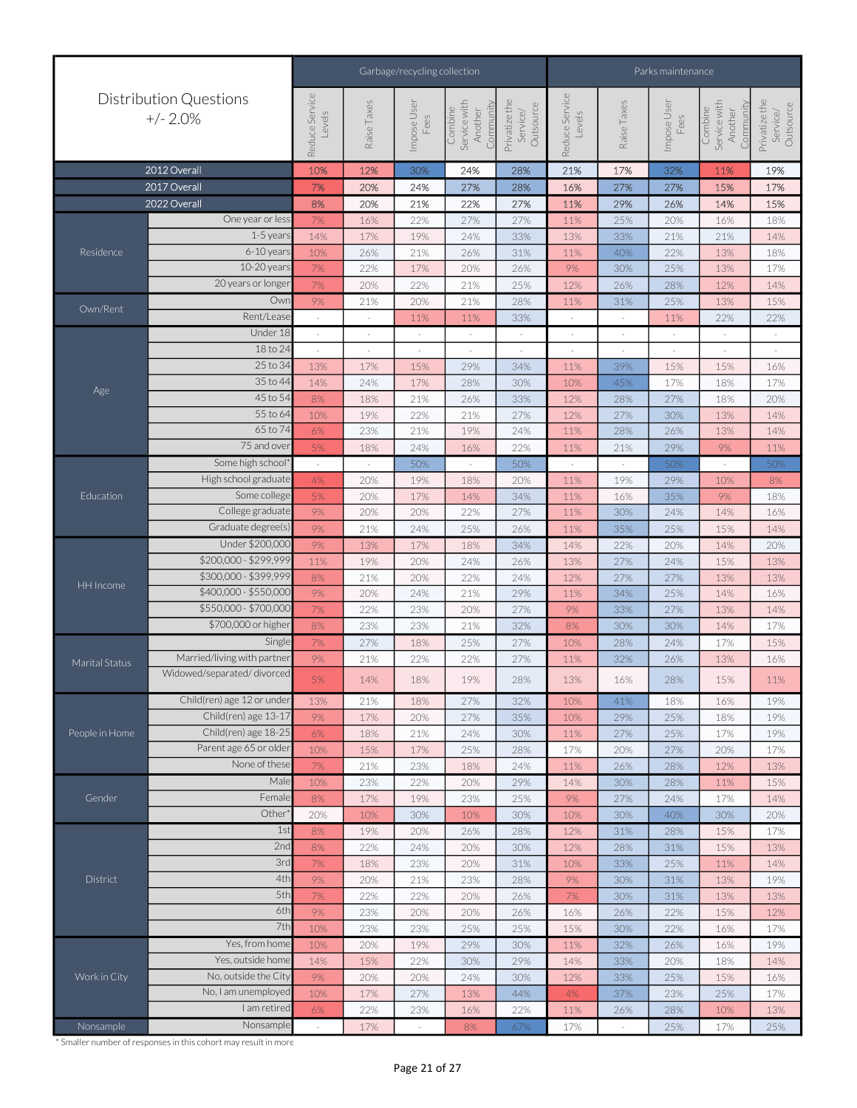|                |                                                |                          |             | Garbage/recycling collection |                                                 | Parks maintenance                      |                          |             |                     |                                                 |                                        |
|----------------|------------------------------------------------|--------------------------|-------------|------------------------------|-------------------------------------------------|----------------------------------------|--------------------------|-------------|---------------------|-------------------------------------------------|----------------------------------------|
|                | <b>Distribution Questions</b><br>$+/- 2.0%$    | Reduce Service<br>Levels | Raise Taxes | Impose User<br>Fees          | Combine<br>Service with<br>Community<br>Another | Privatize the<br>Outsource<br>Service/ | Reduce Service<br>Levels | Raise Taxes | Impose User<br>Fees | Service with<br>Community<br>Combine<br>Another | Privatize the<br>Outsource<br>Service/ |
|                | 2012 Overall                                   | 10%                      | 12%         | 30%                          | 24%                                             | 28%                                    | 21%                      | 17%         | 32%                 | 11%                                             | 19%                                    |
|                | 2017 Overall                                   | 7%                       | 20%         | 24%                          | 27%                                             | 28%                                    | 16%                      | 27%         | 27%                 | 15%                                             | 17%                                    |
|                | 2022 Overall                                   | 8%                       | 20%         | 21%                          | 22%                                             | 27%                                    | 11%                      | 29%         | 26%                 | 14%                                             | 15%                                    |
|                | One year or less                               | 7%                       | 16%         | 22%                          | 27%                                             | 27%                                    | 11%                      | 25%         | 20%                 | 16%                                             | 18%                                    |
|                | 1-5 years                                      | 14%                      | 17%         | 19%                          | 24%                                             | 33%                                    | 13%                      | 33%         | 21%                 | 21%                                             | 14%                                    |
| Residence      | $6-10$ years                                   | 10%                      | 26%         | 21%                          | 26%                                             | 31%                                    | 11%                      | 40%         | 22%                 | 13%                                             | 18%                                    |
|                | 10-20 years                                    | 7%                       | 22%         | 17%                          | 20%                                             | 26%                                    | 9%                       | 30%         | 25%                 | 13%                                             | 17%                                    |
|                | 20 years or longer                             | 7%                       | 20%         | 22%                          | 21%                                             | 25%                                    | 12%                      | 26%         | 28%                 | 12%                                             | 14%                                    |
| Own/Rent       | Owr                                            | 9%                       | 21%         | 20%                          | 21%                                             | 28%                                    | 11%                      | 31%         | 25%                 | 13%                                             | 15%                                    |
|                | Rent/Lease                                     | $\sim$                   | $\sim$      | 11%                          | 11%                                             | 33%                                    | $\sim$                   |             | 11%                 | 22%                                             | 22%                                    |
|                | Under 18                                       |                          |             |                              | $\sim$                                          | $\overline{\phantom{a}}$               | $\overline{\phantom{a}}$ |             |                     |                                                 |                                        |
|                | 18 to 24                                       | $\sim$                   | $\bar{ }$   | $\sim$                       | $\sim$                                          | $\sim$                                 | $\sim$                   |             | $\equiv$            | $\overline{\phantom{a}}$                        | $\sim$                                 |
|                | 25 to 34                                       | 13%                      | 17%         | 15%                          | 29%                                             | 34%                                    | 11%                      | 39%         | 15%                 | 15%                                             | 16%                                    |
| Age            | 35 to 44                                       | 14%                      | 24%         | 17%                          | 28%                                             | 30%                                    | 10%                      | 45%         | 17%                 | 18%                                             | 17%                                    |
|                | 45 to 54                                       | 8%                       | 18%         | 21%                          | 26%                                             | 33%                                    | 12%                      | 28%         | 27%                 | 18%                                             | 20%                                    |
|                | 55 to 64                                       | 10%                      | 19%         | 22%                          | 21%                                             | 27%                                    | 12%                      | 27%         | 30%                 | 13%                                             | 14%                                    |
|                | 65 to 74                                       | 6%                       | 23%         | 21%                          | 19%                                             | 24%                                    | 11%                      | 28%         | 26%                 | 13%                                             | 14%                                    |
|                | 75 and over                                    | 5%                       | 18%         | 24%                          | 16%                                             | 22%                                    | 11%                      | 21%         | 29%                 | 9%                                              | 11%                                    |
|                | Some high school*                              |                          |             | 50%                          |                                                 | 50%                                    |                          |             | 50%                 |                                                 | 50%                                    |
|                | High school graduate                           | 4%                       | 20%         | 19%                          | 18%                                             | 20%                                    | 11%                      | 19%         | 29%                 | 10%                                             | 8%                                     |
| Education      | Some college                                   | 5%                       | 20%         | 17%                          | 14%                                             | 34%                                    | 11%                      | 16%         | 35%                 | $9%$                                            | 18%                                    |
|                | College graduate                               | 9%                       | 20%         | 20%                          | 22%                                             | 27%                                    | 11%                      | 30%         | 24%                 | 14%                                             | 16%                                    |
|                | Graduate degree(s)                             | 9%                       | 21%         | 24%                          | 25%                                             | 26%                                    | 11%                      | 35%         | 25%                 | 15%                                             | 14%                                    |
|                | Under \$200,000                                | 9%                       | 13%         | 17%                          | 18%                                             | 34%                                    | 14%                      | 22%         | 20%                 | 14%                                             | 20%                                    |
|                | \$200,000 - \$299,999<br>\$300,000 - \$399,999 | 11%                      | 19%         | 20%                          | 24%                                             | 26%                                    | 13%                      | 27%         | 24%                 | 15%                                             | 13%                                    |
| HH Income      | \$400,000 - \$550,000                          | 8%                       | 21%         | 20%                          | 22%                                             | 24%                                    | 12%                      | 27%         | 27%                 | 13%                                             | 13%                                    |
|                | \$550,000 - \$700,000                          | 9%                       | 20%         | 24%                          | 21%                                             | 29%                                    | 11%                      | 34%         | 25%                 | 14%                                             | 16%                                    |
|                | \$700,000 or higher                            | 7%                       | 22%         | 23%                          | 20%                                             | 27%                                    | 9%                       | 33%         | 27%                 | 13%                                             | 14%                                    |
|                | Single                                         | 8%                       | 23%<br>27%  | 23%                          | 21%                                             | 32%                                    | 8%                       | 30%         | 30%                 | 14%                                             | 17%                                    |
|                | Married/living with partner                    | 7%<br>9%                 | 21%         | 18%<br>22%                   | 25%<br>22%                                      | 27%<br>27%                             | 10%<br>11%               | 28%<br>32%  | 24%<br>26%          | 17%<br>13%                                      | 15%<br>16%                             |
| Marital Status | Widowed/separated/divorced                     | 5%                       | 14%         | 18%                          | 19%                                             | 28%                                    | 13%                      | 16%         | 28%                 | 15%                                             | 11%                                    |
|                | Child(ren) age 12 or under                     | 13%                      | 21%         | 18%                          | 27%                                             | 32%                                    | 10%                      | 41%         | 18%                 | 16%                                             | 19%                                    |
|                | Child(ren) age 13-17                           | 9%                       | 17%         | 20%                          | 27%                                             | 35%                                    | 10%                      | 29%         | 25%                 | 18%                                             | 19%                                    |
| People in Home | Child(ren) age 18-25                           | 6%                       | 18%         | 21%                          | 24%                                             | 30%                                    | 11%                      | 27%         | 25%                 | 17%                                             | 19%                                    |
|                | Parent age 65 or older                         | 10%                      | 15%         | 17%                          | 25%                                             | 28%                                    | 17%                      | 20%         | 27%                 | 20%                                             | 17%                                    |
|                | None of these                                  | 7%                       | 21%         | 23%                          | 18%                                             | 24%                                    | 11%                      | 26%         | 28%                 | 12%                                             | 13%                                    |
|                | Male                                           | 10%                      | 23%         | 22%                          | 20%                                             | 29%                                    | 14%                      | 30%         | 28%                 | 11%                                             | 15%                                    |
| Gender         | Female                                         | 8%                       | 17%         | 19%                          | 23%                                             | 25%                                    | 9%                       | 27%         | 24%                 | 17%                                             | 14%                                    |
|                | Other                                          | 20%                      | 10%         | 30%                          | 10%                                             | 30%                                    | 10%                      | 30%         | 40%                 | 30%                                             | 20%                                    |
|                | 1st                                            | 8%                       | 19%         | 20%                          | 26%                                             | 28%                                    | 12%                      | 31%         | 28%                 | 15%                                             | 17%                                    |
|                | 2nd                                            | 8%                       | 22%         | 24%                          | 20%                                             | 30%                                    | 12%                      | 28%         | 31%                 | 15%                                             | 13%                                    |
|                | 3rd                                            | 7%                       | 18%         | 23%                          | 20%                                             | 31%                                    | 10%                      | 33%         | 25%                 | 11%                                             | 14%                                    |
| District       | 4th                                            | 9%                       | 20%         | 21%                          | 23%                                             | 28%                                    | $9\%$                    | 30%         | 31%                 | 13%                                             | 19%                                    |
|                | 5th                                            | 7%                       | 22%         | 22%                          | 20%                                             | 26%                                    | $7\%$                    | 30%         | 31%                 | 13%                                             | 13%                                    |
|                | 6th                                            | 9%                       | 23%         | 20%                          | 20%                                             | 26%                                    | 16%                      | 26%         | 22%                 | 15%                                             | 12%                                    |
|                | 7th                                            | 10%                      | 23%         | 23%                          | 25%                                             | 25%                                    | 15%                      | 30%         | 22%                 | 16%                                             | 17%                                    |
|                | Yes, from home                                 | 10%                      | 20%         | 19%                          | 29%                                             | 30%                                    | 11%                      | 32%         | 26%                 | 16%                                             | 19%                                    |
|                | Yes, outside home                              | 14%                      | 15%         | 22%                          | 30%                                             | 29%                                    | 14%                      | 33%         | 20%                 | 18%                                             | 14%                                    |
| Work in City   | No, outside the City                           | 9%                       | 20%         | 20%                          | 24%                                             | 30%                                    | 12%                      | 33%         | 25%                 | 15%                                             | 16%                                    |
|                | No, I am unemployed                            | 10%                      | 17%         | 27%                          | 13%                                             | 44%                                    | 4%                       | 37%         | 23%                 | 25%                                             | 17%                                    |
|                | I am retired                                   | 6%                       | 22%         | 23%                          | 16%                                             | 22%                                    | 11%                      | 26%         | 28%                 | 10%                                             | 13%                                    |
| Nonsample      | Nonsample                                      |                          | 17%         |                              | 8%                                              | 67%                                    | 17%                      |             | 25%                 | 17%                                             | 25%                                    |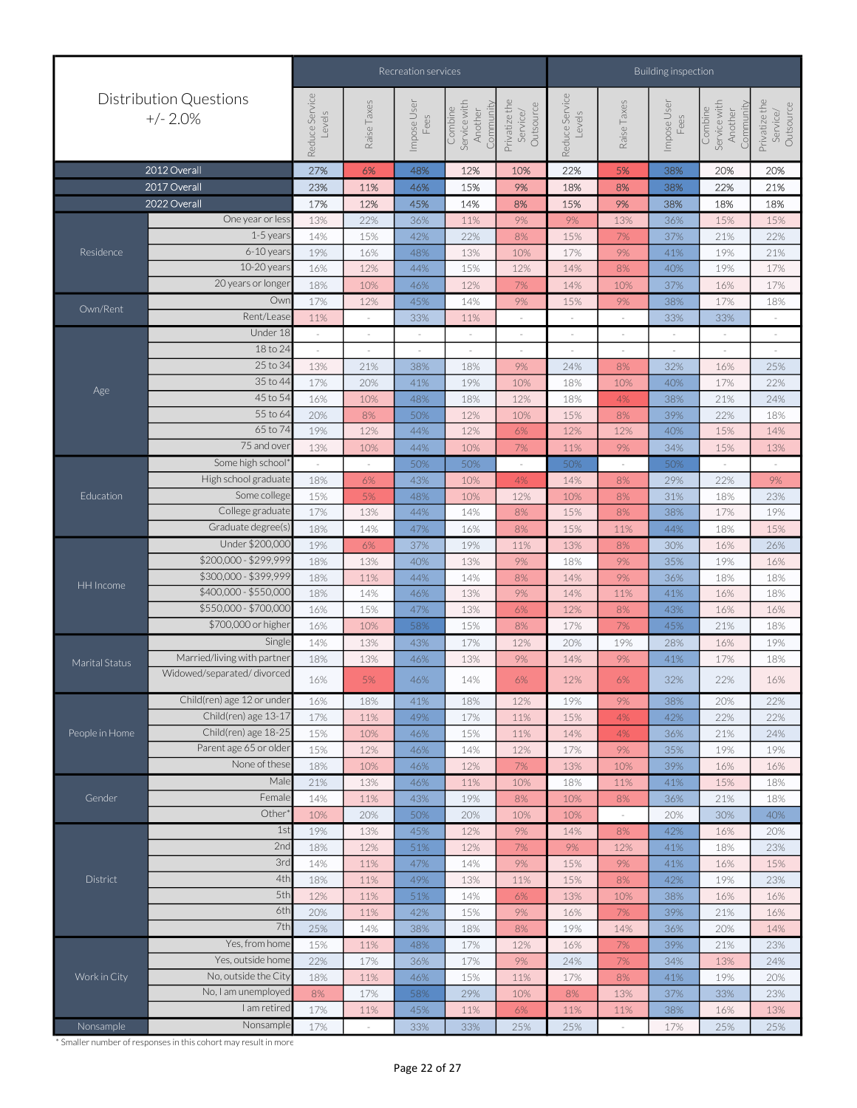|                |                                             |                          |             | Recreation services |                                                 | Building inspection                    |                          |             |                          |                                                 |                                        |
|----------------|---------------------------------------------|--------------------------|-------------|---------------------|-------------------------------------------------|----------------------------------------|--------------------------|-------------|--------------------------|-------------------------------------------------|----------------------------------------|
|                | <b>Distribution Questions</b><br>$+/- 2.0%$ | Reduce Service<br>Levels | Raise Taxes | Impose User<br>Fees | Combine<br>Service with<br>Community<br>Another | Privatize the<br>Outsource<br>Service/ | Reduce Service<br>Levels | Raise Taxes | Impose User<br>Fees      | Service with<br>Community<br>Combine<br>Another | Privatize the<br>Outsource<br>Service/ |
|                | 2012 Overall                                | 27%                      | 6%          | 48%                 | 12%                                             | 10%                                    | 22%                      | 5%          | 38%                      | 20%                                             | 20%                                    |
|                | 2017 Overall                                | 23%                      | 11%         | 46%                 | 15%                                             | 9%                                     | 18%                      | 8%          | 38%                      | 22%                                             | 21%                                    |
|                | 2022 Overall                                | 17%                      | 12%         | 45%                 | 14%                                             | 8%                                     | 15%                      | 9%          | 38%                      | 18%                                             | 18%                                    |
|                | One year or less                            | 13%                      | 22%         | 36%                 | 11%                                             | $9%$                                   | 9%                       | 13%         | 36%                      | 15%                                             | 15%                                    |
|                | 1-5 years                                   | 14%                      | 15%         | 42%                 | 22%                                             | 8%                                     | 15%                      | 7%          | 37%                      | 21%                                             | 22%                                    |
| Residence      | $6-10$ years                                | 19%                      | 16%         | 48%                 | 13%                                             | 10%                                    | 17%                      | 9%          | 41%                      | 19%                                             | 21%                                    |
|                | 10-20 years                                 | 16%                      | 12%         | 44%                 | 15%                                             | 12%                                    | 14%                      | 8%          | 40%                      | 19%                                             | 17%                                    |
|                | 20 years or longer                          | 18%                      | 10%         | 46%                 | 12%                                             | 7%                                     | 14%                      | 10%         | 37%                      | 16%                                             | 17%                                    |
|                | Owr                                         | 17%                      | 12%         | 45%                 | 14%                                             | 9%                                     | 15%                      | 9%          | 38%                      | 17%                                             | 18%                                    |
| Own/Rent       | Rent/Lease                                  | 11%                      | $\sim$      | 33%                 | 11%                                             | $\sim$                                 | $\sim$                   | $\sim$      | 33%                      | 33%                                             | $\sim$                                 |
|                | Under 18                                    |                          |             | $\sim$              | $\overline{\phantom{a}}$                        | $\overline{\phantom{a}}$               |                          |             | $\overline{\phantom{a}}$ |                                                 |                                        |
|                | 18 to 24                                    |                          |             |                     | $\sim$                                          | $\sim$                                 | ×                        | $\sim$      |                          | ×                                               |                                        |
|                | 25 to 34                                    | 13%                      | 21%         | 38%                 | 18%                                             | $9\%$                                  | 24%                      | 8%          | 32%                      | 16%                                             | 25%                                    |
| Age            | 35 to 44                                    | 17%                      | 20%         | 41%                 | 19%                                             | 10%                                    | 18%                      | 10%         | 40%                      | 17%                                             | 22%                                    |
|                | 45 to 54                                    | 16%                      | 10%         | 48%                 | 18%                                             | 12%                                    | 18%                      | 4%          | 38%                      | 21%                                             | 24%                                    |
|                | 55 to 64                                    | 20%                      | 8%          | 50%                 | 12%                                             | 10%                                    | 15%                      | 8%          | 39%                      | 22%                                             | 18%                                    |
|                | 65 to 74                                    | 19%                      | 12%         | 44%                 | 12%                                             | 6%                                     | 12%                      | 12%         | 40%                      | 15%                                             | 14%                                    |
|                | $\overline{75}$ and over                    | 13%                      | 10%         | 44%                 | 10%                                             | 7%                                     | 11%                      | 9%          | 34%                      | 15%                                             | 13%                                    |
|                | Some high school                            |                          | $\sim$      | 50%                 | 50%                                             | $\sim$                                 | 50%                      | ×.          | 50%                      |                                                 |                                        |
|                | High school graduate                        | 18%                      | 6%          | 43%                 | 10%                                             | 4%                                     | 14%                      | 8%          | 29%                      | 22%                                             | 9%                                     |
| Education      | Some college                                | 15%                      | 5%          | 48%                 | 10%                                             | 12%                                    | 10%                      | 8%          | 31%                      | 18%                                             | 23%                                    |
|                | College graduate                            | 17%                      | 13%         | 44%                 | 14%                                             | 8%                                     | 15%                      | 8%          | 38%                      | 17%                                             | 19%                                    |
|                | Graduate degree(s)                          | 18%                      | 14%         | 47%                 | 16%                                             | 8%                                     | 15%                      | 11%         | 44%                      | 18%                                             | 15%                                    |
|                | Under \$200,000                             | 19%                      | 6%          | 37%                 | 19%                                             | 11%                                    | 13%                      | 8%          | 30%                      | 16%                                             | 26%                                    |
|                | \$200,000 - \$299,999                       | 18%                      | 13%         | 40%                 | 13%                                             | 9%                                     | 18%                      | 9%          | 35%                      | 19%                                             | 16%                                    |
| HH Income      | \$300,000 - \$399,999                       | 18%                      | 11%         | 44%                 | 14%                                             | 8%                                     | 14%                      | 9%          | 36%                      | 18%                                             | 18%                                    |
|                | \$400,000 - \$550,000                       | 18%                      | 14%         | 46%                 | 13%                                             | $9%$                                   | 14%                      | 11%         | 41%                      | 16%                                             | 18%                                    |
|                | \$550,000 - \$700,000                       | 16%                      | 15%         | 47%                 | 13%                                             | 6%                                     | 12%                      | 8%          | 43%                      | 16%                                             | 16%                                    |
|                | \$700,000 or higher                         | 16%                      | 10%         | 58%                 | 15%                                             | 8%                                     | 17%                      | 7%          | 45%                      | 21%                                             | 18%                                    |
|                | Single                                      | 14%                      | 13%         | 43%                 | 17%                                             | 12%                                    | 20%                      | 19%         | 28%                      | 16%                                             | 19%                                    |
| Marital Status | Married/living with partner                 | 18%                      | 13%         | 46%                 | 13%                                             | 9%                                     | 14%                      | 9%          | 41%                      | 17%                                             | 18%                                    |
|                | Widowed/separated/divorced                  | 16%                      | 5%          | 46%                 | 14%                                             | 6%                                     | 12%                      | 6%          | 32%                      | 22%                                             | 16%                                    |
|                | Child(ren) age 12 or under                  | 16%                      | 18%         | 41%                 | 18%                                             | 12%                                    | 19%                      | 9%          | 38%                      | 20%                                             | 22%                                    |
|                | Child(ren) age 13-17                        | 17%                      | 11%         | 49%                 | 17%                                             | 11%                                    | 15%                      | 4%          | 42%                      | 22%                                             | 22%                                    |
| People in Home | Child(ren) age 18-25                        | 15%                      | 10%         | 46%                 | 15%                                             | 11%                                    | 14%                      | 4%          | 36%                      | 21%                                             | 24%                                    |
|                | Parent age 65 or older                      | 15%                      | 12%         | 46%                 | 14%                                             | 12%                                    | 17%                      | 9%          | 35%                      | 19%                                             | 19%                                    |
|                | None of these                               | 18%                      | 10%         | 46%                 | 12%                                             | 7%                                     | 13%                      | 10%         | 39%                      | 16%                                             | 16%                                    |
|                | Male                                        | 21%                      | 13%         | 46%                 | 11%                                             | 10%                                    | 18%                      | 11%         | 41%                      | 15%                                             | 18%                                    |
| Gender         | Female                                      | 14%                      | 11%         | 43%                 | 19%                                             | 8%                                     | 10%                      | 8%          | 36%                      | 21%                                             | 18%                                    |
|                | Other                                       | 10%                      | 20%         | 50%                 | 20%                                             | 10%                                    | 10%                      | $\sim$      | 20%                      | 30%                                             | 40%                                    |
|                | 1st                                         | 19%                      | 13%         | 45%                 | 12%                                             | 9%                                     | 14%                      | 8%          | 42%                      | 16%                                             | 20%                                    |
|                | 2nc                                         | 18%                      | 12%         | 51%                 | 12%                                             | 7%                                     | 9%                       | 12%         | 41%                      | 18%                                             | 23%                                    |
|                | 3rc                                         | 14%                      | 11%         | 47%                 | 14%                                             | 9%                                     | 15%                      | 9%          | 41%                      | 16%                                             | 15%                                    |
| District       | 4th<br>5th                                  | 18%                      | 11%         | 49%                 | 13%                                             | 11%                                    | 15%                      | $8\%$       | 42%                      | 19%                                             | 23%                                    |
|                | 6th                                         | 12%                      | 11%         | 51%                 | 14%                                             | 6%                                     | 13%                      | 10%         | 38%                      | 16%                                             | 16%                                    |
|                | 7th                                         | 20%                      | 11%         | 42%                 | 15%                                             | $9%$                                   | 16%                      | $7%$        | 39%                      | 21%                                             | 16%                                    |
|                |                                             | 25%                      | 14%         | 38%                 | 18%                                             | 8%                                     | 19%                      | 14%         | 36%                      | 20%                                             | 14%                                    |
|                | Yes, from home                              | 15%                      | 11%         | 48%                 | 17%                                             | 12%                                    | 16%                      | 7%          | 39%                      | 21%                                             | 23%                                    |
|                | Yes, outside home                           | 22%                      | 17%         | 36%                 | 17%                                             | 9%                                     | 24%                      | 7%          | 34%                      | 13%                                             | 24%                                    |
| Work in City   | No, outside the City<br>No, I am unemployed | 18%                      | 11%         | 46%                 | 15%                                             | 11%                                    | 17%                      | 8%          | 41%                      | 19%                                             | 20%                                    |
|                | I am retired                                | 8%                       | 17%         | 58%                 | 29%                                             | 10%                                    | $8\%$                    | 13%         | 37%                      | 33%                                             | 23%                                    |
|                | Nonsample                                   | 17%                      | 11%         | 45%                 | 11%                                             | 6%                                     | 11%                      | 11%         | 38%                      | 16%                                             | 13%                                    |
| Nonsample      |                                             | 17%                      |             | 33%                 | 33%                                             | 25%                                    | 25%                      |             | 17%                      | 25%                                             | 25%                                    |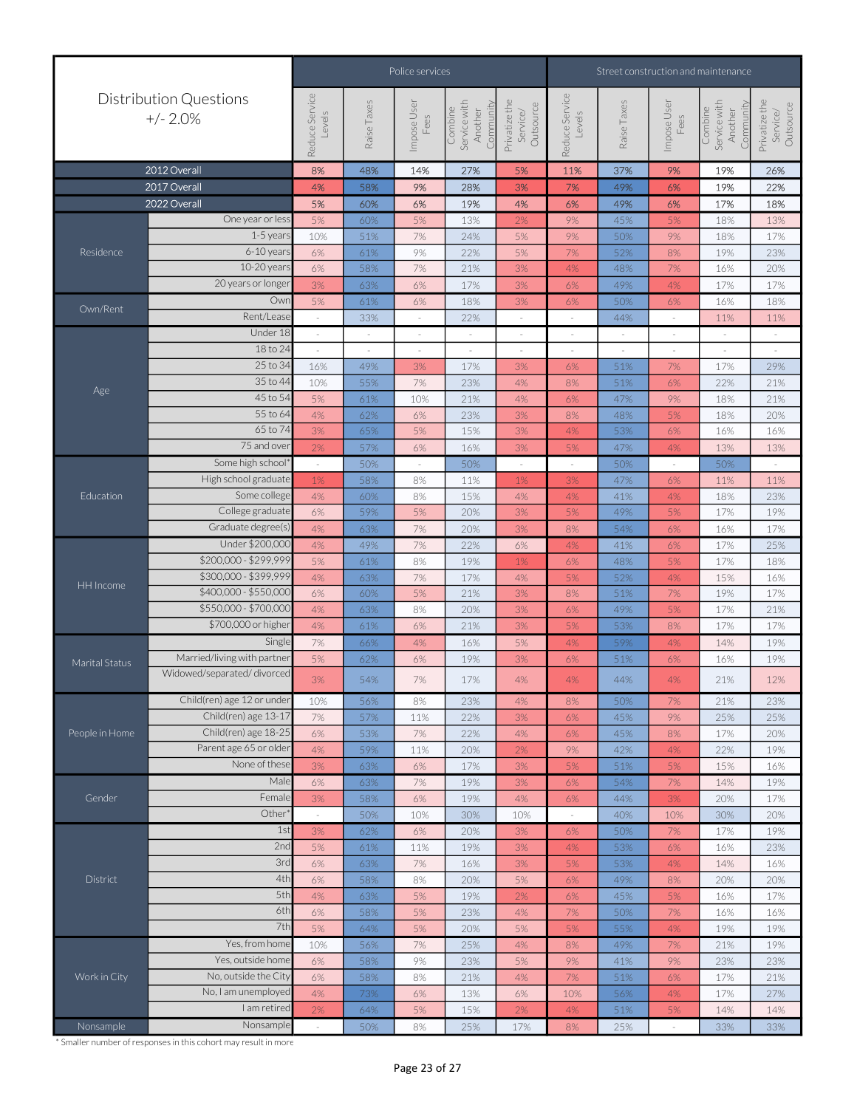|                |                                              |                          |             | Police services     |                                                 | Street construction and maintenance    |                          |             |                     |                                                 |                                        |
|----------------|----------------------------------------------|--------------------------|-------------|---------------------|-------------------------------------------------|----------------------------------------|--------------------------|-------------|---------------------|-------------------------------------------------|----------------------------------------|
|                | <b>Distribution Questions</b><br>$+/- 2.0\%$ | Reduce Service<br>Levels | Raise Taxes | Impose User<br>Fees | Combine<br>Service with<br>Community<br>Another | Privatize the<br>Outsource<br>Service/ | Reduce Service<br>Levels | Raise Taxes | Impose User<br>Fees | Service with<br>Community<br>Combine<br>Another | Privatize the<br>Outsource<br>Service/ |
|                | 2012 Overall                                 | 8%                       | 48%         | 14%                 | 27%                                             | 5%                                     | 11%                      | 37%         | 9%                  | 19%                                             | 26%                                    |
|                | 2017 Overall                                 | 4%                       | 58%         | 9%                  | 28%                                             | 3%                                     | 7%                       | 49%         | 6%                  | 19%                                             | 22%                                    |
|                | 2022 Overall                                 | 5%                       | 60%         | 6%                  | 19%                                             | 4%                                     | 6%                       | 49%         | 6%                  | 17%                                             | 18%                                    |
|                | One year or less                             | 5%                       | 60%         | 5%                  | 13%                                             | 2%                                     | 9%                       | 45%         | 5%                  | 18%                                             | 13%                                    |
|                | $1-5$ year                                   | 10%                      | 51%         | 7%                  | 24%                                             | 5%                                     | 9%                       | 50%         | 9%                  | 18%                                             | 17%                                    |
| Residence      | $6-10$ years                                 | 6%                       | 61%         | 9%                  | 22%                                             | 5%                                     | 7%                       | 52%         | 8%                  | 19%                                             | 23%                                    |
|                | 10-20 years                                  | 6%                       | 58%         | 7%                  | 21%                                             | 3%                                     | 4%                       | 48%         | 7%                  | 16%                                             | 20%                                    |
|                | 20 years or longer                           | 3%                       | 63%         | 6%                  | 17%                                             | $3%$                                   | 6%                       | 49%         | 4%                  | 17%                                             | 17%                                    |
|                | Owr                                          | 5%                       | 61%         | 6%                  | 18%                                             | 3%                                     | 6%                       | 50%         | 6%                  | 16%                                             | 18%                                    |
| Own/Rent       | Rent/Lease                                   |                          | 33%         |                     | 22%                                             | $\sim$                                 |                          | 44%         | $\sim$              | 11%                                             | 11%                                    |
|                | Under 18                                     |                          | $\sim$      |                     | $\sim$                                          | $\sim$                                 | $\sim$                   | ×.          | $\sim$              | $\sim$                                          | $\sim$                                 |
|                | 18 to 24                                     |                          |             |                     | $\sim$                                          | $\sim$                                 | $\overline{\phantom{a}}$ |             | $\sim$              | $\sim$                                          |                                        |
|                | 25 to 34                                     | 16%                      | 49%         | 3%                  | 17%                                             | 3%                                     | 6%                       | 51%         | 7%                  | 17%                                             | 29%                                    |
|                | 35 to 44                                     | 10%                      | 55%         | $7%$                | 23%                                             | 4%                                     | 8%                       | 51%         | 6%                  | 22%                                             | 21%                                    |
| Age            | 45 to 54                                     | 5%                       | 61%         | 10%                 | 21%                                             | 4%                                     | 6%                       | 47%         | 9%                  | 18%                                             | 21%                                    |
|                | 55 to 64                                     | 4%                       | 62%         | 6%                  | 23%                                             | $3%$                                   | 8%                       | 48%         | 5%                  | 18%                                             | 20%                                    |
|                | 65 to 74                                     | 3%                       | 65%         | 5%                  | 15%                                             | 3%                                     | 4%                       | 53%         | 6%                  | 16%                                             | 16%                                    |
|                | 75 and over                                  | 2%                       | 57%         | 6%                  | 16%                                             | 3%                                     | 5%                       | 47%         | 4%                  | 13%                                             | 13%                                    |
|                | Some high school*                            | $\bar{z}$                | 50%         | $\sim$              | 50%                                             | $\sim$                                 | $\sim$                   | 50%         | $\sim$              | 50%                                             |                                        |
|                | High school graduate                         | 1%                       | 58%         | 8%                  | 11%                                             | 1%                                     | 3%                       | 47%         | 6%                  | 11%                                             | 11%                                    |
| Education      | Some college                                 | 4%                       | 60%         | 8%                  | 15%                                             | 4%                                     | 4%                       | 41%         | 4%                  | 18%                                             | 23%                                    |
|                | College graduate                             | 6%                       | 59%         | 5%                  | 20%                                             | 3%                                     | 5%                       | 49%         | 5%                  | 17%                                             | 19%                                    |
|                | Graduate degree(s)                           | 4%                       | 63%         | 7%                  | 20%                                             | $3%$                                   | 8%                       | 54%         | 6%                  | 16%                                             | 17%                                    |
|                | Under \$200,000                              | 4%                       | 49%         | $7\%$               | 22%                                             | $6\%$                                  | 4%                       | 41%         | 6%                  | 17%                                             | 25%                                    |
|                | \$200,000 - \$299,999                        | 5%                       | 61%         | 8%                  | 19%                                             | $1\%$                                  | 6%                       | 48%         | 5%                  | 17%                                             | 18%                                    |
|                | \$300,000 - \$399,999                        | 4%                       | 63%         | $7%$                | 17%                                             | 4%                                     | 5%                       | 52%         | 4%                  | 15%                                             | 16%                                    |
| HH Income      | \$400,000 - \$550,000                        | 6%                       | 60%         | 5%                  | 21%                                             | 3%                                     | 8%                       | 51%         | $7\%$               | 19%                                             | 17%                                    |
|                | \$550,000 - \$700,000                        | 4%                       | 63%         | 8%                  | 20%                                             | 3%                                     | 6%                       | 49%         | 5%                  | 17%                                             | 21%                                    |
|                | \$700,000 or higher                          | 4%                       | 61%         | 6%                  | 21%                                             | 3%                                     | 5%                       | 53%         | 8%                  | 17%                                             | 17%                                    |
|                | Single                                       | 7%                       | 66%         | 4%                  | 16%                                             | 5%                                     | 4%                       | 59%         | 4%                  | 14%                                             | 19%                                    |
| Marital Status | Married/living with partner                  | 5%                       | 62%         | 6%                  | 19%                                             | 3%                                     | 6%                       | 51%         | 6%                  | 16%                                             | 19%                                    |
|                | Widowed/separated/divorced                   | 3%                       | 54%         | $7%$                | 17%                                             | $4\%$                                  | 4%                       | 44%         | 4%                  | 21%                                             | 12%                                    |
|                | Child(ren) age 12 or under                   | 10%                      | 56%         | 8%                  | 23%                                             | 4%                                     | 8%                       | 50%         | 7%                  | 21%                                             | 23%                                    |
|                | Child(ren) age 13-17                         | 7%                       | 57%         | 11%                 | 22%                                             | 3%                                     | $6\%$                    | 45%         | 9%                  | 25%                                             | 25%                                    |
| People in Home | Child(ren) age 18-25                         | 6%                       | 53%         | 7%                  | 22%                                             | 4%                                     | 6%                       | 45%         | 8%                  | 17%                                             | 20%                                    |
|                | Parent age 65 or older                       | 4%                       | 59%         | 11%                 | 20%                                             | 2%                                     | 9%                       | 42%         | 4%                  | 22%                                             | 19%                                    |
|                | None of these                                | 3%                       | 63%         | 6%                  | 17%                                             | 3%                                     | 5%                       | 51%         | 5%                  | 15%                                             | 16%                                    |
|                | Male                                         | 6%                       | 63%         | 7%                  | 19%                                             | 3%                                     | 6%                       | 54%         | 7%                  | 14%                                             | 19%                                    |
| Gender         | Female                                       | 3%                       | 58%         | 6%                  | 19%                                             | 4%                                     | 6%                       | 44%         | 3%                  | 20%                                             | 17%                                    |
|                | Other                                        | $\sim$                   | 50%         | 10%                 | 30%                                             | 10%                                    | $\sim$                   | 40%         | 10%                 | 30%                                             | 20%                                    |
|                | 1st                                          | 3%                       | 62%         | 6%                  | 20%                                             | 3%                                     | 6%                       | 50%         | 7%                  | 17%                                             | 19%                                    |
|                | 2nc                                          | 5%                       | 61%         | 11%                 | 19%                                             | 3%                                     | 4%                       | 53%         | 6%                  | 16%                                             | 23%                                    |
|                | 3rc                                          | 6%                       | 63%         | 7%                  | 16%                                             | 3%                                     | 5%                       | 53%         | 4%                  | 14%                                             | 16%                                    |
| District       | 4th                                          | 6%                       | 58%         | 8%                  | 20%                                             | 5%                                     | $6\%$                    | 49%         | 8%                  | 20%                                             | 20%                                    |
|                | 5th                                          | 4%                       | 63%         | 5%                  | 19%                                             | $2\%$                                  | $6\%$                    | 45%         | 5%                  | 16%                                             | 17%                                    |
|                | 6th                                          | 6%                       | 58%         | 5%                  | 23%                                             | 4%                                     | 7%                       | 50%         | 7%                  | 16%                                             | 16%                                    |
|                | 7th                                          | 5%                       | 64%         | 5%                  | 20%                                             | 5%                                     | 5%                       | 55%         | 4%                  | 19%                                             | 19%                                    |
|                | Yes, from home                               | 10%                      | 56%         | 7%                  | 25%                                             | 4%                                     | 8%                       | 49%         | 7%                  | 21%                                             | 19%                                    |
|                | Yes, outside home                            | 6%                       | 58%         | 9%                  | 23%                                             | 5%                                     | $9%$                     | 41%         | 9%                  | 23%                                             | 23%                                    |
| Work in City   | No, outside the City                         | 6%                       | 58%         | 8%                  | 21%                                             | 4%                                     | $7\%$                    | 51%         | 6%                  | 17%                                             | 21%                                    |
|                | No, I am unemployed                          | 4%                       | 73%         | 6%                  | 13%                                             | 6%                                     | 10%                      | 56%         | 4%                  | 17%                                             | 27%                                    |
|                | I am retired                                 | 2%                       | 64%         | 5%                  | 15%                                             | 2%                                     | 4%                       | 51%         | 5%                  | 14%                                             | 14%                                    |
| Nonsample      | Nonsample                                    |                          | 50%         | 8%                  | 25%                                             | 17%                                    | 8%                       | 25%         |                     | 33%                                             | 33%                                    |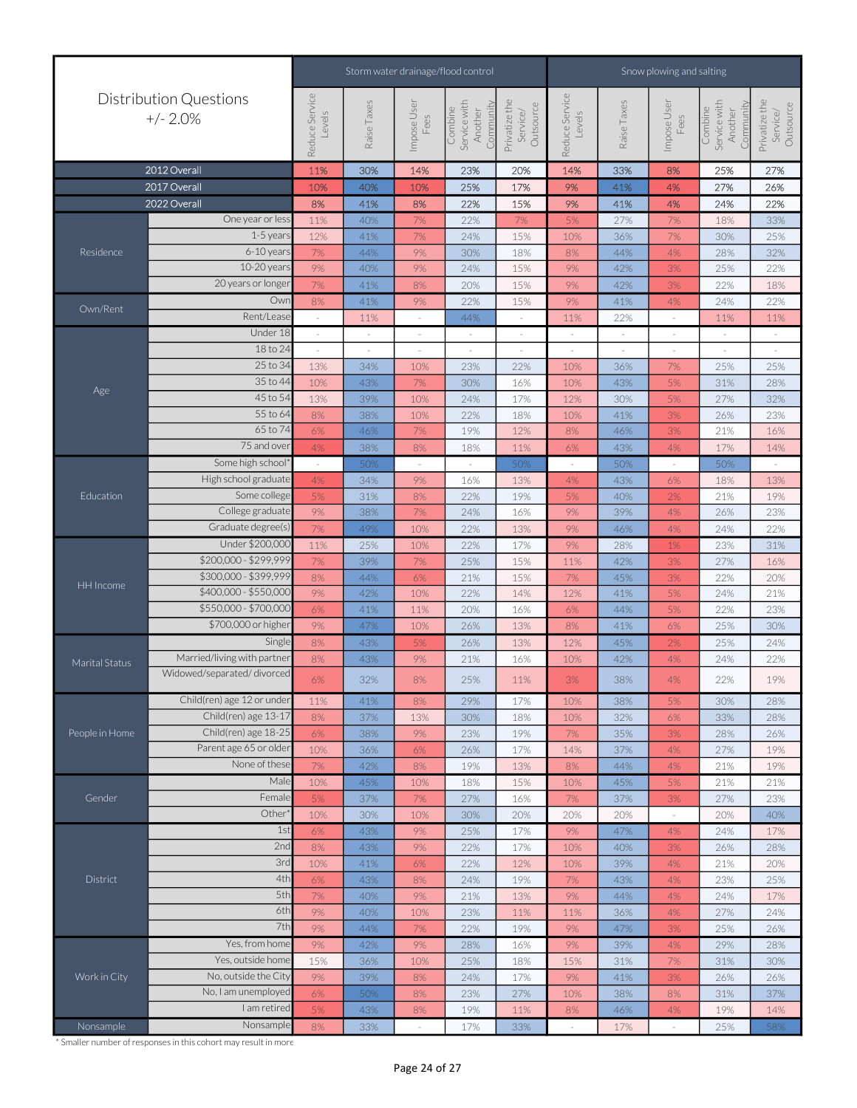|                |                                             |                          |                          |                     | Storm water drainage/flood control              | Snow plowing and salting               |                          |             |                          |                                                 |                                        |
|----------------|---------------------------------------------|--------------------------|--------------------------|---------------------|-------------------------------------------------|----------------------------------------|--------------------------|-------------|--------------------------|-------------------------------------------------|----------------------------------------|
|                | <b>Distribution Questions</b><br>$+/- 2.0%$ | Reduce Service<br>Levels | Raise Taxes              | Impose User<br>Fees | Combine<br>Service with<br>Community<br>Another | Privatize the<br>Outsource<br>Service/ | Reduce Service<br>Levels | Raise Taxes | Impose User<br>Fees      | Service with<br>Community<br>Combine<br>Another | Privatize the<br>Outsource<br>Service/ |
|                | 2012 Overall                                | 11%                      | 30%                      | 14%                 | 23%                                             | 20%                                    | 14%                      | 33%         | 8%                       | 25%                                             | 27%                                    |
|                | 2017 Overall                                | 10%                      | 40%                      | 10%                 | 25%                                             | 17%                                    | 9%                       | 41%         | 4%                       | 27%                                             | 26%                                    |
|                | 2022 Overall                                | 8%                       | 41%                      | 8%                  | 22%                                             | 15%                                    | 9%                       | 41%         | 4%                       | 24%                                             | 22%                                    |
|                | One year or less                            | 11%                      | 40%                      | 7%                  | 22%                                             | $7\%$                                  | 5%                       | 27%         | 7%                       | 18%                                             | 33%                                    |
|                | 1-5 years                                   | 12%                      | 41%                      | 7%                  | 24%                                             | 15%                                    | 10%                      | 36%         | 7%                       | 30%                                             | 25%                                    |
| Residence      | 6-10 years                                  | 7%                       | 44%                      | 9%                  | 30%                                             | 18%                                    | 8%                       | 44%         | 4%                       | 28%                                             | 32%                                    |
|                | 10-20 years                                 | 9%                       | 40%                      | 9%                  | 24%                                             | 15%                                    | 9%                       | 42%         | 3%                       | 25%                                             | 22%                                    |
|                | 20 years or longer                          | 7%                       | 41%                      | 8%                  | 20%                                             | 15%                                    | 9%                       | 42%         | 3%                       | 22%                                             | 18%                                    |
|                | Owr                                         | 8%                       | 41%                      | 9%                  | 22%                                             | 15%                                    | 9%                       | 41%         | 4%                       | 24%                                             | 22%                                    |
| Own/Rent       | Rent/Lease                                  | $\sim$                   | 11%                      | $\sim$              | 44%                                             | $\sim$                                 | 11%                      | 22%         | $\sim$                   | 11%                                             | 11%                                    |
|                | Under 18                                    |                          | $\overline{\phantom{a}}$ |                     |                                                 | $\overline{\phantom{a}}$               | $\overline{\phantom{a}}$ |             |                          |                                                 |                                        |
|                | 18 to 24                                    |                          |                          |                     |                                                 | $\overline{\phantom{a}}$               |                          |             | $\overline{\phantom{a}}$ |                                                 |                                        |
|                | 25 to 34                                    | 13%                      | 34%                      | 10%                 | 23%                                             | 22%                                    | 10%                      | 36%         | 7%                       | 25%                                             | 25%                                    |
|                | 35 to 44                                    | 10%                      | 43%                      | 7%                  | 30%                                             | 16%                                    | 10%                      | 43%         | 5%                       | 31%                                             | 28%                                    |
| Age            | 45 to 54                                    | 13%                      | 39%                      | 10%                 | 24%                                             | 17%                                    | 12%                      | 30%         | 5%                       | 27%                                             | 32%                                    |
|                | 55 to 64                                    | 8%                       | 38%                      | 10%                 | 22%                                             | 18%                                    | 10%                      | 41%         | 3%                       | 26%                                             | 23%                                    |
|                | 65 to 74                                    | 6%                       | 46%                      | 7%                  | 19%                                             | 12%                                    | 8%                       | 46%         | 3%                       | 21%                                             | 16%                                    |
|                | 75 and over                                 | 4%                       | 38%                      | 8%                  | 18%                                             | 11%                                    | 6%                       | 43%         | 4%                       | 17%                                             | 14%                                    |
|                | Some high school*                           | $\overline{\phantom{a}}$ | 50%                      | $\sim$              | $\sim$                                          | 50%                                    | $\sim$                   | 50%         | $\sim$                   | 50%                                             |                                        |
|                | High school graduate                        | 4%                       | 34%                      | 9%                  | 16%                                             | 13%                                    | 4%                       | 43%         | 6%                       | 18%                                             | 13%                                    |
| Education      | Some college                                | 5%                       | 31%                      | 8%                  | 22%                                             | 19%                                    | 5%                       | 40%         | 2%                       | 21%                                             | 19%                                    |
|                | College graduate                            | 9%                       | 38%                      | 7%                  | 24%                                             | 16%                                    | 9%                       | 39%         | 4%                       | 26%                                             | 23%                                    |
|                | Graduate degree(s)                          | 7%                       | 49%                      | 10%                 | 22%                                             | 13%                                    | 9%                       | 46%         | 4%                       | 24%                                             | 22%                                    |
|                | Under \$200,000                             | 11%                      | 25%                      | 10%                 | 22%                                             | 17%                                    | 9%                       | 28%         | 1%                       | 23%                                             | 31%                                    |
|                | \$200,000 - \$299,999                       | 7%                       | 39%                      | 7%                  | 25%                                             | 15%                                    | 11%                      | 42%         | 3%                       | 27%                                             | 16%                                    |
|                | \$300,000 - \$399,999                       | 8%                       | 44%                      | 6%                  | 21%                                             | 15%                                    | 7%                       | 45%         | $3%$                     | 22%                                             | 20%                                    |
| HH Income      | \$400,000 - \$550,000                       | 9%                       | 42%                      | 10%                 | 22%                                             | 14%                                    | 12%                      | 41%         | 5%                       | 24%                                             | 21%                                    |
|                | \$550,000 - \$700,000                       | 6%                       | 41%                      | 11%                 | 20%                                             | 16%                                    | 6%                       | 44%         | 5%                       | 22%                                             | 23%                                    |
|                | \$700,000 or higher                         | 9%                       | 47%                      | 10%                 | 26%                                             | 13%                                    | 8%                       | 41%         | 6%                       | 25%                                             | 30%                                    |
|                | Single                                      | 8%                       | 43%                      | 5%                  | 26%                                             | 13%                                    | 12%                      | 45%         | 2%                       | 25%                                             | 24%                                    |
| Marital Status | Married/living with partner                 | 8%                       | 43%                      | 9%                  | 21%                                             | 16%                                    | 10%                      | 42%         | 4%                       | 24%                                             | 22%                                    |
|                | Widowed/separated/divorced                  | 6%                       | 32%                      | 8%                  | 25%                                             | 11%                                    | 3%                       | 38%         | 4%                       | 22%                                             | 19%                                    |
|                | Child(ren) age 12 or under                  | 11%                      | 41%                      | 8%                  | 29%                                             | 17%                                    | 10%                      | 38%         | 5%                       | 30%                                             | 28%                                    |
|                | Child(ren) age 13-17                        | 8%                       | 37%                      | 13%                 | 30%                                             | 18%                                    | 10%                      | 32%         | 6%                       | 33%                                             | 28%                                    |
| People in Home | Child(ren) age 18-25                        | 6%                       | 38%                      | 9%                  | 23%                                             | 19%                                    | 7%                       | 35%         | 3%                       | 28%                                             | 26%                                    |
|                | Parent age 65 or older                      | 10%                      | 36%                      | 6%                  | 26%                                             | 17%                                    | 14%                      | 37%         | 4%                       | 27%                                             | 19%                                    |
|                | None of these                               | 7%                       | 42%                      | 8%                  | 19%                                             | 13%                                    | 8%                       | 44%         | 4%                       | 21%                                             | 19%                                    |
|                | Male                                        | 10%                      | 45%                      | 10%                 | 18%                                             | 15%                                    | 10%                      | 45%         | 5%                       | 21%                                             | 21%                                    |
| Gender         | Female                                      | 5%                       | 37%                      | 7%                  | 27%                                             | 16%                                    | $7\%$                    | 37%         | $3%$                     | 27%                                             | 23%                                    |
|                | Other                                       | 10%                      | 30%                      | 10%                 | 30%                                             | 20%                                    | 20%                      | 20%         | $\sim$                   | 20%                                             | 40%                                    |
|                | 1st                                         | 6%                       | 43%                      | 9%                  | 25%                                             | 17%                                    | 9%                       | 47%         | 4%                       | 24%                                             | 17%                                    |
|                | 2nd                                         | 8%                       | 43%                      | 9%                  | 22%                                             | 17%                                    | 10%                      | 40%         | 3%                       | 26%                                             | 28%                                    |
|                | 3rd                                         | 10%                      | 41%                      | 6%                  | 22%                                             | 12%                                    | 10%                      | 39%         | 4%                       | 21%                                             | 20%                                    |
| District       | 4th                                         | 6%                       | 43%                      | $8\%$               | 24%                                             | 19%                                    | $7\%$                    | 43%         | 4%                       | 23%                                             | 25%                                    |
|                | 5th                                         | 7%                       | 40%                      | 9%                  | 21%                                             | 13%                                    | $9\%$                    | 44%         | 4%                       | 24%                                             | 17%                                    |
|                | 6th                                         | 9%                       | 40%                      | 10%                 | 23%                                             | 11%                                    | 11%                      | 36%         | 4%                       | 27%                                             | 24%                                    |
|                | 7th                                         | 9%                       | 44%                      | 7%                  | 22%                                             | 19%                                    | 9%                       | 47%         | 3%                       | 25%                                             | 26%                                    |
|                | Yes, from home                              | 9%                       | 42%                      | 9%                  | 28%                                             | 16%                                    | 9%                       | 39%         | 4%                       | 29%                                             | 28%                                    |
|                | Yes, outside home                           | 15%                      | 36%                      | 10%                 | 25%                                             | 18%                                    | 15%                      | 31%         | 7%                       | 31%                                             | 30%                                    |
| Work in City   | No, outside the City                        | 9%                       | 39%                      | 8%                  | 24%                                             | 17%                                    | 9%                       | 41%         | 3%                       | 26%                                             | 26%                                    |
|                | No, I am unemployed                         | 6%                       | 50%                      | 8%                  | 23%                                             | 27%                                    | 10%                      | 38%         | 8%                       | 31%                                             | 37%                                    |
|                | I am retired                                | 5%                       | 43%                      | 8%                  | 19%                                             | 11%                                    | 8%                       | 46%         | 4%                       | 19%                                             | 14%                                    |
| Nonsample      | Nonsample                                   | 8%                       | 33%                      |                     | 17%                                             | 33%                                    | ×                        | 17%         | ×.                       | 25%                                             | 58%                                    |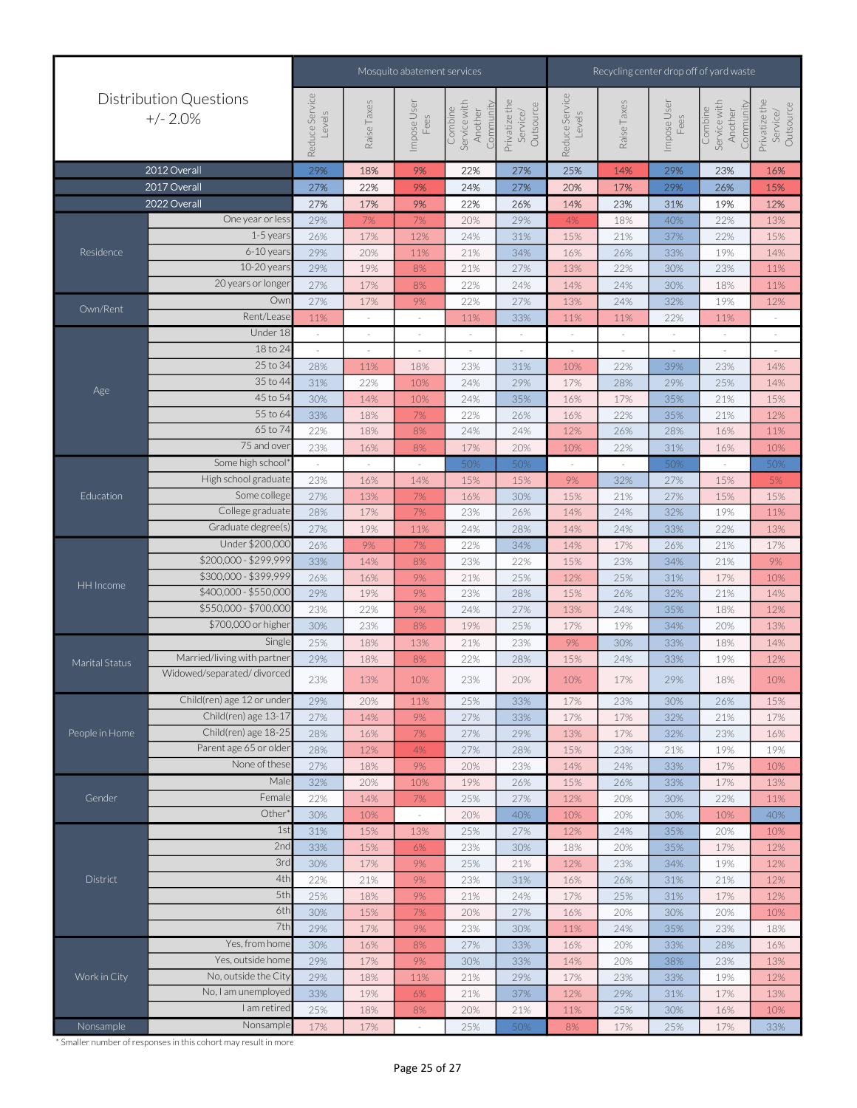|                  |                                             |                          |             | Mosquito abatement services |                                                 |                                        | Recycling center drop off of yard waste |             |                                                                                                                                                                                                                                                                                                                                       |                                                                                                                                                                                                                                                                                                                                                                                                                                                                                                                                                                                                                                                                                   |                                        |
|------------------|---------------------------------------------|--------------------------|-------------|-----------------------------|-------------------------------------------------|----------------------------------------|-----------------------------------------|-------------|---------------------------------------------------------------------------------------------------------------------------------------------------------------------------------------------------------------------------------------------------------------------------------------------------------------------------------------|-----------------------------------------------------------------------------------------------------------------------------------------------------------------------------------------------------------------------------------------------------------------------------------------------------------------------------------------------------------------------------------------------------------------------------------------------------------------------------------------------------------------------------------------------------------------------------------------------------------------------------------------------------------------------------------|----------------------------------------|
|                  | <b>Distribution Questions</b><br>$+/- 2.0%$ | Reduce Service<br>Levels | Raise Taxes | Impose User<br>Fees         | Combine<br>Service with<br>Community<br>Another | Privatize the<br>Outsource<br>Service/ | Reduce Service<br>Levels                | Raise Taxes | Impose User<br>Fees                                                                                                                                                                                                                                                                                                                   | Service with<br>Combine<br>Another                                                                                                                                                                                                                                                                                                                                                                                                                                                                                                                                                                                                                                                | Privatize the<br>Outsource<br>Service/ |
|                  | 2012 Overall                                | 29%                      | 18%         | 9%                          | 22%                                             | 27%                                    | 25%                                     | 14%         | 29%                                                                                                                                                                                                                                                                                                                                   | 23%                                                                                                                                                                                                                                                                                                                                                                                                                                                                                                                                                                                                                                                                               | 16%                                    |
|                  | 2017 Overall                                | 27%                      | 22%         | 9%                          | 24%                                             | 27%                                    | 20%                                     | 17%         | 29%                                                                                                                                                                                                                                                                                                                                   | 26%                                                                                                                                                                                                                                                                                                                                                                                                                                                                                                                                                                                                                                                                               | 15%                                    |
|                  | 2022 Overall                                | 27%                      | 17%         | 9%                          | 22%                                             | 26%                                    | 14%                                     | 23%         | 31%                                                                                                                                                                                                                                                                                                                                   | 19%                                                                                                                                                                                                                                                                                                                                                                                                                                                                                                                                                                                                                                                                               | 12%                                    |
|                  | One year or less                            | 29%                      | 7%          | 7%                          | 20%                                             | 29%                                    | 4%                                      | 18%         | 40%                                                                                                                                                                                                                                                                                                                                   | 22%                                                                                                                                                                                                                                                                                                                                                                                                                                                                                                                                                                                                                                                                               | 13%                                    |
|                  | $1-5$ year:                                 | 26%                      | 17%         | 12%                         | 24%                                             | 31%                                    | 15%                                     | 21%         | 37%<br>33%<br>30%<br>30%<br>32%<br>22%<br>39%<br>29%<br>35%<br>35%<br>28%<br>31%<br>50%<br>27%<br>27%<br>32%<br>33%<br>26%<br>34%<br>31%<br>32%<br>35%<br>34%<br>33%<br>33%<br>29%<br>30%<br>32%<br>32%<br>21%<br>33%<br>33%<br>30%<br>30%<br>35%<br>35%<br>34%<br>31%<br>31%<br>30%<br>35%<br>33%<br>38%<br>33%<br>31%<br>30%<br>25% | 22%                                                                                                                                                                                                                                                                                                                                                                                                                                                                                                                                                                                                                                                                               | 15%                                    |
| Residence        | 6-10 years                                  | 29%                      | 20%         | 11%                         | 21%                                             | 34%                                    | 16%                                     | 26%         |                                                                                                                                                                                                                                                                                                                                       | Community<br>19%<br>14%<br>23%<br>11%<br>18%<br>11%<br>19%<br>12%<br>11%<br>$\sim$<br>23%<br>14%<br>25%<br>14%<br>21%<br>15%<br>21%<br>12%<br>16%<br>11%<br>16%<br>10%<br>50%<br>$\sim$<br>15%<br>5%<br>15%<br>15%<br>19%<br>11%<br>22%<br>13%<br>21%<br>17%<br>21%<br>9%<br>17%<br>10%<br>21%<br>14%<br>18%<br>12%<br>20%<br>13%<br>18%<br>14%<br>19%<br>12%<br>18%<br>10%<br>26%<br>15%<br>21%<br>17%<br>23%<br>16%<br>19%<br>19%<br>17%<br>10%<br>17%<br>13%<br>22%<br>11%<br>10%<br>40%<br>20%<br>10%<br>17%<br>12%<br>19%<br>12%<br>21%<br>12%<br>17%<br>12%<br>20%<br>10%<br>23%<br>18%<br>28%<br>16%<br>23%<br>13%<br>19%<br>12%<br>17%<br>13%<br>16%<br>10%<br>33%<br>17% |                                        |
|                  | 10-20 year:                                 | 29%                      | 19%         | $8\%$                       | 21%                                             | 27%                                    | 13%                                     | 22%         |                                                                                                                                                                                                                                                                                                                                       |                                                                                                                                                                                                                                                                                                                                                                                                                                                                                                                                                                                                                                                                                   |                                        |
|                  | 20 years or longer                          | 27%                      | 17%         | $8\%$                       | 22%                                             | 24%                                    | 14%                                     | 24%         |                                                                                                                                                                                                                                                                                                                                       |                                                                                                                                                                                                                                                                                                                                                                                                                                                                                                                                                                                                                                                                                   |                                        |
|                  | Owr                                         | 27%                      | 17%         | $9\%$                       | 22%                                             | 27%                                    | 13%                                     | 24%         |                                                                                                                                                                                                                                                                                                                                       |                                                                                                                                                                                                                                                                                                                                                                                                                                                                                                                                                                                                                                                                                   |                                        |
| Own/Rent         | Rent/Lease                                  | 11%                      |             |                             | 11%                                             | 33%                                    | 11%                                     | 11%         |                                                                                                                                                                                                                                                                                                                                       |                                                                                                                                                                                                                                                                                                                                                                                                                                                                                                                                                                                                                                                                                   |                                        |
|                  | Under 18                                    |                          |             |                             |                                                 |                                        |                                         |             |                                                                                                                                                                                                                                                                                                                                       |                                                                                                                                                                                                                                                                                                                                                                                                                                                                                                                                                                                                                                                                                   |                                        |
|                  | 18 to 24                                    | ×,                       |             |                             | $\sim$                                          | $\sim$                                 |                                         | $\sim$      |                                                                                                                                                                                                                                                                                                                                       |                                                                                                                                                                                                                                                                                                                                                                                                                                                                                                                                                                                                                                                                                   |                                        |
|                  | 25 to 34                                    | 28%                      | 11%         | 18%                         | 23%                                             | 31%                                    | 10%                                     | 22%         |                                                                                                                                                                                                                                                                                                                                       |                                                                                                                                                                                                                                                                                                                                                                                                                                                                                                                                                                                                                                                                                   |                                        |
|                  | 35 to 44                                    | 31%                      | 22%         | 10%                         | 24%                                             | 29%                                    | 17%                                     | 28%         |                                                                                                                                                                                                                                                                                                                                       |                                                                                                                                                                                                                                                                                                                                                                                                                                                                                                                                                                                                                                                                                   |                                        |
| Age              | 45 to 54                                    | 30%                      | 14%         | 10%                         | 24%                                             | 35%                                    | 16%                                     | 17%         |                                                                                                                                                                                                                                                                                                                                       |                                                                                                                                                                                                                                                                                                                                                                                                                                                                                                                                                                                                                                                                                   |                                        |
|                  | 55 to 64                                    | 33%                      | 18%         | 7%                          | 22%                                             | 26%                                    | 16%                                     | 22%         |                                                                                                                                                                                                                                                                                                                                       |                                                                                                                                                                                                                                                                                                                                                                                                                                                                                                                                                                                                                                                                                   |                                        |
|                  | 65 to 74                                    | 22%                      | 18%         | 8%                          | 24%                                             | 24%                                    | 12%                                     | 26%         |                                                                                                                                                                                                                                                                                                                                       |                                                                                                                                                                                                                                                                                                                                                                                                                                                                                                                                                                                                                                                                                   |                                        |
|                  | 75 and ove                                  | 23%                      | 16%         | 8%                          | 17%                                             | 20%                                    | 10%                                     | 22%         |                                                                                                                                                                                                                                                                                                                                       |                                                                                                                                                                                                                                                                                                                                                                                                                                                                                                                                                                                                                                                                                   |                                        |
|                  | Some high school                            | $\sim$                   | $\sim$      | $\sim$                      | 50%                                             | 50%                                    | $\sim$                                  |             |                                                                                                                                                                                                                                                                                                                                       |                                                                                                                                                                                                                                                                                                                                                                                                                                                                                                                                                                                                                                                                                   |                                        |
|                  | High school graduate                        | 23%                      | 16%         | 14%                         | 15%                                             | 15%                                    | 9%                                      | 32%         |                                                                                                                                                                                                                                                                                                                                       |                                                                                                                                                                                                                                                                                                                                                                                                                                                                                                                                                                                                                                                                                   |                                        |
| Education        | Some college                                | 27%                      | 13%         | 7%                          | 16%                                             | 30%                                    | 15%                                     | 21%         |                                                                                                                                                                                                                                                                                                                                       |                                                                                                                                                                                                                                                                                                                                                                                                                                                                                                                                                                                                                                                                                   |                                        |
|                  | College graduate                            | 28%                      | 17%         | $7\%$                       | 23%                                             | 26%                                    | 14%                                     | 24%         |                                                                                                                                                                                                                                                                                                                                       |                                                                                                                                                                                                                                                                                                                                                                                                                                                                                                                                                                                                                                                                                   |                                        |
|                  | Graduate degree(s)                          | 27%                      | 19%         |                             | 24%                                             |                                        | 14%                                     | 24%         |                                                                                                                                                                                                                                                                                                                                       |                                                                                                                                                                                                                                                                                                                                                                                                                                                                                                                                                                                                                                                                                   |                                        |
|                  | Under \$200,000                             |                          |             | 11%                         |                                                 | 28%                                    |                                         |             |                                                                                                                                                                                                                                                                                                                                       |                                                                                                                                                                                                                                                                                                                                                                                                                                                                                                                                                                                                                                                                                   |                                        |
|                  | \$200,000 - \$299,999                       | 26%                      | 9%          | $7\%$                       | 22%                                             | 34%                                    | 14%                                     | 17%         |                                                                                                                                                                                                                                                                                                                                       |                                                                                                                                                                                                                                                                                                                                                                                                                                                                                                                                                                                                                                                                                   |                                        |
|                  | \$300,000 - \$399,999                       | 33%                      | 14%         | 8%                          | 23%                                             | 22%                                    | 15%                                     | 23%         |                                                                                                                                                                                                                                                                                                                                       |                                                                                                                                                                                                                                                                                                                                                                                                                                                                                                                                                                                                                                                                                   |                                        |
| <b>HH</b> Income | \$400,000 - \$550,000                       | 26%                      | 16%         | 9%                          | 21%                                             | 25%                                    | 12%                                     | 25%         |                                                                                                                                                                                                                                                                                                                                       |                                                                                                                                                                                                                                                                                                                                                                                                                                                                                                                                                                                                                                                                                   |                                        |
|                  | \$550,000 - \$700,000                       | 29%                      | 19%         | 9%                          | 23%                                             | 28%                                    | 15%                                     | 26%         |                                                                                                                                                                                                                                                                                                                                       |                                                                                                                                                                                                                                                                                                                                                                                                                                                                                                                                                                                                                                                                                   |                                        |
|                  | \$700,000 or higher                         | 23%                      | 22%         | 9%                          | 24%                                             | 27%                                    | 13%                                     | 24%         |                                                                                                                                                                                                                                                                                                                                       |                                                                                                                                                                                                                                                                                                                                                                                                                                                                                                                                                                                                                                                                                   |                                        |
|                  |                                             | 30%                      | 23%         | 8%                          | 19%                                             | 25%                                    | 17%                                     | 19%         |                                                                                                                                                                                                                                                                                                                                       |                                                                                                                                                                                                                                                                                                                                                                                                                                                                                                                                                                                                                                                                                   |                                        |
|                  | Single                                      | 25%                      | 18%         | 13%                         | 21%                                             | 23%                                    | 9%                                      | 30%         |                                                                                                                                                                                                                                                                                                                                       |                                                                                                                                                                                                                                                                                                                                                                                                                                                                                                                                                                                                                                                                                   |                                        |
| Marital Status   | Married/living with partner                 | 29%                      | 18%         | 8%                          | 22%                                             | 28%                                    | 15%                                     | 24%         |                                                                                                                                                                                                                                                                                                                                       |                                                                                                                                                                                                                                                                                                                                                                                                                                                                                                                                                                                                                                                                                   |                                        |
|                  | Widowed/separated/divorced                  | 23%                      | 13%         | 10%                         | 23%                                             | 20%                                    | 10%                                     | 17%         |                                                                                                                                                                                                                                                                                                                                       |                                                                                                                                                                                                                                                                                                                                                                                                                                                                                                                                                                                                                                                                                   |                                        |
|                  | Child(ren) age 12 or under                  | 29%                      | 20%         | 11%                         | 25%                                             | 33%                                    | 17%                                     | 23%         |                                                                                                                                                                                                                                                                                                                                       |                                                                                                                                                                                                                                                                                                                                                                                                                                                                                                                                                                                                                                                                                   |                                        |
|                  | Child(ren) age 13-17                        | 27%                      | 14%         | 9%                          | 27%                                             | 33%                                    | 17%                                     | 17%         |                                                                                                                                                                                                                                                                                                                                       |                                                                                                                                                                                                                                                                                                                                                                                                                                                                                                                                                                                                                                                                                   |                                        |
| People in Home   | Child(ren) age 18-25                        | 28%                      | 16%         | $7\%$                       | 27%                                             | 29%                                    | 13%                                     | 17%         |                                                                                                                                                                                                                                                                                                                                       |                                                                                                                                                                                                                                                                                                                                                                                                                                                                                                                                                                                                                                                                                   |                                        |
|                  | Parent age 65 or older                      | 28%                      | 12%         | 4%                          | 27%                                             | 28%                                    | 15%                                     | 23%         |                                                                                                                                                                                                                                                                                                                                       |                                                                                                                                                                                                                                                                                                                                                                                                                                                                                                                                                                                                                                                                                   |                                        |
|                  | None of these                               | 27%                      | 18%         | 9%                          | 20%                                             | 23%                                    | 14%                                     | 24%         |                                                                                                                                                                                                                                                                                                                                       |                                                                                                                                                                                                                                                                                                                                                                                                                                                                                                                                                                                                                                                                                   |                                        |
|                  | Male                                        | 32%                      | 20%         | 10%                         | 19%                                             | 26%                                    | 15%                                     | 26%         |                                                                                                                                                                                                                                                                                                                                       |                                                                                                                                                                                                                                                                                                                                                                                                                                                                                                                                                                                                                                                                                   |                                        |
| Gender           | Female                                      | 22%                      | 14%         | 7%                          | 25%                                             | 27%                                    | 12%                                     | 20%         |                                                                                                                                                                                                                                                                                                                                       |                                                                                                                                                                                                                                                                                                                                                                                                                                                                                                                                                                                                                                                                                   |                                        |
|                  | Other                                       | 30%                      | 10%         | $\sim$                      | 20%                                             | 40%                                    | 10%                                     | 20%         |                                                                                                                                                                                                                                                                                                                                       |                                                                                                                                                                                                                                                                                                                                                                                                                                                                                                                                                                                                                                                                                   |                                        |
|                  | 1st                                         | 31%                      | 15%         | 13%                         | 25%                                             | 27%                                    | 12%                                     | 24%         |                                                                                                                                                                                                                                                                                                                                       |                                                                                                                                                                                                                                                                                                                                                                                                                                                                                                                                                                                                                                                                                   |                                        |
|                  | 2nc                                         | 33%                      | 15%         | $6\%$                       | 23%                                             | 30%                                    | 18%                                     | 20%         |                                                                                                                                                                                                                                                                                                                                       |                                                                                                                                                                                                                                                                                                                                                                                                                                                                                                                                                                                                                                                                                   |                                        |
|                  | 3rc                                         | 30%                      | 17%         | $9\%$                       | 25%                                             | 21%                                    | 12%                                     | 23%         |                                                                                                                                                                                                                                                                                                                                       |                                                                                                                                                                                                                                                                                                                                                                                                                                                                                                                                                                                                                                                                                   |                                        |
| District         | 4th                                         | 22%                      | 21%         | 9%                          | 23%                                             | 31%                                    | 16%                                     | 26%         |                                                                                                                                                                                                                                                                                                                                       |                                                                                                                                                                                                                                                                                                                                                                                                                                                                                                                                                                                                                                                                                   |                                        |
|                  | 5th                                         | 25%                      | 18%         | 9%                          | 21%                                             | 24%                                    | 17%                                     | 25%         |                                                                                                                                                                                                                                                                                                                                       |                                                                                                                                                                                                                                                                                                                                                                                                                                                                                                                                                                                                                                                                                   |                                        |
|                  | 6th                                         | 30%                      | 15%         | 7%                          | 20%                                             | 27%                                    | 16%                                     | 20%         |                                                                                                                                                                                                                                                                                                                                       |                                                                                                                                                                                                                                                                                                                                                                                                                                                                                                                                                                                                                                                                                   |                                        |
|                  | 7th                                         | 29%                      | 17%         | 9%                          | 23%                                             | 30%                                    | 11%                                     | 24%         |                                                                                                                                                                                                                                                                                                                                       |                                                                                                                                                                                                                                                                                                                                                                                                                                                                                                                                                                                                                                                                                   |                                        |
|                  | Yes, from home                              | 30%                      | 16%         | 8%                          | 27%                                             | 33%                                    | 16%                                     | 20%         |                                                                                                                                                                                                                                                                                                                                       |                                                                                                                                                                                                                                                                                                                                                                                                                                                                                                                                                                                                                                                                                   |                                        |
|                  | Yes, outside home                           | 29%                      | 17%         | $9\%$                       | 30%                                             | 33%                                    | 14%                                     | 20%         |                                                                                                                                                                                                                                                                                                                                       |                                                                                                                                                                                                                                                                                                                                                                                                                                                                                                                                                                                                                                                                                   |                                        |
| Work in City     | No, outside the City                        | 29%                      | 18%         | 11%                         | 21%                                             | 29%                                    | 17%                                     | 23%         |                                                                                                                                                                                                                                                                                                                                       |                                                                                                                                                                                                                                                                                                                                                                                                                                                                                                                                                                                                                                                                                   |                                        |
|                  | No, I am unemployed                         | 33%                      | 19%         | $6\%$                       | 21%                                             | 37%                                    | 12%                                     | 29%         |                                                                                                                                                                                                                                                                                                                                       |                                                                                                                                                                                                                                                                                                                                                                                                                                                                                                                                                                                                                                                                                   |                                        |
|                  | I am retired                                | 25%                      | 18%         | 8%                          | 20%                                             | 21%                                    | 11%                                     | 25%         |                                                                                                                                                                                                                                                                                                                                       |                                                                                                                                                                                                                                                                                                                                                                                                                                                                                                                                                                                                                                                                                   |                                        |
|                  | Nonsample                                   | 17%                      | 17%         |                             |                                                 |                                        |                                         |             |                                                                                                                                                                                                                                                                                                                                       |                                                                                                                                                                                                                                                                                                                                                                                                                                                                                                                                                                                                                                                                                   |                                        |
| Nonsample        |                                             |                          |             |                             | 25%                                             | 50%                                    | 8%                                      | 17%         |                                                                                                                                                                                                                                                                                                                                       |                                                                                                                                                                                                                                                                                                                                                                                                                                                                                                                                                                                                                                                                                   |                                        |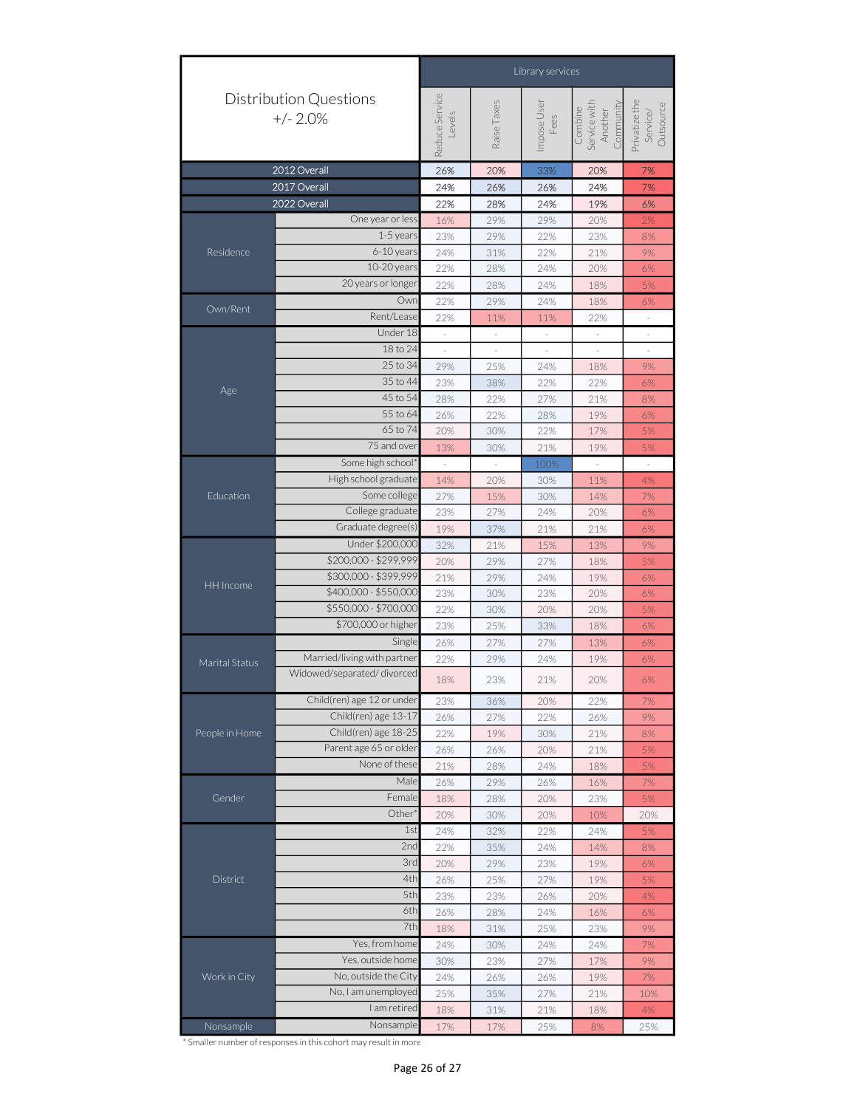|                | Library services                            |                          |                          |                          |                                                 |                                        |  |
|----------------|---------------------------------------------|--------------------------|--------------------------|--------------------------|-------------------------------------------------|----------------------------------------|--|
|                | <b>Distribution Questions</b><br>$+/- 2.0%$ | Reduce Service<br>Levels | Raise Taxes              | Impose User<br>Fees      | Service with<br>Community<br>Combine<br>Another | Privatize the<br>Outsource<br>Service/ |  |
|                | 2012 Overall                                | 26%                      | 20%                      | 33%                      | 20%                                             | 7%                                     |  |
|                | 2017 Overall                                | 24%                      | 26%                      | 26%                      | 24%                                             | 7%                                     |  |
|                | 2022 Overall                                | 22%                      | 28%                      | 24%                      | 19%                                             | 6%                                     |  |
|                | One year or less                            | 16%                      | 29%                      | 29%                      | 20%                                             | 2%                                     |  |
| Residence      | 1-5 years                                   | 23%                      | 29%                      | 22%                      | 23%                                             | 8%                                     |  |
|                | 6-10 years                                  | 24%                      | 31%                      | 22%                      | 21%                                             | $9\%$                                  |  |
|                | 10-20 years                                 | 22%                      | 28%                      | 24%                      | 20%                                             | 6%                                     |  |
|                | 20 years or longer                          | 22%                      | 28%                      | 24%                      | 18%                                             | 5%                                     |  |
|                | Owr                                         | 22%                      | 29%                      | 24%                      | 18%                                             | 6%                                     |  |
| Own/Rent       | Rent/Lease                                  | 22%                      | 11%                      | 11%                      | 22%                                             | $\equiv$                               |  |
|                | Under 18                                    | $\overline{\phantom{a}}$ | $\sim$                   | $\overline{\phantom{a}}$ | $\overline{\phantom{a}}$                        | $\equiv$                               |  |
|                | 18 to 24                                    | $\overline{\phantom{a}}$ | $\overline{\phantom{a}}$ | $\overline{\phantom{a}}$ | $\overline{\phantom{a}}$                        | $\overline{\phantom{a}}$               |  |
|                | 25 to 34                                    | 29%                      | 25%                      | 24%                      | 18%                                             | 9%                                     |  |
| Age            | 35 to 44                                    | 23%                      | 38%                      | 22%                      | 22%                                             | $6\%$                                  |  |
|                | 45 to 54                                    | 28%                      | 22%                      | 27%                      | 21%                                             | $8\%$                                  |  |
|                | 55 to 64                                    | 26%                      | 22%                      | 28%                      | 19%                                             | 6%                                     |  |
|                | 65 to 74                                    | 20%                      | 30%                      | 22%                      | 17%                                             | 5%                                     |  |
|                | 75 and over                                 | 13%                      | 30%                      | 21%                      | 19%                                             | 5%                                     |  |
|                | Some high school'                           |                          |                          | 100%                     |                                                 |                                        |  |
|                | High school graduate                        | 14%                      | 20%                      | 30%                      | 11%                                             | 4%                                     |  |
| Education      | Some college                                | 27%                      | 15%                      | 30%                      | 14%                                             | 7%                                     |  |
|                | College graduate                            | 23%                      | 27%                      | 24%                      | 20%                                             | $6\%$                                  |  |
|                | Graduate degree(s)                          | 19%                      | 37%                      | 21%                      | 21%                                             | 6%                                     |  |
|                | Under \$200,000                             | 32%                      | 21%                      | 15%                      | 13%                                             | 9%                                     |  |
|                | \$200,000 - \$299,999                       | 20%                      | 29%                      | 27%                      | 18%                                             | 5%                                     |  |
|                | \$300,000 - \$399,999                       | 21%                      | 29%                      | 24%                      | 19%                                             | $6\%$                                  |  |
| HH Income      | \$400,000 - \$550,000                       | 23%                      | 30%                      | 23%                      | 20%                                             | $6\%$                                  |  |
|                | \$550,000 - \$700,000                       | 22%                      | 30%                      | 20%                      | 20%                                             | 5%                                     |  |
|                | \$700,000 or higher                         | 23%                      | 25%                      | 33%                      | 18%                                             | $6\%$                                  |  |
|                | Single                                      | 26%                      | 27%                      | 27%                      | 13%                                             | 6%                                     |  |
| Marital Status | Married/living with partner                 | 22%                      | 29%                      | 24%                      | 19%                                             | 6%                                     |  |
|                | Widowed/separated/divorced                  | 18%                      | 23%                      | 21%                      | 20%                                             | 6%                                     |  |
|                | Child(ren) age 12 or under                  | 23%                      | 36%                      | 20%                      | 22%                                             | 7%                                     |  |
|                | Child(ren) age 13-17                        | 26%                      | 27%                      | 22%                      | 26%                                             | 9%                                     |  |
| People in Home | Child(ren) age 18-25                        | 22%                      | 19%                      | 30%                      | 21%                                             | 8%                                     |  |
|                | Parent age 65 or older                      | 26%                      | 26%                      | 20%                      | 21%                                             | 5%                                     |  |
|                | None of these                               | 21%                      | 28%                      | 24%                      | 18%                                             | 5%                                     |  |
|                | Male                                        | 26%                      | 29%                      | 26%                      | 16%                                             | 7%                                     |  |
| Gender         | Female                                      | 18%                      | 28%                      | 20%                      | 23%                                             | 5%                                     |  |
|                | Other <sup>®</sup>                          | 20%                      | 30%                      | 20%                      | 10%                                             | 20%                                    |  |
|                | 1st                                         | 24%                      | 32%                      | 22%                      | 24%                                             | 5%                                     |  |
|                | 2nd                                         | 22%                      | 35%                      | 24%                      | 14%                                             | $8\%$                                  |  |
|                | 3rd                                         | 20%                      | 29%                      | 23%                      | 19%                                             | 6%                                     |  |
| District       | 4th                                         | 26%                      | 25%                      | 27%                      | 19%                                             | 5%                                     |  |
|                | 5th                                         | 23%                      | 23%                      | 26%                      | 20%                                             | 4%                                     |  |
|                | 6th                                         | 26%                      | 28%                      | 24%                      | 16%                                             | 6%                                     |  |
|                | 7th                                         | 18%                      | 31%                      | 25%                      | 23%                                             | 9%                                     |  |
|                | Yes, from home                              | 24%                      | 30%                      | 24%                      | 24%                                             | 7%                                     |  |
|                | Yes, outside home                           | 30%                      | 23%                      | 27%                      | 17%                                             | 9%                                     |  |
| Work in City   | No, outside the City                        | 24%                      | 26%                      | 26%                      | 19%                                             | 7%                                     |  |
|                | No, I am unemployed                         | 25%                      | 35%                      | 27%                      | 21%                                             | 10%                                    |  |
|                | I am retired                                | 18%                      | 31%                      | 21%                      | 18%                                             | $4\%$                                  |  |
|                | Nonsample                                   |                          |                          |                          |                                                 |                                        |  |
| Nonsample      |                                             | 17%                      | 17%                      | 25%                      | 8%                                              | 25%                                    |  |